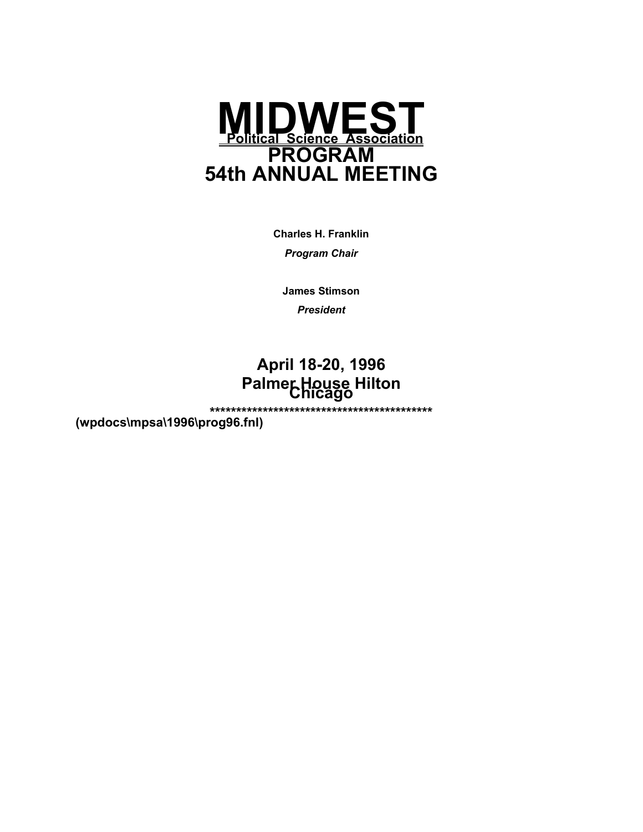

**Charles H. Franklin** 

*Program Chair* 

**James Stimson** 

*President*

# **April 18-20, 1996 Palmer House Hilton Chicago**

**\*\*\*\*\*\*\*\*\*\*\*\*\*\*\*\*\*\*\*\*\*\*\*\*\*\*\*\*\*\*\*\*\*\*\*\*\*\*\*\*\*\* (wpdocs\mpsa\1996\prog96.fnl)**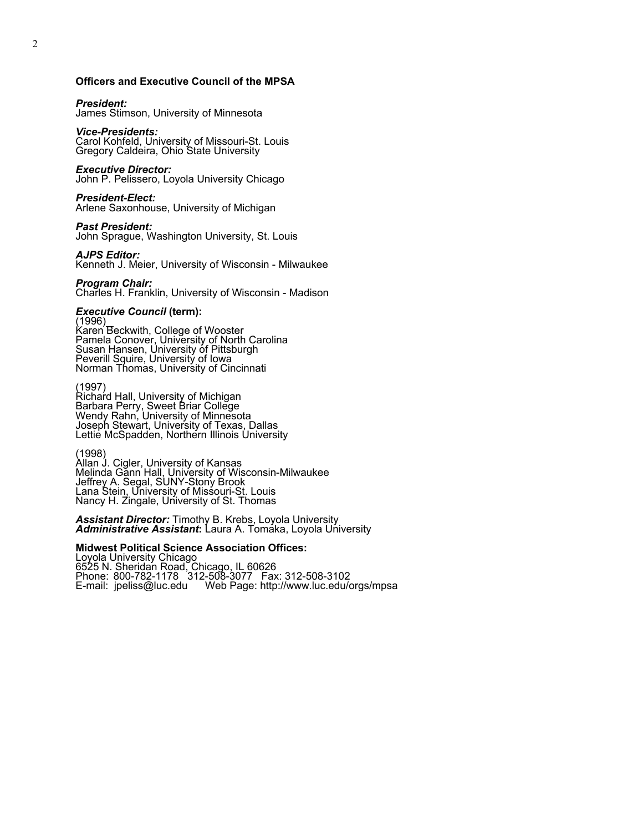#### **Officers and Executive Council of the MPSA**

#### *President:*

James Stimson, University of Minnesota

#### *Vice-Presidents:*

Carol Kohfeld, University of Missouri-St. Louis Gregory Caldeira, Ohio State University

#### *Executive Director:*

John P. Pelissero, Loyola University Chicago

#### *President-Elect:*

Arlene Saxonhouse, University of Michigan

#### *Past President:*

John Sprague, Washington University, St. Louis

#### *AJPS Editor:*

Kenneth J. Meier, University of Wisconsin - Milwaukee

#### *Program Chair:*

Charles H. Franklin, University of Wisconsin - Madison

# *Executive Council* **(term):** (1996)

Karen Beckwith, College of Wooster Pamela Conover, University of North Carolina Susan Hansen, University of Pittsburgh Peverill Squire, University of Iowa Norman Thomas, University of Cincinnati

#### (1997) Richard Hall, University of Michigan Barbara Perry, Sweet Briar College Wendy Rahn, University of Minnesota Joseph Stewart, University of Texas, Dallas

Lettie McSpadden, Northern Illinois University

#### (1998)

Allan J. Cigler, University of Kansas Melinda Gann Hall, University of Wisconsin-Milwaukee Jeffrey A. Segal, SUNY-Stony Brook Lana Stein, University of Missouri-St. Louis Nancy H. Zingale, University of St. Thomas

*Assistant Director:* Timothy B. Krebs, Loyola University *Administrative Assistant***:** Laura A. Tomaka, Loyola University

#### **Midwest Political Science Association Offices:**

Loyola University Chicago 6525 N. Sheridan Road, Chicago, IL 60626 Phone: 800-782-1178 312-508-3077 Fax: 312-508-3102 E-mail: jpeliss@luc.edu Web Page: http://www.luc.edu/orgs/mpsa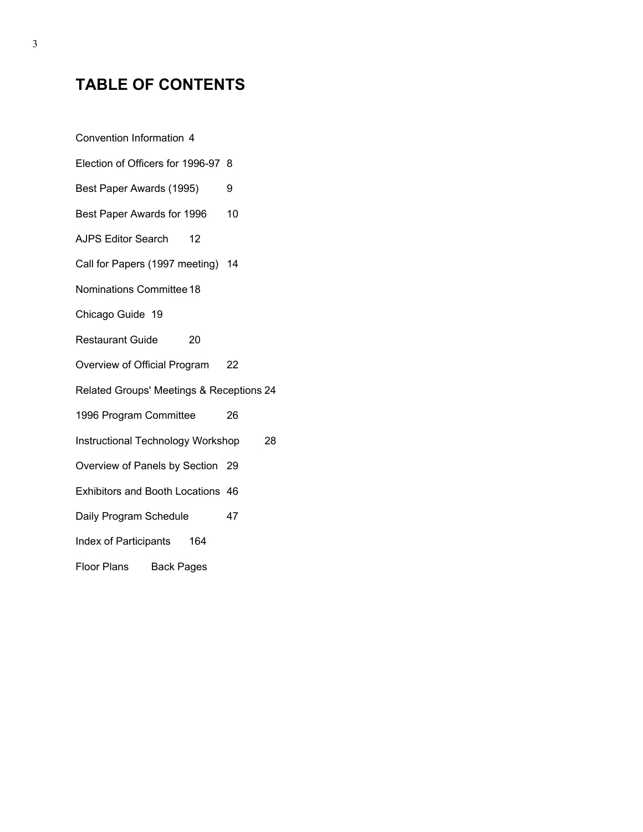# **TABLE OF CONTENTS**

Convention Information 4 Election of Officers for 1996-97 8 Best Paper Awards (1995) 9 Best Paper Awards for 1996 10 AJPS Editor Search 12 Call for Papers (1997 meeting) 14 Nominations Committee 18 Chicago Guide 19 Restaurant Guide 20 Overview of Official Program 22 Related Groups' Meetings & Receptions 24 1996 Program Committee 26 Instructional Technology Workshop 28 Overview of Panels by Section 29 Exhibitors and Booth Locations 46 Daily Program Schedule 47 Index of Participants 164 Floor Plans Back Pages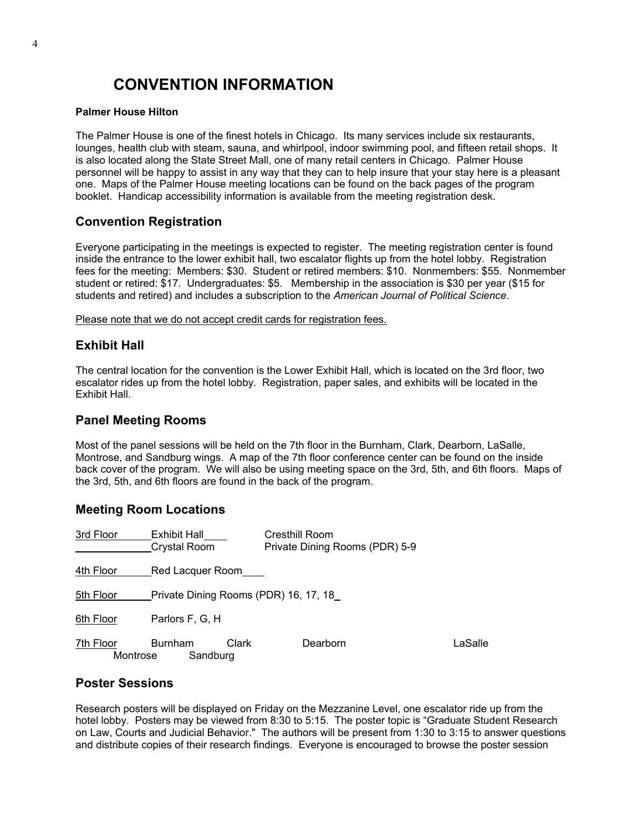# **CONVENTION INFORMATION**

#### **Palmer House Hilton**

The Palmer House is one of the finest hotels in Chicago. Its many services include six restaurants, lounges, health club with steam, sauna, and whirlpool, indoor swimming pool, and fifteen retail shops. It is also located along the State Street Mall, one of many retail centers in Chicago. Palmer House personnel will be happy to assist in any way that they can to help insure that your stay here is a pleasant one. Maps of the Palmer House meeting locations can be found on the back pages of the program booklet. Handicap accessibility information is available from the meeting registration desk.

### **Convention Registration**

Everyone participating in the meetings is expected to register. The meeting registration center is found inside the entrance to the lower exhibit hall, two escalator flights up from the hotel lobby. Registration fees for the meeting: Members: \$30. Student or retired members: \$10. Nonmembers: \$55. Nonmember student or retired: \$17. Undergraduates: \$5. Membership in the association is \$30 per year (\$15 for students and retired) and includes a subscription to the *American Journal of Political Science*.

Please note that we do not accept credit cards for registration fees.

### **Exhibit Hall**

The central location for the convention is the Lower Exhibit Hall, which is located on the 3rd floor, two escalator rides up from the hotel lobby. Registration, paper sales, and exhibits will be located in the Exhibit Hall.

### **Panel Meeting Rooms**

Most of the panel sessions will be held on the 7th floor in the Burnham, Clark, Dearborn, LaSalle, Montrose, and Sandburg wings. A map of the 7th floor conference center can be found on the inside back cover of the program. We will also be using meeting space on the 3rd, 5th, and 6th floors. Maps of the 3rd, 5th, and 6th floors are found in the back of the program.

#### **Meeting Room Locations**

| 3rd Floor             | Exhibit Hall<br>Crystal Room          | <b>Cresthill Room</b><br>Private Dining Rooms (PDR) 5-9 |         |
|-----------------------|---------------------------------------|---------------------------------------------------------|---------|
| <u>4th Floor</u>      | Red Lacquer Room                      |                                                         |         |
| 5th Floor             | Private Dining Rooms (PDR) 16, 17, 18 |                                                         |         |
| 6th Floor             | Parlors F, G, H                       |                                                         |         |
| 7th Floor<br>Montrose | Clark<br><b>Burnham</b><br>Sandburg   | Dearborn                                                | LaSalle |

#### **Poster Sessions**

Research posters will be displayed on Friday on the Mezzanine Level, one escalator ride up from the hotel lobby. Posters may be viewed from 8:30 to 5:15. The poster topic is "Graduate Student Research" on Law, Courts and Judicial Behavior." The authors will be present from 1:30 to 3:15 to answer questions and distribute copies of their research findings. Everyone is encouraged to browse the poster session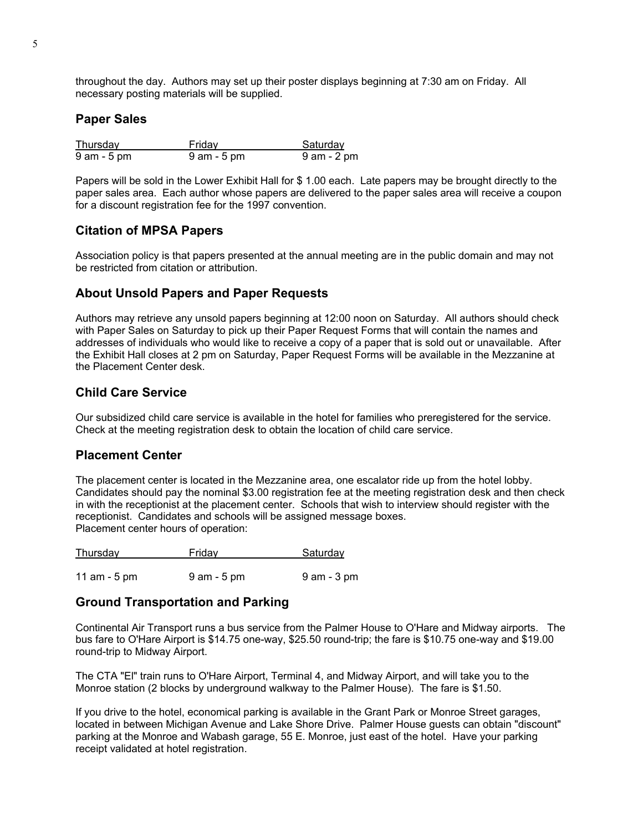throughout the day. Authors may set up their poster displays beginning at 7:30 am on Friday. All necessary posting materials will be supplied.

#### **Paper Sales**

| Thursday       | Friday      | Saturday       |
|----------------|-------------|----------------|
| $9$ am $-5$ pm | 9 am - 5 pm | $9$ am $-2$ pm |

Papers will be sold in the Lower Exhibit Hall for \$ 1.00 each. Late papers may be brought directly to the paper sales area. Each author whose papers are delivered to the paper sales area will receive a coupon for a discount registration fee for the 1997 convention.

### **Citation of MPSA Papers**

Association policy is that papers presented at the annual meeting are in the public domain and may not be restricted from citation or attribution.

### **About Unsold Papers and Paper Requests**

Authors may retrieve any unsold papers beginning at 12:00 noon on Saturday. All authors should check with Paper Sales on Saturday to pick up their Paper Request Forms that will contain the names and addresses of individuals who would like to receive a copy of a paper that is sold out or unavailable. After the Exhibit Hall closes at 2 pm on Saturday, Paper Request Forms will be available in the Mezzanine at the Placement Center desk.

### **Child Care Service**

Our subsidized child care service is available in the hotel for families who preregistered for the service. Check at the meeting registration desk to obtain the location of child care service.

### **Placement Center**

The placement center is located in the Mezzanine area, one escalator ride up from the hotel lobby. Candidates should pay the nominal \$3.00 registration fee at the meeting registration desk and then check in with the receptionist at the placement center. Schools that wish to interview should register with the receptionist. Candidates and schools will be assigned message boxes. Placement center hours of operation:

| <b>Thursday</b> | Friday         | Saturday       |
|-----------------|----------------|----------------|
|                 |                |                |
| 11 am $-5$ pm   | $9$ am $-5$ pm | $9$ am $-3$ pm |

### **Ground Transportation and Parking**

Continental Air Transport runs a bus service from the Palmer House to O'Hare and Midway airports. The bus fare to O'Hare Airport is \$14.75 one-way, \$25.50 round-trip; the fare is \$10.75 one-way and \$19.00 round-trip to Midway Airport.

The CTA "El" train runs to O'Hare Airport, Terminal 4, and Midway Airport, and will take you to the Monroe station (2 blocks by underground walkway to the Palmer House). The fare is \$1.50.

If you drive to the hotel, economical parking is available in the Grant Park or Monroe Street garages, located in between Michigan Avenue and Lake Shore Drive. Palmer House guests can obtain "discount" parking at the Monroe and Wabash garage, 55 E. Monroe, just east of the hotel. Have your parking receipt validated at hotel registration.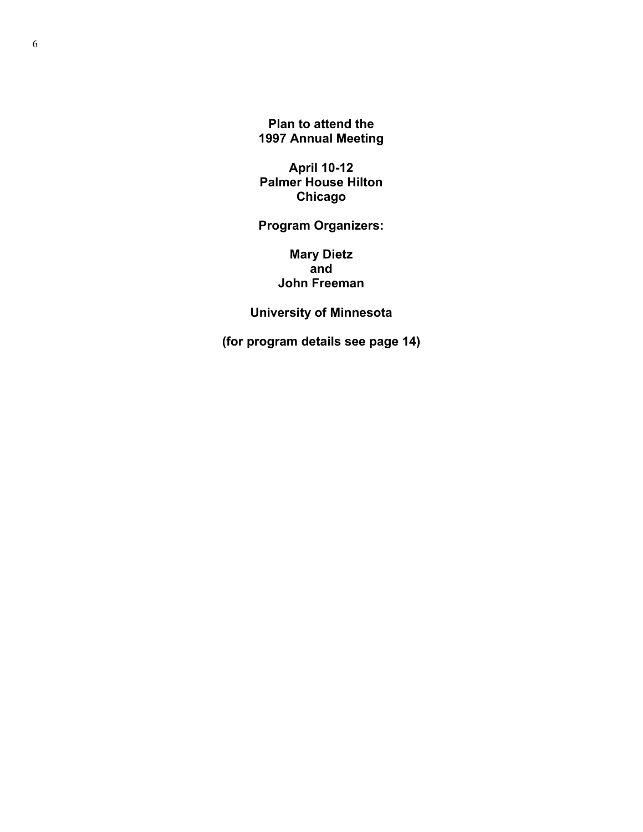**Plan to attend the 1997 Annual Meeting** 

**April 10-12 Palmer House Hilton Chicago** 

## **Program Organizers:**

**Mary Dietz and John Freeman** 

**University of Minnesota** 

**(for program details see page 14)**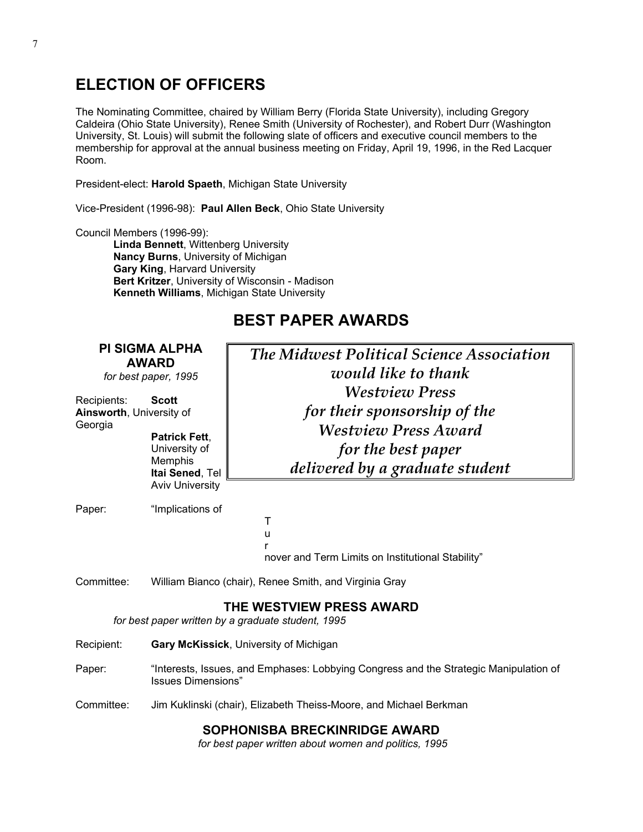# **ELECTION OF OFFICERS**

The Nominating Committee, chaired by William Berry (Florida State University), including Gregory Caldeira (Ohio State University), Renee Smith (University of Rochester), and Robert Durr (Washington University, St. Louis) will submit the following slate of officers and executive council members to the membership for approval at the annual business meeting on Friday, April 19, 1996, in the Red Lacquer Room.

President-elect: **Harold Spaeth**, Michigan State University

Vice-President (1996-98): **Paul Allen Beck**, Ohio State University

Council Members (1996-99):

**Linda Bennett**, Wittenberg University **Nancy Burns**, University of Michigan  **Gary King**, Harvard University **Bert Kritzer**, University of Wisconsin - Madison **Kenneth Williams**, Michigan State University

# **BEST PAPER AWARDS**

| <b>PI SIGMA ALPHA</b><br><b>AWARD</b><br>for best paper, 1995<br>Recipients:<br><b>Scott</b> |                                                                                                      | <b>The Midwest Political Science Association</b><br>would like to thank<br><b>Westview Press</b>                                         |
|----------------------------------------------------------------------------------------------|------------------------------------------------------------------------------------------------------|------------------------------------------------------------------------------------------------------------------------------------------|
| Ainsworth, University of<br>Georgia                                                          | <b>Patrick Fett.</b><br>University of<br><b>Memphis</b><br>Itai Sened, Tel<br><b>Aviv University</b> | for their sponsorship of the<br><b>Westview Press Award</b><br>for the best paper<br>delivered by a graduate student                     |
| Paper:                                                                                       | "Implications of                                                                                     | T<br>u<br>r<br>nover and Term Limits on Institutional Stability"                                                                         |
| Committee:                                                                                   |                                                                                                      | William Bianco (chair), Renee Smith, and Virginia Gray<br>THE WESTVIEW PRESS AWARD<br>for best paper written by a graduate student, 1995 |
| Recipient:                                                                                   |                                                                                                      | Gary McKissick, University of Michigan                                                                                                   |
| Paper:                                                                                       | <b>Issues Dimensions"</b>                                                                            | "Interests, Issues, and Emphases: Lobbying Congress and the Strategic Manipulation of                                                    |
| Committee:                                                                                   |                                                                                                      | Jim Kuklinski (chair), Elizabeth Theiss-Moore, and Michael Berkman                                                                       |

## **SOPHONISBA BRECKINRIDGE AWARD**

 *for best paper written about women and politics, 1995*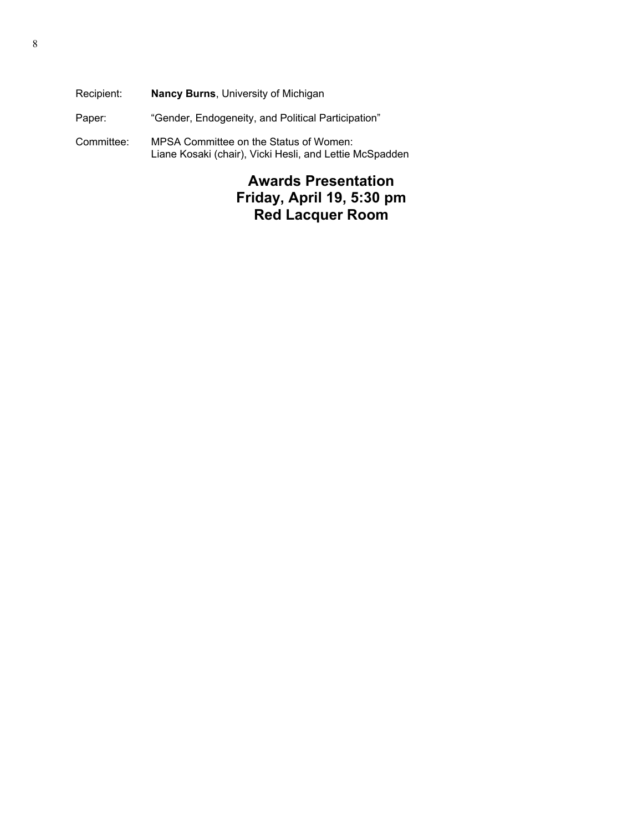Recipient: **Nancy Burns**, University of Michigan Paper: "Gender, Endogeneity, and Political Participation" Committee: MPSA Committee on the Status of Women: Liane Kosaki (chair), Vicki Hesli, and Lettie McSpadden

# **Awards Presentation Friday, April 19, 5:30 pm Red Lacquer Room**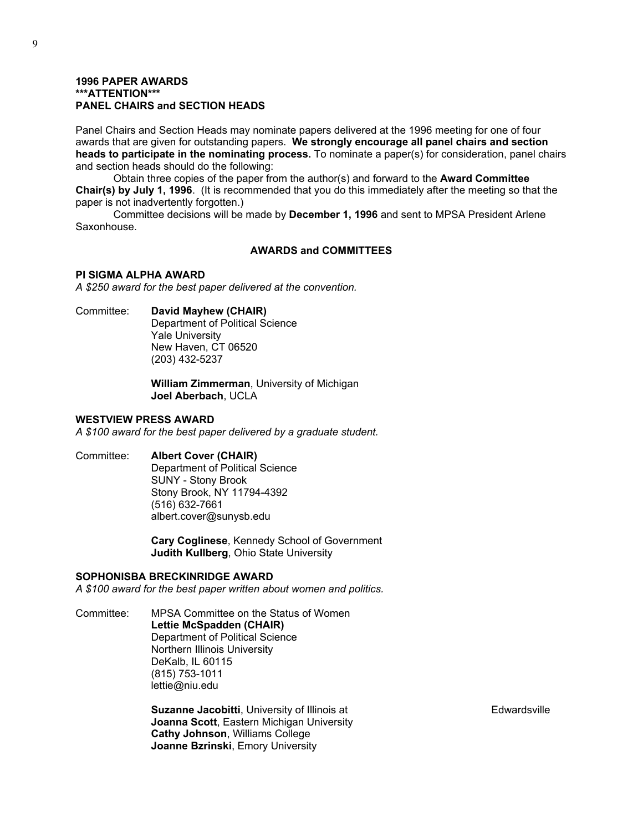#### **1996 PAPER AWARDS \*\*\*ATTENTION\*\*\* PANEL CHAIRS and SECTION HEADS**

Panel Chairs and Section Heads may nominate papers delivered at the 1996 meeting for one of four awards that are given for outstanding papers. **We strongly encourage all panel chairs and section heads to participate in the nominating process.** To nominate a paper(s) for consideration, panel chairs and section heads should do the following:

 Obtain three copies of the paper from the author(s) and forward to the **Award Committee Chair(s) by July 1, 1996**. (It is recommended that you do this immediately after the meeting so that the paper is not inadvertently forgotten.)

 Committee decisions will be made by **December 1, 1996** and sent to MPSA President Arlene Saxonhouse.

#### **AWARDS and COMMITTEES**

#### **PI SIGMA ALPHA AWARD**

*A \$250 award for the best paper delivered at the convention.*

Committee: **David Mayhew (CHAIR)**

 Department of Political Science Yale University New Haven, CT 06520 (203) 432-5237

 **William Zimmerman**, University of Michigan **Joel Aberbach**, UCLA

#### **WESTVIEW PRESS AWARD**

*A \$100 award for the best paper delivered by a graduate student.* 

Committee: **Albert Cover (CHAIR)**  Department of Political Science

 SUNY - Stony Brook Stony Brook, NY 11794-4392 (516) 632-7661 albert.cover@sunysb.edu

 **Cary Coglinese**, Kennedy School of Government **Judith Kullberg**, Ohio State University

#### **SOPHONISBA BRECKINRIDGE AWARD**

*A \$100 award for the best paper written about women and politics.* 

Committee: MPSA Committee on the Status of Women **Lettie McSpadden (CHAIR)** Department of Political Science Northern Illinois University DeKalb, IL 60115 (815) 753-1011 lettie@niu.edu

> **Suzanne Jacobitti**, University of Illinois at **Edwardsville** Edwardsville **Joanna Scott**, Eastern Michigan University **Cathy Johnson**, Williams College **Joanne Bzrinski**, Emory University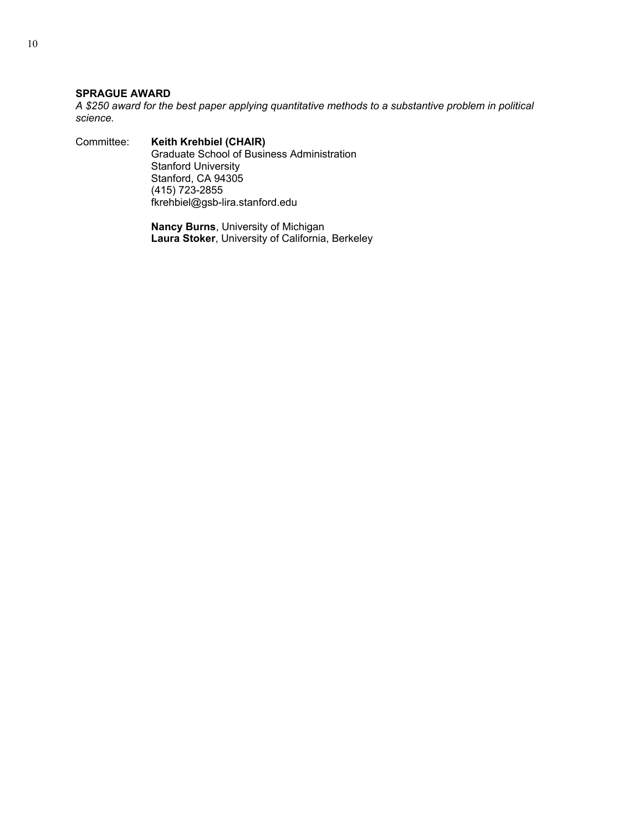### **SPRAGUE AWARD**

*A \$250 award for the best paper applying quantitative methods to a substantive problem in political science.* 

Committee: **Keith Krehbiel (CHAIR)** Graduate School of Business Administration Stanford University Stanford, CA 94305 (415) 723-2855 fkrehbiel@gsb-lira.stanford.edu

> **Nancy Burns**, University of Michigan **Laura Stoker**, University of California, Berkeley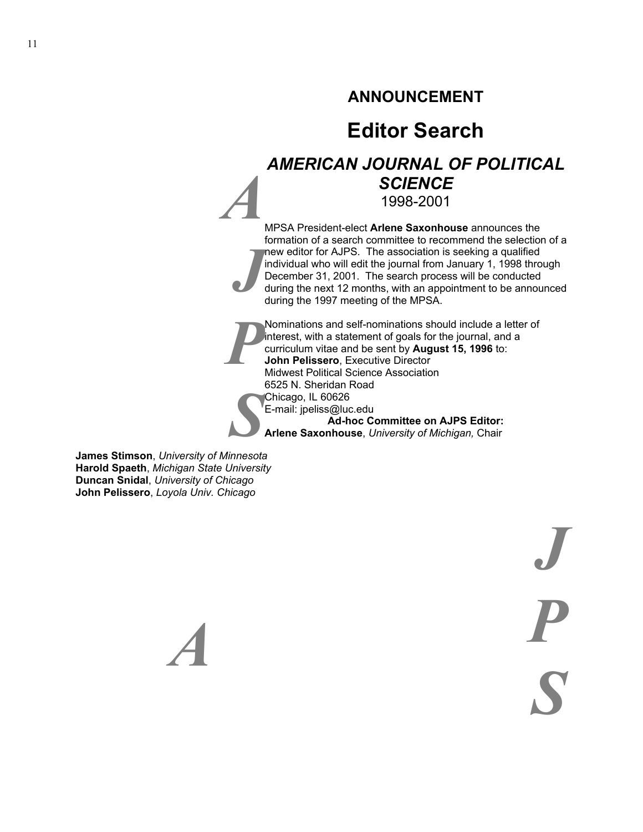# **ANNOUNCEMENT**

# **Editor Search**

# *AMERICAN JOURNAL OF POLITICAL SCIENCE* 1998-2001

*A J* MPSA President-elect **Arlene Saxonhouse** announces the formation of a search committee to recommend the selection of a new editor for AJPS. The association is seeking a qualified individual who will edit the journal from January 1, 1998 through December 31, 2001. The search process will be conducted during the next 12 months, with an appointment to be announced during the 1997 meeting of the MPSA.

*P S* Nominations and self-nominations should include a letter of interest, with a statement of goals for the journal, and a curriculum vitae and be sent by **August 15, 1996** to: **John Pelissero**, Executive Director Midwest Political Science Association 6525 N. Sheridan Road Chicago, IL 60626 E-mail: jpeliss@luc.edu **Ad-hoc Committee on AJPS Editor: Arlene Saxonhouse**, *University of Michigan,* Chair

**James Stimson**, *University of Minnesota* **Harold Spaeth**, *Michigan State University*  **Duncan Snidal**, *University of Chicago* **John Pelissero**, *Loyola Univ. Chicago*

 *A* 

*J P S*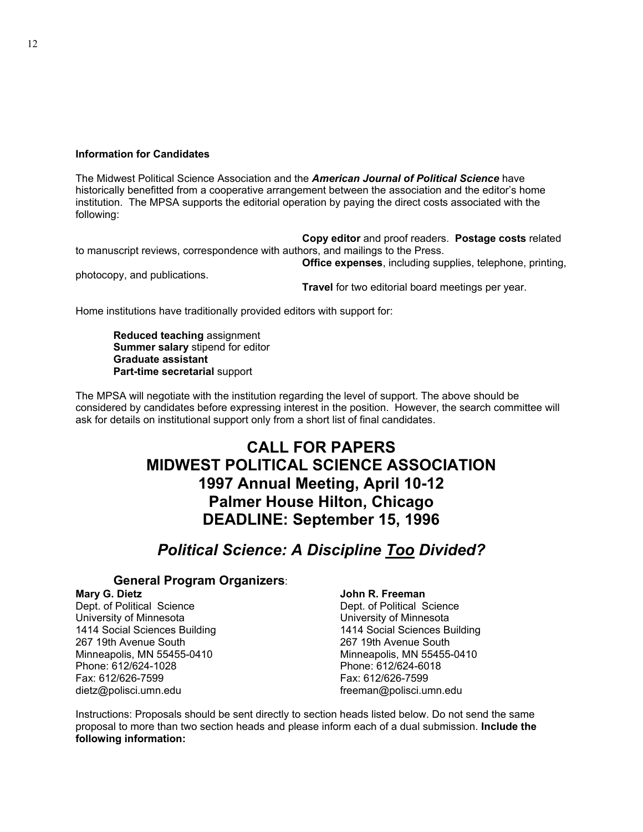#### **Information for Candidates**

The Midwest Political Science Association and the *American Journal of Political Science* have historically benefitted from a cooperative arrangement between the association and the editor's home institution. The MPSA supports the editorial operation by paying the direct costs associated with the following:

**Copy editor** and proof readers. **Postage costs** related to manuscript reviews, correspondence with authors, and mailings to the Press.

photocopy, and publications.

**Office expenses**, including supplies, telephone, printing,

**Travel** for two editorial board meetings per year.

Home institutions have traditionally provided editors with support for:

**Reduced teaching** assignment  **Summer salary** stipend for editor  **Graduate assistant Part-time secretarial** support

The MPSA will negotiate with the institution regarding the level of support. The above should be considered by candidates before expressing interest in the position. However, the search committee will ask for details on institutional support only from a short list of final candidates.

# **CALL FOR PAPERS MIDWEST POLITICAL SCIENCE ASSOCIATION 1997 Annual Meeting, April 10-12 Palmer House Hilton, Chicago DEADLINE: September 15, 1996**

# *Political Science: A Discipline Too Divided?*

### **General Program Organizers**:

#### **Mary G. Dietz**

Dept. of Political Science University of Minnesota 1414 Social Sciences Building 267 19th Avenue South Minneapolis, MN 55455-0410 Phone: 612/624-1028 Fax: 612/626-7599 dietz@polisci.umn.edu

#### **John R. Freeman**

Dept. of Political Science University of Minnesota 1414 Social Sciences Building 267 19th Avenue South Minneapolis, MN 55455-0410 Phone: 612/624-6018 Fax: 612/626-7599 freeman@polisci.umn.edu

Instructions: Proposals should be sent directly to section heads listed below. Do not send the same proposal to more than two section heads and please inform each of a dual submission. **Include the following information:**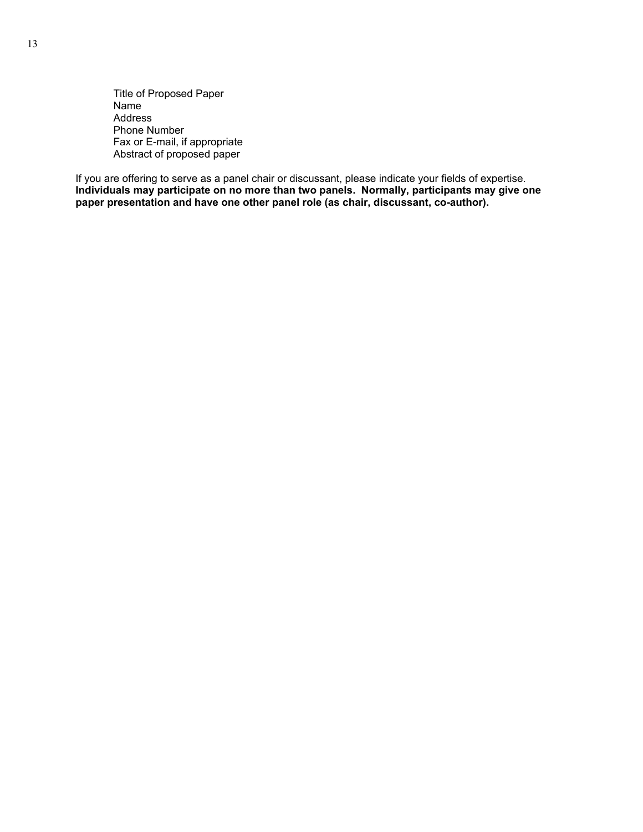Title of Proposed Paper Name Address Phone Number Fax or E-mail, if appropriate Abstract of proposed paper

If you are offering to serve as a panel chair or discussant, please indicate your fields of expertise. **Individuals may participate on no more than two panels. Normally, participants may give one paper presentation and have one other panel role (as chair, discussant, co-author).**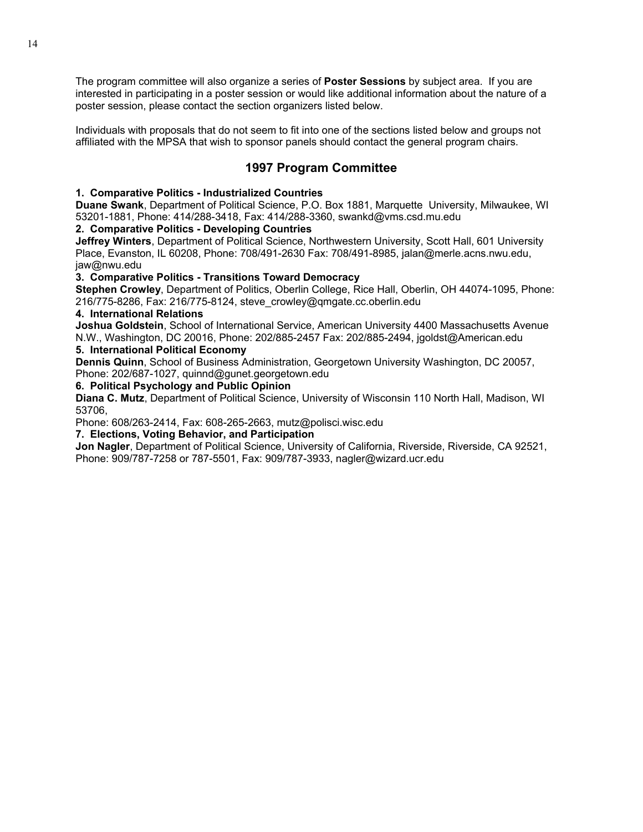The program committee will also organize a series of **Poster Sessions** by subject area. If you are interested in participating in a poster session or would like additional information about the nature of a poster session, please contact the section organizers listed below.

Individuals with proposals that do not seem to fit into one of the sections listed below and groups not affiliated with the MPSA that wish to sponsor panels should contact the general program chairs.

## **1997 Program Committee**

#### **1. Comparative Politics - Industrialized Countries**

**Duane Swank**, Department of Political Science, P.O. Box 1881, Marquette University, Milwaukee, WI 53201-1881, Phone: 414/288-3418, Fax: 414/288-3360, swankd@vms.csd.mu.edu

#### **2. Comparative Politics - Developing Countries**

**Jeffrey Winters**, Department of Political Science, Northwestern University, Scott Hall, 601 University Place, Evanston, IL 60208, Phone: 708/491-2630 Fax: 708/491-8985, jalan@merle.acns.nwu.edu, jaw@nwu.edu

#### **3. Comparative Politics - Transitions Toward Democracy**

**Stephen Crowley**, Department of Politics, Oberlin College, Rice Hall, Oberlin, OH 44074-1095, Phone: 216/775-8286, Fax: 216/775-8124, steve\_crowley@qmgate.cc.oberlin.edu

#### **4. International Relations**

**Joshua Goldstein**, School of International Service, American University 4400 Massachusetts Avenue N.W., Washington, DC 20016, Phone: 202/885-2457 Fax: 202/885-2494, jgoldst@American.edu

#### **5. International Political Economy**

**Dennis Quinn**, School of Business Administration, Georgetown University Washington, DC 20057, Phone: 202/687-1027, quinnd@gunet.georgetown.edu

#### **6. Political Psychology and Public Opinion**

**Diana C. Mutz**, Department of Political Science, University of Wisconsin 110 North Hall, Madison, WI 53706,

Phone: 608/263-2414, Fax: 608-265-2663, mutz@polisci.wisc.edu

#### **7. Elections, Voting Behavior, and Participation**

**Jon Nagler**, Department of Political Science, University of California, Riverside, Riverside, CA 92521, Phone: 909/787-7258 or 787-5501, Fax: 909/787-3933, nagler@wizard.ucr.edu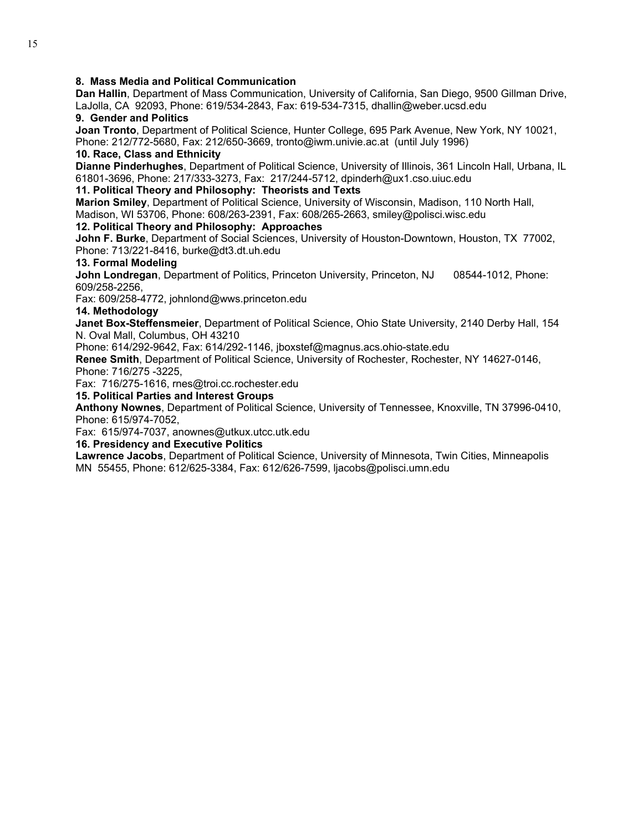#### **8. Mass Media and Political Communication**

**Dan Hallin**, Department of Mass Communication, University of California, San Diego, 9500 Gillman Drive, LaJolla, CA 92093, Phone: 619/534-2843, Fax: 619-534-7315, dhallin@weber.ucsd.edu

#### **9. Gender and Politics**

**Joan Tronto**, Department of Political Science, Hunter College, 695 Park Avenue, New York, NY 10021, Phone: 212/772-5680, Fax: 212/650-3669, tronto@iwm.univie.ac.at (until July 1996)

#### **10. Race, Class and Ethnicity**

**Dianne Pinderhughes**, Department of Political Science, University of Illinois, 361 Lincoln Hall, Urbana, IL 61801-3696, Phone: 217/333-3273, Fax: 217/244-5712, dpinderh@ux1.cso.uiuc.edu

#### **11. Political Theory and Philosophy: Theorists and Texts**

**Marion Smiley**, Department of Political Science, University of Wisconsin, Madison, 110 North Hall, Madison, WI 53706, Phone: 608/263-2391, Fax: 608/265-2663, smiley@polisci.wisc.edu **12. Political Theory and Philosophy: Approaches**

**John F. Burke**, Department of Social Sciences, University of Houston-Downtown, Houston, TX 77002, Phone: 713/221-8416, burke@dt3.dt.uh.edu

#### **13. Formal Modeling**

**John Londregan**, Department of Politics, Princeton University, Princeton, NJ 08544-1012, Phone: 609/258-2256,

Fax: 609/258-4772, johnlond@wws.princeton.edu

#### **14. Methodology**

**Janet Box-Steffensmeier**, Department of Political Science, Ohio State University, 2140 Derby Hall, 154 N. Oval Mall, Columbus, OH 43210

Phone: 614/292-9642, Fax: 614/292-1146, jboxstef@magnus.acs.ohio-state.edu

**Renee Smith**, Department of Political Science, University of Rochester, Rochester, NY 14627-0146, Phone: 716/275 -3225,

Fax: 716/275-1616, rnes@troi.cc.rochester.edu

### **15. Political Parties and Interest Groups**

**Anthony Nownes**, Department of Political Science, University of Tennessee, Knoxville, TN 37996-0410, Phone: 615/974-7052,

Fax: 615/974-7037, anownes@utkux.utcc.utk.edu

#### **16. Presidency and Executive Politics**

**Lawrence Jacobs**, Department of Political Science, University of Minnesota, Twin Cities, Minneapolis MN 55455, Phone: 612/625-3384, Fax: 612/626-7599, ljacobs@polisci.umn.edu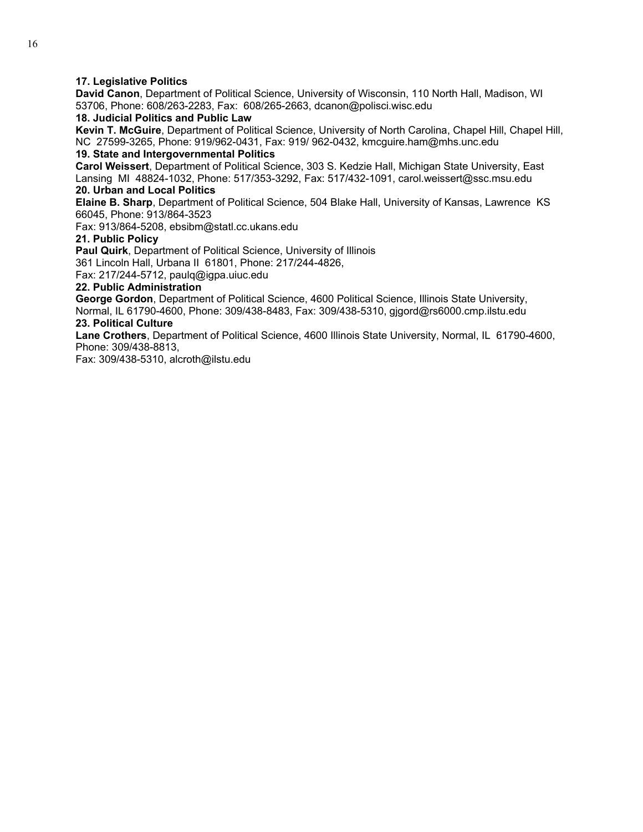#### **17. Legislative Politics**

**David Canon**, Department of Political Science, University of Wisconsin, 110 North Hall, Madison, WI 53706, Phone: 608/263-2283, Fax: 608/265-2663, dcanon@polisci.wisc.edu

#### **18. Judicial Politics and Public Law**

**Kevin T. McGuire**, Department of Political Science, University of North Carolina, Chapel Hill, Chapel Hill, NC 27599-3265, Phone: 919/962-0431, Fax: 919/ 962-0432, kmcguire.ham@mhs.unc.edu

### **19. State and Intergovernmental Politics**

**Carol Weissert**, Department of Political Science, 303 S. Kedzie Hall, Michigan State University, East Lansing MI 48824-1032, Phone: 517/353-3292, Fax: 517/432-1091, carol.weissert@ssc.msu.edu **20. Urban and Local Politics** 

**Elaine B. Sharp**, Department of Political Science, 504 Blake Hall, University of Kansas, Lawrence KS 66045, Phone: 913/864-3523

Fax: 913/864-5208, ebsibm@statl.cc.ukans.edu

#### **21. Public Policy**

**Paul Quirk**, Department of Political Science, University of Illinois

361 Lincoln Hall, Urbana II 61801, Phone: 217/244-4826,

Fax: 217/244-5712, paulq@igpa.uiuc.edu

#### **22. Public Administration**

**George Gordon**, Department of Political Science, 4600 Political Science, Illinois State University, Normal, IL 61790-4600, Phone: 309/438-8483, Fax: 309/438-5310, gjgord@rs6000.cmp.ilstu.edu **23. Political Culture** 

**Lane Crothers**, Department of Political Science, 4600 Illinois State University, Normal, IL 61790-4600, Phone: 309/438-8813,

Fax: 309/438-5310, alcroth@ilstu.edu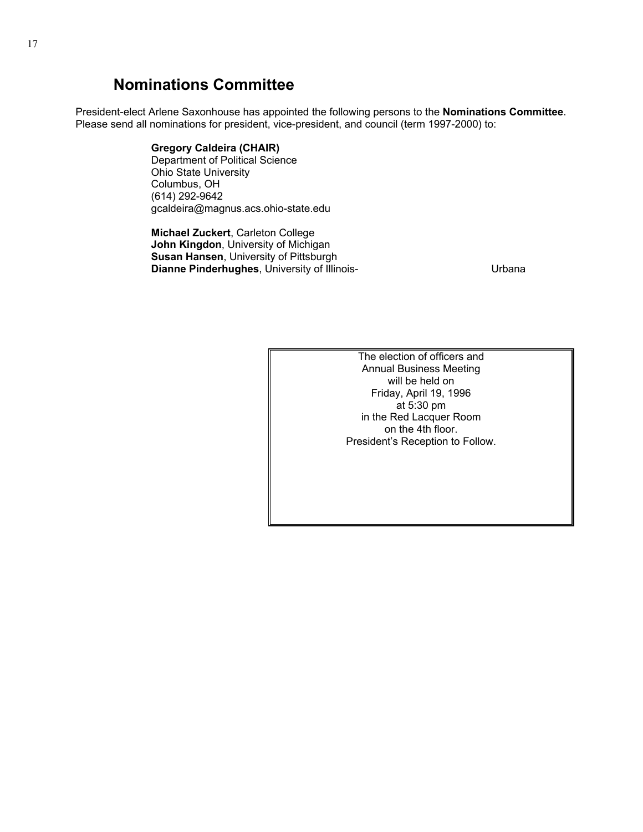# **Nominations Committee**

President-elect Arlene Saxonhouse has appointed the following persons to the **Nominations Committee**. Please send all nominations for president, vice-president, and council (term 1997-2000) to:

#### **Gregory Caldeira (CHAIR)**

 Department of Political Science Ohio State University Columbus, OH (614) 292-9642 gcaldeira@magnus.acs.ohio-state.edu

 **Michael Zuckert**, Carleton College **John Kingdon**, University of Michigan **Susan Hansen**, University of Pittsburgh **Dianne Pinderhughes**, University of Illinois- **Example 2** Urbana

The election of officers and Annual Business Meeting will be held on Friday, April 19, 1996 at 5:30 pm in the Red Lacquer Room on the 4th floor. President's Reception to Follow.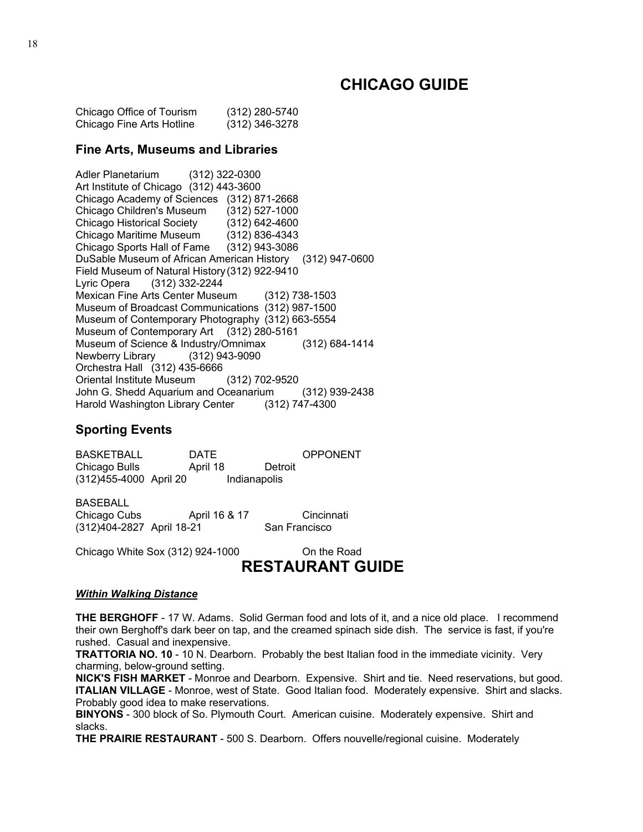# **CHICAGO GUIDE**

Chicago Office of Tourism (312) 280-5740 Chicago Fine Arts Hotline (312) 346-3278

#### **Fine Arts, Museums and Libraries**

Adler Planetarium (312) 322-0300 Art Institute of Chicago (312) 443-3600 Chicago Academy of Sciences (312) 871-2668 Chicago Children's Museum (312) 527-1000 Chicago Historical Society (312) 642-4600 Chicago Maritime Museum (312) 836-4343 Chicago Sports Hall of Fame (312) 943-3086 DuSable Museum of African American History (312) 947-0600 Field Museum of Natural History (312) 922-9410 Lyric Opera (312) 332-2244 Mexican Fine Arts Center Museum (312) 738-1503 Museum of Broadcast Communications (312) 987-1500 Museum of Contemporary Photography (312) 663-5554 Museum of Contemporary Art (312) 280-5161 Museum of Science & Industry/Omnimax (312) 684-1414 Newberry Library (312) 943-9090 Orchestra Hall (312) 435-6666 Oriental Institute Museum (312) 702-9520 John G. Shedd Aquarium and Oceanarium (312) 939-2438 Harold Washington Library Center (312) 747-4300

### **Sporting Events**

BASKETBALL DATE OPPONENT Chicago Bulls **April 18** Detroit (312)455-4000 April 20 Indianapolis

BASEBALL Chicago Cubs April 16 & 17 Cincinnati (312)404-2827 April 18-21 San Francisco

Chicago White Sox (312) 924-1000 On the Road

# **RESTAURANT GUIDE**

#### *Within Walking Distance*

**THE BERGHOFF** - 17 W. Adams. Solid German food and lots of it, and a nice old place. I recommend their own Berghoff's dark beer on tap, and the creamed spinach side dish. The service is fast, if you're rushed. Casual and inexpensive.

**TRATTORIA NO. 10** - 10 N. Dearborn. Probably the best Italian food in the immediate vicinity. Very charming, below-ground setting.

**NICK'S FISH MARKET** - Monroe and Dearborn. Expensive. Shirt and tie. Need reservations, but good. **ITALIAN VILLAGE** - Monroe, west of State. Good Italian food. Moderately expensive. Shirt and slacks. Probably good idea to make reservations.

**BINYONS** - 300 block of So. Plymouth Court. American cuisine. Moderately expensive. Shirt and slacks.

**THE PRAIRIE RESTAURANT** - 500 S. Dearborn. Offers nouvelle/regional cuisine. Moderately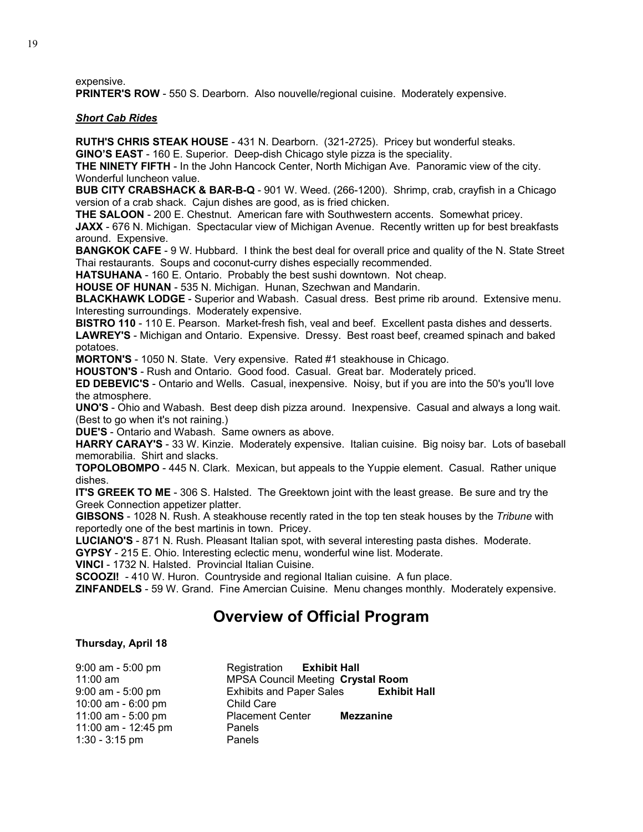expensive.

**PRINTER'S ROW** - 550 S. Dearborn. Also nouvelle/regional cuisine. Moderately expensive.

#### *Short Cab Rides*

**RUTH'S CHRIS STEAK HOUSE** - 431 N. Dearborn. (321-2725). Pricey but wonderful steaks. **GINO'S EAST** - 160 E. Superior. Deep-dish Chicago style pizza is the speciality.

**THE NINETY FIFTH** - In the John Hancock Center, North Michigan Ave. Panoramic view of the city. Wonderful luncheon value.

**BUB CITY CRABSHACK & BAR-B-Q** - 901 W. Weed. (266-1200). Shrimp, crab, crayfish in a Chicago version of a crab shack. Cajun dishes are good, as is fried chicken.

**THE SALOON** - 200 E. Chestnut. American fare with Southwestern accents. Somewhat pricey.

**JAXX** - 676 N. Michigan. Spectacular view of Michigan Avenue. Recently written up for best breakfasts around. Expensive.

**BANGKOK CAFE** - 9 W. Hubbard. I think the best deal for overall price and quality of the N. State Street Thai restaurants. Soups and coconut-curry dishes especially recommended.

**HATSUHANA** - 160 E. Ontario. Probably the best sushi downtown. Not cheap.

**HOUSE OF HUNAN** - 535 N. Michigan. Hunan, Szechwan and Mandarin.

**BLACKHAWK LODGE** - Superior and Wabash. Casual dress. Best prime rib around. Extensive menu. Interesting surroundings. Moderately expensive.

**BISTRO 110** - 110 E. Pearson. Market-fresh fish, veal and beef. Excellent pasta dishes and desserts. **LAWREY'S** - Michigan and Ontario. Expensive. Dressy. Best roast beef, creamed spinach and baked potatoes.

**MORTON'S** - 1050 N. State. Very expensive. Rated #1 steakhouse in Chicago.

**HOUSTON'S** - Rush and Ontario. Good food. Casual. Great bar. Moderately priced.

**ED DEBEVIC'S** - Ontario and Wells. Casual, inexpensive. Noisy, but if you are into the 50's you'll love the atmosphere.

**UNO'S** - Ohio and Wabash. Best deep dish pizza around. Inexpensive. Casual and always a long wait. (Best to go when it's not raining.)

**DUE'S** - Ontario and Wabash. Same owners as above.

**HARRY CARAY'S** - 33 W. Kinzie. Moderately expensive. Italian cuisine. Big noisy bar. Lots of baseball memorabilia. Shirt and slacks.

**TOPOLOBOMPO** - 445 N. Clark. Mexican, but appeals to the Yuppie element. Casual. Rather unique dishes.

**IT'S GREEK TO ME** - 306 S. Halsted. The Greektown joint with the least grease. Be sure and try the Greek Connection appetizer platter.

**GIBSONS** - 1028 N. Rush. A steakhouse recently rated in the top ten steak houses by the *Tribune* with reportedly one of the best martinis in town. Pricey.

**LUCIANO'S** - 871 N. Rush. Pleasant Italian spot, with several interesting pasta dishes. Moderate.

**GYPSY** - 215 E. Ohio. Interesting eclectic menu, wonderful wine list. Moderate.

**VINCI** - 1732 N. Halsted. Provincial Italian Cuisine.

**SCOOZI!** - 410 W. Huron. Countryside and regional Italian cuisine. A fun place.

**ZINFANDELS** - 59 W. Grand. Fine Amercian Cuisine. Menu changes monthly. Moderately expensive.

# **Overview of Official Program**

#### **Thursday, April 18**

| 9:00 am - 5:00 pm   | Registration Exhibit Hall                |                     |
|---------------------|------------------------------------------|---------------------|
| 11:00 $am$          | <b>MPSA Council Meeting Crystal Room</b> |                     |
| $9:00$ am - 5:00 pm | <b>Exhibits and Paper Sales</b>          | <b>Exhibit Hall</b> |
| 10:00 am - 6:00 pm  | Child Care                               |                     |
| 11:00 am - 5:00 pm  | <b>Placement Center</b>                  | <b>Mezzanine</b>    |
| 11:00 am - 12:45 pm | Panels                                   |                     |
| $1:30 - 3:15$ pm    | Panels                                   |                     |
|                     |                                          |                     |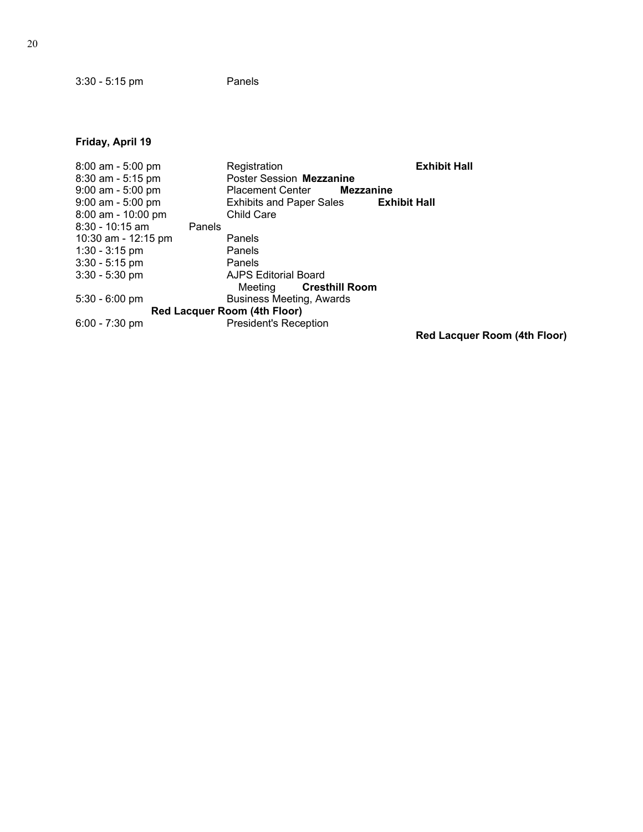3:30 - 5:15 pm Panels

## **Friday, April 19**

| Registration                                | <b>Exhibit Hall</b>          |
|---------------------------------------------|------------------------------|
| Poster Session Mezzanine                    |                              |
| <b>Placement Center</b><br><b>Mezzanine</b> |                              |
| <b>Exhibits and Paper Sales</b>             | <b>Exhibit Hall</b>          |
| <b>Child Care</b>                           |                              |
|                                             |                              |
| Panels                                      |                              |
| Panels                                      |                              |
| Panels                                      |                              |
| <b>AJPS Editorial Board</b>                 |                              |
| Cresthill Room<br>Meeting                   |                              |
| <b>Business Meeting, Awards</b>             |                              |
|                                             |                              |
| <b>President's Reception</b>                |                              |
|                                             | Red Lacquer Room (4th Floor) |
|                                             | Red Lacquer Room (4th Floor) |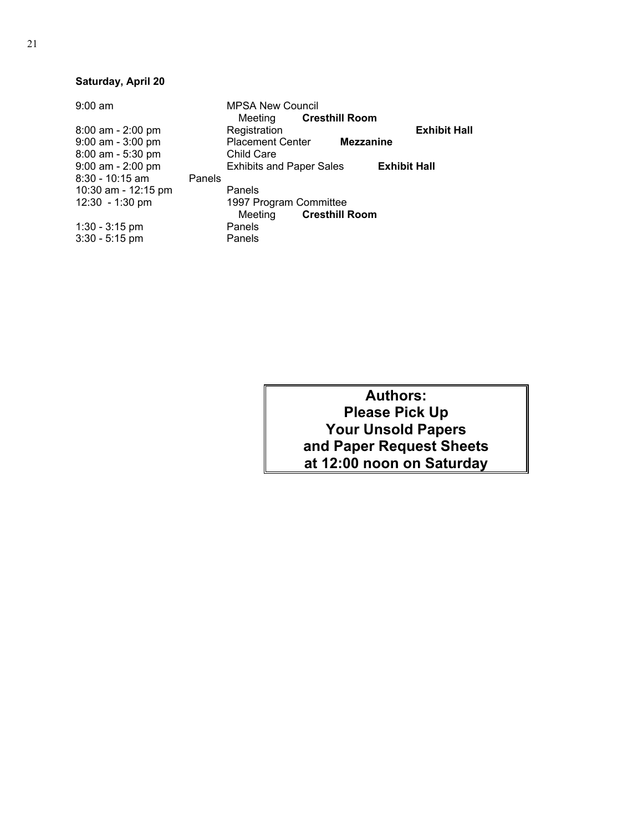### **Saturday, April 20**

| $9:00$ am           |        | <b>MPSA New Council</b>         |                       |                     |                     |
|---------------------|--------|---------------------------------|-----------------------|---------------------|---------------------|
|                     |        | Meeting                         | <b>Cresthill Room</b> |                     |                     |
| 8:00 am - 2:00 pm   |        | Registration                    |                       |                     | <b>Exhibit Hall</b> |
| 9:00 am - 3:00 pm   |        | <b>Placement Center</b>         | <b>Mezzanine</b>      |                     |                     |
| $8:00$ am - 5:30 pm |        | Child Care                      |                       |                     |                     |
| $9:00$ am - 2:00 pm |        | <b>Exhibits and Paper Sales</b> |                       | <b>Exhibit Hall</b> |                     |
| $8:30 - 10:15$ am   | Panels |                                 |                       |                     |                     |
| 10:30 am - 12:15 pm |        | Panels                          |                       |                     |                     |
| $12:30 - 1:30$ pm   |        | 1997 Program Committee          |                       |                     |                     |
|                     |        | Meeting                         | <b>Cresthill Room</b> |                     |                     |
| $1:30 - 3:15$ pm    |        | Panels                          |                       |                     |                     |
| $3:30 - 5:15$ pm    |        | Panels                          |                       |                     |                     |

**Authors: Please Pick Up Your Unsold Papers and Paper Request Sheets at 12:00 noon on Saturday**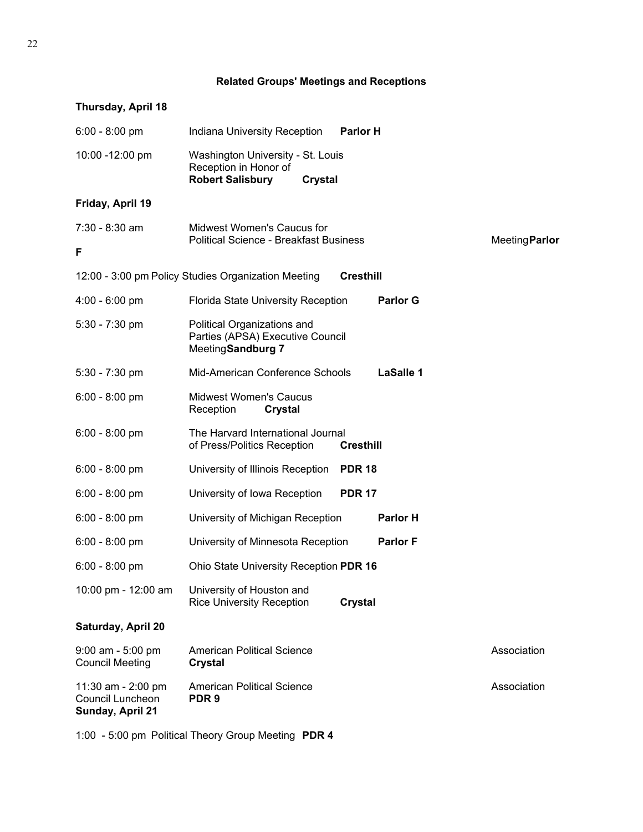| Thursday, April 18                                         |                                                                                                         |                  |                  |                      |
|------------------------------------------------------------|---------------------------------------------------------------------------------------------------------|------------------|------------------|----------------------|
| $6:00 - 8:00$ pm                                           | Indiana University Reception                                                                            | <b>Parlor H</b>  |                  |                      |
| 10:00 -12:00 pm                                            | Washington University - St. Louis<br>Reception in Honor of<br><b>Robert Salisbury</b><br><b>Crystal</b> |                  |                  |                      |
| Friday, April 19                                           |                                                                                                         |                  |                  |                      |
| 7:30 - 8:30 am<br>F                                        | Midwest Women's Caucus for<br><b>Political Science - Breakfast Business</b>                             |                  |                  | <b>MeetingParlor</b> |
|                                                            | 12:00 - 3:00 pm Policy Studies Organization Meeting                                                     | <b>Cresthill</b> |                  |                      |
| $4:00 - 6:00$ pm                                           | <b>Florida State University Reception</b>                                                               |                  | <b>Parlor G</b>  |                      |
| $5:30 - 7:30$ pm                                           | Political Organizations and<br>Parties (APSA) Executive Council<br>MeetingSandburg 7                    |                  |                  |                      |
| $5:30 - 7:30$ pm                                           | Mid-American Conference Schools                                                                         |                  | <b>LaSalle 1</b> |                      |
| $6:00 - 8:00$ pm                                           | <b>Midwest Women's Caucus</b><br>Reception<br>Crystal                                                   |                  |                  |                      |
| $6:00 - 8:00$ pm                                           | The Harvard International Journal<br>of Press/Politics Reception                                        | <b>Cresthill</b> |                  |                      |
| $6:00 - 8:00$ pm                                           | University of Illinois Reception                                                                        | <b>PDR 18</b>    |                  |                      |
| $6:00 - 8:00$ pm                                           | University of Iowa Reception                                                                            | <b>PDR 17</b>    |                  |                      |
| $6:00 - 8:00$ pm                                           | University of Michigan Reception                                                                        |                  | <b>Parlor H</b>  |                      |
| $6:00 - 8:00$ pm                                           | University of Minnesota Reception                                                                       |                  | <b>Parlor F</b>  |                      |
| $6:00 - 8:00$ pm                                           | Ohio State University Reception PDR 16                                                                  |                  |                  |                      |
| 10:00 pm - 12:00 am                                        | University of Houston and<br><b>Rice University Reception</b>                                           | <b>Crystal</b>   |                  |                      |
| Saturday, April 20                                         |                                                                                                         |                  |                  |                      |
| $9:00$ am - $5:00$ pm<br><b>Council Meeting</b>            | American Political Science<br><b>Crystal</b>                                                            |                  |                  | Association          |
| 11:30 am - 2:00 pm<br>Council Luncheon<br>Sunday, April 21 | <b>American Political Science</b><br>PDR <sub>9</sub>                                                   |                  |                  | Association          |

1:00 - 5:00 pm Political Theory Group Meeting **PDR 4**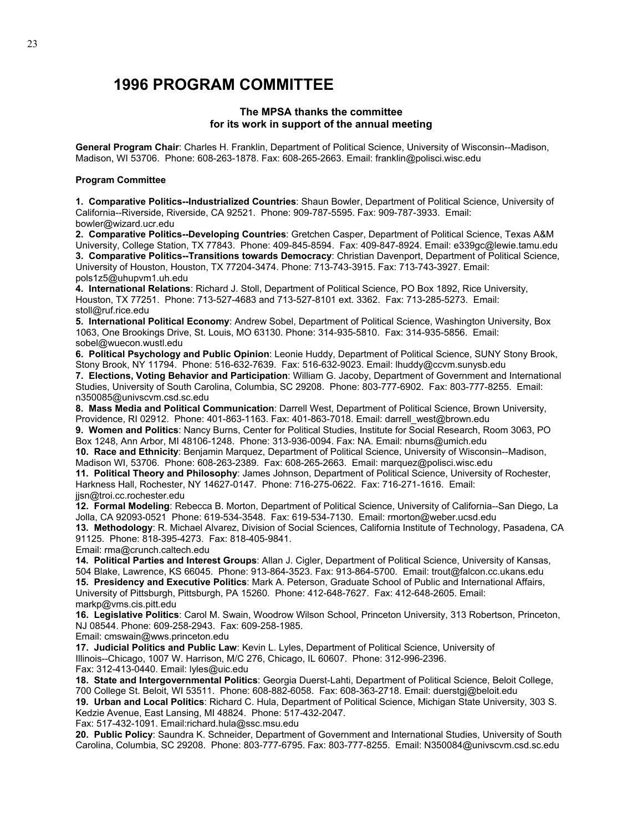# **1996 PROGRAM COMMITTEE**

#### **The MPSA thanks the committee for its work in support of the annual meeting**

**General Program Chair**: Charles H. Franklin, Department of Political Science, University of Wisconsin--Madison, Madison, WI 53706. Phone: 608-263-1878. Fax: 608-265-2663. Email: franklin@polisci.wisc.edu

#### **Program Committee**

**1. Comparative Politics--Industrialized Countries**: Shaun Bowler, Department of Political Science, University of California--Riverside, Riverside, CA 92521. Phone: 909-787-5595. Fax: 909-787-3933. Email: bowler@wizard.ucr.edu

**2. Comparative Politics--Developing Countries**: Gretchen Casper, Department of Political Science, Texas A&M University, College Station, TX 77843. Phone: 409-845-8594. Fax: 409-847-8924. Email: e339gc@lewie.tamu.edu **3. Comparative Politics--Transitions towards Democracy**: Christian Davenport, Department of Political Science, University of Houston, Houston, TX 77204-3474. Phone: 713-743-3915. Fax: 713-743-3927. Email: pols1z5@uhupvm1.uh.edu

**4. International Relations**: Richard J. Stoll, Department of Political Science, PO Box 1892, Rice University, Houston, TX 77251. Phone: 713-527-4683 and 713-527-8101 ext. 3362. Fax: 713-285-5273. Email: stoll@ruf.rice.edu

**5. International Political Economy**: Andrew Sobel, Department of Political Science, Washington University, Box 1063, One Brookings Drive, St. Louis, MO 63130. Phone: 314-935-5810. Fax: 314-935-5856. Email: sobel@wuecon.wustl.edu

**6. Political Psychology and Public Opinion**: Leonie Huddy, Department of Political Science, SUNY Stony Brook, Stony Brook, NY 11794. Phone: 516-632-7639. Fax: 516-632-9023. Email: lhuddy@ccvm.sunysb.edu

**7. Elections, Voting Behavior and Participation**: William G. Jacoby, Department of Government and International Studies, University of South Carolina, Columbia, SC 29208. Phone: 803-777-6902. Fax: 803-777-8255. Email: n350085@univscvm.csd.sc.edu

**8. Mass Media and Political Communication**: Darrell West, Department of Political Science, Brown University, Providence, RI 02912. Phone: 401-863-1163. Fax: 401-863-7018. Email: darrell\_west@brown.edu

**9. Women and Politics**: Nancy Burns, Center for Political Studies, Institute for Social Research, Room 3063, PO Box 1248, Ann Arbor, MI 48106-1248. Phone: 313-936-0094. Fax: NA. Email: nburns@umich.edu

**10. Race and Ethnicity**: Benjamin Marquez, Department of Political Science, University of Wisconsin--Madison, Madison WI, 53706. Phone: 608-263-2389. Fax: 608-265-2663. Email: marquez@polisci.wisc.edu

**11. Political Theory and Philosophy**: James Johnson, Department of Political Science, University of Rochester, Harkness Hall, Rochester, NY 14627-0147. Phone: 716-275-0622. Fax: 716-271-1616. Email: jjsn@troi.cc.rochester.edu

**12. Formal Modeling**: Rebecca B. Morton, Department of Political Science, University of California--San Diego, La Jolla, CA 92093-0521 Phone: 619-534-3548. Fax: 619-534-7130. Email: rmorton@weber.ucsd.edu

**13. Methodology**: R. Michael Alvarez, Division of Social Sciences, California Institute of Technology, Pasadena, CA 91125. Phone: 818-395-4273. Fax: 818-405-9841.

Email: rma@crunch.caltech.edu

**14. Political Parties and Interest Groups**: Allan J. Cigler, Department of Political Science, University of Kansas, 504 Blake, Lawrence, KS 66045. Phone: 913-864-3523. Fax: 913-864-5700. Email: trout@falcon.cc.ukans.edu

**15. Presidency and Executive Politics**: Mark A. Peterson, Graduate School of Public and International Affairs, University of Pittsburgh, Pittsburgh, PA 15260. Phone: 412-648-7627. Fax: 412-648-2605. Email: markp@vms.cis.pitt.edu

**16. Legislative Politics**: Carol M. Swain, Woodrow Wilson School, Princeton University, 313 Robertson, Princeton, NJ 08544. Phone: 609-258-2943. Fax: 609-258-1985.

Email: cmswain@wws.princeton.edu

**17. Judicial Politics and Public Law**: Kevin L. Lyles, Department of Political Science, University of Illinois--Chicago, 1007 W. Harrison, M/C 276, Chicago, IL 60607. Phone: 312-996-2396. Fax: 312-413-0440. Email: lyles@uic.edu

**18. State and Intergovernmental Politics**: Georgia Duerst-Lahti, Department of Political Science, Beloit College, 700 College St. Beloit, WI 53511. Phone: 608-882-6058. Fax: 608-363-2718. Email: duerstgj@beloit.edu

**19. Urban and Local Politics**: Richard C. Hula, Department of Political Science, Michigan State University, 303 S. Kedzie Avenue, East Lansing, MI 48824. Phone: 517-432-2047.

Fax: 517-432-1091. Email:richard.hula@ssc.msu.edu

**20. Public Policy**: Saundra K. Schneider, Department of Government and International Studies, University of South Carolina, Columbia, SC 29208. Phone: 803-777-6795. Fax: 803-777-8255. Email: N350084@univscvm.csd.sc.edu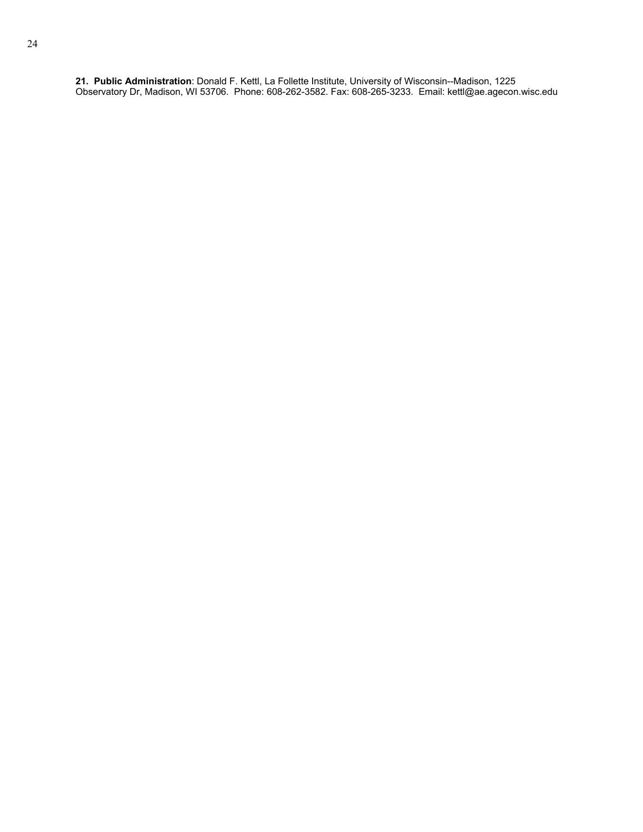**21. Public Administration**: Donald F. Kettl, La Follette Institute, University of Wisconsin--Madison, 1225 Observatory Dr, Madison, WI 53706. Phone: 608-262-3582. Fax: 608-265-3233. Email: kettl@ae.agecon.wisc.edu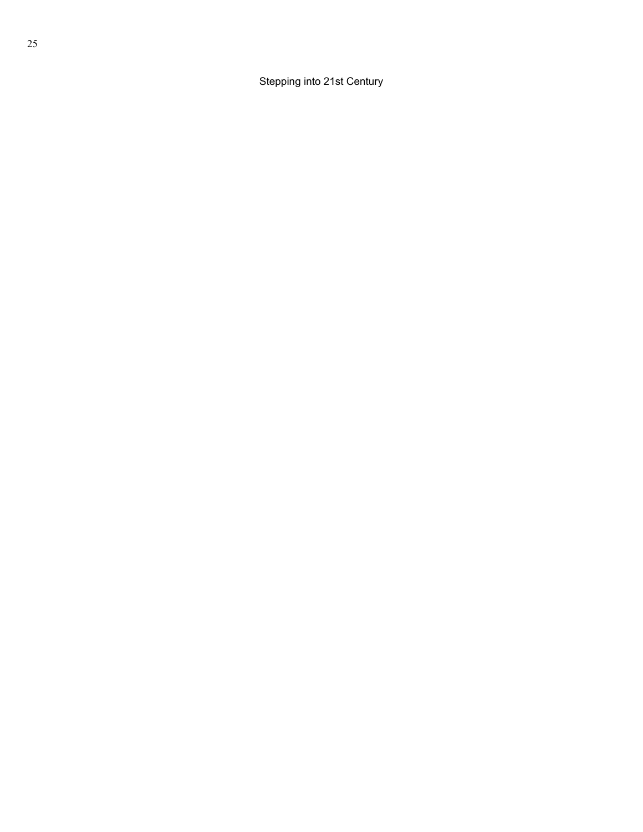Stepping into 21st Century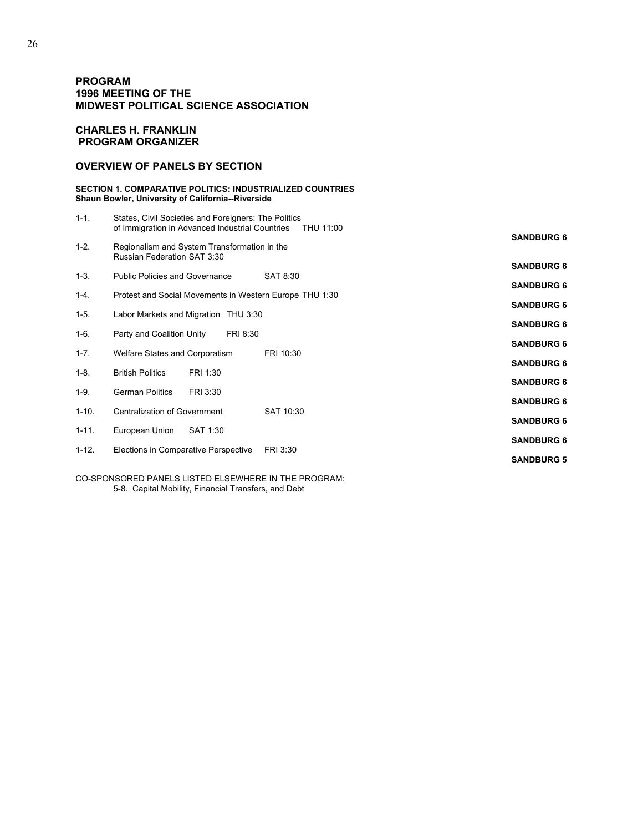#### **PROGRAM 1996 MEETING OF THE MIDWEST POLITICAL SCIENCE ASSOCIATION**

#### **CHARLES H. FRANKLIN PROGRAM ORGANIZER**

#### **OVERVIEW OF PANELS BY SECTION**

#### **SECTION 1. COMPARATIVE POLITICS: INDUSTRIALIZED COUNTRIES Shaun Bowler, University of California--Riverside**

| $1 - 1$ . | States, Civil Societies and Foreigners: The Politics<br>of Immigration in Advanced Industrial Countries | THU 11:00 |                   |
|-----------|---------------------------------------------------------------------------------------------------------|-----------|-------------------|
| $1 - 2$ . | Regionalism and System Transformation in the<br>Russian Federation SAT 3:30                             |           | <b>SANDBURG 6</b> |
| $1 - 3$ . | <b>Public Policies and Governance</b>                                                                   | SAT 8:30  | <b>SANDBURG 6</b> |
|           |                                                                                                         |           | <b>SANDBURG 6</b> |
| $1 - 4.$  | Protest and Social Movements in Western Europe THU 1:30                                                 |           | <b>SANDBURG 6</b> |
| $1-5.$    | Labor Markets and Migration THU 3:30                                                                    |           | <b>SANDBURG 6</b> |
| $1 - 6$ . | Party and Coalition Unity<br>FRI 8:30                                                                   |           | <b>SANDBURG 6</b> |
| $1 - 7$ . | Welfare States and Corporatism                                                                          | FRI 10:30 |                   |
| $1 - 8$ . | <b>British Politics</b><br>FRI 1:30                                                                     |           | <b>SANDBURG 6</b> |
| $1-9.$    | <b>German Politics</b><br>FRI 3:30                                                                      |           | <b>SANDBURG 6</b> |
| $1 - 10.$ | <b>Centralization of Government</b>                                                                     | SAT 10:30 | <b>SANDBURG 6</b> |
|           |                                                                                                         |           | <b>SANDBURG 6</b> |
| $1 - 11.$ | European Union<br>SAT 1:30                                                                              |           | <b>SANDBURG 6</b> |
| $1 - 12.$ | Elections in Comparative Perspective                                                                    | FRI 3:30  | <b>SANDBURG 5</b> |
|           |                                                                                                         |           |                   |

CO-SPONSORED PANELS LISTED ELSEWHERE IN THE PROGRAM: 5-8. Capital Mobility, Financial Transfers, and Debt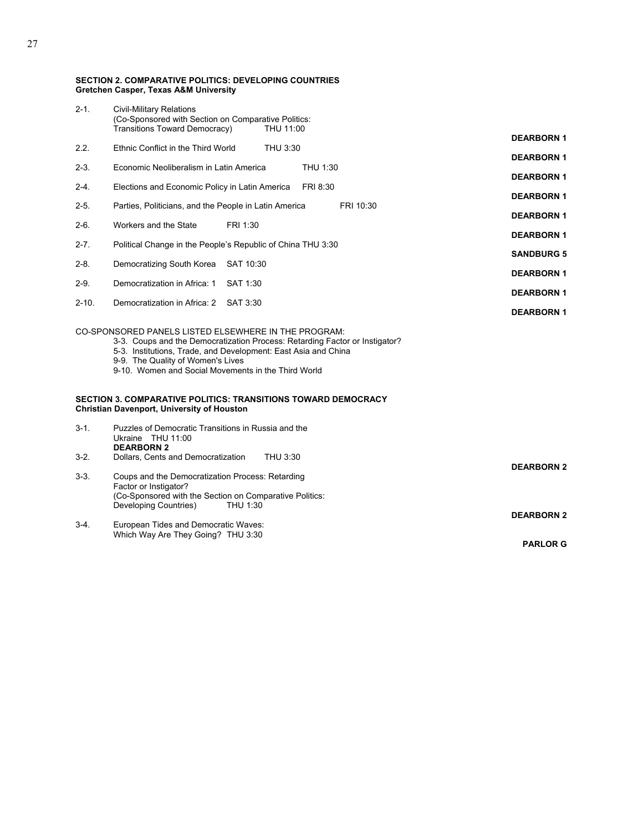#### **SECTION 2. COMPARATIVE POLITICS: DEVELOPING COUNTRIES Gretchen Casper, Texas A&M University**

| $2 - 1$ . | <b>Civil-Military Relations</b><br>(Co-Sponsored with Section on Comparative Politics:<br>Transitions Toward Democracy)<br>THU 11:00                                                                                                                                                              |                   |
|-----------|---------------------------------------------------------------------------------------------------------------------------------------------------------------------------------------------------------------------------------------------------------------------------------------------------|-------------------|
| 2.2.      | Ethnic Conflict in the Third World<br>THU 3:30                                                                                                                                                                                                                                                    | <b>DEARBORN 1</b> |
| $2 - 3$ . | Economic Neoliberalism in Latin America<br>THU 1:30                                                                                                                                                                                                                                               | <b>DEARBORN 1</b> |
| $2 - 4.$  | Elections and Economic Policy in Latin America<br>FRI 8:30                                                                                                                                                                                                                                        | <b>DEARBORN1</b>  |
|           |                                                                                                                                                                                                                                                                                                   | <b>DEARBORN1</b>  |
| $2 - 5.$  | Parties, Politicians, and the People in Latin America<br>FRI 10:30                                                                                                                                                                                                                                | <b>DEARBORN1</b>  |
| $2-6.$    | Workers and the State<br>FRI 1:30                                                                                                                                                                                                                                                                 | <b>DEARBORN1</b>  |
| $2 - 7$ . | Political Change in the People's Republic of China THU 3:30                                                                                                                                                                                                                                       | <b>SANDBURG 5</b> |
| $2 - 8$ . | Democratizing South Korea SAT 10:30                                                                                                                                                                                                                                                               | <b>DEARBORN1</b>  |
| $2-9.$    | Democratization in Africa: 1<br>SAT 1:30                                                                                                                                                                                                                                                          | <b>DEARBORN 1</b> |
| $2 - 10.$ | Democratization in Africa: 2<br>SAT 3:30                                                                                                                                                                                                                                                          | <b>DEARBORN1</b>  |
|           | CO-SPONSORED PANELS LISTED ELSEWHERE IN THE PROGRAM:<br>3-3. Coups and the Democratization Process: Retarding Factor or Instigator?<br>5-3. Institutions, Trade, and Development: East Asia and China<br>9-9. The Quality of Women's Lives<br>9-10. Women and Social Movements in the Third World |                   |
|           | SECTION 3. COMPARATIVE POLITICS: TRANSITIONS TOWARD DEMOCRACY<br><b>Christian Davenport, University of Houston</b>                                                                                                                                                                                |                   |
| $3 - 1$ . | Puzzles of Democratic Transitions in Russia and the<br>Ukraine THU 11:00<br><b>DEARBORN 2</b>                                                                                                                                                                                                     |                   |
| $3-2.$    | Dollars, Cents and Democratization<br>THU 3:30                                                                                                                                                                                                                                                    | <b>DEARBORN 2</b> |
| $3-3.$    | Coups and the Democratization Process: Retarding<br>Factor or Instigator?<br>(Co-Sponsored with the Section on Comparative Politics:<br>Developing Countries)<br>THU 1:30                                                                                                                         | <b>DEARBORN 2</b> |
| $3-4.$    | European Tides and Democratic Waves:<br>Which Way Are They Going? THU 3:30                                                                                                                                                                                                                        |                   |

**PARLOR G**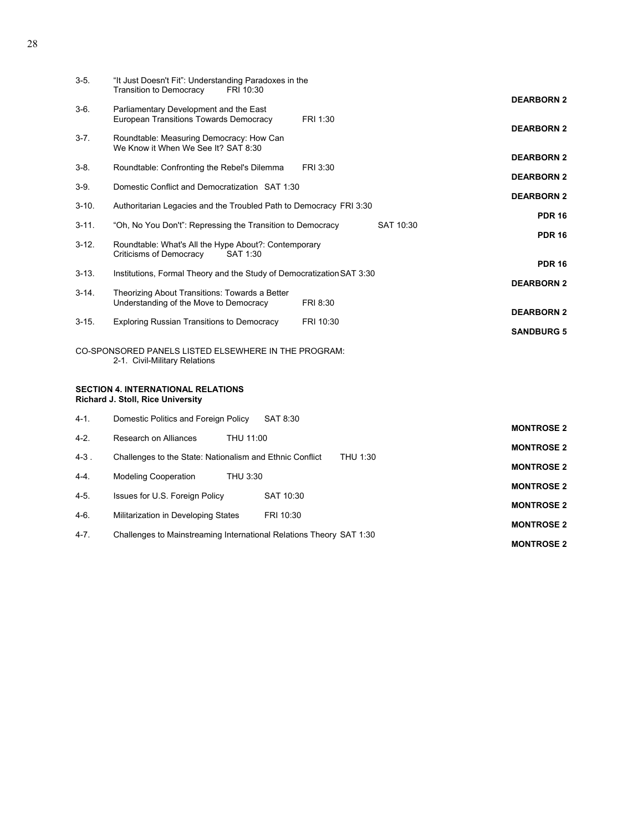| $3-5.$     | "It Just Doesn't Fit": Understanding Paradoxes in the<br><b>Transition to Democracy</b><br>FRI 10:30 |                                        |
|------------|------------------------------------------------------------------------------------------------------|----------------------------------------|
| $3-6.$     | Parliamentary Development and the East<br><b>European Transitions Towards Democracy</b><br>FRI 1:30  | <b>DEARBORN 2</b>                      |
| $3 - 7$ .  | Roundtable: Measuring Democracy: How Can<br>We Know it When We See It? SAT 8:30                      | <b>DEARBORN 2</b>                      |
| $3-8.$     | Roundtable: Confronting the Rebel's Dilemma<br>FRI 3:30                                              | <b>DEARBORN 2</b><br><b>DEARBORN 2</b> |
| $3-9.$     | Domestic Conflict and Democratization SAT 1:30                                                       | <b>DEARBORN 2</b>                      |
| $3 - 10.$  | Authoritarian Legacies and the Troubled Path to Democracy FRI 3:30                                   | <b>PDR 16</b>                          |
| $3 - 11.$  | "Oh, No You Don't": Repressing the Transition to Democracy<br>SAT 10:30                              | <b>PDR 16</b>                          |
| $3-12.$    | Roundtable: What's All the Hype About?: Contemporary<br>Criticisms of Democracy<br>SAT 1:30          |                                        |
| $3 - 13$ . | Institutions, Formal Theory and the Study of Democratization SAT 3:30                                | <b>PDR 16</b>                          |
| $3-14.$    | Theorizing About Transitions: Towards a Better<br>Understanding of the Move to Democracy<br>FRI 8:30 | <b>DEARBORN 2</b>                      |
| $3 - 15.$  | <b>Exploring Russian Transitions to Democracy</b><br>FRI 10:30                                       | <b>DEARBORN 2</b>                      |
|            |                                                                                                      | <b>SANDBURG 5</b>                      |
|            | CO-SPONSORED PANELS LISTED ELSEWHERE IN THE PROGRAM:<br>2-1. Civil-Military Relations                |                                        |
|            | <b>SECTION 4. INTERNATIONAL RELATIONS</b><br><b>Richard J. Stoll, Rice University</b>                |                                        |
| 4-1.       | Domestic Politics and Foreign Policy<br>SAT 8:30                                                     | <b>MONTROSE 2</b>                      |
| $4-2.$     | Research on Alliances<br>THU 11:00                                                                   | <b>MONTROSE 2</b>                      |
| 4-3.       | THU 1:30<br>Challenges to the State: Nationalism and Ethnic Conflict                                 | <b>MONTROSE 2</b>                      |
| $4 - 4$ .  | THU 3:30<br><b>Modeling Cooperation</b>                                                              | <b>MONTROSE 2</b>                      |
| $4 - 5.$   | SAT 10:30<br>Issues for U.S. Foreign Policy                                                          |                                        |

4-6. Militarization in Developing States FRI 10:30

4-7. Challenges to Mainstreaming International Relations Theory SAT 1:30 **MONTROSE 2**

**MONTROSE 2**

**MONTROSE 2**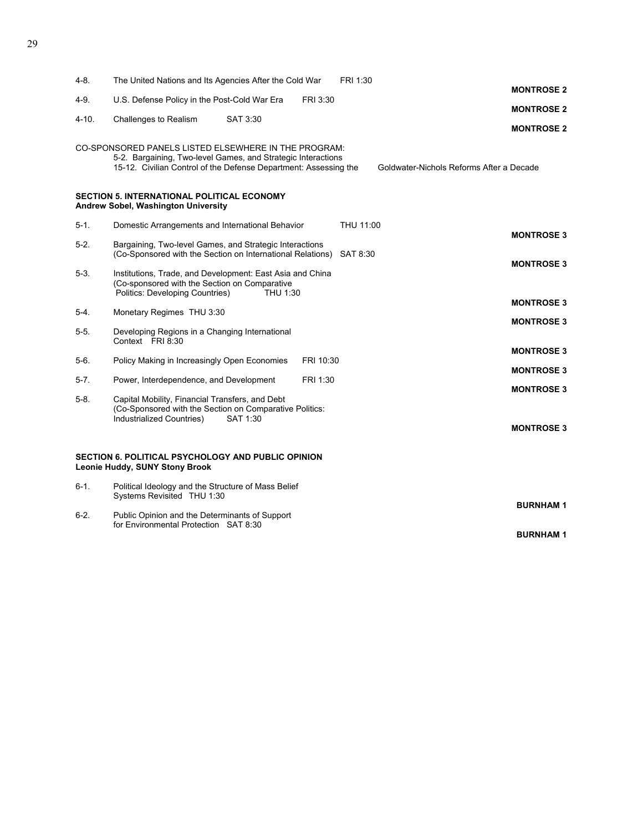| $4 - 8.$  | The United Nations and Its Agencies After the Cold War                                                                                                                                   |           | FRI 1:30  |                                          |                                    |
|-----------|------------------------------------------------------------------------------------------------------------------------------------------------------------------------------------------|-----------|-----------|------------------------------------------|------------------------------------|
| $4-9.$    | U.S. Defense Policy in the Post-Cold War Era                                                                                                                                             | FRI 3:30  |           |                                          | <b>MONTROSE 2</b>                  |
|           |                                                                                                                                                                                          |           |           |                                          | <b>MONTROSE 2</b>                  |
| 4-10.     | Challenges to Realism<br>SAT 3:30                                                                                                                                                        |           |           |                                          | <b>MONTROSE 2</b>                  |
|           | CO-SPONSORED PANELS LISTED ELSEWHERE IN THE PROGRAM:<br>5-2. Bargaining, Two-level Games, and Strategic Interactions<br>15-12. Civilian Control of the Defense Department: Assessing the |           |           | Goldwater-Nichols Reforms After a Decade |                                    |
|           | <b>SECTION 5. INTERNATIONAL POLITICAL ECONOMY</b><br>Andrew Sobel, Washington University                                                                                                 |           |           |                                          |                                    |
| $5-1.$    | Domestic Arrangements and International Behavior                                                                                                                                         |           | THU 11:00 |                                          | <b>MONTROSE 3</b>                  |
| $5-2.$    | Bargaining, Two-level Games, and Strategic Interactions<br>(Co-Sponsored with the Section on International Relations)                                                                    |           | SAT 8:30  |                                          | <b>MONTROSE 3</b>                  |
| $5-3.$    | Institutions, Trade, and Development: East Asia and China<br>(Co-sponsored with the Section on Comparative<br>Politics: Developing Countries)<br>THU 1:30                                |           |           |                                          |                                    |
| $5-4.$    | Monetary Regimes THU 3:30                                                                                                                                                                |           |           |                                          | <b>MONTROSE 3</b>                  |
| $5-5.$    | Developing Regions in a Changing International<br>Context FRI 8:30                                                                                                                       |           |           |                                          | <b>MONTROSE 3</b>                  |
| $5-6.$    | Policy Making in Increasingly Open Economies                                                                                                                                             | FRI 10:30 |           |                                          | <b>MONTROSE 3</b>                  |
| $5-7.$    | Power, Interdependence, and Development                                                                                                                                                  | FRI 1:30  |           |                                          | <b>MONTROSE 3</b>                  |
| $5-8$ .   | Capital Mobility, Financial Transfers, and Debt<br>(Co-Sponsored with the Section on Comparative Politics:<br>Industrialized Countries)<br>SAT 1:30                                      |           |           |                                          | <b>MONTROSE 3</b>                  |
|           |                                                                                                                                                                                          |           |           |                                          | <b>MONTROSE 3</b>                  |
|           | SECTION 6. POLITICAL PSYCHOLOGY AND PUBLIC OPINION<br>Leonie Huddy, SUNY Stony Brook                                                                                                     |           |           |                                          |                                    |
| $6 - 1$ . | Political Ideology and the Structure of Mass Belief<br>Systems Revisited THU 1:30                                                                                                        |           |           |                                          |                                    |
| $6 - 2.$  | Public Opinion and the Determinants of Support<br>for Environmental Protection SAT 8:30                                                                                                  |           |           |                                          | <b>BURNHAM1</b><br><b>BURNHAM1</b> |
|           |                                                                                                                                                                                          |           |           |                                          |                                    |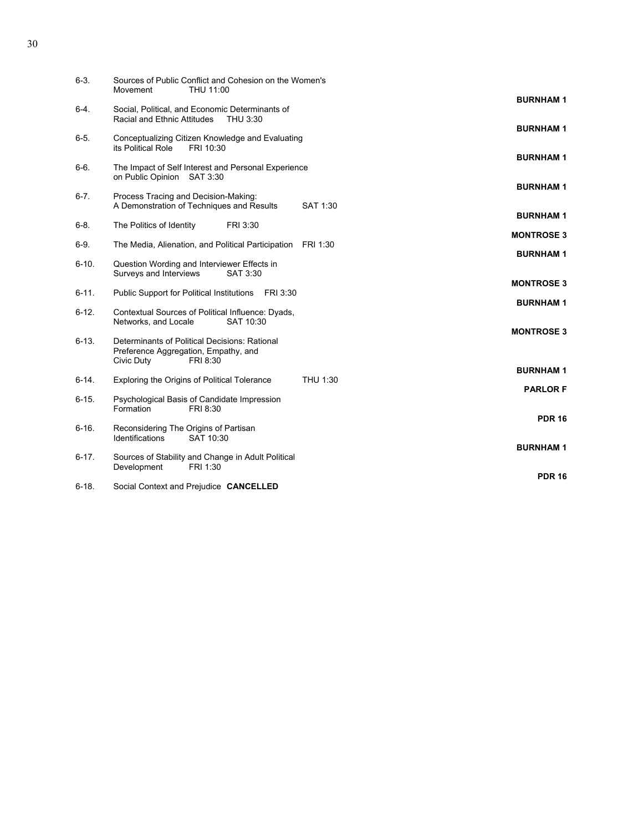| $6-3.$     | Sources of Public Conflict and Cohesion on the Women's<br>THU 11:00<br>Movement                                 |          |                   |
|------------|-----------------------------------------------------------------------------------------------------------------|----------|-------------------|
| 6-4.       | Social, Political, and Economic Determinants of                                                                 |          | <b>BURNHAM1</b>   |
|            | Racial and Ethnic Attitudes<br>THU 3:30                                                                         |          | <b>BURNHAM1</b>   |
| $6 - 5.$   | Conceptualizing Citizen Knowledge and Evaluating<br>its Political Role<br>FRI 10:30                             |          | <b>BURNHAM1</b>   |
| $6-6.$     | The Impact of Self Interest and Personal Experience<br>on Public Opinion SAT 3:30                               |          |                   |
| $6 - 7$ .  | Process Tracing and Decision-Making:                                                                            | SAT 1:30 | <b>BURNHAM1</b>   |
|            | A Demonstration of Techniques and Results                                                                       |          | <b>BURNHAM1</b>   |
| $6 - 8$ .  | The Politics of Identity<br>FRI 3:30                                                                            |          | <b>MONTROSE 3</b> |
| $6-9.$     | The Media, Alienation, and Political Participation FRI 1:30                                                     |          | <b>BURNHAM1</b>   |
| $6 - 10.$  | Question Wording and Interviewer Effects in<br>Surveys and Interviews<br>SAT 3:30                               |          |                   |
| $6 - 11.$  | Public Support for Political Institutions<br>FRI 3:30                                                           |          | <b>MONTROSE 3</b> |
| $6-12.$    | Contextual Sources of Political Influence: Dyads,<br>Networks, and Locale<br>SAT 10:30                          |          | <b>BURNHAM1</b>   |
| $6 - 13.$  | Determinants of Political Decisions: Rational<br>Preference Aggregation, Empathy, and<br>Civic Duty<br>FRI 8:30 |          | <b>MONTROSE 3</b> |
| $6-14.$    | Exploring the Origins of Political Tolerance                                                                    | THU 1:30 | <b>BURNHAM1</b>   |
|            |                                                                                                                 |          | <b>PARLOR F</b>   |
| $6 - 15.$  | Psychological Basis of Candidate Impression<br>Formation<br>FRI 8:30                                            |          | <b>PDR 16</b>     |
| $6 - 16.$  | Reconsidering The Origins of Partisan<br>Identifications<br>SAT 10:30                                           |          |                   |
| $6 - 17$ . | Sources of Stability and Change in Adult Political<br>Development<br>FRI 1:30                                   |          | <b>BURNHAM1</b>   |
| 6-18.      | Social Context and Prejudice CANCELLED                                                                          |          | <b>PDR 16</b>     |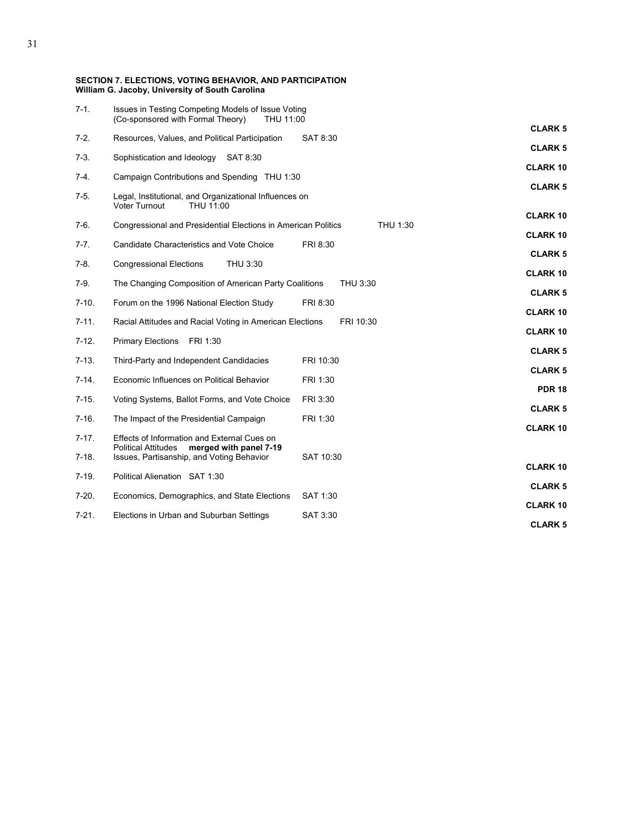| $7-1.$    | Issues in Testing Competing Models of Issue Voting<br>(Co-sponsored with Formal Theory)<br>THU 11:00 |           | <b>CLARK 5</b>  |
|-----------|------------------------------------------------------------------------------------------------------|-----------|-----------------|
| $7-2.$    | Resources, Values, and Political Participation                                                       | SAT 8:30  |                 |
| $7-3.$    | Sophistication and Ideology SAT 8:30                                                                 |           | <b>CLARK 5</b>  |
| $7-4.$    | Campaign Contributions and Spending THU 1:30                                                         |           | <b>CLARK10</b>  |
| $7-5.$    | Legal, Institutional, and Organizational Influences on<br>Voter Turnout<br>THU 11:00                 |           | <b>CLARK 5</b>  |
| $7-6.$    | Congressional and Presidential Elections in American Politics                                        | THU 1:30  | <b>CLARK10</b>  |
| $7 - 7.$  | Candidate Characteristics and Vote Choice                                                            | FRI 8:30  | <b>CLARK 10</b> |
| $7-8.$    | <b>Congressional Elections</b><br>THU 3:30                                                           |           | <b>CLARK 5</b>  |
|           |                                                                                                      |           | <b>CLARK10</b>  |
| $7-9.$    | The Changing Composition of American Party Coalitions                                                | THU 3:30  | <b>CLARK 5</b>  |
| $7-10.$   | Forum on the 1996 National Election Study                                                            | FRI 8:30  | <b>CLARK 10</b> |
| $7 - 11.$ | Racial Attitudes and Racial Voting in American Elections                                             | FRI 10:30 | <b>CLARK10</b>  |
| $7-12.$   | <b>Primary Elections</b><br>FRI 1:30                                                                 |           | <b>CLARK 5</b>  |
| $7-13.$   | Third-Party and Independent Candidacies                                                              | FRI 10:30 | <b>CLARK 5</b>  |
| $7-14.$   | Economic Influences on Political Behavior                                                            | FRI 1:30  |                 |
| $7 - 15.$ | Voting Systems, Ballot Forms, and Vote Choice                                                        | FRI 3:30  | <b>PDR 18</b>   |
| $7-16.$   | The Impact of the Presidential Campaign                                                              | FRI 1:30  | <b>CLARK 5</b>  |
| $7-17.$   | Effects of Information and External Cues on                                                          |           | <b>CLARK10</b>  |
| $7-18.$   | <b>Political Attitudes</b><br>merged with panel 7-19<br>Issues, Partisanship, and Voting Behavior    | SAT 10:30 |                 |
| $7-19.$   | Political Alienation SAT 1:30                                                                        |           | <b>CLARK 10</b> |
| $7-20.$   | Economics, Demographics, and State Elections                                                         | SAT 1:30  | <b>CLARK 5</b>  |
| $7 - 21.$ | Elections in Urban and Suburban Settings                                                             | SAT 3:30  | <b>CLARK10</b>  |
|           |                                                                                                      |           | <b>CLARK5</b>   |

**SECTION 7. ELECTIONS, VOTING BEHAVIOR, AND PARTICIPATION** 

**William G. Jacoby, University of South Carolina**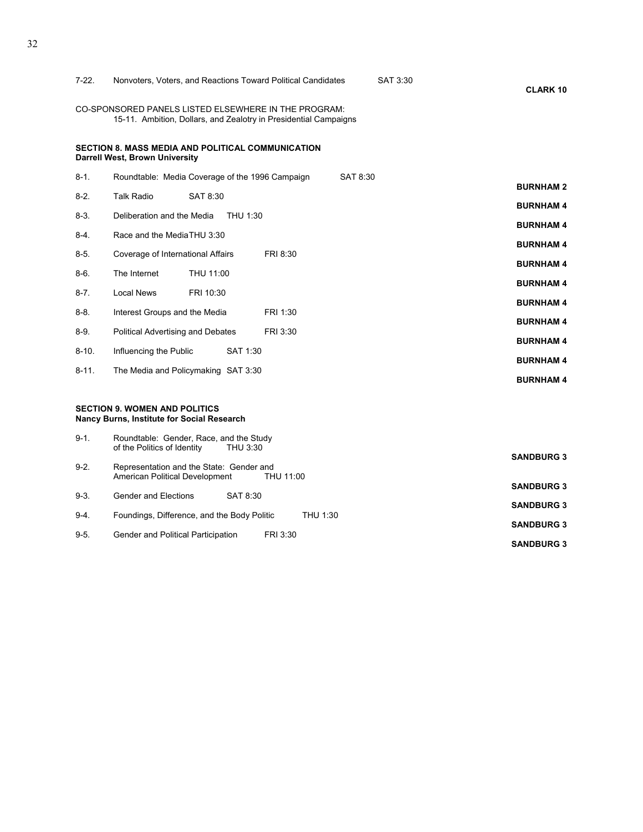| $7-22.$    | Nonvoters, Voters, and Reactions Toward Political Candidates                                                             | SAT 3:30<br><b>CLARK 10</b> |
|------------|--------------------------------------------------------------------------------------------------------------------------|-----------------------------|
|            | CO-SPONSORED PANELS LISTED ELSEWHERE IN THE PROGRAM:<br>15-11. Ambition, Dollars, and Zealotry in Presidential Campaigns |                             |
|            | <b>SECTION 8. MASS MEDIA AND POLITICAL COMMUNICATION</b><br>Darrell West, Brown University                               |                             |
| $8-1.$     | Roundtable: Media Coverage of the 1996 Campaign<br>SAT 8:30                                                              | <b>BURNHAM2</b>             |
| $8-2.$     | <b>Talk Radio</b><br>SAT 8:30                                                                                            | <b>BURNHAM 4</b>            |
| $8-3.$     | Deliberation and the Media<br>THU 1:30                                                                                   | <b>BURNHAM4</b>             |
| $8-4.$     | Race and the MediaTHU 3:30                                                                                               | <b>BURNHAM4</b>             |
| $8-5.$     | Coverage of International Affairs<br>FRI 8:30                                                                            | <b>BURNHAM4</b>             |
| $8-6.$     | The Internet<br>THU 11:00                                                                                                | <b>BURNHAM4</b>             |
| $8 - 7$ .  | <b>Local News</b><br>FRI 10:30                                                                                           | <b>BURNHAM4</b>             |
| $8 - 8$ .  | Interest Groups and the Media<br>FRI 1:30                                                                                | <b>BURNHAM4</b>             |
| $8-9.$     | Political Advertising and Debates<br>FRI 3:30                                                                            | <b>BURNHAM4</b>             |
| $8 - 10.$  | Influencing the Public<br>SAT 1:30                                                                                       | <b>BURNHAM4</b>             |
| $8 - 11$ . | The Media and Policymaking SAT 3:30                                                                                      |                             |
|            |                                                                                                                          | <b>BURNHAM4</b>             |
|            | <b>SECTION 9. WOMEN AND POLITICS</b><br>Nancy Burns, Institute for Social Research                                       |                             |
| $9-1.$     | Roundtable: Gender, Race, and the Study<br>of the Politics of Identity<br>THU 3:30                                       | <b>SANDBURG 3</b>           |
| $9-2.$     | Representation and the State: Gender and<br>American Political Development<br>THU 11:00                                  |                             |
| $9 - 3$ .  | Gender and Elections<br>SAT 8:30                                                                                         | <b>SANDBURG 3</b>           |
| $9-4.$     | Foundings, Difference, and the Body Politic<br>THU 1:30                                                                  | <b>SANDBURG 3</b>           |
| $9 - 5.$   | Gender and Political Participation<br>FRI 3:30                                                                           | <b>SANDBURG 3</b>           |
|            |                                                                                                                          | <b>SANDBURG 3</b>           |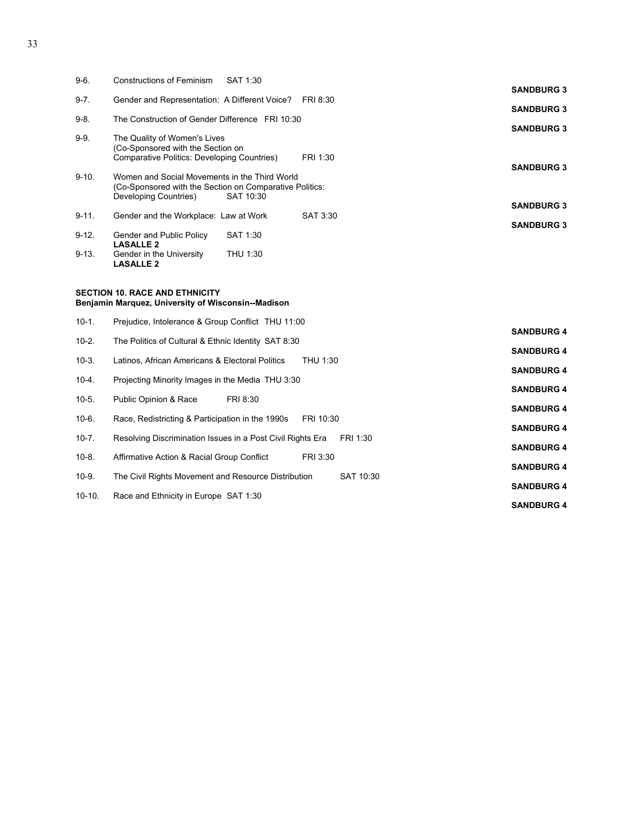| $9-6.$    | Constructions of Feminism<br>SAT 1:30                                                                                                          |                                        |
|-----------|------------------------------------------------------------------------------------------------------------------------------------------------|----------------------------------------|
|           |                                                                                                                                                | <b>SANDBURG 3</b>                      |
| $9 - 7$ . | Gender and Representation: A Different Voice?<br>FRI 8:30                                                                                      | <b>SANDBURG 3</b>                      |
| $9 - 8$ . | The Construction of Gender Difference FRI 10:30                                                                                                |                                        |
| $9-9.$    | The Quality of Women's Lives<br>(Co-Sponsored with the Section on<br>Comparative Politics: Developing Countries)<br>FRI 1:30                   | <b>SANDBURG 3</b><br><b>SANDBURG 3</b> |
| $9 - 10.$ | Women and Social Movements in the Third World<br>(Co-Sponsored with the Section on Comparative Politics:<br>Developing Countries)<br>SAT 10:30 | <b>SANDBURG 3</b>                      |
| $9 - 11.$ | Gender and the Workplace: Law at Work<br>SAT 3:30                                                                                              |                                        |
| $9 - 12.$ | SAT 1:30<br>Gender and Public Policy<br><b>LASALLE 2</b>                                                                                       | <b>SANDBURG 3</b>                      |
| $9 - 13.$ | THU 1:30<br>Gender in the University<br><b>LASALLE 2</b>                                                                                       |                                        |
|           |                                                                                                                                                |                                        |

#### **SECTION 10. RACE AND ETHNICITY Benjamin Marquez, University of Wisconsin--Madison**

| $10-1.$   | Prejudice, Intolerance & Group Conflict THU 11:00                      |                   |
|-----------|------------------------------------------------------------------------|-------------------|
| $10 - 2.$ | The Politics of Cultural & Ethnic Identity SAT 8:30                    | <b>SANDBURG 4</b> |
|           |                                                                        | <b>SANDBURG 4</b> |
| $10-3.$   | Latinos, African Americans & Electoral Politics<br>THU 1:30            | <b>SANDBURG 4</b> |
| $10-4.$   | Projecting Minority Images in the Media THU 3:30                       | <b>SANDBURG 4</b> |
| $10-5.$   | Public Opinion & Race<br>FRI 8:30                                      |                   |
| $10-6.$   | Race, Redistricting & Participation in the 1990s<br>FRI 10:30          | <b>SANDBURG 4</b> |
| $10 - 7.$ | Resolving Discrimination Issues in a Post Civil Rights Era<br>FRI 1:30 | <b>SANDBURG 4</b> |
|           |                                                                        | <b>SANDBURG 4</b> |
| $10-8.$   | FRI 3:30<br>Affirmative Action & Racial Group Conflict                 | <b>SANDBURG 4</b> |
| $10-9.$   | The Civil Rights Movement and Resource Distribution<br>SAT 10:30       | <b>SANDBURG 4</b> |
| $10-10.$  | Race and Ethnicity in Europe SAT 1:30                                  |                   |
|           |                                                                        | <b>SANDBURG 4</b> |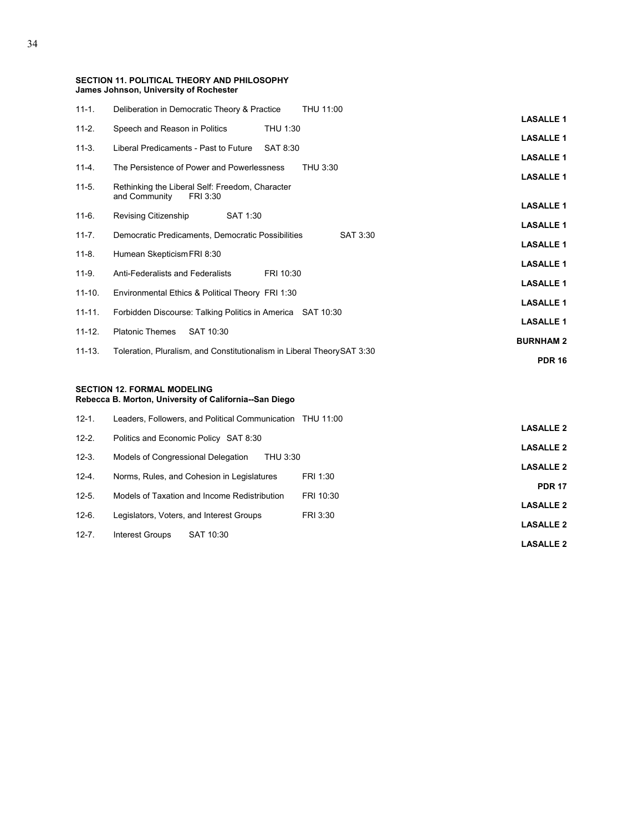| <b>SECTION 11. POLITICAL THEORY AND PHILOSOPHY</b> |  |  |
|----------------------------------------------------|--|--|
| James Johnson, University of Rochester             |  |  |

| $11 - 1.$  | Deliberation in Democratic Theory & Practice<br>THU 11:00                    |                  |
|------------|------------------------------------------------------------------------------|------------------|
|            |                                                                              | <b>LASALLE 1</b> |
| $11 - 2.$  | Speech and Reason in Politics<br>THU 1:30                                    | <b>LASALLE 1</b> |
| $11-3.$    | Liberal Predicaments - Past to Future<br>SAT 8:30                            | <b>LASALLE 1</b> |
| $11 - 4.$  | The Persistence of Power and Powerlessness<br>THU 3:30                       |                  |
| $11-5.$    | Rethinking the Liberal Self: Freedom, Character<br>and Community<br>FRI 3:30 | <b>LASALLE 1</b> |
| $11-6.$    | Revising Citizenship<br>SAT 1:30                                             | <b>LASALLE 1</b> |
|            |                                                                              | <b>LASALLE 1</b> |
| $11 - 7$   | Democratic Predicaments, Democratic Possibilities<br>SAT 3:30                | <b>LASALLE 1</b> |
| $11 - 8.$  | Humean Skepticism FRI 8:30                                                   | <b>LASALLE 1</b> |
| $11-9.$    | Anti-Federalists and Federalists<br>FRI 10:30                                |                  |
| $11-10.$   | Environmental Ethics & Political Theory FRI 1:30                             | <b>LASALLE 1</b> |
| $11 - 11.$ | Forbidden Discourse: Talking Politics in America SAT 10:30                   | <b>LASALLE 1</b> |
|            |                                                                              | <b>LASALLE 1</b> |
| $11 - 12.$ | <b>Platonic Themes</b><br>SAT 10:30                                          | <b>BURNHAM2</b>  |
| $11 - 13.$ | Toleration, Pluralism, and Constitutionalism in Liberal TheorySAT 3:30       |                  |
|            |                                                                              | <b>PDR 16</b>    |
|            |                                                                              |                  |

#### **SECTION 12. FORMAL MODELING**

**Rebecca B. Morton, University of California--San Diego**

| $12 - 1$ . | Leaders, Followers, and Political Communication THU 11:00 |           |                  |
|------------|-----------------------------------------------------------|-----------|------------------|
|            |                                                           |           | <b>LASALLE 2</b> |
| $12 - 2.$  | Politics and Economic Policy SAT 8:30                     |           | <b>LASALLE 2</b> |
| $12-3.$    | Models of Congressional Delegation<br>THU 3:30            |           |                  |
| $12 - 4.$  | Norms, Rules, and Cohesion in Legislatures                | FRI 1:30  | <b>LASALLE 2</b> |
|            |                                                           |           | <b>PDR 17</b>    |
| $12 - 5.$  | Models of Taxation and Income Redistribution              | FRI 10:30 | <b>LASALLE 2</b> |
| $12-6.$    | Legislators, Voters, and Interest Groups                  | FRI 3:30  |                  |
| $12 - 7.$  | Interest Groups<br>SAT 10:30                              |           | <b>LASALLE 2</b> |
|            |                                                           |           | <b>LASALLE 2</b> |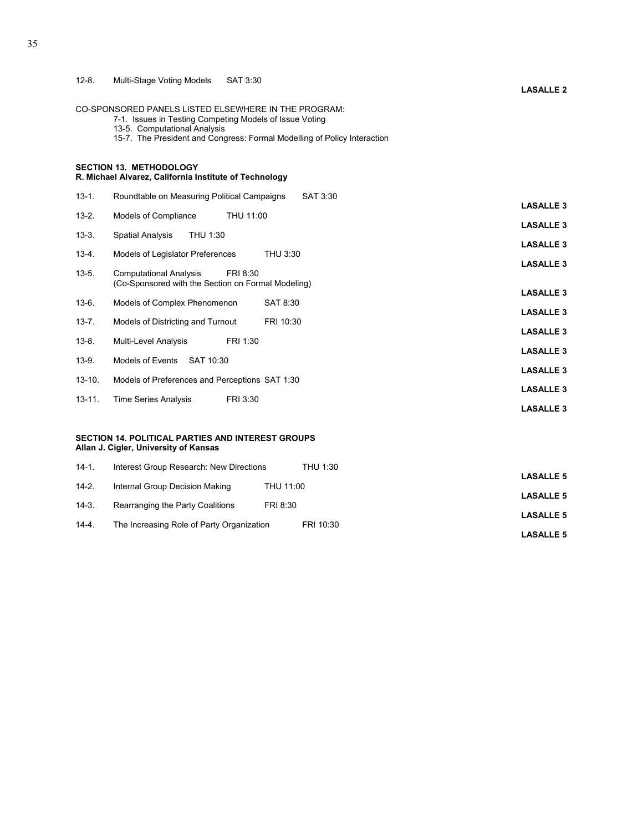CO-SPONSORED PANELS LISTED ELSEWHERE IN THE PROGRAM:

- 7-1. Issues in Testing Competing Models of Issue Voting
- 13-5. Computational Analysis
- 15-7. The President and Congress: Formal Modelling of Policy Interaction

#### **SECTION 13. METHODOLOGY R. Michael Alvarez, California Institute of Technology**

| $13 - 1$ . | Roundtable on Measuring Political Campaigns<br>SAT 3:30                                           |                  |
|------------|---------------------------------------------------------------------------------------------------|------------------|
| $13 - 2.$  | THU 11:00                                                                                         | <b>LASALLE 3</b> |
|            | Models of Compliance                                                                              | <b>LASALLE 3</b> |
| $13-3.$    | <b>Spatial Analysis</b><br>THU 1:30                                                               | <b>LASALLE 3</b> |
| $13 - 4.$  | Models of Legislator Preferences<br>THU 3:30                                                      |                  |
| $13 - 5.$  | <b>Computational Analysis</b><br>FRI 8:30<br>(Co-Sponsored with the Section on Formal Modeling)   | <b>LASALLE 3</b> |
| $13-6.$    | SAT 8:30<br>Models of Complex Phenomenon                                                          | <b>LASALLE 3</b> |
|            |                                                                                                   | <b>LASALLE 3</b> |
| $13 - 7.$  | Models of Districting and Turnout<br>FRI 10:30                                                    | <b>LASALLE 3</b> |
| $13 - 8.$  | Multi-Level Analysis<br>FRI 1:30                                                                  | <b>LASALLE 3</b> |
| $13-9.$    | Models of Events<br>SAT 10:30                                                                     |                  |
| $13 - 10.$ | Models of Preferences and Perceptions SAT 1:30                                                    | <b>LASALLE 3</b> |
| $13 - 11.$ | <b>Time Series Analysis</b><br>FRI 3:30                                                           | <b>LASALLE 3</b> |
|            |                                                                                                   | <b>LASALLE 3</b> |
|            | <b>SECTION 14. POLITICAL PARTIES AND INTEREST GROUPS</b><br>Allan J. Cigler, University of Kansas |                  |
| $14-1.$    | Interest Group Research: New Directions<br>THU 1:30                                               | <b>LASALLE 5</b> |

| $14-2.$   | Internal Group Decision Making            | THU 11:00 |                  |
|-----------|-------------------------------------------|-----------|------------------|
| $14-3.$   | Rearranging the Party Coalitions          | FRI 8:30  | <b>LASALLE 5</b> |
|           |                                           |           | <b>LASALLE 5</b> |
| $14 - 4.$ | The Increasing Role of Party Organization | FRI 10:30 | <b>LASALLE 5</b> |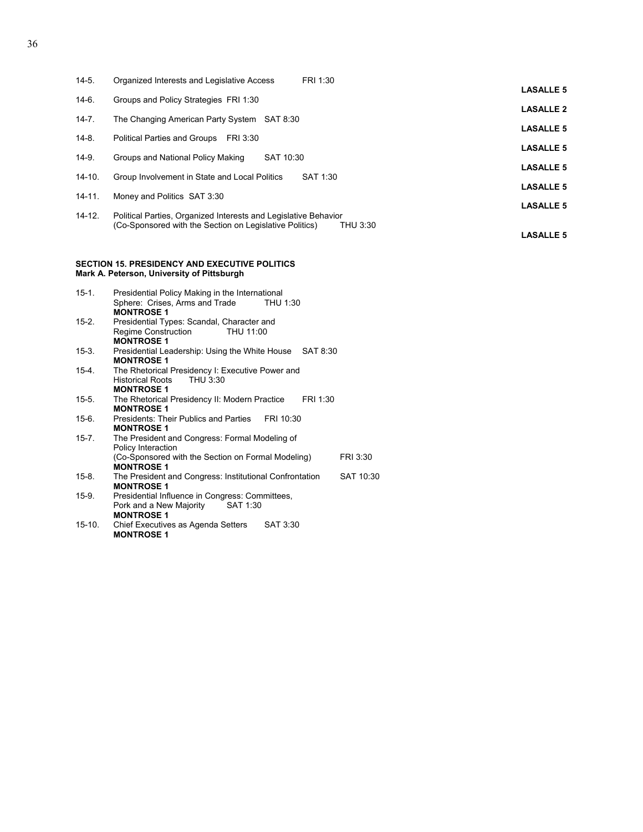| $14-5.$    | FRI 1:30<br>Organized Interests and Legislative Access              |                  |
|------------|---------------------------------------------------------------------|------------------|
|            |                                                                     | <b>LASALLE 5</b> |
| $14-6.$    | Groups and Policy Strategies FRI 1:30                               | <b>LASALLE 2</b> |
| $14 - 7.$  | The Changing American Party System<br>SAT 8:30                      |                  |
| $14-8.$    | <b>Political Parties and Groups</b><br>FRI 3:30                     | <b>LASALLE 5</b> |
|            |                                                                     | <b>LASALLE 5</b> |
| $14-9.$    | SAT 10:30<br>Groups and National Policy Making                      | <b>LASALLE 5</b> |
| $14 - 10.$ | Group Involvement in State and Local Politics<br>SAT 1:30           |                  |
|            |                                                                     | <b>LASALLE 5</b> |
| $14 - 11.$ | Money and Politics SAT 3:30                                         | <b>LASALLE 5</b> |
| $14 - 12.$ | Political Parties, Organized Interests and Legislative Behavior     |                  |
|            | (Co-Sponsored with the Section on Legislative Politics)<br>THU 3:30 | <b>LASALLE 5</b> |
|            |                                                                     |                  |

#### **SECTION 15. PRESIDENCY AND EXECUTIVE POLITICS Mark A. Peterson, University of Pittsburgh**

| $15-1.$   | Presidential Policy Making in the International                                                          |
|-----------|----------------------------------------------------------------------------------------------------------|
|           | Sphere: Crises, Arms and Trade<br>THU 1:30<br><b>MONTROSE 1</b>                                          |
| 15-2.     | Presidential Types: Scandal, Character and                                                               |
|           | Regime Construction<br>THU 11:00<br><b>MONTROSE 1</b>                                                    |
| 15-3.     | Presidential Leadership: Using the White House SAT 8:30<br><b>MONTROSE 1</b>                             |
| 15-4.     | The Rhetorical Presidency I: Executive Power and<br>Historical Roots THU 3:30<br><b>MONTROSE 1</b>       |
| 15-5.     | The Rhetorical Presidency II: Modern Practice<br>FRI 1:30<br><b>MONTROSE 1</b>                           |
| 15-6.     | Presidents: Their Publics and Parties<br>FRI 10:30<br><b>MONTROSE 1</b>                                  |
| $15 - 7.$ | The President and Congress: Formal Modeling of<br>Policy Interaction                                     |
|           | (Co-Sponsored with the Section on Formal Modeling)<br>FRI 3:30<br><b>MONTROSE 1</b>                      |
| 15-8.     | The President and Congress: Institutional Confrontation<br>SAT 10:30<br><b>MONTROSE 1</b>                |
| 15-9.     | Presidential Influence in Congress: Committees,<br>Pork and a New Majority SAT 1:30<br><b>MONTROSE 1</b> |
| 15-10.    | SAT 3:30<br>Chief Executives as Agenda Setters<br><b>MONTROSE 1</b>                                      |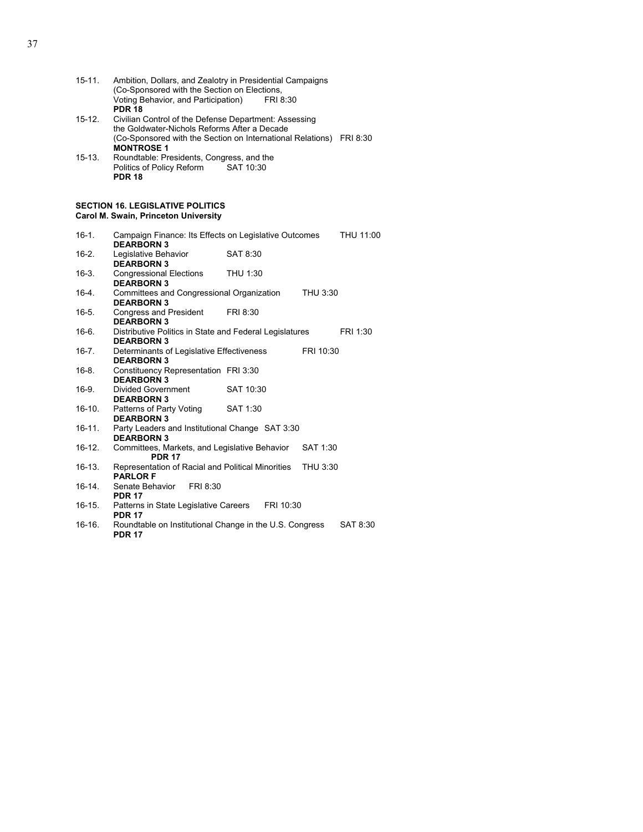| $15 - 11.$  | Ambition, Dollars, and Zealotry in Presidential Campaigns<br>(Co-Sponsored with the Section on Elections,<br>Voting Behavior, and Participation)<br>FRI 8:30<br><b>PDR 18</b> |  |  |
|-------------|-------------------------------------------------------------------------------------------------------------------------------------------------------------------------------|--|--|
| 15-12.      | Civilian Control of the Defense Department: Assessing<br>the Goldwater-Nichols Reforms After a Decade<br>(Co-Sponsored with the Section on International Relations) FRI 8:30  |  |  |
|             | <b>MONTROSE 1</b>                                                                                                                                                             |  |  |
| 15-13.      | Roundtable: Presidents, Congress, and the<br>Politics of Policy Reform<br>SAT 10:30<br><b>PDR 18</b>                                                                          |  |  |
|             | <b>SECTION 16. LEGISLATIVE POLITICS</b><br>Carol M. Swain, Princeton University                                                                                               |  |  |
| $16-1.$     | Campaign Finance: Its Effects on Legislative Outcomes<br>THU 11:00<br><b>DEARBORN 3</b>                                                                                       |  |  |
| $16-2.$     | Legislative Behavior<br>SAT 8:30<br><b>DEARBORN 3</b>                                                                                                                         |  |  |
| $16-3.$     | <b>Congressional Elections</b><br>THU 1:30<br><b>DEARBORN 3</b>                                                                                                               |  |  |
| $16-4.$     | Committees and Congressional Organization<br>THU 3:30<br><b>DEARBORN 3</b>                                                                                                    |  |  |
| $16-5.$     | <b>Congress and President</b><br>FRI 8:30<br><b>DEARBORN 3</b>                                                                                                                |  |  |
| 16-6        | Distributive Politics in State and Federal Legislatures<br>FRI 1:30<br><b>DEARBORN 3</b>                                                                                      |  |  |
| $16 - 7$ .  | Determinants of Legislative Effectiveness<br>FRI 10:30<br><b>DEARBORN 3</b>                                                                                                   |  |  |
| $16-8.$     | Constituency Representation FRI 3:30<br><b>DEARBORN 3</b>                                                                                                                     |  |  |
| $16-9.$     | Divided Government<br>SAT 10:30<br><b>DEARBORN 3</b>                                                                                                                          |  |  |
| $16-10.$    | Patterns of Party Voting<br>SAT 1:30<br><b>DEARBORN 3</b>                                                                                                                     |  |  |
| $16 - 11$ . | Party Leaders and Institutional Change SAT 3:30<br><b>DEARBORN 3</b>                                                                                                          |  |  |
| $16-12.$    | Committees, Markets, and Legislative Behavior<br>SAT 1:30<br><b>PDR 17</b>                                                                                                    |  |  |
| 16-13.      | Representation of Racial and Political Minorities<br>THU 3:30<br><b>PARLOR F</b>                                                                                              |  |  |
| $16-14.$    | Senate Behavior<br>FRI 8:30<br><b>PDR 17</b>                                                                                                                                  |  |  |
| $16-15.$    | Patterns in State Legislative Careers<br>FRI 10:30<br><b>PDR 17</b>                                                                                                           |  |  |
| 16-16.      | Roundtable on Institutional Change in the U.S. Congress<br>SAT 8:30<br><b>PDR 17</b>                                                                                          |  |  |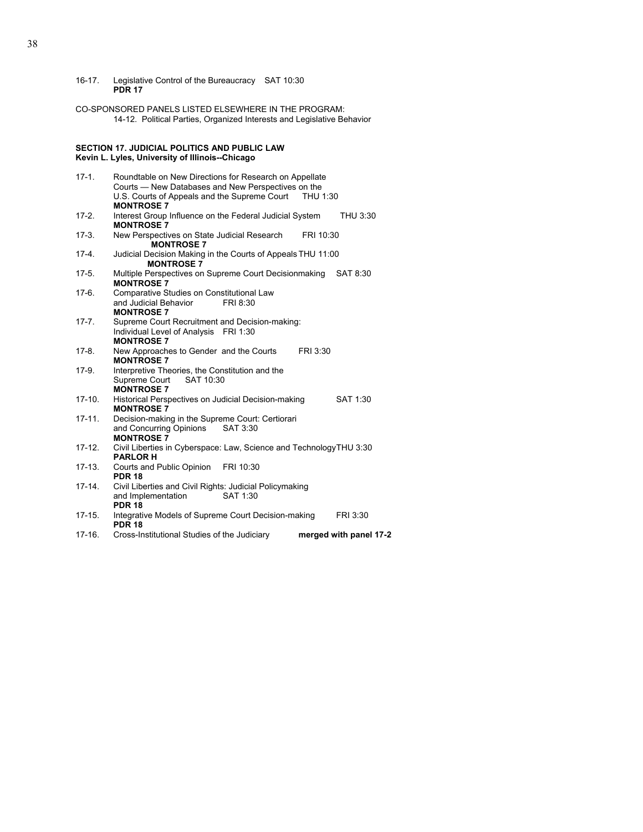16-17. Legislative Control of the Bureaucracy SAT 10:30  **PDR 17**

CO-SPONSORED PANELS LISTED ELSEWHERE IN THE PROGRAM: 14-12. Political Parties, Organized Interests and Legislative Behavior

#### **SECTION 17. JUDICIAL POLITICS AND PUBLIC LAW Kevin L. Lyles, University of Illinois--Chicago**

| $17-1.$    | Roundtable on New Directions for Research on Appellate<br>Courts - New Databases and New Perspectives on the |
|------------|--------------------------------------------------------------------------------------------------------------|
|            | U.S. Courts of Appeals and the Supreme Court THU 1:30                                                        |
|            | <b>MONTROSE 7</b>                                                                                            |
| $17-2.$    | Interest Group Influence on the Federal Judicial System<br>THU 3:30                                          |
|            | <b>MONTROSE 7</b>                                                                                            |
| $17-3.$    | New Perspectives on State Judicial Research<br>FRI 10:30                                                     |
|            | <b>MONTROSE 7</b>                                                                                            |
| $17 - 4.$  | Judicial Decision Making in the Courts of Appeals THU 11:00                                                  |
|            | <b>MONTROSE 7</b>                                                                                            |
| $17-5.$    | Multiple Perspectives on Supreme Court Decisionmaking<br>SAT 8:30                                            |
|            | <b>MONTROSE 7</b>                                                                                            |
| $17-6.$    | Comparative Studies on Constitutional Law                                                                    |
|            | and Judicial Behavior<br>FRI 8:30                                                                            |
|            | <b>MONTROSE 7</b>                                                                                            |
| $17 - 7.$  | Supreme Court Recruitment and Decision-making:                                                               |
|            | Individual Level of Analysis FRI 1:30                                                                        |
|            | <b>MONTROSE 7</b>                                                                                            |
| $17-8.$    | New Approaches to Gender and the Courts<br>FRI 3:30                                                          |
|            | <b>MONTROSE 7</b>                                                                                            |
| $17-9.$    | Interpretive Theories, the Constitution and the                                                              |
|            | Supreme Court SAT 10:30                                                                                      |
|            | <b>MONTROSE 7</b>                                                                                            |
| $17-10.$   | Historical Perspectives on Judicial Decision-making<br>SAT 1:30                                              |
|            | <b>MONTROSE 7</b>                                                                                            |
| $17 - 11.$ | Decision-making in the Supreme Court: Certiorari                                                             |
|            | and Concurring Opinions<br>SAT 3:30<br><b>MONTROSE 7</b>                                                     |
| $17-12.$   | Civil Liberties in Cyberspace: Law, Science and TechnologyTHU 3:30                                           |
|            | <b>PARLOR H</b>                                                                                              |
| $17-13.$   | Courts and Public Opinion<br>FRI 10:30                                                                       |
|            | <b>PDR 18</b>                                                                                                |
| $17-14.$   | Civil Liberties and Civil Rights: Judicial Policymaking                                                      |
|            | and Implementation<br>SAT 1:30                                                                               |
|            | <b>PDR 18</b>                                                                                                |
| $17 - 15.$ | Integrative Models of Supreme Court Decision-making<br>FRI 3:30                                              |
|            | <b>PDR 18</b>                                                                                                |
| $17-16.$   | Cross-Institutional Studies of the Judiciary<br>merged with panel 17-2                                       |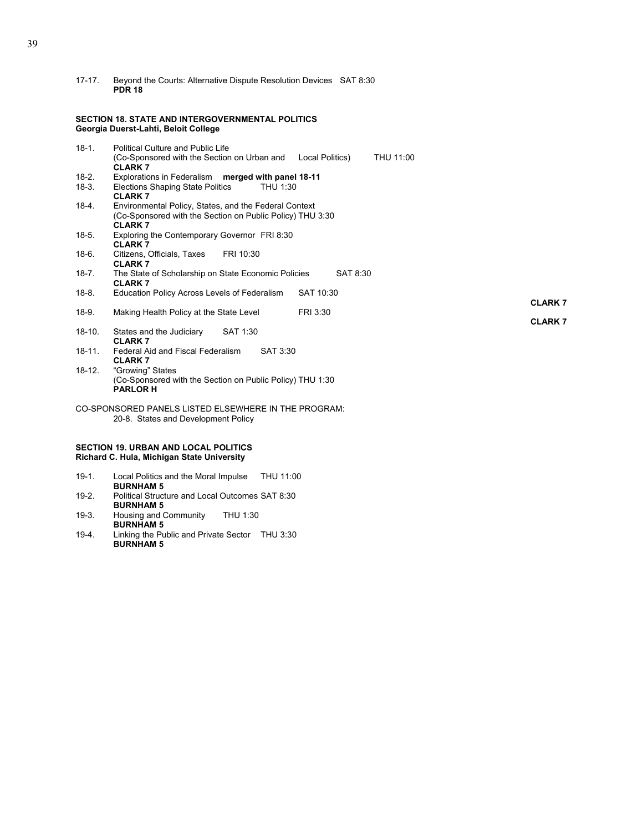17-17. Beyond the Courts: Alternative Dispute Resolution Devices SAT 8:30  **PDR 18**

#### **SECTION 18. STATE AND INTERGOVERNMENTAL POLITICS Georgia Duerst-Lahti, Beloit College**

| $18-1.$            | <b>Political Culture and Public Life</b><br>(Co-Sponsored with the Section on Urban and<br><b>CLARK 7</b>                           | Local Politics) | THU 11:00 |               |
|--------------------|-------------------------------------------------------------------------------------------------------------------------------------|-----------------|-----------|---------------|
| $18-2.$<br>$18-3.$ | Explorations in Federalism merged with panel 18-11<br>Elections Shaping State Politics<br>THU 1:30<br><b>CLARK7</b>                 |                 |           |               |
| 18-4.              | Environmental Policy, States, and the Federal Context<br>(Co-Sponsored with the Section on Public Policy) THU 3:30<br><b>CLARK7</b> |                 |           |               |
| $18-5.$            | Exploring the Contemporary Governor FRI 8:30<br><b>CLARK 7</b>                                                                      |                 |           |               |
| $18-6.$            | Citizens, Officials, Taxes<br>FRI 10:30<br><b>CLARK7</b>                                                                            |                 |           |               |
| $18 - 7$ .         | The State of Scholarship on State Economic Policies<br><b>CLARK7</b>                                                                | SAT 8:30        |           |               |
| $18-8.$            | Education Policy Across Levels of Federalism                                                                                        | SAT 10:30       |           | <b>CLARK7</b> |
| 18-9.              | Making Health Policy at the State Level                                                                                             | FRI 3:30        |           | <b>CLARK7</b> |
| $18-10.$           | States and the Judiciary<br>SAT 1:30<br><b>CLARK7</b>                                                                               |                 |           |               |
| 18-11.             | Federal Aid and Fiscal Federalism<br>SAT 3:30<br><b>CLARK7</b>                                                                      |                 |           |               |
| 18-12.             | "Growing" States<br>(Co-Sponsored with the Section on Public Policy) THU 1:30<br><b>PARLOR H</b>                                    |                 |           |               |
|                    | CO-SPONSORED PANELS LISTED ELSEWHERE IN THE PROGRAM:<br>20-8. States and Development Policy                                         |                 |           |               |
|                    |                                                                                                                                     |                 |           |               |

#### **SECTION 19. URBAN AND LOCAL POLITICS Richard C. Hula, Michigan State University**

- 19-1. Local Politics and the Moral Impulse THU 11:00 **BURNHAM 5**<br>19-2. Political Struct Political Structure and Local Outcomes SAT 8:30  **BURNHAM 5**
- 19-3. Housing and Community THU 1:30  **BURNHAM 5**
- 19-4. Linking the Public and Private Sector THU 3:30  **BURNHAM 5**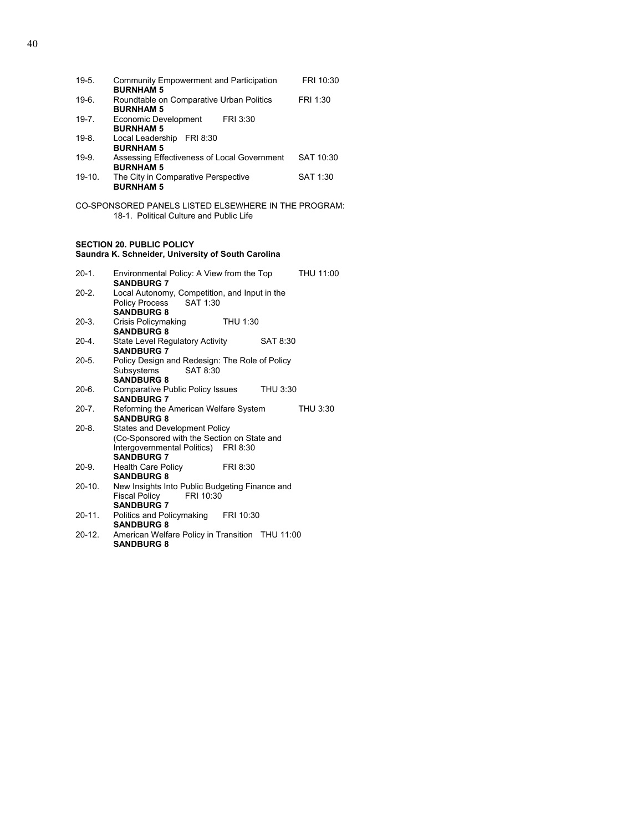| $19-5.$                                              | Community Empowerment and Participation<br><b>BURNHAM 5</b>     | FRI 10:30 |  |
|------------------------------------------------------|-----------------------------------------------------------------|-----------|--|
| $19-6.$                                              | Roundtable on Comparative Urban Politics<br><b>BURNHAM 5</b>    | FRI 1:30  |  |
| $19 - 7$ .                                           | Economic Development<br>FRI 3:30<br><b>BURNHAM 5</b>            |           |  |
| $19-8.$                                              | FRI 8:30<br>Local Leadership<br><b>BURNHAM 5</b>                |           |  |
| $19-9.$                                              | Assessing Effectiveness of Local Government<br><b>BURNHAM 5</b> | SAT 10:30 |  |
| $19-10.$                                             | The City in Comparative Perspective<br><b>BURNHAM 5</b>         | SAT 1:30  |  |
| CO-SPONSORED PANELS LISTED ELSEWHERE IN THE PROGRAM: |                                                                 |           |  |

#### 18-1. Political Culture and Public Life

#### **SECTION 20. PUBLIC POLICY Saundra K. Schneider, University of South Carolina**

| $20-1.$    | Environmental Policy: A View from the Top<br><b>SANDBURG 7</b>                                                                            | THU 11:00 |  |
|------------|-------------------------------------------------------------------------------------------------------------------------------------------|-----------|--|
| $20 - 2.$  | Local Autonomy, Competition, and Input in the<br>Policy Process SAT 1:30<br><b>SANDBURG 8</b>                                             |           |  |
| $20-3.$    | Crisis Policymaking<br>THU 1:30<br><b>SANDBURG 8</b>                                                                                      |           |  |
| 20-4.      | State Level Regulatory Activity<br>SAT 8:30<br><b>SANDBURG 7</b>                                                                          |           |  |
| $20-5.$    | Policy Design and Redesign: The Role of Policy<br>Subsystems<br>SAT 8:30<br><b>SANDBURG 8</b>                                             |           |  |
| $20-6.$    | Comparative Public Policy Issues THU 3:30<br><b>SANDBURG 7</b>                                                                            |           |  |
| $20 - 7$ . | Reforming the American Welfare System<br><b>SANDBURG 8</b>                                                                                | THU 3:30  |  |
| $20-8.$    | States and Development Policy<br>(Co-Sponsored with the Section on State and<br>Intergovernmental Politics) FRI 8:30<br><b>SANDBURG 7</b> |           |  |
| 20-9.      | <b>Health Care Policy</b><br>FRI 8:30<br><b>SANDBURG 8</b>                                                                                |           |  |
| 20-10.     | New Insights Into Public Budgeting Finance and<br>Fiscal Policy FRI 10:30<br><b>SANDBURG 7</b>                                            |           |  |
| 20-11.     | Politics and Policymaking FRI 10:30<br><b>SANDBURG 8</b>                                                                                  |           |  |
| 20-12.     | American Welfare Policy in Transition THU 11:00<br><b>SANDBURG 8</b>                                                                      |           |  |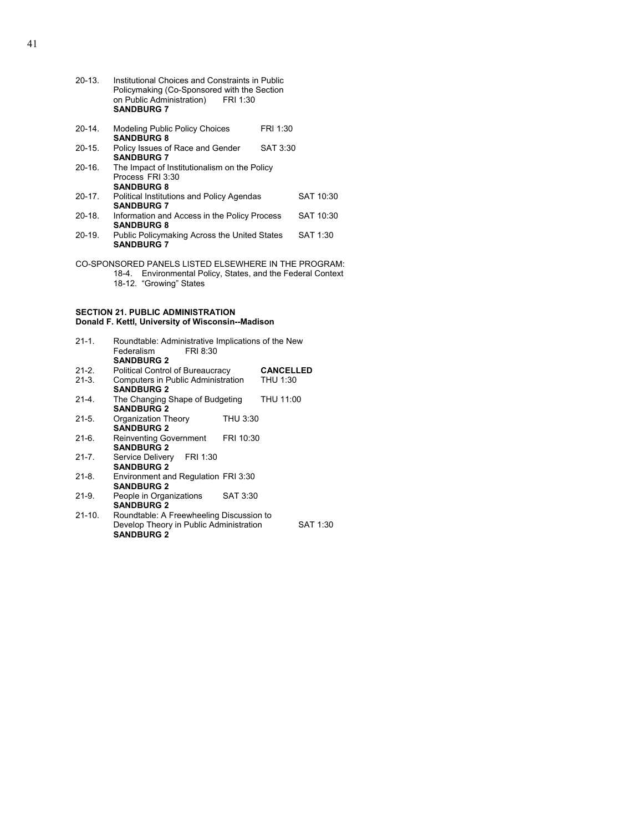| $20-13$                                                                                                                                           | Institutional Choices and Constraints in Public<br>Policymaking (Co-Sponsored with the Section<br>on Public Administration)<br>FRI 1:30<br><b>SANDBURG 7</b> |          |           |
|---------------------------------------------------------------------------------------------------------------------------------------------------|--------------------------------------------------------------------------------------------------------------------------------------------------------------|----------|-----------|
| 20-14.                                                                                                                                            | Modeling Public Policy Choices<br><b>SANDBURG 8</b>                                                                                                          | FRI 1:30 |           |
| $20-15.$                                                                                                                                          | Policy Issues of Race and Gender<br><b>SANDBURG 7</b>                                                                                                        | SAT 3:30 |           |
| $20-16.$                                                                                                                                          | The Impact of Institutionalism on the Policy<br>Process FRI 3:30<br><b>SANDBURG 8</b>                                                                        |          |           |
| $20-17.$                                                                                                                                          | Political Institutions and Policy Agendas<br><b>SANDBURG 7</b>                                                                                               |          | SAT 10:30 |
| $20-18.$                                                                                                                                          | Information and Access in the Policy Process<br><b>SANDBURG 8</b>                                                                                            |          | SAT 10:30 |
| $20-19.$                                                                                                                                          | Public Policymaking Across the United States<br><b>SANDBURG 7</b>                                                                                            |          | SAT 1:30  |
| CO-SPONSORED PANELS LISTED ELSEWHERE IN THE PROGRAM:<br>Environmental Policy, States, and the Federal Context<br>18-4.<br>18-12. "Growing" States |                                                                                                                                                              |          |           |

#### **SECTION 21. PUBLIC ADMINISTRATION Donald F. Kettl, University of Wisconsin--Madison**

| $21 - 1$ . | Roundtable: Administrative Implications of the New<br>Federalism<br>FRI 8:30<br><b>SANDBURG 2</b>        |           |                  |          |
|------------|----------------------------------------------------------------------------------------------------------|-----------|------------------|----------|
| $21 - 2$ . | Political Control of Bureaucracy                                                                         |           | <b>CANCELLED</b> |          |
| $21-3.$    | Computers in Public Administration<br><b>SANDBURG 2</b>                                                  |           | THU 1:30         |          |
| $21 - 4$ . | The Changing Shape of Budgeting<br><b>SANDBURG 2</b>                                                     |           | THU 11:00        |          |
| $21 - 5.$  | Organization Theory<br><b>SANDBURG 2</b>                                                                 | THU 3:30  |                  |          |
| $21-6.$    | <b>Reinventing Government</b><br><b>SANDBURG 2</b>                                                       | FRI 10:30 |                  |          |
| $21 - 7.$  | Service Delivery FRI 1:30<br><b>SANDBURG 2</b>                                                           |           |                  |          |
| $21 - 8$ . | Environment and Regulation FRI 3:30<br><b>SANDBURG 2</b>                                                 |           |                  |          |
| 21-9.      | People in Organizations<br><b>SANDBURG 2</b>                                                             | SAT 3:30  |                  |          |
| 21-10.     | Roundtable: A Freewheeling Discussion to<br>Develop Theory in Public Administration<br><b>SANDBURG 2</b> |           |                  | SAT 1:30 |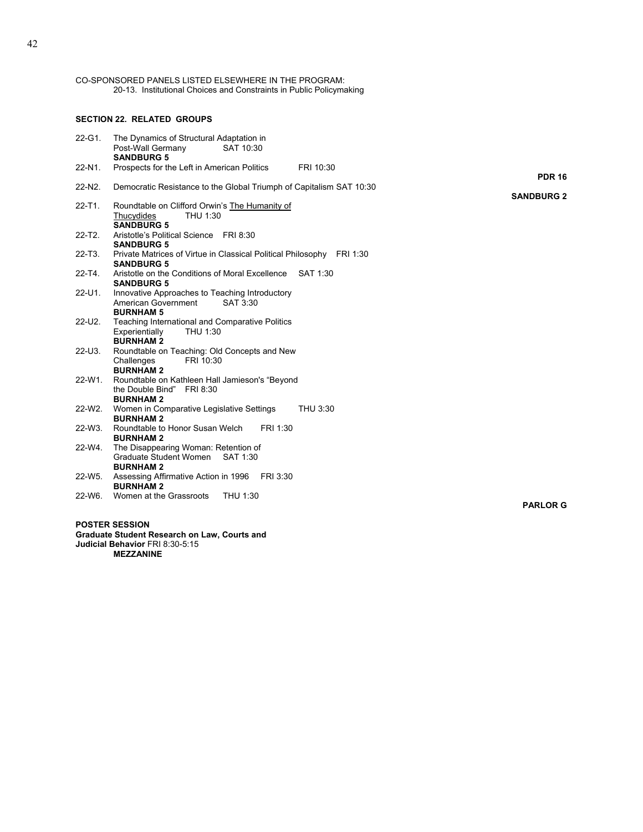CO-SPONSORED PANELS LISTED ELSEWHERE IN THE PROGRAM: 20-13. Institutional Choices and Constraints in Public Policymaking

#### **SECTION 22. RELATED GROUPS**

| 22-G1.      | The Dynamics of Structural Adaptation in<br>SAT 10:30<br>Post-Wall Germany                 |                   |
|-------------|--------------------------------------------------------------------------------------------|-------------------|
|             | <b>SANDBURG 5</b>                                                                          |                   |
| 22-N1.      | Prospects for the Left in American Politics<br>FRI 10:30                                   |                   |
|             |                                                                                            | <b>PDR 16</b>     |
| 22-N2.      | Democratic Resistance to the Global Triumph of Capitalism SAT 10:30                        | <b>SANDBURG 2</b> |
| $22 - T1$ . | Roundtable on Clifford Orwin's The Humanity of                                             |                   |
|             | Thucydides<br>THU 1:30                                                                     |                   |
|             | <b>SANDBURG 5</b>                                                                          |                   |
| $22 - T2$ . | Aristotle's Political Science FRI 8:30                                                     |                   |
| $22 - T3$ . | <b>SANDBURG 5</b>                                                                          |                   |
|             | Private Matrices of Virtue in Classical Political Philosophy FRI 1:30<br><b>SANDBURG 5</b> |                   |
| $22 - T4$ . | Aristotle on the Conditions of Moral Excellence SAT 1:30                                   |                   |
|             | <b>SANDBURG 5</b>                                                                          |                   |
| 22-U1.      | Innovative Approaches to Teaching Introductory                                             |                   |
|             | American Government<br>SAT 3:30                                                            |                   |
| 22-U2.      | <b>BURNHAM 5</b><br>Teaching International and Comparative Politics                        |                   |
|             | THU 1:30<br>Experientially                                                                 |                   |
|             | <b>BURNHAM2</b>                                                                            |                   |
| 22-U3.      | Roundtable on Teaching: Old Concepts and New                                               |                   |
|             | Challenges<br>FRI 10:30                                                                    |                   |
|             | <b>BURNHAM2</b>                                                                            |                   |
| 22-W1.      | Roundtable on Kathleen Hall Jamieson's "Beyond<br>the Double Bind" FRI 8:30                |                   |
|             | <b>BURNHAM2</b>                                                                            |                   |
| 22-W2.      | Women in Comparative Legislative Settings<br>THU 3:30                                      |                   |
|             | <b>BURNHAM2</b>                                                                            |                   |
| $22-W3$ .   | Roundtable to Honor Susan Welch<br>FRI 1:30                                                |                   |
|             | <b>BURNHAM2</b>                                                                            |                   |
| 22-W4.      | The Disappearing Woman: Retention of                                                       |                   |
|             | Graduate Student Women<br>SAT 1:30<br><b>BURNHAM2</b>                                      |                   |
| 22-W5.      | Assessing Affirmative Action in 1996<br>FRI 3:30                                           |                   |
|             | <b>BURNHAM2</b>                                                                            |                   |
| $22-W6$     | Women at the Grassroots<br>THU 1:30                                                        |                   |
|             |                                                                                            | <b>PARLOR G</b>   |
|             |                                                                                            |                   |

**POSTER SESSION Graduate Student Research on Law, Courts and Judicial Behavior** FRI 8:30-5:15  **MEZZANINE**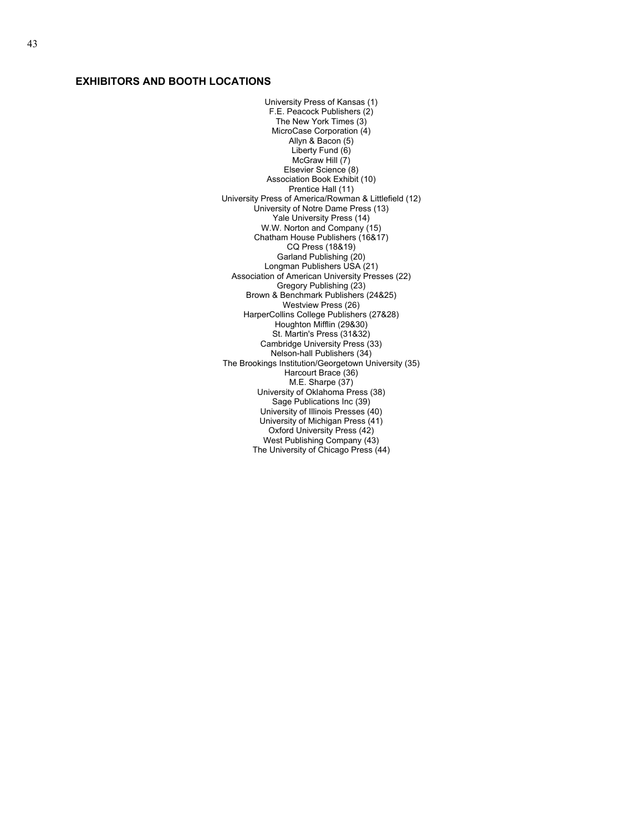#### **EXHIBITORS AND BOOTH LOCATIONS**

University Press of Kansas (1) F.E. Peacock Publishers (2) The New York Times (3) MicroCase Corporation (4) Allyn & Bacon (5) Liberty Fund (6) McGraw Hill (7) Elsevier Science (8) Association Book Exhibit (10) Prentice Hall (11) University Press of America/Rowman & Littlefield (12) University of Notre Dame Press (13) Yale University Press (14) W.W. Norton and Company (15) Chatham House Publishers (16&17) CQ Press (18&19) Garland Publishing (20) Longman Publishers USA (21) Association of American University Presses (22) Gregory Publishing (23) Brown & Benchmark Publishers (24&25) Westview Press (26) HarperCollins College Publishers (27&28) Houghton Mifflin (29&30) St. Martin's Press (31&32) Cambridge University Press (33) Nelson-hall Publishers (34) The Brookings Institution/Georgetown University (35) Harcourt Brace (36) M.E. Sharpe (37) University of Oklahoma Press (38) Sage Publications Inc (39) University of Illinois Presses (40) University of Michigan Press (41) Oxford University Press (42) West Publishing Company (43) The University of Chicago Press (44)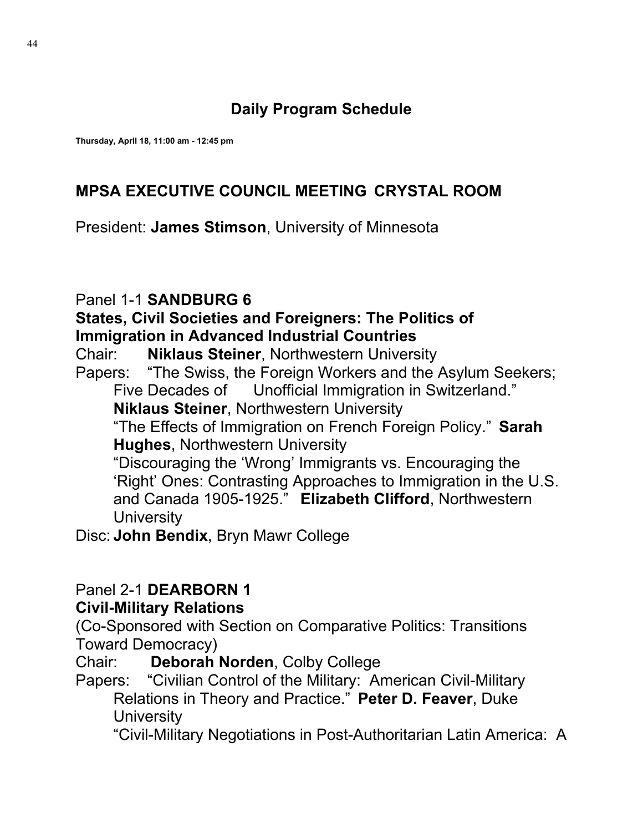## **Daily Program Schedule**

**Thursday, April 18, 11:00 am - 12:45 pm**

### **MPSA EXECUTIVE COUNCIL MEETING CRYSTAL ROOM**

President: **James Stimson**, University of Minnesota

### Panel 1-1 **SANDBURG 6**

#### **States, Civil Societies and Foreigners: The Politics of Immigration in Advanced Industrial Countries**

Chair: **Niklaus Steiner**, Northwestern University

Papers: "The Swiss, the Foreign Workers and the Asylum Seekers; Five Decades of Unofficial Immigration in Switzerland." **Niklaus Steiner**, Northwestern University

"The Effects of Immigration on French Foreign Policy." **Sarah Hughes**, Northwestern University

 "Discouraging the 'Wrong' Immigrants vs. Encouraging the 'Right' Ones: Contrasting Approaches to Immigration in the U.S. and Canada 1905-1925." **Elizabeth Clifford**, Northwestern **University** 

Disc: **John Bendix**, Bryn Mawr College

#### Panel 2-1 **DEARBORN 1 Civil-Military Relations**

(Co-Sponsored with Section on Comparative Politics: Transitions Toward Democracy)

Chair: **Deborah Norden**, Colby College

Papers: "Civilian Control of the Military: American Civil-Military Relations in Theory and Practice." **Peter D. Feaver**, Duke **University** 

"Civil-Military Negotiations in Post-Authoritarian Latin America: A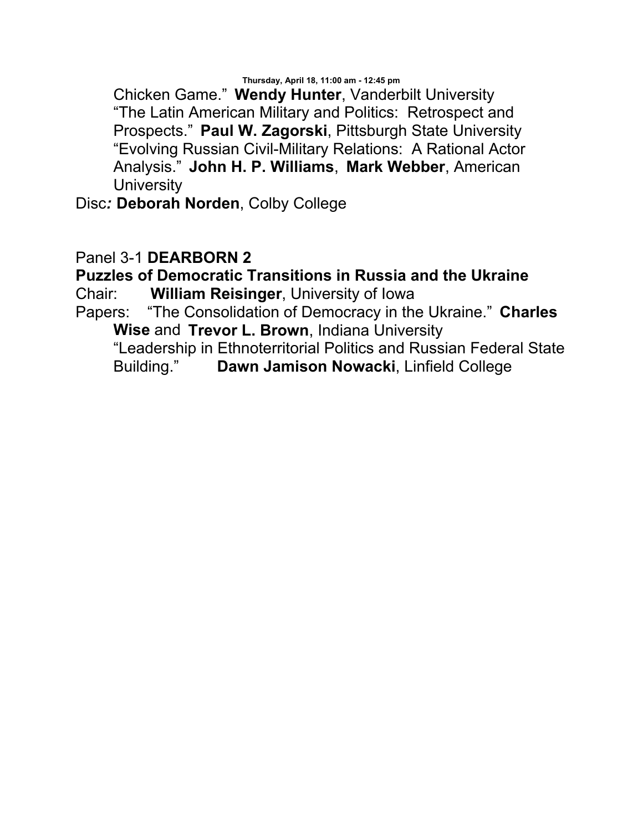Chicken Game." **Wendy Hunter**, Vanderbilt University "The Latin American Military and Politics: Retrospect and Prospects." **Paul W. Zagorski**, Pittsburgh State University "Evolving Russian Civil-Military Relations: A Rational Actor Analysis." **John H. P. Williams**, **Mark Webber**, American **University** 

Disc*:* **Deborah Norden**, Colby College

### Panel 3-1 **DEARBORN 2**

## **Puzzles of Democratic Transitions in Russia and the Ukraine**

Chair: **William Reisinger**, University of Iowa

Papers: "The Consolidation of Democracy in the Ukraine." **Charles Wise** and **Trevor L. Brown**, Indiana University

 "Leadership in Ethnoterritorial Politics and Russian Federal State Building." **Dawn Jamison Nowacki**, Linfield College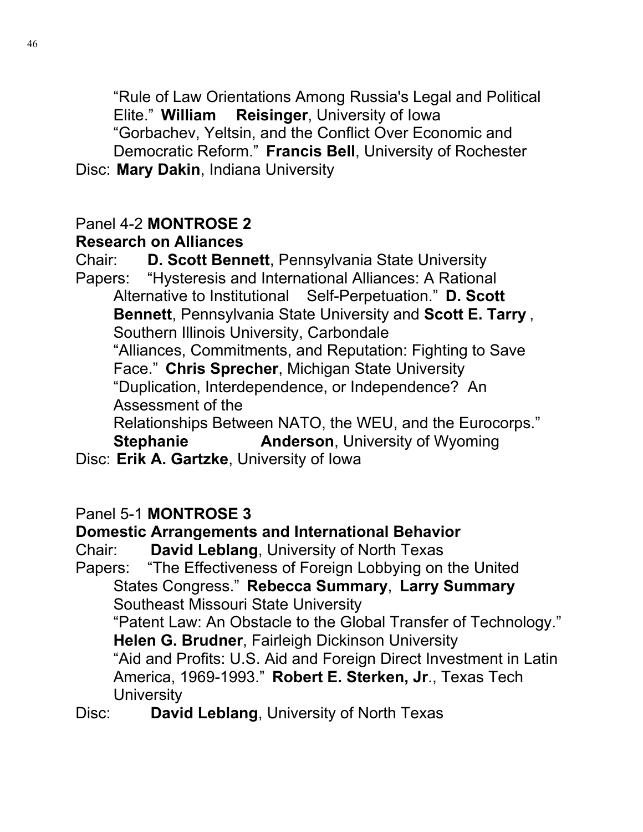"Rule of Law Orientations Among Russia's Legal and Political Elite." **William Reisinger**, University of Iowa "Gorbachev, Yeltsin, and the Conflict Over Economic and Democratic Reform." **Francis Bell**, University of Rochester Disc: **Mary Dakin**, Indiana University

### Panel 4-2 **MONTROSE 2 Research on Alliances**

Chair: **D. Scott Bennett**, Pennsylvania State University Papers: "Hysteresis and International Alliances: A Rational Alternative to Institutional Self-Perpetuation." **D. Scott Bennett**, Pennsylvania State University and **Scott E. Tarry** , Southern Illinois University, Carbondale "Alliances, Commitments, and Reputation: Fighting to Save Face." **Chris Sprecher**, Michigan State University "Duplication, Interdependence, or Independence? An Assessment of the Relationships Between NATO, the WEU, and the Eurocorps." **Stephanie Manderson, University of Wyoming** Disc: **Erik A. Gartzke**, University of Iowa

# Panel 5-1 **MONTROSE 3**

## **Domestic Arrangements and International Behavior**

Chair: **David Leblang**, University of North Texas

Papers: "The Effectiveness of Foreign Lobbying on the United States Congress." **Rebecca Summary**, **Larry Summary**  Southeast Missouri State University

"Patent Law: An Obstacle to the Global Transfer of Technology." **Helen G. Brudner**, Fairleigh Dickinson University

"Aid and Profits: U.S. Aid and Foreign Direct Investment in Latin America, 1969-1993." **Robert E. Sterken, Jr**., Texas Tech **University** 

Disc: **David Leblang**, University of North Texas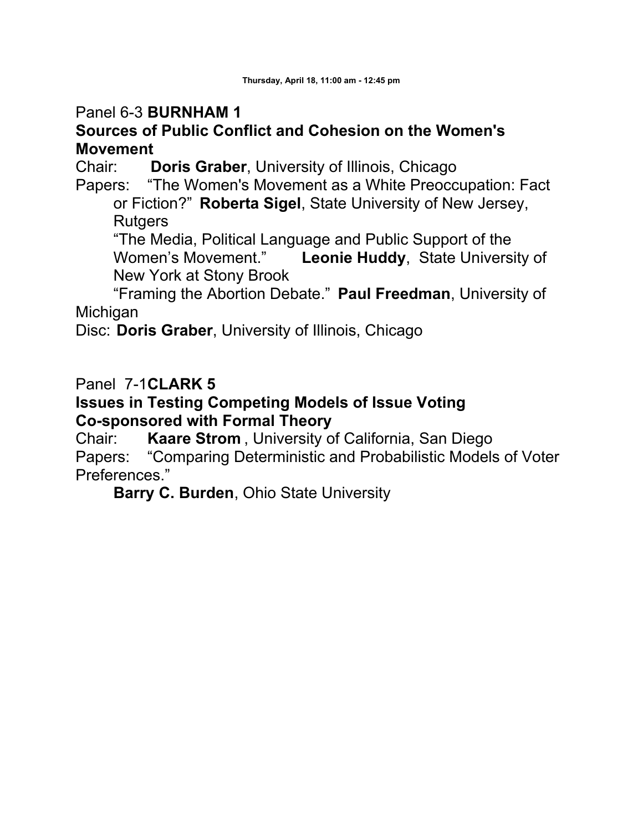### Panel 6-3 **BURNHAM 1**

### **Sources of Public Conflict and Cohesion on the Women's Movement**

Chair: **Doris Graber**, University of Illinois, Chicago Papers: "The Women's Movement as a White Preocc "The Women's Movement as a White Preoccupation: Fact or Fiction?" **Roberta Sigel**, State University of New Jersey,

**Rutgers** 

"The Media, Political Language and Public Support of the Women's Movement." **Leonie Huddy**, State University of New York at Stony Brook

 "Framing the Abortion Debate." **Paul Freedman**, University of **Michigan** 

Disc: **Doris Graber**, University of Illinois, Chicago

Panel 7-1**CLARK 5**

#### **Issues in Testing Competing Models of Issue Voting Co-sponsored with Formal Theory**

Chair: **Kaare Strom** , University of California, San Diego Papers: "Comparing Deterministic and Probabilistic Models of Voter Preferences."

**Barry C. Burden**, Ohio State University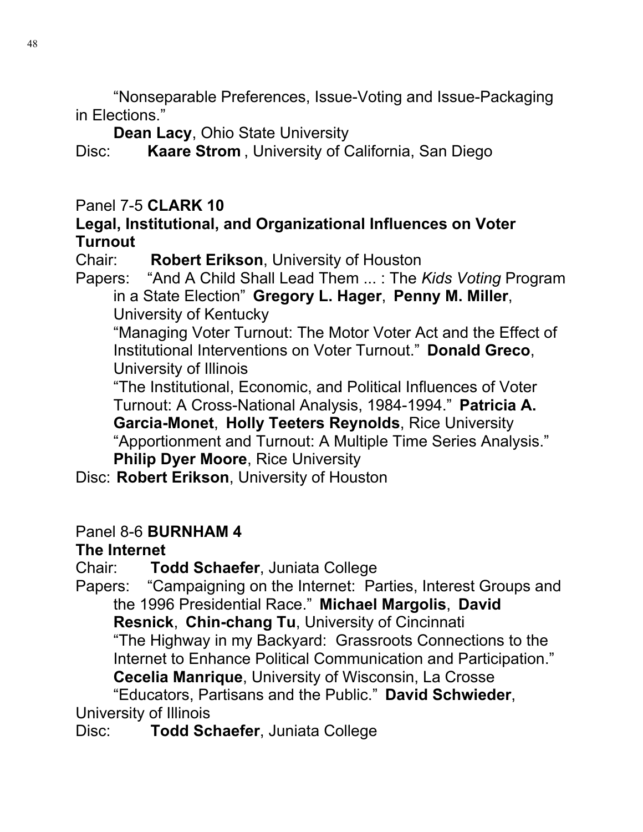"Nonseparable Preferences, Issue-Voting and Issue-Packaging in Elections."

**Dean Lacy**, Ohio State University

Disc: **Kaare Strom** , University of California, San Diego

Panel 7-5 **CLARK 10** 

### **Legal, Institutional, and Organizational Influences on Voter Turnout**

Chair: **Robert Erikson**, University of Houston

Papers: "And A Child Shall Lead Them ... : The *Kids Voting* Program in a State Election" **Gregory L. Hager**, **Penny M. Miller**, University of Kentucky

"Managing Voter Turnout: The Motor Voter Act and the Effect of Institutional Interventions on Voter Turnout." **Donald Greco**, University of Illinois

"The Institutional, Economic, and Political Influences of Voter Turnout: A Cross-National Analysis, 1984-1994." **Patricia A. Garcia-Monet**, **Holly Teeters Reynolds**, Rice University "Apportionment and Turnout: A Multiple Time Series Analysis." **Philip Dyer Moore**, Rice University

Disc: **Robert Erikson**, University of Houston

## Panel 8-6 **BURNHAM 4**

## **The Internet**

Chair: **Todd Schaefer**, Juniata College

Papers: "Campaigning on the Internet: Parties, Interest Groups and the 1996 Presidential Race." **Michael Margolis**, **David Resnick**, **Chin-chang Tu**, University of Cincinnati "The Highway in my Backyard: Grassroots Connections to the Internet to Enhance Political Communication and Participation."

**Cecelia Manrique**, University of Wisconsin, La Crosse

 "Educators, Partisans and the Public." **David Schwieder**, University of Illinois

Disc: **Todd Schaefer**, Juniata College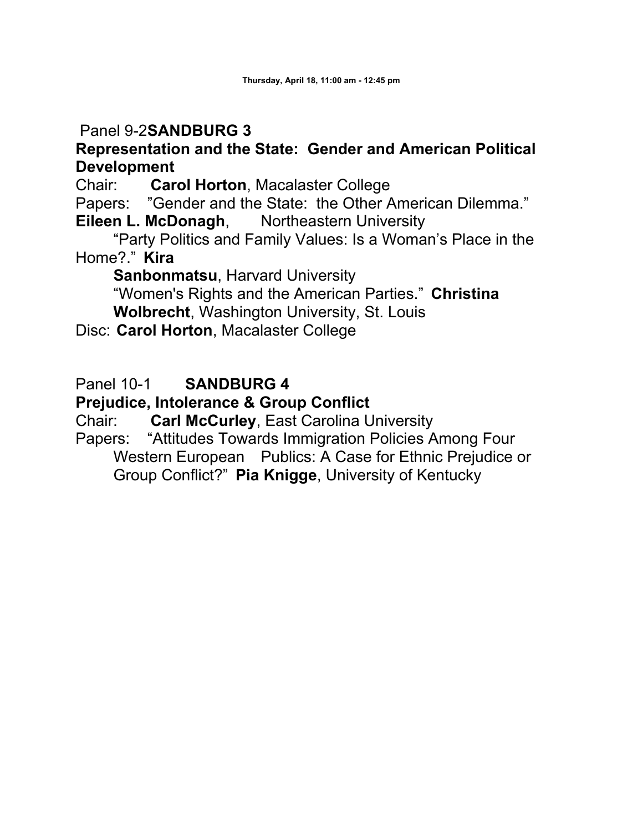## Panel 9-2**SANDBURG 3**

### **Representation and the State: Gender and American Political Development**

Chair: **Carol Horton**, Macalaster College

Papers: "Gender and the State: the Other American Dilemma." **Eileen L. McDonagh, Northeastern University** 

 "Party Politics and Family Values: Is a Woman's Place in the Home?." **Kira** 

 **Sanbonmatsu**, Harvard University

"Women's Rights and the American Parties." **Christina Wolbrecht**, Washington University, St. Louis

Disc: **Carol Horton**, Macalaster College

### Panel 10-1 **SANDBURG 4**

### **Prejudice, Intolerance & Group Conflict**

Chair: **Carl McCurley**, East Carolina University

Papers: "Attitudes Towards Immigration Policies Among Four Western European Publics: A Case for Ethnic Prejudice or Group Conflict?" **Pia Knigge**, University of Kentucky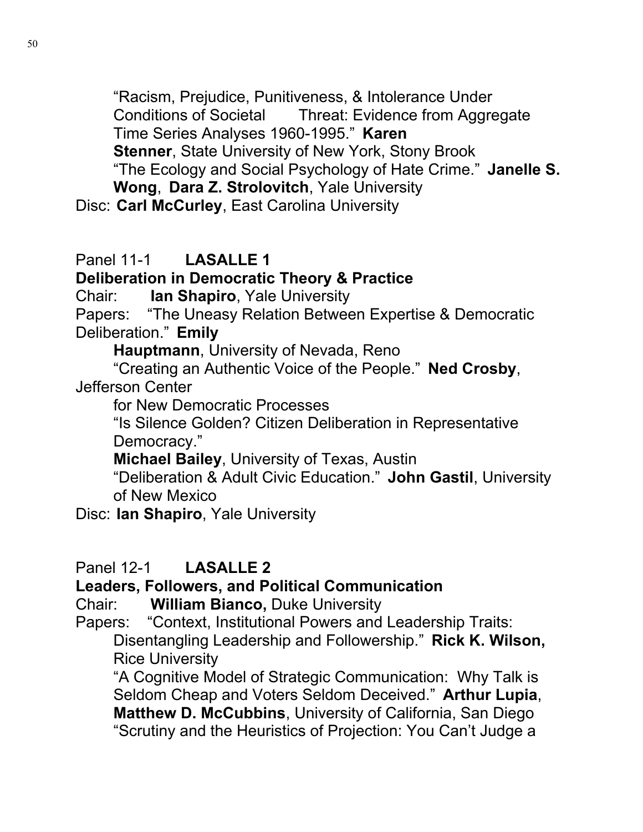"Racism, Prejudice, Punitiveness, & Intolerance Under Conditions of Societal Threat: Evidence from Aggregate Time Series Analyses 1960-1995." **Karen Stenner**, State University of New York, Stony Brook "The Ecology and Social Psychology of Hate Crime." **Janelle S.** 

**Wong**, **Dara Z. Strolovitch**, Yale University Disc: **Carl McCurley**, East Carolina University

## Panel 11-1 **LASALLE 1**

**Deliberation in Democratic Theory & Practice**

Chair: **Ian Shapiro**, Yale University

Papers: "The Uneasy Relation Between Expertise & Democratic Deliberation." **Emily** 

**Hauptmann**, University of Nevada, Reno

 "Creating an Authentic Voice of the People." **Ned Crosby**, Jefferson Center

for New Democratic Processes

"Is Silence Golden? Citizen Deliberation in Representative Democracy."

**Michael Bailey**, University of Texas, Austin

"Deliberation & Adult Civic Education." **John Gastil**, University of New Mexico

Disc: **Ian Shapiro**, Yale University

## Panel 12-1 **LASALLE 2**

## **Leaders, Followers, and Political Communication**

Chair: **William Bianco,** Duke University

Papers: "Context, Institutional Powers and Leadership Traits: Disentangling Leadership and Followership." **Rick K. Wilson,** Rice University

"A Cognitive Model of Strategic Communication: Why Talk is Seldom Cheap and Voters Seldom Deceived." **Arthur Lupia**, **Matthew D. McCubbins**, University of California, San Diego "Scrutiny and the Heuristics of Projection: You Can't Judge a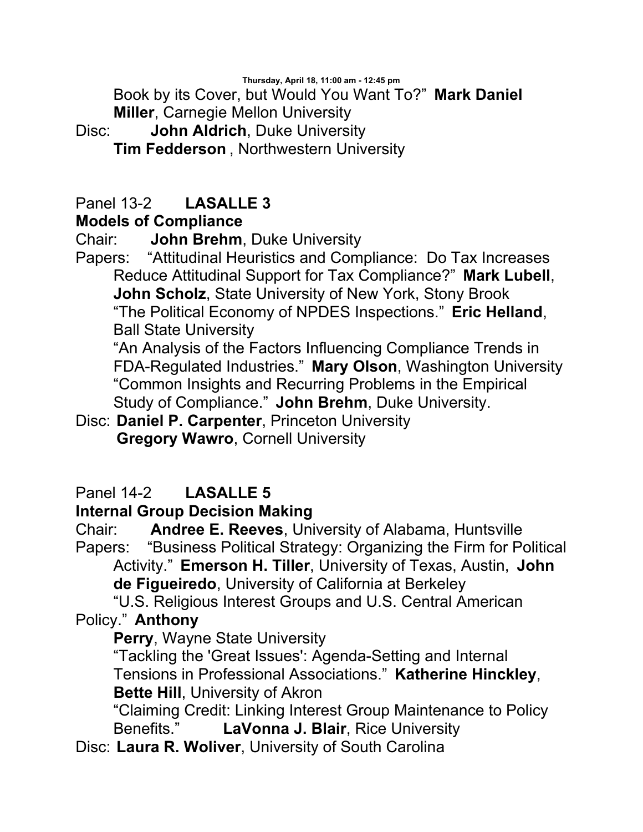Book by its Cover, but Would You Want To?" **Mark Daniel Miller**, Carnegie Mellon University

Disc: **John Aldrich**, Duke University **Tim Fedderson** , Northwestern University

# Panel 13-2 **LASALLE 3**

## **Models of Compliance**

Chair: **John Brehm**, Duke University

Papers: "Attitudinal Heuristics and Compliance: Do Tax Increases Reduce Attitudinal Support for Tax Compliance?" **Mark Lubell**, **John Scholz**, State University of New York, Stony Brook "The Political Economy of NPDES Inspections." **Eric Helland**, Ball State University

"An Analysis of the Factors Influencing Compliance Trends in FDA-Regulated Industries." **Mary Olson**, Washington University "Common Insights and Recurring Problems in the Empirical Study of Compliance." **John Brehm**, Duke University.

Disc: **Daniel P. Carpenter**, Princeton University **Gregory Wawro**, Cornell University

## Panel 14-2 **LASALLE 5**

## **Internal Group Decision Making**

Chair: **Andree E. Reeves**, University of Alabama, Huntsville Papers: "Business Political Strategy: Organizing the Firm for Political Activity." **Emerson H. Tiller**, University of Texas, Austin, **John** 

**de Figueiredo**, University of California at Berkeley

 "U.S. Religious Interest Groups and U.S. Central American Policy." **Anthony** 

## **Perry**, Wayne State University

"Tackling the 'Great Issues': Agenda-Setting and Internal Tensions in Professional Associations." **Katherine Hinckley**, **Bette Hill**, University of Akron

"Claiming Credit: Linking Interest Group Maintenance to Policy Benefits." **LaVonna J. Blair**, Rice University

Disc: **Laura R. Woliver**, University of South Carolina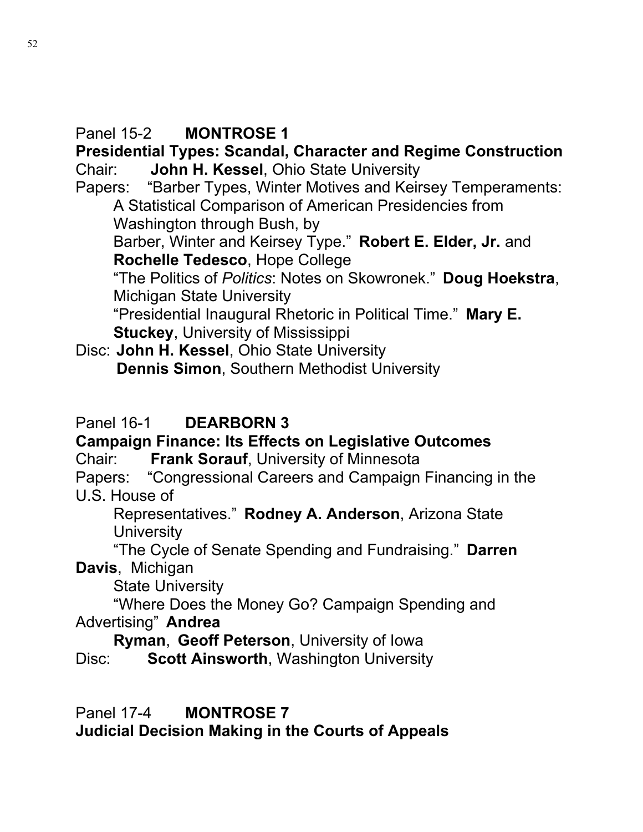## Panel 15-2 **MONTROSE 1**

#### **Presidential Types: Scandal, Character and Regime Construction**  Chair: **John H. Kessel**, Ohio State University

Papers: "Barber Types, Winter Motives and Keirsey Temperaments: A Statistical Comparison of American Presidencies from Washington through Bush, by

Barber, Winter and Keirsey Type." **Robert E. Elder, Jr.** and **Rochelle Tedesco**, Hope College

"The Politics of *Politics*: Notes on Skowronek." **Doug Hoekstra**, Michigan State University

"Presidential Inaugural Rhetoric in Political Time." **Mary E. Stuckey**, University of Mississippi

Disc: **John H. Kessel**, Ohio State University **Dennis Simon**, Southern Methodist University

## Panel 16-1 **DEARBORN 3**

# **Campaign Finance: Its Effects on Legislative Outcomes**

Chair: **Frank Sorauf**, University of Minnesota

Papers: "Congressional Careers and Campaign Financing in the U.S. House of

Representatives." **Rodney A. Anderson**, Arizona State **University** 

 "The Cycle of Senate Spending and Fundraising." **Darren Davis**, Michigan

State University

 "Where Does the Money Go? Campaign Spending and Advertising" **Andrea** 

**Ryman**, **Geoff Peterson**, University of Iowa

Disc: **Scott Ainsworth**, Washington University

Panel 17-4 **MONTROSE 7**

**Judicial Decision Making in the Courts of Appeals**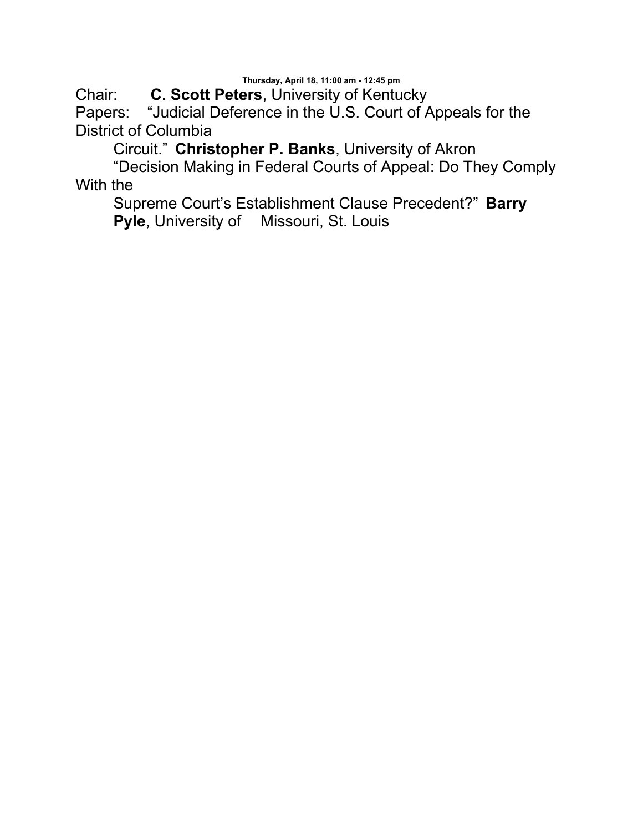Chair: **C. Scott Peters**, University of Kentucky Papers: "Judicial Deference in the U.S. Court of Appeals for the District of Columbia

Circuit." **Christopher P. Banks**, University of Akron

 "Decision Making in Federal Courts of Appeal: Do They Comply With the

Supreme Court's Establishment Clause Precedent?" **Barry Pyle**, University of Missouri, St. Louis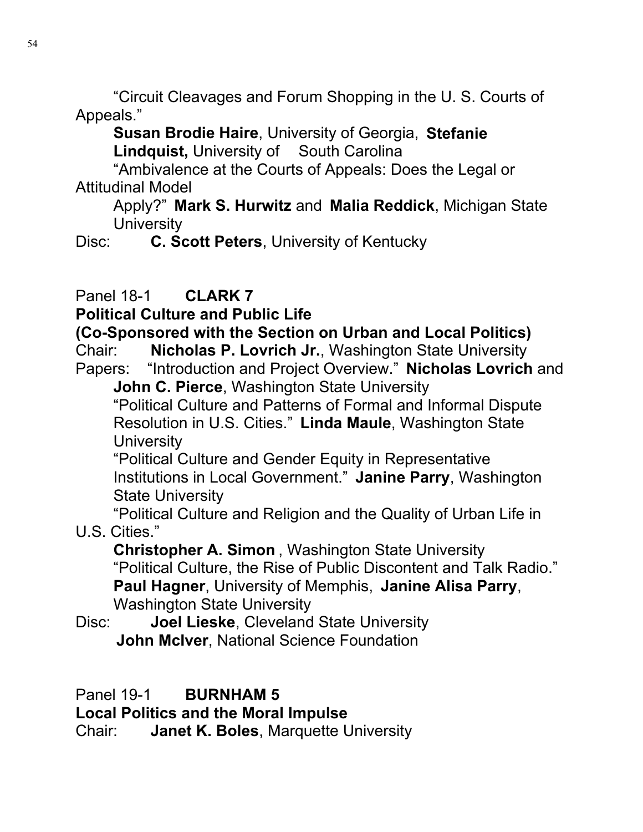"Circuit Cleavages and Forum Shopping in the U. S. Courts of Appeals."

**Susan Brodie Haire**, University of Georgia, **Stefanie Lindquist,** University of South Carolina

 "Ambivalence at the Courts of Appeals: Does the Legal or Attitudinal Model

Apply?" **Mark S. Hurwitz** and **Malia Reddick**, Michigan State **University** 

Disc: **C. Scott Peters**, University of Kentucky

## Panel 18-1 **CLARK 7**

**Political Culture and Public Life**

**(Co-Sponsored with the Section on Urban and Local Politics)**

Chair: **Nicholas P. Lovrich Jr.**, Washington State University Papers: "Introduction and Project Overview." **Nicholas Lovrich** and

**John C. Pierce**, Washington State University "Political Culture and Patterns of Formal and Informal Dispute Resolution in U.S. Cities." **Linda Maule**, Washington State **University** 

"Political Culture and Gender Equity in Representative Institutions in Local Government." **Janine Parry**, Washington State University

 "Political Culture and Religion and the Quality of Urban Life in U.S. Cities."

**Christopher A. Simon** , Washington State University "Political Culture, the Rise of Public Discontent and Talk Radio." **Paul Hagner**, University of Memphis, **Janine Alisa Parry**, Washington State University

Disc: **Joel Lieske**, Cleveland State University **John McIver**, National Science Foundation

Panel 19-1 **BURNHAM 5** 

**Local Politics and the Moral Impulse**

Chair: **Janet K. Boles**, Marquette University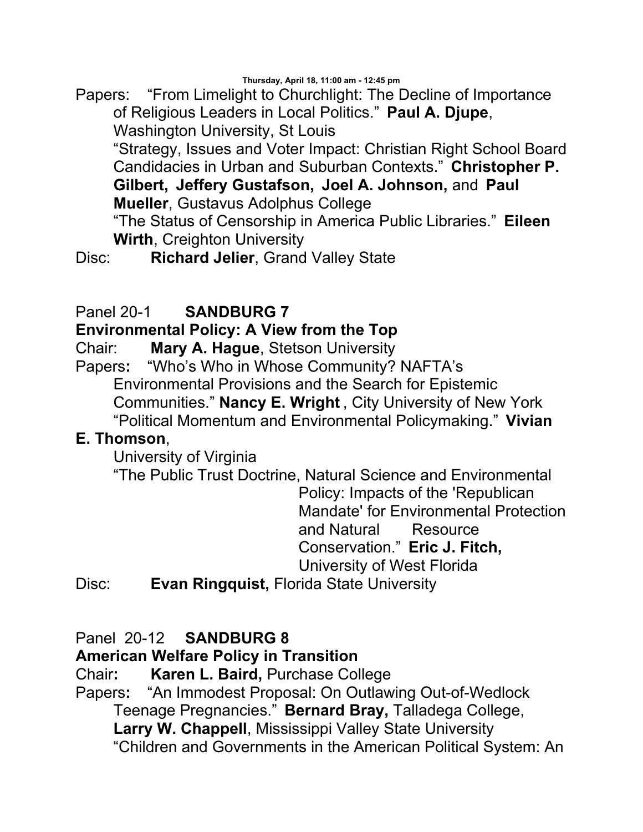Papers: "From Limelight to Churchlight: The Decline of Importance of Religious Leaders in Local Politics." **Paul A. Djupe**, Washington University, St Louis

"Strategy, Issues and Voter Impact: Christian Right School Board Candidacies in Urban and Suburban Contexts." **Christopher P. Gilbert, Jeffery Gustafson, Joel A. Johnson,** and **Paul Mueller**, Gustavus Adolphus College

"The Status of Censorship in America Public Libraries." **Eileen Wirth**, Creighton University

Disc: **Richard Jelier**, Grand Valley State

### Panel 20-1 **SANDBURG 7**

#### **Environmental Policy: A View from the Top**

Chair: **Mary A. Hague**, Stetson University

Papers**:** "Who's Who in Whose Community? NAFTA's Environmental Provisions and the Search for Epistemic Communities." **Nancy E. Wright** , City University of New York "Political Momentum and Environmental Policymaking." **Vivian** 

#### **E. Thomson**,

University of Virginia

"The Public Trust Doctrine, Natural Science and Environmental Policy: Impacts of the 'Republican

Mandate' for Environmental Protection and Natural Resource Conservation." **Eric J. Fitch,**

University of West Florida

Disc: **Evan Ringquist,** Florida State University

#### Panel 20-12 **SANDBURG 8**

### **American Welfare Policy in Transition**

Chair**: Karen L. Baird,** Purchase College

Papers**:** "An Immodest Proposal: On Outlawing Out-of-Wedlock Teenage Pregnancies." **Bernard Bray,** Talladega College, **Larry W. Chappell**, Mississippi Valley State University "Children and Governments in the American Political System: An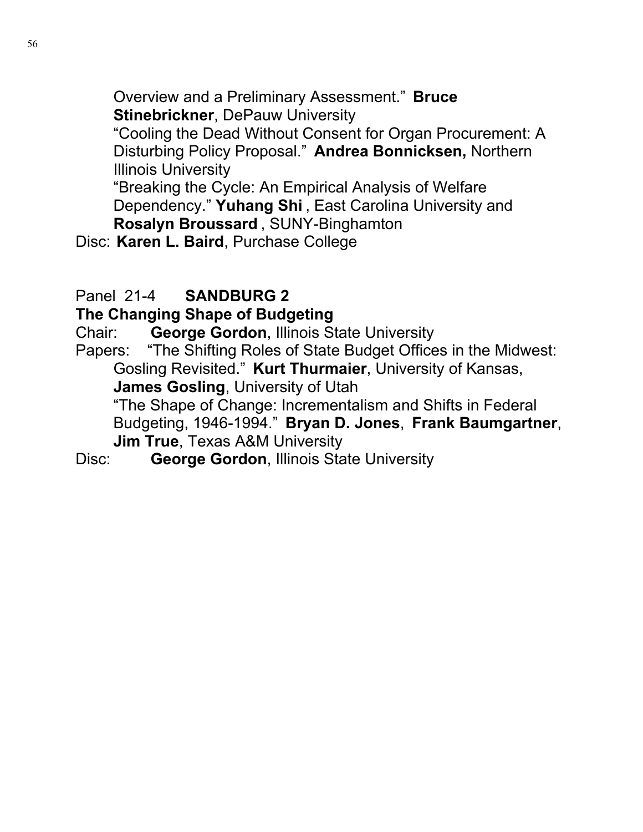Overview and a Preliminary Assessment." **Bruce Stinebrickner**, DePauw University

"Cooling the Dead Without Consent for Organ Procurement: A Disturbing Policy Proposal." **Andrea Bonnicksen,** Northern Illinois University

"Breaking the Cycle: An Empirical Analysis of Welfare Dependency." **Yuhang Shi** , East Carolina University and **Rosalyn Broussard** , SUNY-Binghamton

Disc: **Karen L. Baird**, Purchase College

# Panel 21-4 **SANDBURG 2**

## **The Changing Shape of Budgeting**

Chair: **George Gordon**, Illinois State University

Papers: "The Shifting Roles of State Budget Offices in the Midwest: Gosling Revisited." **Kurt Thurmaier**, University of Kansas, **James Gosling**, University of Utah "The Shape of Change: Incrementalism and Shifts in Federal Budgeting, 1946-1994." **Bryan D. Jones**, **Frank Baumgartner**, **Jim True**, Texas A&M University

Disc: **George Gordon**, Illinois State University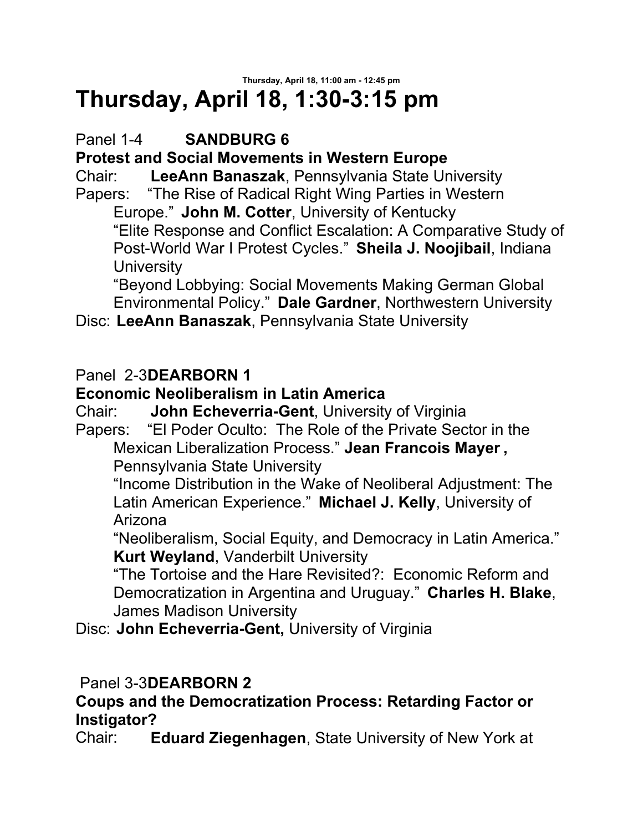## **Thursday, April 18, 11:00 am - 12:45 pm Thursday, April 18, 1:30-3:15 pm**

# Panel 1-4 **SANDBURG 6**

**Protest and Social Movements in Western Europe**

Chair: **LeeAnn Banaszak**, Pennsylvania State University Papers: "The Rise of Radical Right Wing Parties in Western

Europe." **John M. Cotter**, University of Kentucky "Elite Response and Conflict Escalation: A Comparative Study of Post-World War I Protest Cycles." **Sheila J. Noojibail**, Indiana **University** 

"Beyond Lobbying: Social Movements Making German Global Environmental Policy." **Dale Gardner**, Northwestern University

Disc: **LeeAnn Banaszak**, Pennsylvania State University

## Panel 2-3**DEARBORN 1**

## **Economic Neoliberalism in Latin America**

Chair: **John Echeverria-Gent**, University of Virginia<br>Papers: "El Poder Oculto: The Role of the Private Sec "El Poder Oculto: The Role of the Private Sector in the Mexican Liberalization Process." **Jean Francois Mayer ,** 

Pennsylvania State University

"Income Distribution in the Wake of Neoliberal Adjustment: The Latin American Experience." **Michael J. Kelly**, University of Arizona

"Neoliberalism, Social Equity, and Democracy in Latin America." **Kurt Weyland**, Vanderbilt University

"The Tortoise and the Hare Revisited?: Economic Reform and Democratization in Argentina and Uruguay." **Charles H. Blake**, James Madison University

Disc: **John Echeverria-Gent,** University of Virginia

## Panel 3-3**DEARBORN 2**

## **Coups and the Democratization Process: Retarding Factor or Instigator?**

Chair: **Eduard Ziegenhagen**, State University of New York at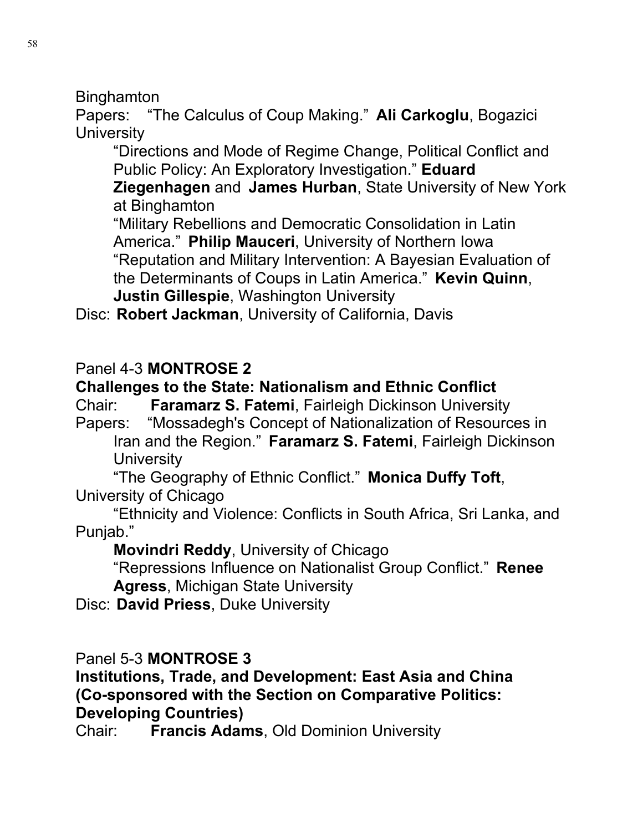**Binghamton** 

Papers: "The Calculus of Coup Making." **Ali Carkoglu**, Bogazici **University** 

"Directions and Mode of Regime Change, Political Conflict and Public Policy: An Exploratory Investigation." **Eduard** 

**Ziegenhagen** and **James Hurban**, State University of New York at Binghamton

"Military Rebellions and Democratic Consolidation in Latin America." **Philip Mauceri**, University of Northern Iowa "Reputation and Military Intervention: A Bayesian Evaluation of the Determinants of Coups in Latin America." **Kevin Quinn**, **Justin Gillespie**, Washington University

Disc: **Robert Jackman**, University of California, Davis

## Panel 4-3 **MONTROSE 2**

### **Challenges to the State: Nationalism and Ethnic Conflict**

Chair: **Faramarz S. Fatemi**, Fairleigh Dickinson University Papers: "Mossadegh's Concept of Nationalization of Resources in Iran and the Region." **Faramarz S. Fatemi**, Fairleigh Dickinson **University** 

 "The Geography of Ethnic Conflict." **Monica Duffy Toft**, University of Chicago

 "Ethnicity and Violence: Conflicts in South Africa, Sri Lanka, and Punjab."

**Movindri Reddy**, University of Chicago

"Repressions Influence on Nationalist Group Conflict." **Renee Agress**, Michigan State University

Disc: **David Priess**, Duke University

### Panel 5-3 **MONTROSE 3**

**Institutions, Trade, and Development: East Asia and China (Co-sponsored with the Section on Comparative Politics: Developing Countries)**

Chair: **Francis Adams**, Old Dominion University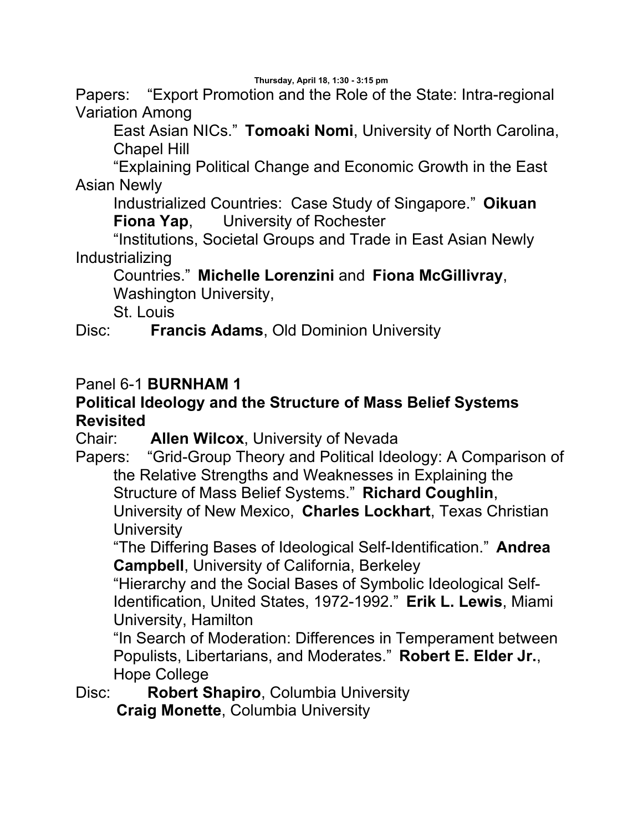Papers: "Export Promotion and the Role of the State: Intra-regional Variation Among

East Asian NICs." **Tomoaki Nomi**, University of North Carolina, Chapel Hill

 "Explaining Political Change and Economic Growth in the East Asian Newly

Industrialized Countries: Case Study of Singapore." **Oikuan Fiona Yap**, University of Rochester

 "Institutions, Societal Groups and Trade in East Asian Newly Industrializing

#### Countries." **Michelle Lorenzini** and **Fiona McGillivray**, Washington University,

St. Louis

Disc: **Francis Adams**, Old Dominion University

### Panel 6-1 **BURNHAM 1**

### **Political Ideology and the Structure of Mass Belief Systems Revisited**

Chair: **Allen Wilcox**, University of Nevada

Papers: "Grid-Group Theory and Political Ideology: A Comparison of the Relative Strengths and Weaknesses in Explaining the Structure of Mass Belief Systems." **Richard Coughlin**, University of New Mexico, **Charles Lockhart**, Texas Christian **University** 

"The Differing Bases of Ideological Self-Identification." **Andrea Campbell**, University of California, Berkeley

"Hierarchy and the Social Bases of Symbolic Ideological Self-Identification, United States, 1972-1992." **Erik L. Lewis**, Miami University, Hamilton

"In Search of Moderation: Differences in Temperament between Populists, Libertarians, and Moderates." **Robert E. Elder Jr.**, Hope College

Disc: **Robert Shapiro**, Columbia University **Craig Monette**, Columbia University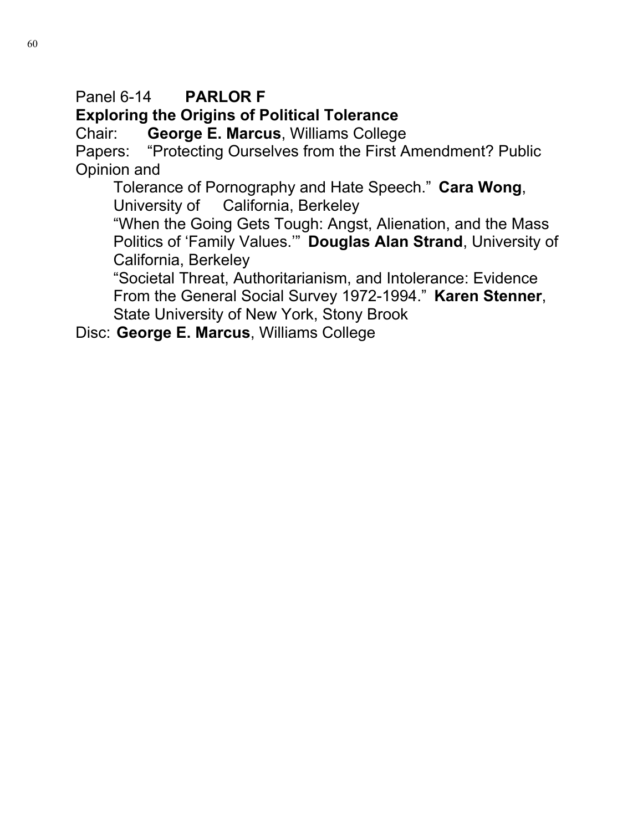# Panel 6-14 **PARLOR F**

## **Exploring the Origins of Political Tolerance**

Chair: **George E. Marcus**, Williams College

Papers: "Protecting Ourselves from the First Amendment? Public Opinion and

Tolerance of Pornography and Hate Speech." **Cara Wong**, University of California, Berkeley

"When the Going Gets Tough: Angst, Alienation, and the Mass Politics of 'Family Values.'" **Douglas Alan Strand**, University of California, Berkeley

"Societal Threat, Authoritarianism, and Intolerance: Evidence From the General Social Survey 1972-1994." **Karen Stenner**, State University of New York, Stony Brook

Disc: **George E. Marcus**, Williams College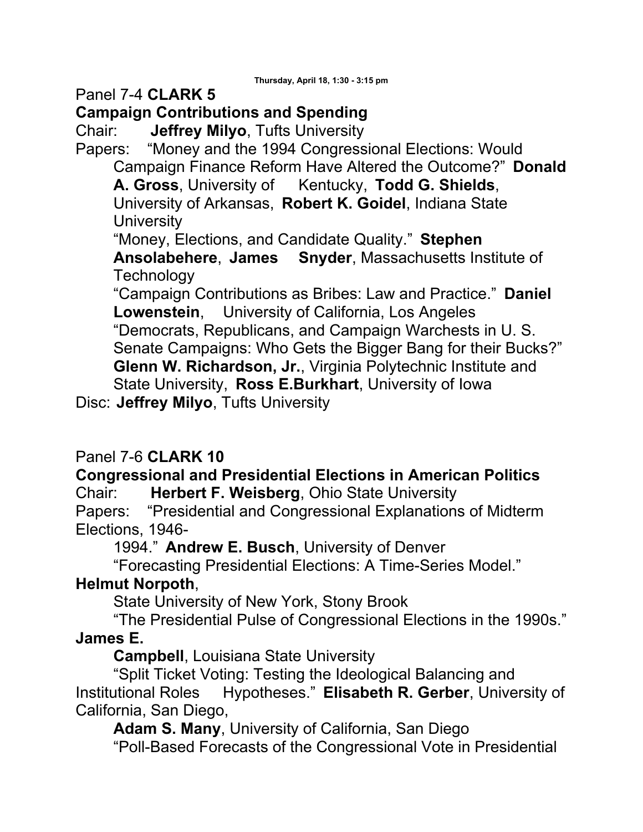Panel 7-4 **CLARK 5**

## **Campaign Contributions and Spending**

Chair: **Jeffrey Milyo**, Tufts University

Papers: "Money and the 1994 Congressional Elections: Would Campaign Finance Reform Have Altered the Outcome?" **Donald** 

**A. Gross**, University of Kentucky, **Todd G. Shields**, University of Arkansas, **Robert K. Goidel**, Indiana State **University** 

"Money, Elections, and Candidate Quality." **Stephen** 

**Ansolabehere**, **James Snyder**, Massachusetts Institute of **Technology** 

"Campaign Contributions as Bribes: Law and Practice." **Daniel Lowenstein**, University of California, Los Angeles "Democrats, Republicans, and Campaign Warchests in U. S. Senate Campaigns: Who Gets the Bigger Bang for their Bucks?" **Glenn W. Richardson, Jr.**, Virginia Polytechnic Institute and State University, **Ross E.Burkhart**, University of Iowa

Disc: **Jeffrey Milyo**, Tufts University

## Panel 7-6 **CLARK 10**

#### **Congressional and Presidential Elections in American Politics**  Chair: **Herbert F. Weisberg**, Ohio State University

Papers: "Presidential and Congressional Explanations of Midterm Elections, 1946-

1994." **Andrew E. Busch**, University of Denver

"Forecasting Presidential Elections: A Time-Series Model."

## **Helmut Norpoth**,

State University of New York, Stony Brook

 "The Presidential Pulse of Congressional Elections in the 1990s." **James E.** 

**Campbell**, Louisiana State University

 "Split Ticket Voting: Testing the Ideological Balancing and Institutional Roles Hypotheses." **Elisabeth R. Gerber**, University of California, San Diego,

**Adam S. Many**, University of California, San Diego "Poll-Based Forecasts of the Congressional Vote in Presidential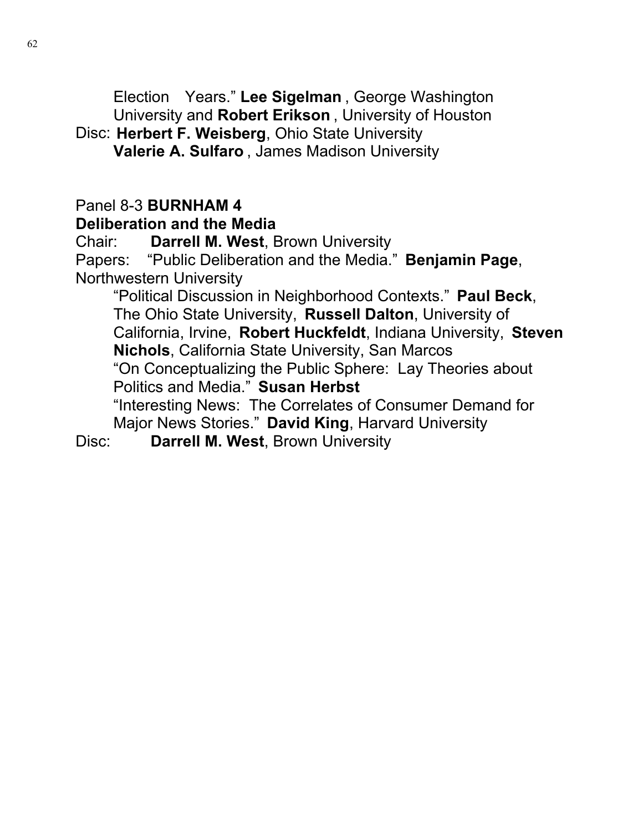Election Years." **Lee Sigelman** , George Washington University and **Robert Erikson** , University of Houston

## Disc: **Herbert F. Weisberg**, Ohio State University **Valerie A. Sulfaro** , James Madison University

# Panel 8-3 **BURNHAM 4**

#### **Deliberation and the Media**

Chair: **Darrell M. West**, Brown University

Papers: "Public Deliberation and the Media." **Benjamin Page**, Northwestern University

"Political Discussion in Neighborhood Contexts." **Paul Beck**, The Ohio State University, **Russell Dalton**, University of California, Irvine, **Robert Huckfeldt**, Indiana University, **Steven Nichols**, California State University, San Marcos "On Conceptualizing the Public Sphere: Lay Theories about Politics and Media." **Susan Herbst** "Interesting News: The Correlates of Consumer Demand for Major News Stories." **David King**, Harvard University

Disc: **Darrell M. West**, Brown University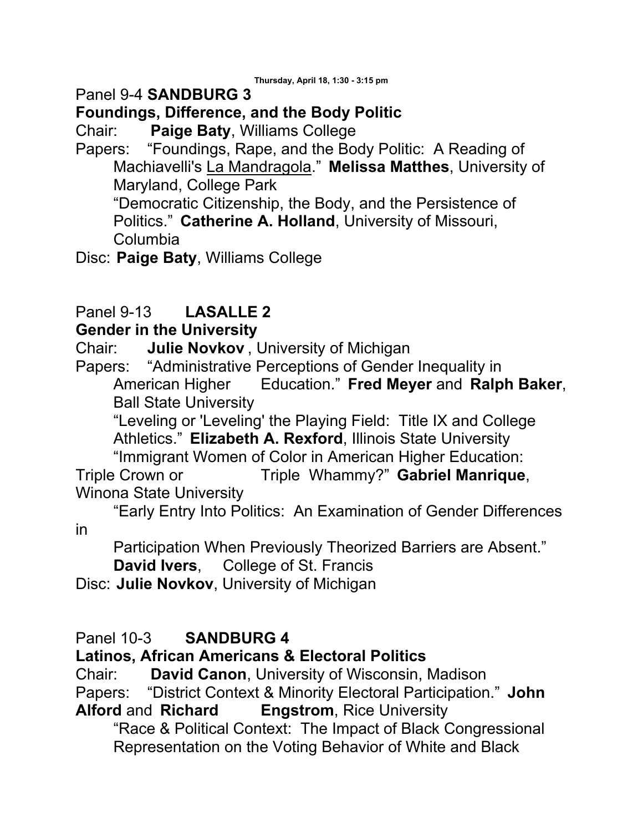## Panel 9-4 **SANDBURG 3**

## **Foundings, Difference, and the Body Politic**

Chair: **Paige Baty**, Williams College

Papers: "Foundings, Rape, and the Body Politic: A Reading of Machiavelli's La Mandragola." **Melissa Matthes**, University of Maryland, College Park

"Democratic Citizenship, the Body, and the Persistence of Politics." **Catherine A. Holland**, University of Missouri, Columbia

Disc: **Paige Baty**, Williams College

## Panel 9-13 **LASALLE 2**

### **Gender in the University**

Chair: **Julie Novkov** , University of Michigan

Papers: "Administrative Perceptions of Gender Inequality in American Higher Education." **Fred Meyer** and **Ralph Baker**, Ball State University

"Leveling or 'Leveling' the Playing Field: Title IX and College Athletics." **Elizabeth A. Rexford**, Illinois State University

 "Immigrant Women of Color in American Higher Education: Triple Crown or Triple Whammy?" **Gabriel Manrique**, Winona State University

 "Early Entry Into Politics: An Examination of Gender Differences in

Participation When Previously Theorized Barriers are Absent." **David Ivers**, College of St. Francis

Disc: **Julie Novkov**, University of Michigan

### Panel 10-3 **SANDBURG 4**

### **Latinos, African Americans & Electoral Politics**

Chair: **David Canon**, University of Wisconsin, Madison

Papers: "District Context & Minority Electoral Participation." **John Alford** and **Richard Engstrom**, Rice University

"Race & Political Context: The Impact of Black Congressional Representation on the Voting Behavior of White and Black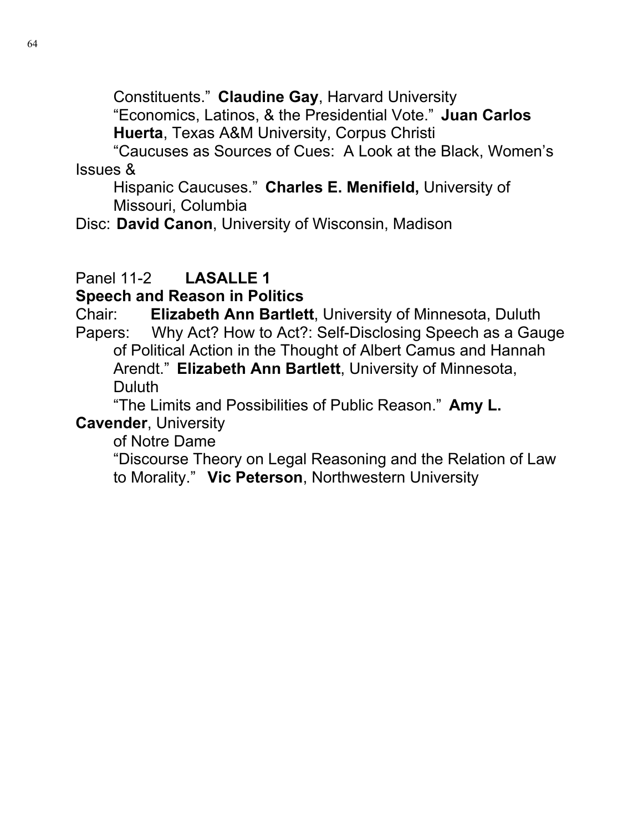Constituents." **Claudine Gay**, Harvard University

"Economics, Latinos, & the Presidential Vote." **Juan Carlos Huerta**, Texas A&M University, Corpus Christi

 "Caucuses as Sources of Cues: A Look at the Black, Women's Issues &

Hispanic Caucuses." **Charles E. Menifield,** University of Missouri, Columbia

Disc: **David Canon**, University of Wisconsin, Madison

# Panel 11-2 **LASALLE 1**

**Speech and Reason in Politics**

Chair: **Elizabeth Ann Bartlett**, University of Minnesota, Duluth Papers: Why Act? How to Act?: Self-Disclosing Speech as a Gauge of Political Action in the Thought of Albert Camus and Hannah Arendt." **Elizabeth Ann Bartlett**, University of Minnesota, Duluth

 "The Limits and Possibilities of Public Reason." **Amy L. Cavender**, University

of Notre Dame

"Discourse Theory on Legal Reasoning and the Relation of Law to Morality." **Vic Peterson**, Northwestern University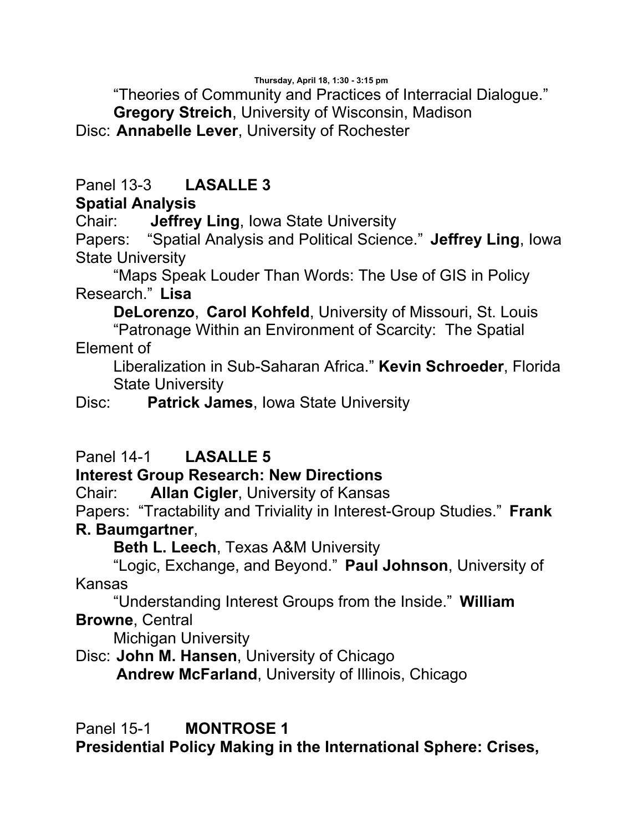**Thursday, April 18, 1:30 - 3:15 pm**

"Theories of Community and Practices of Interracial Dialogue."

**Gregory Streich**, University of Wisconsin, Madison

Disc: **Annabelle Lever**, University of Rochester

## Panel 13-3 **LASALLE 3**

## **Spatial Analysis**

Chair: **Jeffrey Ling**, Iowa State University

Papers: "Spatial Analysis and Political Science." **Jeffrey Ling**, Iowa State University

 "Maps Speak Louder Than Words: The Use of GIS in Policy Research." **Lisa** 

**DeLorenzo**, **Carol Kohfeld**, University of Missouri, St. Louis "Patronage Within an Environment of Scarcity: The Spatial Element of

Liberalization in Sub-Saharan Africa." **Kevin Schroeder**, Florida State University

Disc: **Patrick James**, Iowa State University

# Panel 14-1 **LASALLE 5**

## **Interest Group Research: New Directions**

Chair: **Allan Cigler**, University of Kansas

Papers: "Tractability and Triviality in Interest-Group Studies." **Frank R. Baumgartner**,

**Beth L. Leech**, Texas A&M University

 "Logic, Exchange, and Beyond." **Paul Johnson**, University of Kansas

 "Understanding Interest Groups from the Inside." **William Browne**, Central

Michigan University

Disc: **John M. Hansen**, University of Chicago

**Andrew McFarland**, University of Illinois, Chicago

Panel 15-1 **MONTROSE 1** 

**Presidential Policy Making in the International Sphere: Crises,**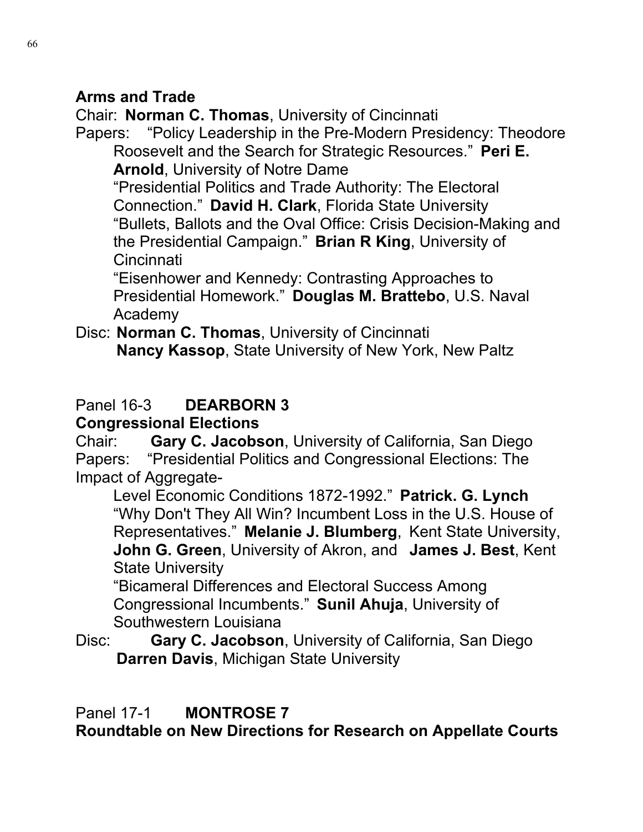### **Arms and Trade**

Chair: **Norman C. Thomas**, University of Cincinnati Papers: "Policy Leadership in the Pre-Modern Presidency: Theodore Roosevelt and the Search for Strategic Resources." **Peri E. Arnold**, University of Notre Dame

"Presidential Politics and Trade Authority: The Electoral Connection." **David H. Clark**, Florida State University "Bullets, Ballots and the Oval Office: Crisis Decision-Making and the Presidential Campaign." **Brian R King**, University of Cincinnati

"Eisenhower and Kennedy: Contrasting Approaches to Presidential Homework." **Douglas M. Brattebo**, U.S. Naval Academy

Disc: **Norman C. Thomas**, University of Cincinnati **Nancy Kassop**, State University of New York, New Paltz

# Panel 16-3 **DEARBORN 3**

## **Congressional Elections**

Chair: **Gary C. Jacobson**, University of California, San Diego Papers: "Presidential Politics and Congressional Elections: The Impact of Aggregate-

Level Economic Conditions 1872-1992." **Patrick. G. Lynch** "Why Don't They All Win? Incumbent Loss in the U.S. House of Representatives." **Melanie J. Blumberg**, Kent State University, **John G. Green**, University of Akron, and **James J. Best**, Kent State University

"Bicameral Differences and Electoral Success Among Congressional Incumbents." **Sunil Ahuja**, University of Southwestern Louisiana

Disc: **Gary C. Jacobson**, University of California, San Diego **Darren Davis**, Michigan State University

Panel 17-1 **MONTROSE 7** 

**Roundtable on New Directions for Research on Appellate Courts**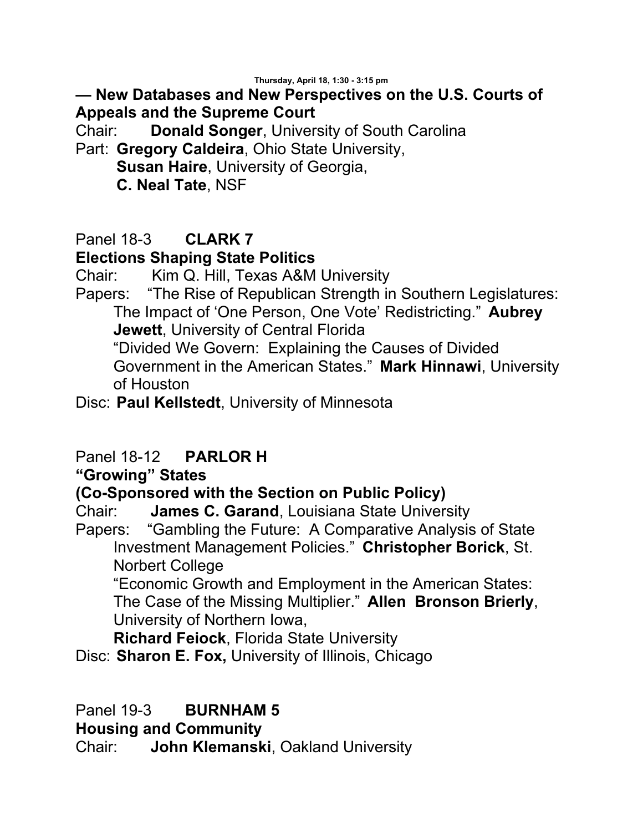### **— New Databases and New Perspectives on the U.S. Courts of Appeals and the Supreme Court**

Chair: **Donald Songer**, University of South Carolina

Part: **Gregory Caldeira**, Ohio State University,

**Susan Haire**, University of Georgia,

**C. Neal Tate**, NSF

## Panel 18-3 **CLARK 7**

### **Elections Shaping State Politics**

Chair: Kim Q. Hill, Texas A&M University

Papers: "The Rise of Republican Strength in Southern Legislatures: The Impact of 'One Person, One Vote' Redistricting." **Aubrey Jewett**, University of Central Florida "Divided We Govern: Explaining the Causes of Divided Government in the American States." **Mark Hinnawi**, University

of Houston

Disc: **Paul Kellstedt**, University of Minnesota

### Panel 18-12 **PARLOR H**

#### **"Growing" States**

#### **(Co-Sponsored with the Section on Public Policy)**

Chair: **James C. Garand**, Louisiana State University<br>Papers: "Gambling the Future: A Comparative Analysis "Gambling the Future: A Comparative Analysis of State Investment Management Policies." **Christopher Borick**, St. Norbert College

"Economic Growth and Employment in the American States: The Case of the Missing Multiplier." **Allen Bronson Brierly**, University of Northern Iowa,

**Richard Feiock**, Florida State University

Disc: **Sharon E. Fox,** University of Illinois, Chicago

Panel 19-3 **BURNHAM 5**

**Housing and Community**

Chair: **John Klemanski**, Oakland University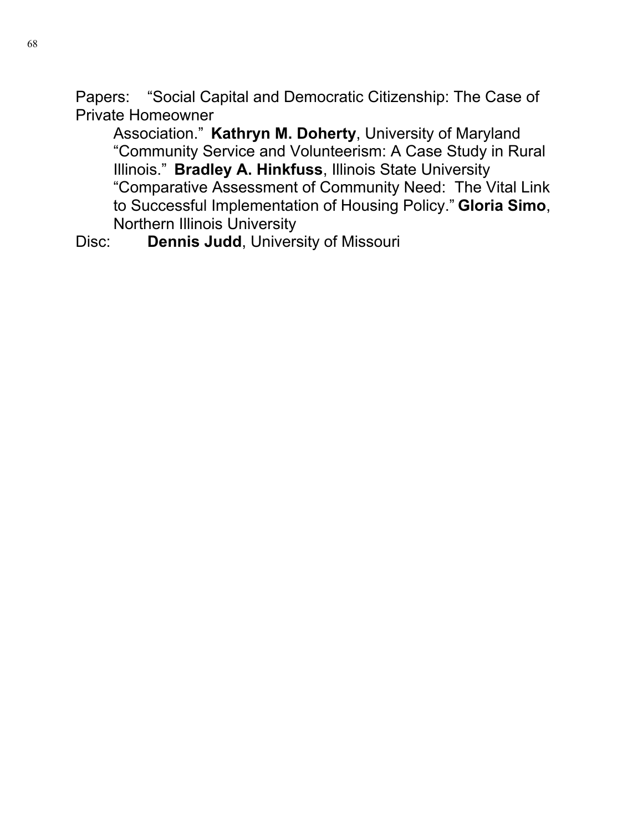Papers: "Social Capital and Democratic Citizenship: The Case of Private Homeowner

Association." **Kathryn M. Doherty**, University of Maryland "Community Service and Volunteerism: A Case Study in Rural Illinois." **Bradley A. Hinkfuss**, Illinois State University "Comparative Assessment of Community Need: The Vital Link to Successful Implementation of Housing Policy." **Gloria Simo**, Northern Illinois University

Disc: **Dennis Judd**, University of Missouri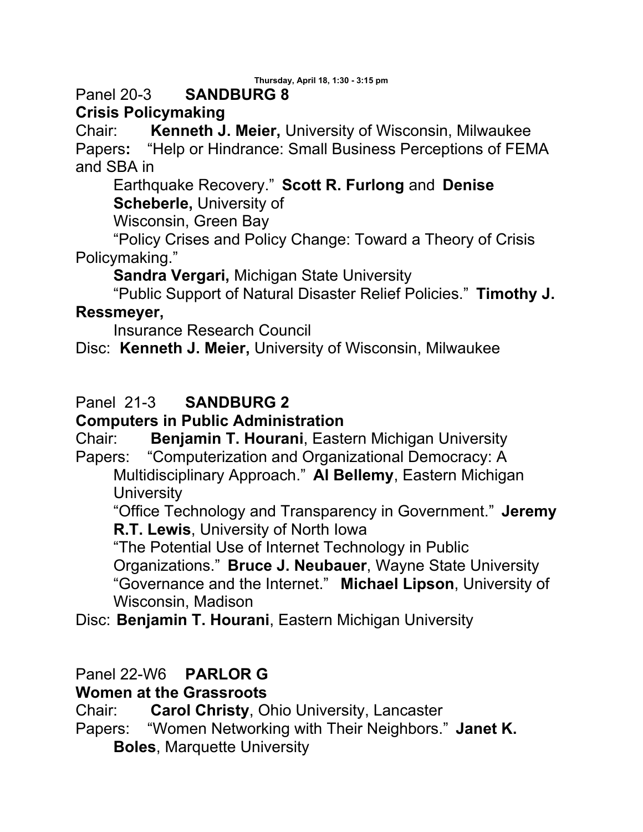**Thursday, April 18, 1:30 - 3:15 pm**

## Panel 20-3 **SANDBURG 8**

## **Crisis Policymaking**

Chair: **Kenneth J. Meier,** University of Wisconsin, Milwaukee Papers**:** "Help or Hindrance: Small Business Perceptions of FEMA and SBA in

Earthquake Recovery." **Scott R. Furlong** and **Denise Scheberle,** University of

Wisconsin, Green Bay

 "Policy Crises and Policy Change: Toward a Theory of Crisis Policymaking."

**Sandra Vergari,** Michigan State University

"Public Support of Natural Disaster Relief Policies." **Timothy J.** 

### **Ressmeyer,**

Insurance Research Council

Disc: **Kenneth J. Meier,** University of Wisconsin, Milwaukee

## Panel 21-3 **SANDBURG 2**

### **Computers in Public Administration**

Chair: **Benjamin T. Hourani**, Eastern Michigan University Papers: "Computerization and Organizational Democracy: A

Multidisciplinary Approach." **Al Bellemy**, Eastern Michigan **University** 

"Office Technology and Transparency in Government." **Jeremy R.T. Lewis**, University of North Iowa

"The Potential Use of Internet Technology in Public

Organizations." **Bruce J. Neubauer**, Wayne State University "Governance and the Internet." **Michael Lipson**, University of Wisconsin, Madison

Disc: **Benjamin T. Hourani**, Eastern Michigan University

## Panel 22-W6 **PARLOR G**

**Women at the Grassroots**

Chair: **Carol Christy**, Ohio University, Lancaster Papers: "Women Networking with Their Neighbors." **Janet K. Boles**, Marquette University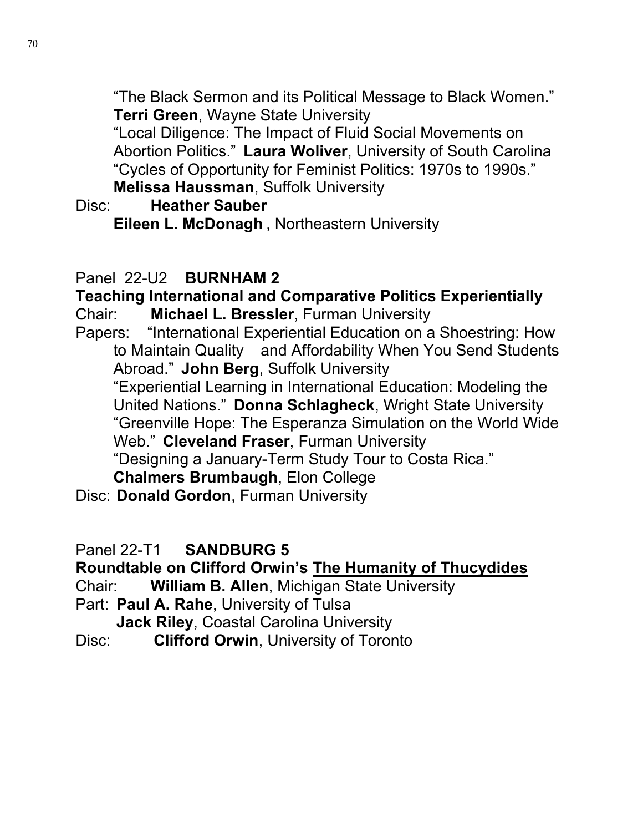"The Black Sermon and its Political Message to Black Women." **Terri Green**, Wayne State University

"Local Diligence: The Impact of Fluid Social Movements on Abortion Politics." **Laura Woliver**, University of South Carolina "Cycles of Opportunity for Feminist Politics: 1970s to 1990s." **Melissa Haussman**, Suffolk University

Disc: **Heather Sauber**

**Eileen L. McDonagh** , Northeastern University

## Panel 22-U2 **BURNHAM 2**

**Teaching International and Comparative Politics Experientially**  Chair: **Michael L. Bressler**, Furman University Papers: "International Experiential Education on a Shoestring: How to Maintain Quality and Affordability When You Send Students Abroad." **John Berg**, Suffolk University "Experiential Learning in International Education: Modeling the United Nations." **Donna Schlagheck**, Wright State University "Greenville Hope: The Esperanza Simulation on the World Wide Web." **Cleveland Fraser**, Furman University "Designing a January-Term Study Tour to Costa Rica." **Chalmers Brumbaugh**, Elon College Disc: **Donald Gordon**, Furman University

Panel 22-T1 **SANDBURG 5**

## **Roundtable on Clifford Orwin's The Humanity of Thucydides**

Chair: **William B. Allen**, Michigan State University

Part: **Paul A. Rahe**, University of Tulsa

**Jack Riley**, Coastal Carolina University

Disc: **Clifford Orwin**, University of Toronto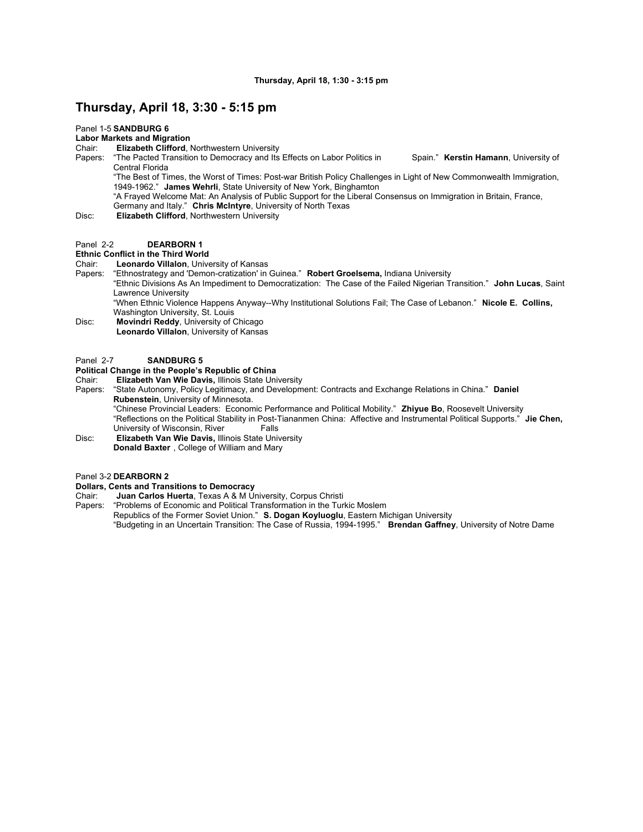#### **Thursday, April 18, 3:30 - 5:15 pm**

#### Panel 1-5 **SANDBURG 6**

#### **Labor Markets and Migration**

- Chair: **Elizabeth Clifford**, Northwestern University
- Papers: "The Pacted Transition to Democracy and Its Effects on Labor Politics in Spain." **Kerstin Hamann**, University of Central Florida

"The Best of Times, the Worst of Times: Post-war British Policy Challenges in Light of New Commonwealth Immigration, 1949-1962." **James Wehrli**, State University of New York, Binghamton

- "A Frayed Welcome Mat: An Analysis of Public Support for the Liberal Consensus on Immigration in Britain, France, Germany and Italy." **Chris McIntyre**, University of North Texas
- Disc: **Elizabeth Clifford**, Northwestern University

#### Panel 2-2 **DEARBORN 1**

#### **Ethnic Conflict in the Third World**

Chair: **Leonardo Villalon**, University of Kansas

- Papers: "Ethnostrategy and 'Demon-cratization' in Guinea." **Robert Groelsema,** Indiana University
	- "Ethnic Divisions As An Impediment to Democratization: The Case of the Failed Nigerian Transition." **John Lucas**, Saint Lawrence University

"When Ethnic Violence Happens Anyway--Why Institutional Solutions Fail; The Case of Lebanon." **Nicole E. Collins,**  Washington University, St. Louis

Disc: **Movindri Reddy**, University of Chicago **Leonardo Villalon**, University of Kansas

#### Panel 2-7 **SANDBURG 5**

#### **Political Change in the People's Republic of China**

- Chair: **Elizabeth Van Wie Davis,** Illinois State University
- Papers: "State Autonomy, Policy Legitimacy, and Development: Contracts and Exchange Relations in China." **Daniel Rubenstein**, University of Minnesota.

"Chinese Provincial Leaders: Economic Performance and Political Mobility." **Zhiyue Bo**, Roosevelt University "Reflections on the Political Stability in Post-Tiananmen China: Affective and Instrumental Political Supports." **Jie Chen,**  University of Wisconsin, River

Disc: **Elizabeth Van Wie Davis,** Illinois State University **Donald Baxter** , College of William and Mary

#### Panel 3-2 **DEARBORN 2**

#### **Dollars, Cents and Transitions to Democracy**

Chair: **Juan Carlos Huerta**, Texas A & M University, Corpus Christi

Papers: "Problems of Economic and Political Transformation in the Turkic Moslem Republics of the Former Soviet Union." **S. Dogan Koyluoglu**, Eastern Michigan University "Budgeting in an Uncertain Transition: The Case of Russia, 1994-1995." **Brendan Gaffney**, University of Notre Dame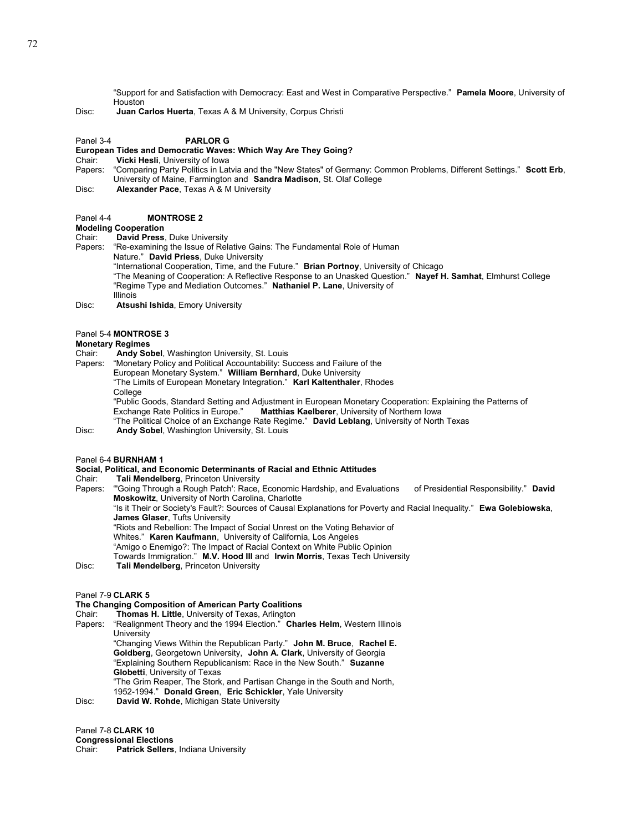"Support for and Satisfaction with Democracy: East and West in Comparative Perspective." **Pamela Moore**, University of Houston

Disc: **Juan Carlos Huerta**, Texas A & M University, Corpus Christi

#### Panel 3-4 **PARLOR G**

#### **European Tides and Democratic Waves: Which Way Are They Going?**

Chair: **Vicki Hesli**, University of Iowa<br>Papers: "Comparing Party Politics in Lat

- Papers: "Comparing Party Politics in Latvia and the "New States" of Germany: Common Problems, Different Settings." **Scott Erb**, University of Maine, Farmington and **Sandra Madison**, St. Olaf College
- Disc: **Alexander Pace**, Texas A & M University
- Panel 4-4 **MONTROSE 2**

#### **Modeling Cooperation**

Chair: **David Press**, Duke University "Re-examining the Issue of Relative Gains: The Fundamental Role of Human Nature." **David Priess**, Duke University "International Cooperation, Time, and the Future." **Brian Portnoy**, University of Chicago "The Meaning of Cooperation: A Reflective Response to an Unasked Question." **Nayef H. Samhat**, Elmhurst College "Regime Type and Mediation Outcomes." **Nathaniel P. Lane**, University of Illinois

Disc: **Atsushi Ishida**, Emory University

#### Panel 5-4 **MONTROSE 3**

#### **Monetary Regimes**<br>Chair: **Andy So**

Andy Sobel, Washington University, St. Louis

- Papers: "Monetary Policy and Political Accountability: Success and Failure of the
	- European Monetary System." **William Bernhard**, Duke University
		- "The Limits of European Monetary Integration." **Karl Kaltenthaler**, Rhodes College
		-

"Public Goods, Standard Setting and Adjustment in European Monetary Cooperation: Explaining the Patterns of<br>Exchange Rate Politics in Europe." **Matthias Kaelberer**, University of Northern Iowa Matthias Kaelberer, University of Northern Iowa "The Political Choice of an Exchange Rate Regime." **David Leblang**, University of North Texas

Disc: **Andy Sobel**, Washington University, St. Louis

#### Panel 6-4 **BURNHAM 1**

## **Social, Political, and Economic Determinants of Racial and Ethnic Attitudes**

Tali Mendelberg, Princeton University

Papers: "'Going Through a Rough Patch': Race, Economic Hardship, and Evaluations of Presidential Responsibility." **David Moskowitz**, University of North Carolina, Charlotte "Is it Their or Society's Fault?: Sources of Causal Explanations for Poverty and Racial Inequality." **Ewa Golebiowska**,

**James Glaser**, Tufts University

"Riots and Rebellion: The Impact of Social Unrest on the Voting Behavior of

Whites." **Karen Kaufmann**, University of California, Los Angeles

"Amigo o Enemigo?: The Impact of Racial Context on White Public Opinion

- Towards Immigration." **M.V. Hood III** and **Irwin Morris**, Texas Tech University
- Disc: **Tali Mendelberg**, Princeton University

#### Panel 7-9 **CLARK 5**

#### **The Changing Composition of American Party Coalitions**

Chair: **Thomas H. Little**, University of Texas, Arlington

Papers: "Realignment Theory and the 1994 Election." **Charles Helm**, Western Illinois **University**  "Changing Views Within the Republican Party." **John M. Bruce**, **Rachel E. Goldberg**, Georgetown University, **John A. Clark**, University of Georgia "Explaining Southern Republicanism: Race in the New South." **Suzanne Globetti**, University of Texas "The Grim Reaper, The Stork, and Partisan Change in the South and North, 1952-1994." **Donald Green**, **Eric Schickler**, Yale University Disc: **David W. Rohde**, Michigan State University

Panel 7-8 **CLARK 10**

**Congressional Elections** 

Patrick Sellers, Indiana University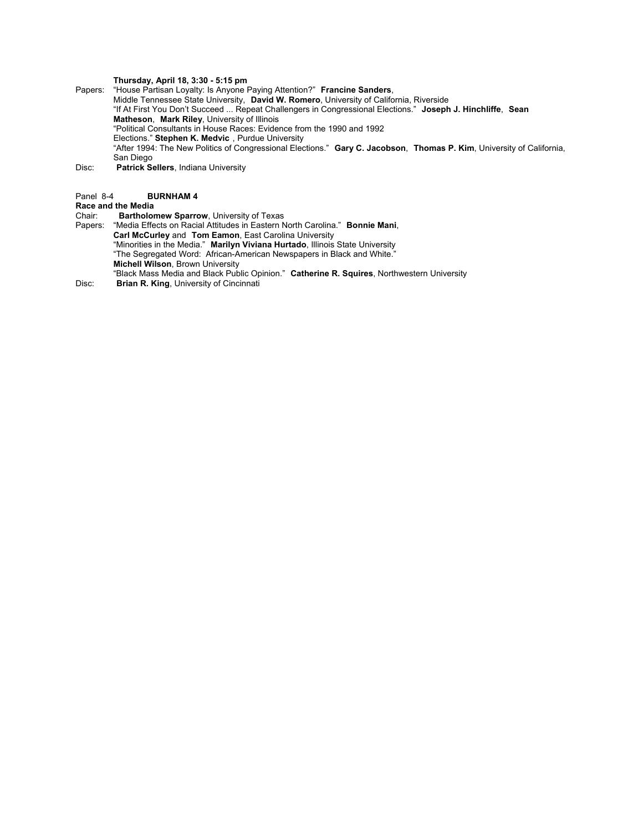### **Thursday, April 18, 3:30 - 5:15 pm**

Papers: "House Partisan Loyalty: Is Anyone Paying Attention?" **Francine Sanders**, Middle Tennessee State University, **David W. Romero**, University of California, Riverside "If At First You Don't Succeed ... Repeat Challengers in Congressional Elections." **Joseph J. Hinchliffe**, **Sean Matheson**, **Mark Riley**, University of Illinois "Political Consultants in House Races: Evidence from the 1990 and 1992 Elections." **Stephen K. Medvic** , Purdue University "After 1994: The New Politics of Congressional Elections." **Gary C. Jacobson**, **Thomas P. Kim**, University of California, San Diego Disc: **Patrick Sellers**, Indiana University

#### Panel 8-4 **BURNHAM 4**

## **Race and the Media**

- Chair: **Bartholomew Sparrow**, University of Texas
- Papers: "Media Effects on Racial Attitudes in Eastern North Carolina." **Bonnie Mani**, **Carl McCurley** and **Tom Eamon**, East Carolina University "Minorities in the Media." **Marilyn Viviana Hurtado**, Illinois State University "The Segregated Word: African-American Newspapers in Black and White." **Michell Wilson**, Brown University "Black Mass Media and Black Public Opinion." **Catherine R. Squires**, Northwestern University Disc: **Brian R. King**, University of Cincinnati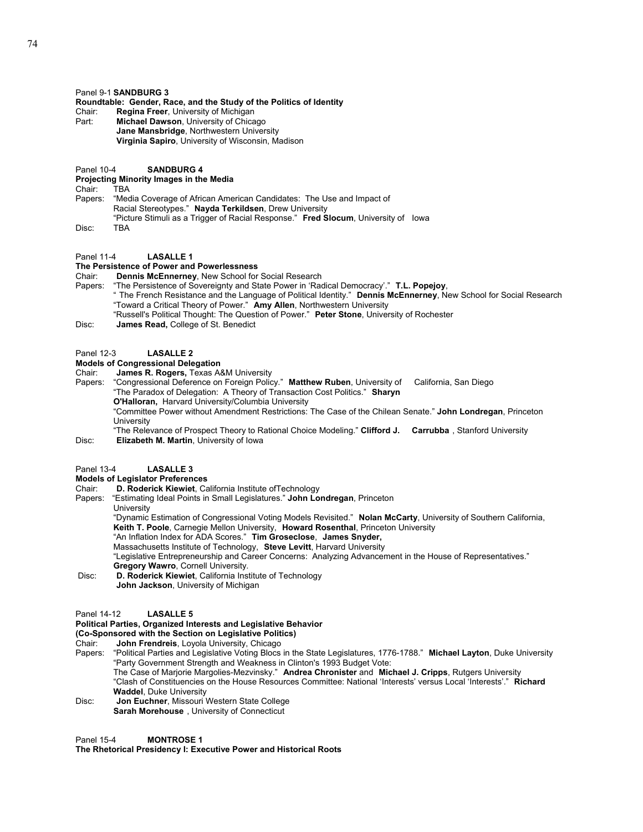### Panel 9-1 **SANDBURG 3**

#### **Roundtable: Gender, Race, and the Study of the Politics of Identity**

Chair: **Regina Freer**, University of Michigan

- Part: **Michael Dawson**, University of Chicago **Jane Mansbridge**, Northwestern University **Virginia Sapiro**, University of Wisconsin, Madison
- Panel 10-4 **SANDBURG 4**

# **Projecting Minority Images in the Media**

 $Chair:$ 

Papers: "Media Coverage of African American Candidates: The Use and Impact of Racial Stereotypes." **Nayda Terkildsen**, Drew University "Picture Stimuli as a Trigger of Racial Response." **Fred Slocum**, University of Iowa Disc: TBA

Panel 11-4 **LASALLE 1**

## **The Persistence of Power and Powerlessness**

Chair: **Dennis McEnnerney**, New School for Social Research

- Papers: "The Persistence of Sovereignty and State Power in 'Radical Democracy'." **T.L. Popejoy**,
	- " The French Resistance and the Language of Political Identity." **Dennis McEnnerney**, New School for Social Research "Toward a Critical Theory of Power." **Amy Allen**, Northwestern University
	- "Russell's Political Thought: The Question of Power." **Peter Stone**, University of Rochester
- Disc: **James Read,** College of St. Benedict

#### Panel 12-3 **LASALLE 2**

## **Models of Congressional Delegation**

Chair: **James R. Rogers,** Texas A&M University

- Papers: "Congressional Deference on Foreign Policy." **Matthew Ruben**, University of California, San Diego "The Paradox of Delegation: A Theory of Transaction Cost Politics." **Sharyn** 
	- **O'Halloran,** Harvard University/Columbia University

"Committee Power without Amendment Restrictions: The Case of the Chilean Senate." **John Londregan**, Princeton **University** 

"The Relevance of Prospect Theory to Rational Choice Modeling." **Clifford J. Carrubba** , Stanford University Disc: **Elizabeth M. Martin**, University of Iowa

#### Panel 13-4 **LASALLE 3**

#### **Models of Legislator Preferences**

Chair: **D. Roderick Kiewiet**, California Institute ofTechnology

Papers: "Estimating Ideal Points in Small Legislatures." **John Londregan**, Princeton **University** 

"Dynamic Estimation of Congressional Voting Models Revisited." **Nolan McCarty**, University of Southern California, **Keith T. Poole**, Carnegie Mellon University, **Howard Rosenthal**, Princeton University

"An Inflation Index for ADA Scores." **Tim Groseclose**, **James Snyder,** 

Massachusetts Institute of Technology, **Steve Levitt**, Harvard University "Legislative Entrepreneurship and Career Concerns: Analyzing Advancement in the House of Representatives." **Gregory Wawro**, Cornell University.

 Disc: **D. Roderick Kiewiet**, California Institute of Technology **John Jackson**, University of Michigan

#### Panel 14-12 **LASALLE 5**

## **Political Parties, Organized Interests and Legislative Behavior**

**(Co-Sponsored with the Section on Legislative Politics)** Chair: **John Frendreis**, Loyola University, Chicago

Papers: "Political Parties and Legislative Voting Blocs in the State Legislatures, 1776-1788." **Michael Layton**, Duke University "Party Government Strength and Weakness in Clinton's 1993 Budget Vote: The Case of Marjorie Margolies-Mezvinsky." **Andrea Chronister** and **Michael J. Cripps**, Rutgers University "Clash of Constituencies on the House Resources Committee: National 'Interests' versus Local 'Interests'." **Richard Waddel**, Duke University

Disc: **Jon Euchner**, Missouri Western State College **Sarah Morehouse** , University of Connecticut

Panel 15-4 **MONTROSE 1** 

**The Rhetorical Presidency I: Executive Power and Historical Roots**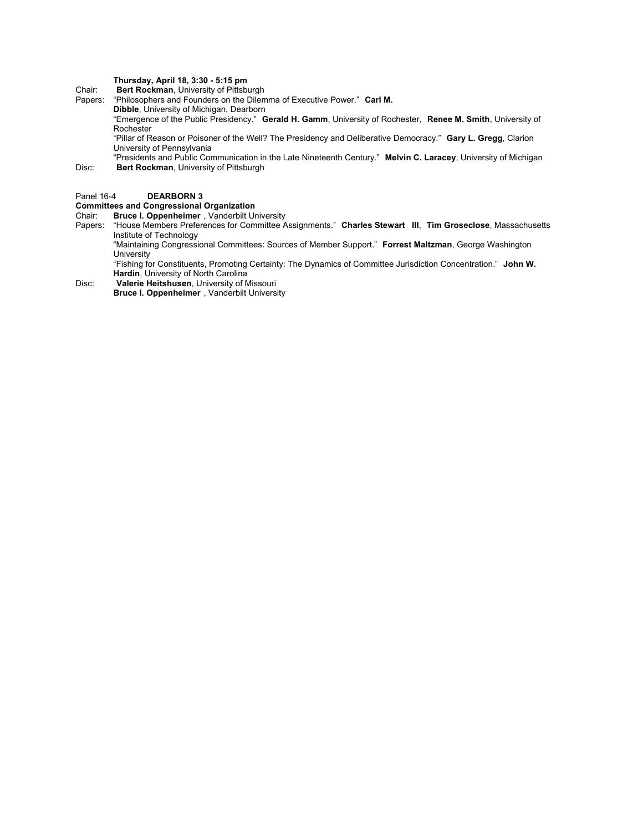## **Thursday, April 18, 3:30 - 5:15 pm**

Chair: **Bert Rockman**, University of Pittsburgh "Philosophers and Founders on the Dilemma of Executive Power." Carl M.

**Dibble**, University of Michigan, Dearborn

"Emergence of the Public Presidency." **Gerald H. Gamm**, University of Rochester, **Renee M. Smith**, University of Rochester

"Pillar of Reason or Poisoner of the Well? The Presidency and Deliberative Democracy." **Gary L. Gregg**, Clarion University of Pennsylvania

"Presidents and Public Communication in the Late Nineteenth Century." **Melvin C. Laracey**, University of Michigan Disc: **Bert Rockman**, University of Pittsburgh

#### Panel 16-4 **DEARBORN 3**

## **Committees and Congressional Organization**

Chair: **Bruce I. Oppenheimer**, Vanderbilt University<br>Papers: "House Members Preferences for Committee A Papers: "House Members Preferences for Committee Assignments." **Charles Stewart III**, **Tim Groseclose**, Massachusetts Institute of Technology

"Maintaining Congressional Committees: Sources of Member Support." **Forrest Maltzman**, George Washington University

"Fishing for Constituents, Promoting Certainty: The Dynamics of Committee Jurisdiction Concentration." **John W. Hardin**, University of North Carolina

Disc: **Valerie Heitshusen**, University of Missouri

 **Bruce I. Oppenheimer** , Vanderbilt University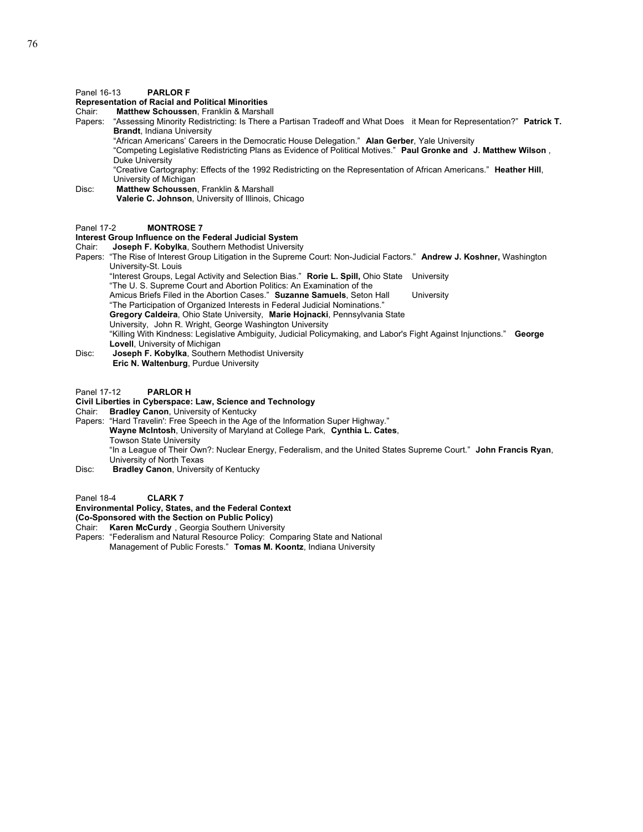### Panel 16-13 **PARLOR F**

# **Representation of Racial and Political Minorities**

**Matthew Schoussen, Franklin & Marshall** 

Papers: "Assessing Minority Redistricting: Is There a Partisan Tradeoff and What Does it Mean for Representation?" **Patrick T. Brandt**, Indiana University

"African Americans' Careers in the Democratic House Delegation." **Alan Gerber**, Yale University

"Competing Legislative Redistricting Plans as Evidence of Political Motives." **Paul Gronke and J. Matthew Wilson** , Duke University

"Creative Cartography: Effects of the 1992 Redistricting on the Representation of African Americans." **Heather Hill**, University of Michigan

Disc: **Matthew Schoussen**, Franklin & Marshall **Valerie C. Johnson**, University of Illinois, Chicago

#### Panel 17-2 **MONTROSE 7**

# **Interest Group Influence on the Federal Judicial System Chair: Joseph F. Kobylka, Southern Methodist University**

Joseph F. Kobylka, Southern Methodist University

Papers: "The Rise of Interest Group Litigation in the Supreme Court: Non-Judicial Factors." **Andrew J. Koshner,** Washington University-St. Louis

"Interest Groups, Legal Activity and Selection Bias." **Rorie L. Spill,** Ohio State University

- "The U. S. Supreme Court and Abortion Politics: An Examination of the
- Amicus Briefs Filed in the Abortion Cases." **Suzanne Samuels**, Seton Hall University
- "The Participation of Organized Interests in Federal Judicial Nominations."
- **Gregory Caldeira**, Ohio State University, **Marie Hojnacki**, Pennsylvania State

University, John R. Wright, George Washington University

"Killing With Kindness: Legislative Ambiguity, Judicial Policymaking, and Labor's Fight Against Injunctions." **George Lovell**, University of Michigan

Disc: **Joseph F. Kobylka**, Southern Methodist University **Eric N. Waltenburg**, Purdue University

## Panel 17-12 **PARLOR H**

#### **Civil Liberties in Cyberspace: Law, Science and Technology**

Chair: **Bradley Canon**, University of Kentucky

Papers: "Hard Travelin': Free Speech in the Age of the Information Super Highway." **Wayne McIntosh**, University of Maryland at College Park, **Cynthia L. Cates**, Towson State University

"In a League of Their Own?: Nuclear Energy, Federalism, and the United States Supreme Court." **John Francis Ryan**, University of North Texas

Disc: **Bradley Canon**, University of Kentucky

Panel 18-4 **CLARK 7** 

## **Environmental Policy, States, and the Federal Context**

**(Co-Sponsored with the Section on Public Policy)** 

- Chair: **Karen McCurdy** , Georgia Southern University
- Papers: "Federalism and Natural Resource Policy: Comparing State and National Management of Public Forests." **Tomas M. Koontz**, Indiana University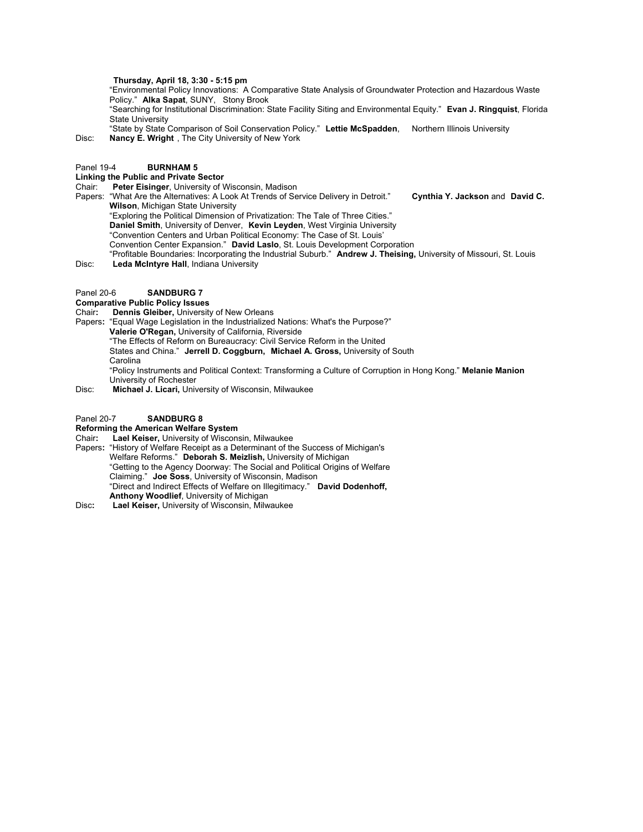### **Thursday, April 18, 3:30 - 5:15 pm**

"Environmental Policy Innovations: A Comparative State Analysis of Groundwater Protection and Hazardous Waste Policy." **Alka Sapat**, SUNY, Stony Brook

"Searching for Institutional Discrimination: State Facility Siting and Environmental Equity." **Evan J. Ringquist**, Florida State University

"State by State Comparison of Soil Conservation Policy." **Lettie McSpadden**, Northern Illinois University Disc: **Nancy E. Wright** , The City University of New York

#### Panel 19-4 **BURNHAM 5**

#### **Linking the Public and Private Sector**

Chair: **Peter Eisinger**, University of Wisconsin, Madison

- Papers: "What Are the Alternatives: A Look At Trends of Service Delivery in Detroit." **Cynthia Y. Jackson** and **David C. Wilson**, Michigan State University
	- "Exploring the Political Dimension of Privatization: The Tale of Three Cities."
	- **Daniel Smith**, University of Denver, **Kevin Leyden**, West Virginia University
	- "Convention Centers and Urban Political Economy: The Case of St. Louis'
	- Convention Center Expansion." **David Laslo**, St. Louis Development Corporation
- "Profitable Boundaries: Incorporating the Industrial Suburb." **Andrew J. Theising,** University of Missouri, St. Louis Disc: **Leda McIntyre Hall**, Indiana University
- Panel 20-6 **SANDBURG 7**
- **Comparative Public Policy Issues**
- Chair**: Dennis Gleiber,** University of New Orleans
- Papers**:** "Equal Wage Legislation in the Industrialized Nations: What's the Purpose?"
	- **Valerie O'Regan,** University of California, Riverside
		- "The Effects of Reform on Bureaucracy: Civil Service Reform in the United States and China." **Jerrell D. Coggburn, Michael A. Gross,** University of South Carolina
		-

"Policy Instruments and Political Context: Transforming a Culture of Corruption in Hong Kong." **Melanie Manion** University of Rochester

Disc: **Michael J. Licari,** University of Wisconsin, Milwaukee

#### Panel 20-7 **SANDBURG 8**

## **Reforming the American Welfare System**

- Chair**: Lael Keiser,** University of Wisconsin, Milwaukee
- Papers**:** "History of Welfare Receipt as a Determinant of the Success of Michigan's Welfare Reforms." **Deborah S. Meizlish,** University of Michigan "Getting to the Agency Doorway: The Social and Political Origins of Welfare Claiming." **Joe Soss**, University of Wisconsin, Madison "Direct and Indirect Effects of Welfare on Illegitimacy." **David Dodenhoff, Anthony Woodlief**, University of Michigan
- Disc**: Lael Keiser,** University of Wisconsin, Milwaukee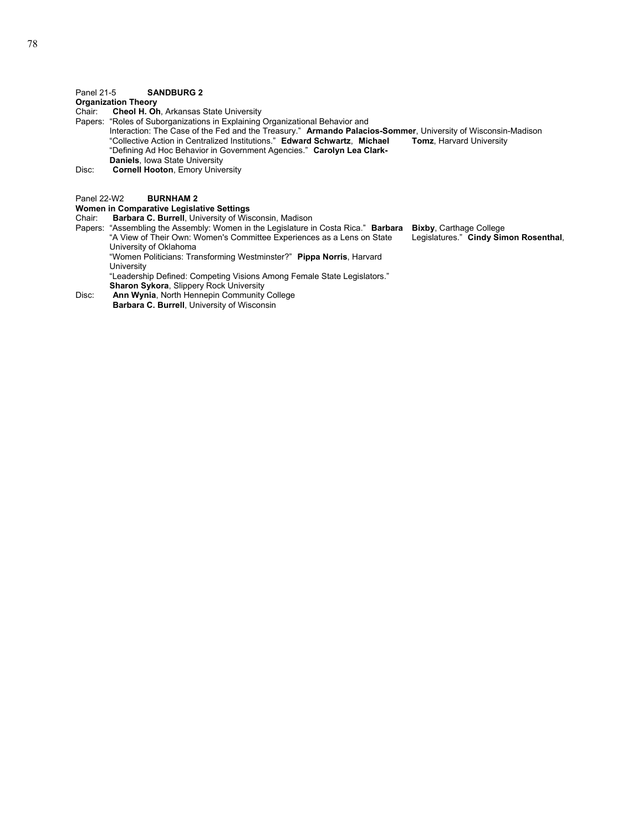## Panel 21-5 **SANDBURG 2**

## **Organization Theory**

- Chair: **Cheol H. Oh**, Arkansas State University
- Papers: "Roles of Suborganizations in Explaining Organizational Behavior and
	- Interaction: The Case of the Fed and the Treasury." **Armando Palacios-Sommer**, University of Wisconsin-Madison "Collective Action in Centralized Institutions." Edward Schwartz, Michael Tomz, Harvard University "Collective Action in Centralized Institutions." **Edward Schwartz**, Michael "Defining Ad Hoc Behavior in Government Agencies." **Carolyn Lea Clark-Daniels**, Iowa State University
- Disc: **Cornell Hooton**, Emory University

#### Panel 22-W2 **BURNHAM 2**

## **Women in Comparative Legislative Settings**

Chair: **Barbara C. Burrell**, University of Wisconsin, Madison

Papers: "Assembling the Assembly: Women in the Legislature in Costa Rica." **Barbara Bixby**, Carthage College "A View of Their Own: Women's Committee Experiences as a Lens on State Legislatures." **Cindy Simon Rosenthal**, University of Oklahoma

 "Women Politicians: Transforming Westminster?" **Pippa Norris**, Harvard University

 "Leadership Defined: Competing Visions Among Female State Legislators." **Sharon Sykora**, Slippery Rock University

Disc: **Ann Wynia**, North Hennepin Community College **Barbara C. Burrell**, University of Wisconsin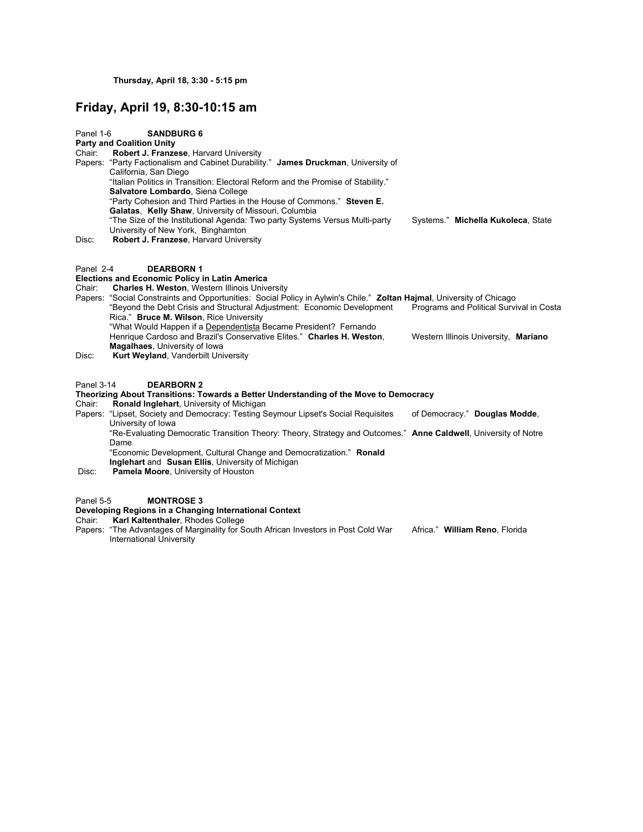# **Friday, April 19, 8:30-10:15 am**

| Panel 1-6           | <b>SANDBURG 6</b><br><b>Party and Coalition Unity</b>                                                                                                                                                                                                                                                                                                                                                                                                                                                                                 |                                          |
|---------------------|---------------------------------------------------------------------------------------------------------------------------------------------------------------------------------------------------------------------------------------------------------------------------------------------------------------------------------------------------------------------------------------------------------------------------------------------------------------------------------------------------------------------------------------|------------------------------------------|
| Chair:              | Robert J. Franzese, Harvard University<br>Papers: "Party Factionalism and Cabinet Durability." James Druckman, University of<br>California, San Diego<br>"Italian Politics in Transition: Electoral Reform and the Promise of Stability."<br>Salvatore Lombardo, Siena College<br>"Party Cohesion and Third Parties in the House of Commons." Steven E.<br>Galatas, Kelly Shaw, University of Missouri, Columbia<br>"The Size of the Institutional Agenda: Two party Systems Versus Multi-party<br>University of New York, Binghamton | Systems." Michella Kukoleca, State       |
| Disc:               | Robert J. Franzese, Harvard University                                                                                                                                                                                                                                                                                                                                                                                                                                                                                                |                                          |
| Panel 2-4<br>Chair: | <b>DEARBORN1</b><br><b>Elections and Economic Policy in Latin America</b><br><b>Charles H. Weston, Western Illinois University</b>                                                                                                                                                                                                                                                                                                                                                                                                    |                                          |
|                     | Papers: "Social Constraints and Opportunities: Social Policy in Aylwin's Chile." Zoltan Hajmal, University of Chicago<br>"Beyond the Debt Crisis and Structural Adjustment: Economic Development<br>Rica." Bruce M. Wilson, Rice University<br>"What Would Happen if a Dependentista Became President? Fernando                                                                                                                                                                                                                       | Programs and Political Survival in Costa |
| Disc:               | Henrique Cardoso and Brazil's Conservative Elites." Charles H. Weston,<br>Magalhaes, University of Iowa<br>Kurt Weyland, Vanderbilt University                                                                                                                                                                                                                                                                                                                                                                                        | Western Illinois University, Mariano     |
| Panel 3-14          | <b>DEARBORN 2</b>                                                                                                                                                                                                                                                                                                                                                                                                                                                                                                                     |                                          |
| Chair:              | Theorizing About Transitions: Towards a Better Understanding of the Move to Democracy<br>Ronald Inglehart, University of Michigan                                                                                                                                                                                                                                                                                                                                                                                                     |                                          |
|                     | Papers: "Lipset, Society and Democracy: Testing Seymour Lipset's Social Requisites<br>University of Iowa                                                                                                                                                                                                                                                                                                                                                                                                                              | of Democracy." Douglas Modde,            |
|                     | "Re-Evaluating Democratic Transition Theory: Theory, Strategy and Outcomes." Anne Caldwell, University of Notre<br>Dame                                                                                                                                                                                                                                                                                                                                                                                                               |                                          |
|                     | "Economic Development, Cultural Change and Democratization." Ronald                                                                                                                                                                                                                                                                                                                                                                                                                                                                   |                                          |
| Disc:               | Inglehart and Susan Ellis, University of Michigan<br><b>Pamela Moore, University of Houston</b>                                                                                                                                                                                                                                                                                                                                                                                                                                       |                                          |
| Panel 5-5           | <b>MONTROSE 3</b>                                                                                                                                                                                                                                                                                                                                                                                                                                                                                                                     |                                          |

#### **Developing Regions in a Changing International Context**

Chair: **Karl Kaltenthaler**, Rhodes College

Papers: "The Advantages of Marginality for South African Investors in Post Cold War Africa." William Reno, Florida International University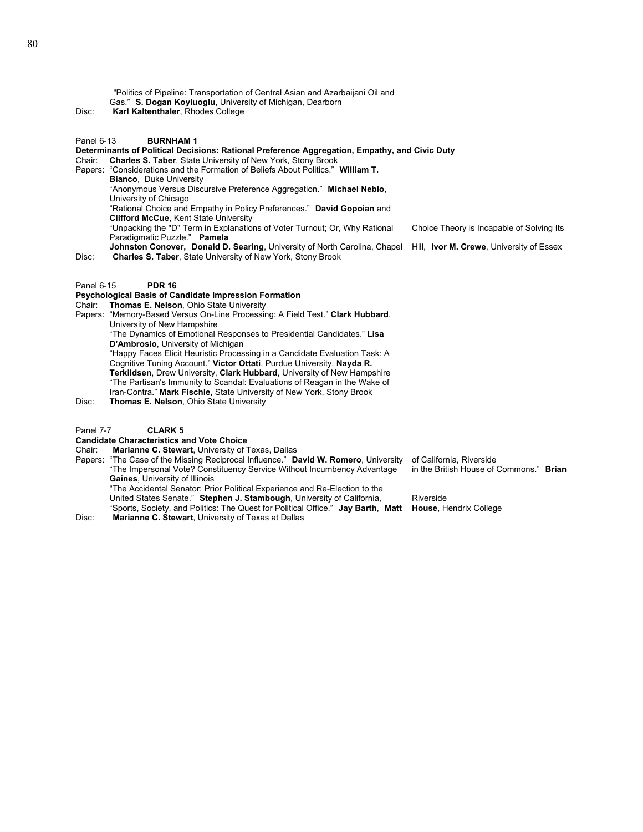"Politics of Pipeline: Transportation of Central Asian and Azarbaijani Oil and Gas." **S. Dogan Koyluoglu**, University of Michigan, Dearborn

Disc: **Karl Kaltenthaler**, Rhodes College

#### Panel 6-13 **BURNHAM 1**

## **Determinants of Political Decisions: Rational Preference Aggregation, Empathy, and Civic Duty**

Chair: **Charles S. Taber**, State University of New York, Stony Brook

Papers: "Considerations and the Formation of Beliefs About Politics." **William T.** 

**Bianco**, Duke University

"Anonymous Versus Discursive Preference Aggregation." **Michael Neblo**,

University of Chicago

"Rational Choice and Empathy in Policy Preferences." **David Gopoian** and

**Clifford McCue**, Kent State University

"Unpacking the "D" Term in Explanations of Voter Turnout; Or, Why Rational Choice Theory is Incapable of Solving Its Paradigmatic Puzzle." **Pamela** 

**Johnston Conover, Donald D. Searing**, University of North Carolina, Chapel Hill, **Ivor M. Crewe**, University of Essex Disc: **Charles S. Taber**, State University of New York, Stony Brook

#### Panel 6-15 **PDR 16**

## **Psychological Basis of Candidate Impression Formation**

## Chair: **Thomas E. Nelson**, Ohio State University

Papers: "Memory-Based Versus On-Line Processing: A Field Test." **Clark Hubbard**, University of New Hampshire "The Dynamics of Emotional Responses to Presidential Candidates." **Lisa D'Ambrosio**, University of Michigan "Happy Faces Elicit Heuristic Processing in a Candidate Evaluation Task: A Cognitive Tuning Account." **Victor Ottati**, Purdue University, **Nayda R. Terkildsen**, Drew University, **Clark Hubbard**, University of New Hampshire "The Partisan's Immunity to Scandal: Evaluations of Reagan in the Wake of Iran-Contra." **Mark Fischle,** State University of New York, Stony Brook Disc: **Thomas E. Nelson**, Ohio State University

## Panel 7-7 **CLARK 5**

### **Candidate Characteristics and Vote Choice**

Chair: **Marianne C. Stewart**, University of Texas, Dallas

Papers: "The Case of the Missing Reciprocal Influence." **David W. Romero**, University of California, Riverside "The Impersonal Vote? Constituency Service Without Incumbency Advantage in the British House of Commons." Brian "The Impersonal Vote? Constituency Service Without Incumbency Advantage in the British House of Commons." **Brian Gaines**, University of Illinois "The Accidental Senator: Prior Political Experience and Re-Election to the United States Senate." **Stephen J. Stambough**, University of California, Riverside

"Sports, Society, and Politics: The Quest for Political Office." **Jay Barth**, **Matt House**, Hendrix College Disc: **Marianne C. Stewart**, University of Texas at Dallas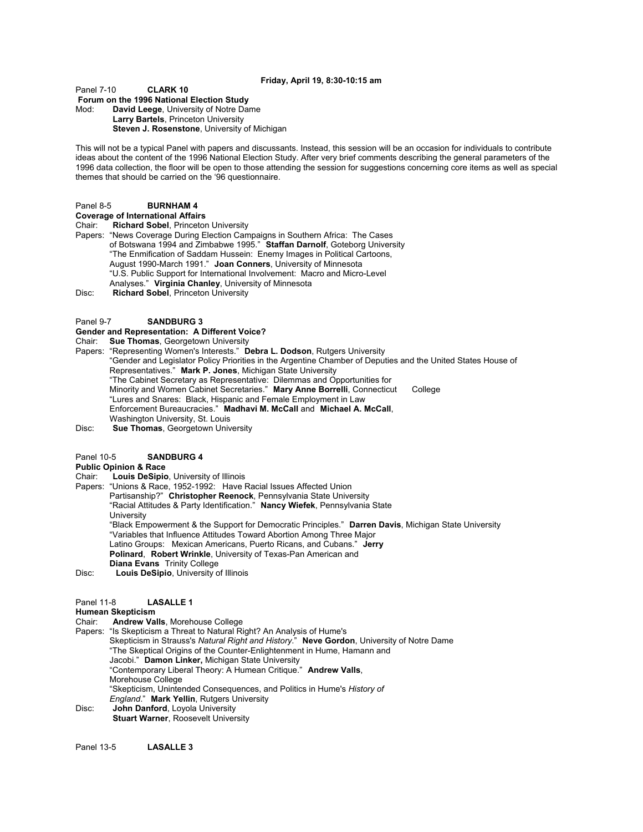#### **Friday, April 19, 8:30-10:15 am**

## Panel 7-10 **CLARK 10**

 **Forum on the 1996 National Election Study**  Mod: **David Leege**, University of Notre Dame **Larry Bartels**, Princeton University

**Steven J. Rosenstone**, University of Michigan

This will not be a typical Panel with papers and discussants. Instead, this session will be an occasion for individuals to contribute ideas about the content of the 1996 National Election Study. After very brief comments describing the general parameters of the 1996 data collection, the floor will be open to those attending the session for suggestions concerning core items as well as special themes that should be carried on the '96 questionnaire.

#### Panel 8-5 **BURNHAM 4**

**Coverage of International Affairs**

Chair: **Richard Sobel**, Princeton University

Papers: "News Coverage During Election Campaigns in Southern Africa: The Cases of Botswana 1994 and Zimbabwe 1995." **Staffan Darnolf**, Goteborg University "The Enmification of Saddam Hussein: Enemy Images in Political Cartoons, August 1990-March 1991." **Joan Conners**, University of Minnesota "U.S. Public Support for International Involvement: Macro and Micro-Level Analyses." **Virginia Chanley**, University of Minnesota

Disc: **Richard Sobel**, Princeton University

#### Panel 9-7 **SANDBURG 3**

#### **Gender and Representation: A Different Voice?**

Chair: **Sue Thomas**, Georgetown University

Papers: "Representing Women's Interests." **Debra L. Dodson**, Rutgers University "Gender and Legislator Policy Priorities in the Argentine Chamber of Deputies and the United States House of Representatives." **Mark P. Jones**, Michigan State University "The Cabinet Secretary as Representative: Dilemmas and Opportunities for Minority and Women Cabinet Secretaries." **Mary Anne Borrelli**, Connecticut College "Lures and Snares: Black, Hispanic and Female Employment in Law Enforcement Bureaucracies." **Madhavi M. McCall** and **Michael A. McCall**, Washington University, St. Louis

Disc: **Sue Thomas**, Georgetown University

#### Panel 10-5 **SANDBURG 4**

**Public Opinion & Race**

- Chair: **Louis DeSipio**, University of Illinois
- Papers: "Unions & Race, 1952-1992: Have Racial Issues Affected Union
	- Partisanship?" **Christopher Reenock**, Pennsylvania State University
		- "Racial Attitudes & Party Identification." **Nancy Wiefek**, Pennsylvania State
		- **University**

"Black Empowerment & the Support for Democratic Principles." **Darren Davis**, Michigan State University "Variables that Influence Attitudes Toward Abortion Among Three Major Latino Groups: Mexican Americans, Puerto Ricans, and Cubans." **Jerry Polinard**, **Robert Wrinkle**, University of Texas-Pan American and **Diana Evans** Trinity College

Disc: **Louis DeSipio**, University of Illinois

## Panel 11-8 **LASALLE 1**

## **Humean Skepticism**

Chair: **Andrew Valls**, Morehouse College

Papers: "Is Skepticism a Threat to Natural Right? An Analysis of Hume's Skepticism in Strauss's *Natural Right and History*." **Neve Gordon**, University of Notre Dame "The Skeptical Origins of the Counter-Enlightenment in Hume, Hamann and Jacobi." **Damon Linker,** Michigan State University "Contemporary Liberal Theory: A Humean Critique." **Andrew Valls**, Morehouse College "Skepticism, Unintended Consequences, and Politics in Hume's *History of England*." **Mark Yellin**, Rutgers University Disc: **John Danford**, Loyola University **Stuart Warner, Roosevelt University** 

Panel 13-5 **LASALLE 3**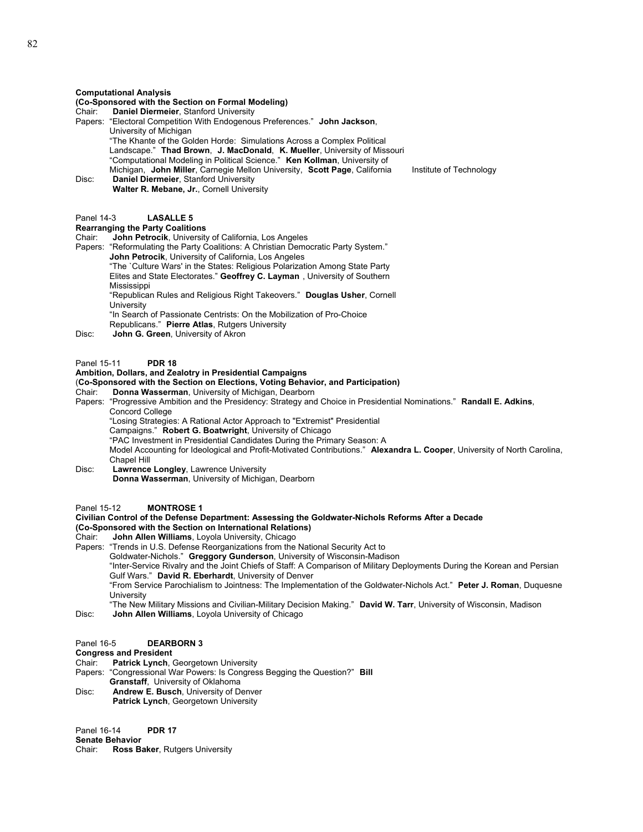#### **Computational Analysis**

#### **(Co-Sponsored with the Section on Formal Modeling)**

- Chair: **Daniel Diermeier**, Stanford University
- Papers: "Electoral Competition With Endogenous Preferences." **John Jackson**, University of Michigan "The Khante of the Golden Horde: Simulations Across a Complex Political
	- Landscape." **Thad Brown**, **J. MacDonald**, **K. Mueller**, University of Missouri
- "Computational Modeling in Political Science." **Ken Kollman**, University of
	- Michigan, **John Miller**, Carnegie Mellon University, **Scott Page**, California Institute of Technology
- Disc: **Daniel Diermeier**, Stanford University **Walter R. Mebane, Jr.**, Cornell University

#### Panel 14-3 **LASALLE 5**

## **Rearranging the Party Coalitions**

- Chair: **John Petrocik**, University of California, Los Angeles
- Papers: "Reformulating the Party Coalitions: A Christian Democratic Party System."
	- **John Petrocik**, University of California, Los Angeles
		- "The `Culture Wars' in the States: Religious Polarization Among State Party Elites and State Electorates." **Geoffrey C. Layman** , University of Southern
		- Mississippi
		- "Republican Rules and Religious Right Takeovers." **Douglas Usher**, Cornell **University**
	- "In Search of Passionate Centrists: On the Mobilization of Pro-Choice
	- Republicans." **Pierre Atlas**, Rutgers University
- Disc: **John G. Green**, University of Akron

#### Panel 15-11 **PDR 18**

#### **Ambition, Dollars, and Zealotry in Presidential Campaigns**

# (**Co-Sponsored with the Section on Elections, Voting Behavior, and Participation)**

- **Donna Wasserman, University of Michigan, Dearborn**
- Papers: "Progressive Ambition and the Presidency: Strategy and Choice in Presidential Nominations." **Randall E. Adkins**, Concord College

"Losing Strategies: A Rational Actor Approach to "Extremist" Presidential

Campaigns." **Robert G. Boatwright**, University of Chicago

"PAC Investment in Presidential Candidates During the Primary Season: A

Model Accounting for Ideological and Profit-Motivated Contributions." **Alexandra L. Cooper**, University of North Carolina, Chapel Hill

- Disc: **Lawrence Longley**, Lawrence University **Donna Wasserman**, University of Michigan, Dearborn
- Panel 15-12 **MONTROSE 1**

#### **Civilian Control of the Defense Department: Assessing the Goldwater-Nichols Reforms After a Decade (Co-Sponsored with the Section on International Relations)**

- Chair: **John Allen Williams**, Loyola University, Chicago
- Papers: "Trends in U.S. Defense Reorganizations from the National Security Act to
	- Goldwater-Nichols." **Greggory Gunderson**, University of Wisconsin-Madison

"Inter-Service Rivalry and the Joint Chiefs of Staff: A Comparison of Military Deployments During the Korean and Persian Gulf Wars." **David R. Eberhardt**, University of Denver

- "From Service Parochialism to Jointness: The Implementation of the Goldwater-Nichols Act." **Peter J. Roman**, Duquesne **University**
- "The New Military Missions and Civilian-Military Decision Making." **David W. Tarr**, University of Wisconsin, Madison
- Disc: **John Allen Williams**, Loyola University of Chicago
- Panel 16-5 **DEARBORN 3**

## **Congress and President**

Chair: **Patrick Lynch**, Georgetown University

Papers: "Congressional War Powers: Is Congress Begging the Question?" **Bill** 

- **Granstaff**, University of Oklahoma
- Disc: **Andrew E. Busch**, University of Denver **Patrick Lynch**, Georgetown University

Panel 16-14 **PDR 17**

**Senate Behavior**

Chair: **Ross Baker**, Rutgers University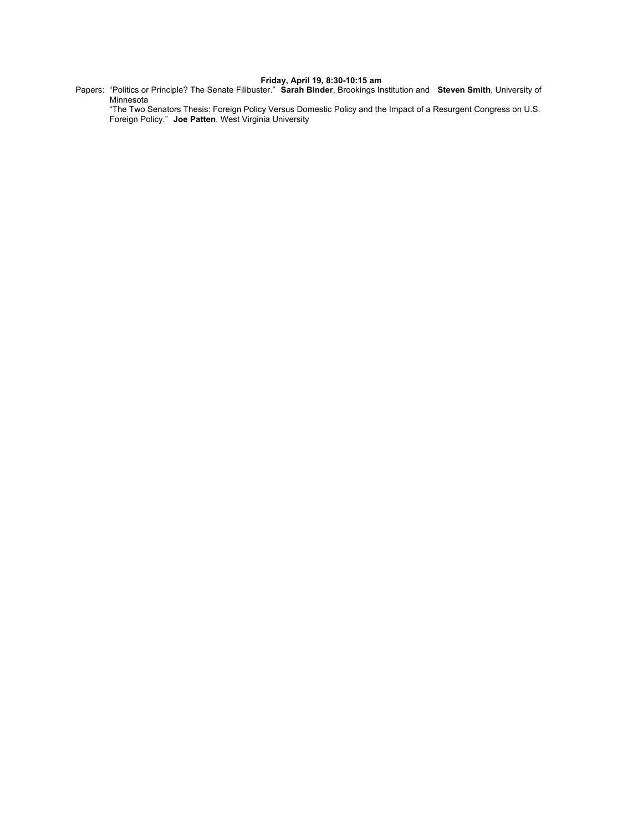#### **Friday, April 19, 8:30-10:15 am**

Papers: "Politics or Principle? The Senate Filibuster." **Sarah Binder**, Brookings Institution and **Steven Smith**, University of Minnesota

"The Two Senators Thesis: Foreign Policy Versus Domestic Policy and the Impact of a Resurgent Congress on U.S. Foreign Policy." **Joe Patten**, West Virginia University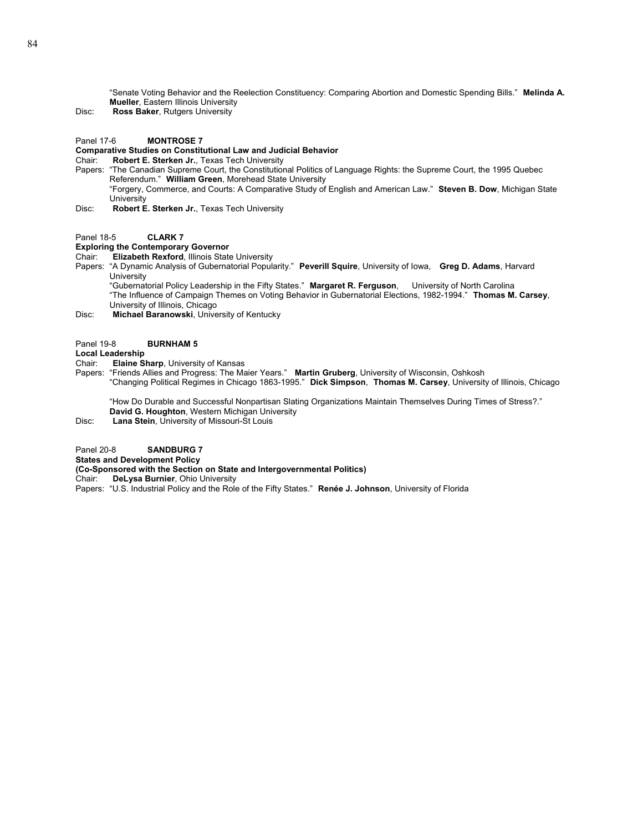"Senate Voting Behavior and the Reelection Constituency: Comparing Abortion and Domestic Spending Bills." **Melinda A. Mueller**, Eastern Illinois University

Disc: **Ross Baker**, Rutgers University

Panel 17-6 **MONTROSE 7**

### **Comparative Studies on Constitutional Law and Judicial Behavior**

Chair: **Robert E. Sterken Jr.**, Texas Tech University

Papers: "The Canadian Supreme Court, the Constitutional Politics of Language Rights: the Supreme Court, the 1995 Quebec Referendum." **William Green**, Morehead State University "Forgery, Commerce, and Courts: A Comparative Study of English and American Law." **Steven B. Dow**, Michigan State **University** 

Disc: **Robert E. Sterken Jr.**, Texas Tech University

Panel 18-5 **CLARK 7** 

#### **Exploring the Contemporary Governor**

Chair: **Elizabeth Rexford**, Illinois State University

Papers: "A Dynamic Analysis of Gubernatorial Popularity." **Peverill Squire**, University of Iowa, **Greg D. Adams**, Harvard University

"Gubernatorial Policy Leadership in the Fifty States." **Margaret R. Ferguson**, University of North Carolina "The Influence of Campaign Themes on Voting Behavior in Gubernatorial Elections, 1982-1994." **Thomas M. Carsey**, University of Illinois, Chicago

Disc: **Michael Baranowski**, University of Kentucky

#### Panel 19-8 **BURNHAM 5**

**Local Leadership** 

- Chair: **Elaine Sharp**, University of Kansas
- Papers: "Friends Allies and Progress: The Maier Years." **Martin Gruberg**, University of Wisconsin, Oshkosh "Changing Political Regimes in Chicago 1863-1995." **Dick Simpson**, **Thomas M. Carsey**, University of Illinois, Chicago

"How Do Durable and Successful Nonpartisan Slating Organizations Maintain Themselves During Times of Stress?." **David G. Houghton**, Western Michigan University

Disc: **Lana Stein**, University of Missouri-St Louis

Panel 20-8 **SANDBURG 7** 

**States and Development Policy** 

**(Co-Sponsored with the Section on State and Intergovernmental Politics)** 

Chair: **DeLysa Burnier**, Ohio University

Papers: "U.S. Industrial Policy and the Role of the Fifty States." **Renée J. Johnson**, University of Florida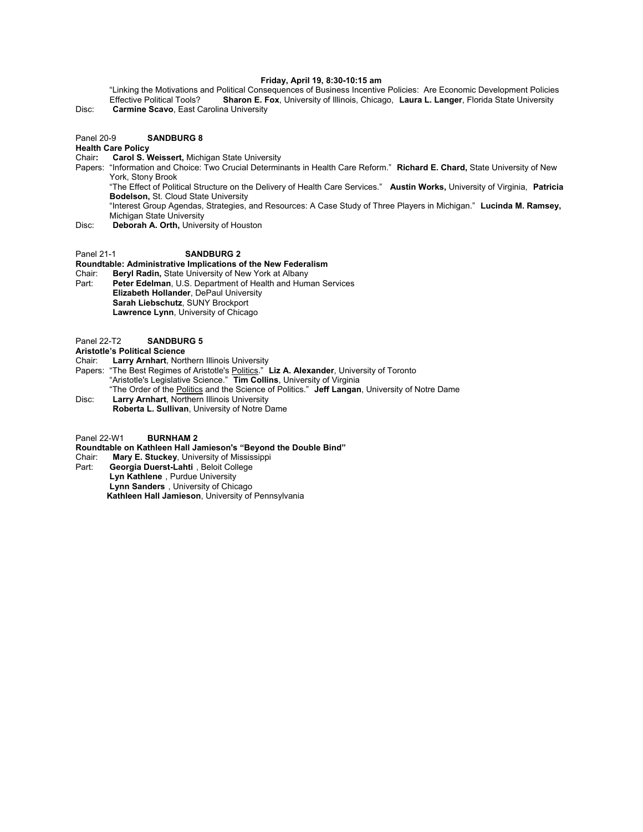#### **Friday, April 19, 8:30-10:15 am**

"Linking the Motivations and Political Consequences of Business Incentive Policies: Are Economic Development Policies<br>Effective Political Tools? Sharon E. Fox, University of Illinois, Chicago, Laura L. Langer, Florida Stat Sharon E. Fox, University of Illinois, Chicago, Laura L. Langer, Florida State University Disc: **Carmine Scavo**, East Carolina University

Panel 20-9 **SANDBURG 8** 

- **Health Care Policy**
- Chair**: Carol S. Weissert,** Michigan State University
- Papers: "Information and Choice: Two Crucial Determinants in Health Care Reform." **Richard E. Chard,** State University of New York, Stony Brook
	- "The Effect of Political Structure on the Delivery of Health Care Services." **Austin Works,** University of Virginia, **Patricia Bodelson,** St. Cloud State University
	- "Interest Group Agendas, Strategies, and Resources: A Case Study of Three Players in Michigan." **Lucinda M. Ramsey,** Michigan State University
- Disc: **Deborah A. Orth,** University of Houston

### Panel 21-1<br>
SANDBURG 2

**Roundtable: Administrative Implications of the New Federalism**

- Chair: **Beryl Radin,** State University of New York at Albany Peter Edelman, U.S. Department of Health and Human Services **Elizabeth Hollander**, DePaul University **Sarah Liebschutz**, SUNY Brockport **Lawrence Lynn**, University of Chicago
- Panel 22-T2 **SANDBURG 5**
- **Aristotle's Political Science**
- Chair: **Larry Arnhart**, Northern Illinois University
- Papers: "The Best Regimes of Aristotle's Politics." **Liz A. Alexander**, University of Toronto "Aristotle's Legislative Science." **Tim Collins**, University of Virginia "The Order of the Politics and the Science of Politics." **Jeff Langan**, University of Notre Dame Disc: **Larry Arnhart**, Northern Illinois University
- **Roberta L. Sullivan**, University of Notre Dame
- Panel 22-W1 **BURNHAM 2**
- **Roundtable on Kathleen Hall Jamieson's "Beyond the Double Bind"**
- Chair: **Mary E. Stuckey**, University of Mississippi
- Georgia Duerst-Lahti, Beloit College **Lyn Kathlene** , Purdue University **Lynn Sanders** , University of Chicago
	- **Kathleen Hall Jamieson**, University of Pennsylvania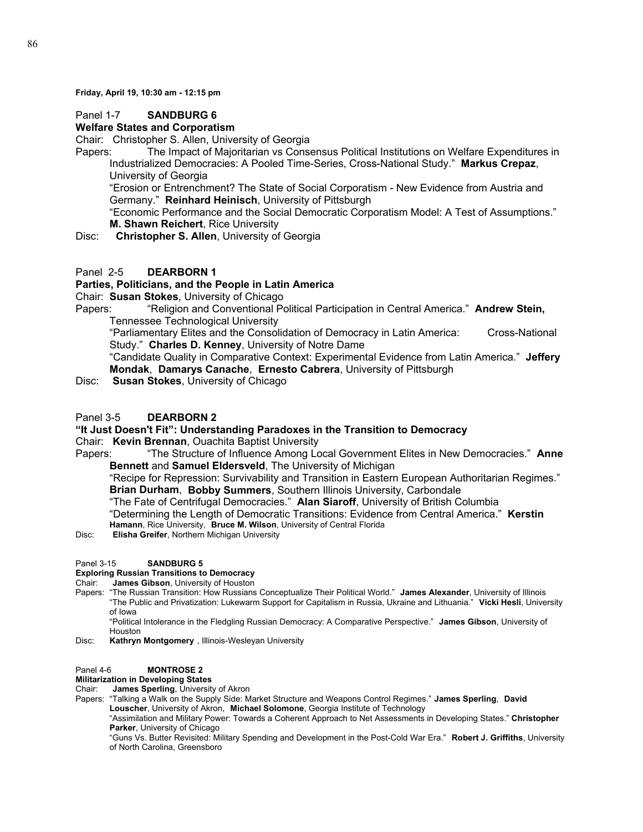**Friday, April 19, 10:30 am - 12:15 pm**

## Panel 1-7 **SANDBURG 6**

## **Welfare States and Corporatism**

Chair: Christopher S. Allen, University of Georgia

Papers: The Impact of Majoritarian vs Consensus Political Institutions on Welfare Expenditures in Industrialized Democracies: A Pooled Time-Series, Cross-National Study." **Markus Crepaz**, University of Georgia

"Erosion or Entrenchment? The State of Social Corporatism - New Evidence from Austria and Germany." **Reinhard Heinisch**, University of Pittsburgh

"Economic Performance and the Social Democratic Corporatism Model: A Test of Assumptions." **M. Shawn Reichert**, Rice University

Disc: **Christopher S. Allen**, University of Georgia

## Panel 2-5 **DEARBORN 1**

## **Parties, Politicians, and the People in Latin America**

Chair: **Susan Stokes**, University of Chicago

Papers: "Religion and Conventional Political Participation in Central America." **Andrew Stein,**  Tennessee Technological University

"Parliamentary Elites and the Consolidation of Democracy in Latin America: Cross-National Study." **Charles D. Kenney**, University of Notre Dame

"Candidate Quality in Comparative Context: Experimental Evidence from Latin America." **Jeffery Mondak**, **Damarys Canache**, **Ernesto Cabrera**, University of Pittsburgh

Disc: **Susan Stokes**, University of Chicago

## Panel 3-5 **DEARBORN 2**

## **"It Just Doesn't Fit": Understanding Paradoxes in the Transition to Democracy**

## Chair: **Kevin Brennan**, Ouachita Baptist University

Papers: "The Structure of Influence Among Local Government Elites in New Democracies." **Anne Bennett** and **Samuel Eldersveld**, The University of Michigan

"Recipe for Repression: Survivability and Transition in Eastern European Authoritarian Regimes." **Brian Durham**, **Bobby Summers**, Southern Illinois University, Carbondale

"The Fate of Centrifugal Democracies." **Alan Siaroff**, University of British Columbia

"Determining the Length of Democratic Transitions: Evidence from Central America." **Kerstin** 

**Hamann**, Rice University, **Bruce M. Wilson**, University of Central Florida

Disc: **Elisha Greifer**, Northern Michigan University

## Panel 3-15 **SANDBURG 5**

## **Exploring Russian Transitions to Democracy**

Chair: **James Gibson**, University of Houston

Papers: "The Russian Transition: How Russians Conceptualize Their Political World." **James Alexander**, University of Illinois "The Public and Privatization: Lukewarm Support for Capitalism in Russia, Ukraine and Lithuania." **Vicki Hesli**, University of Iowa

"Political Intolerance in the Fledgling Russian Democracy: A Comparative Perspective." **James Gibson**, University of Houston

Disc: **Kathryn Montgomery** , Illinois-Wesleyan University

## Panel 4-6 **MONTROSE 2**

## **Militarization in Developing States**

Chair: **James Sperling**, University of Akron

Papers: "Talking a Walk on the Supply Side: Market Structure and Weapons Control Regimes." **James Sperling**, **David Louscher**, University of Akron, **Michael Solomone**, Georgia Institute of Technology

 "Assimilation and Military Power: Towards a Coherent Approach to Net Assessments in Developing States." **Christopher Parker**, University of Chicago

"Guns Vs. Butter Revisited: Military Spending and Development in the Post-Cold War Era." **Robert J. Griffiths**, University of North Carolina, Greensboro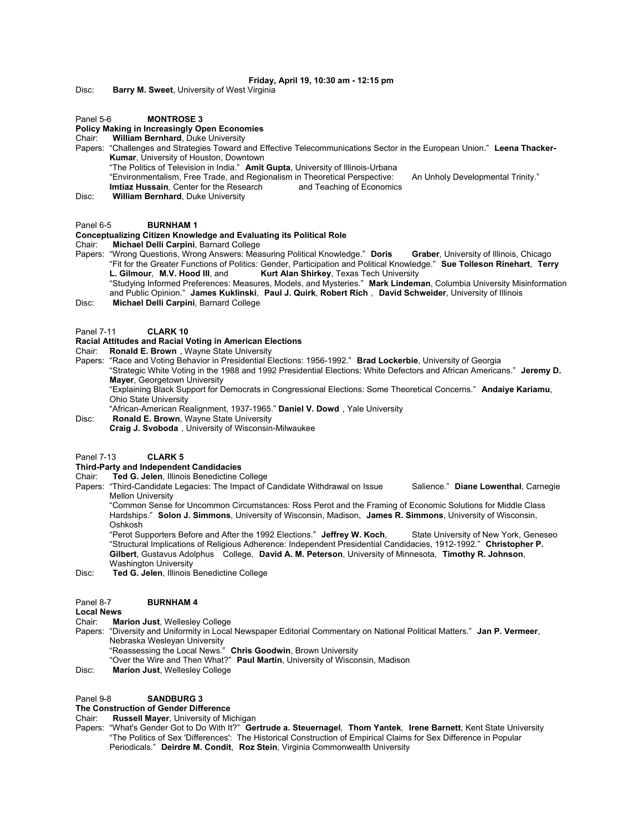#### **Friday, April 19, 10:30 am - 12:15 pm**

Disc: **Barry M. Sweet**, University of West Virginia

#### Panel 5-6 **MONTROSE 3**

## **Policy Making in Increasingly Open Economies**

#### Chair: **William Bernhard**, Duke University

Papers: "Challenges and Strategies Toward and Effective Telecommunications Sector in the European Union." **Leena Thacker-Kumar**, University of Houston, Downtown

"The Politics of Television in India." **Amit Gupta**, University of Illinois-Urbana

"Environmentalism, Free Trade, and Regionalism in Theoretical Perspective: An Unholy Developmental Trinity."<br>Imtiaz Hussain, Center for the Research and Teaching of Economics **Imtiaz Hussain, Center for the Research** 

Disc: **William Bernhard**, Duke University

#### Panel 6-5 **BURNHAM 1**

# **Conceptualizing Citizen Knowledge and Evaluating its Political Role**

**Michael Delli Carpini**, Barnard College

Papers: "Wrong Questions, Wrong Answers: Measuring Political Knowledge." **Doris Graber**, University of Illinois, Chicago "Fit for the Greater Functions of Politics: Gender, Participation and Political Knowledge." **Sue Tolleson Rinehart**, **Terry L. Gilmour**, **M.V. Hood III**, and **Kurt Alan Shirkey**, Texas Tech University "Studying Informed Preferences: Measures, Models, and Mysteries." **Mark Lindeman**, Columbia University Misinformation

and Public Opinion." **James Kuklinski**, **Paul J. Quirk**, **Robert Rich** , **David Schweider**, University of Illinois Disc: **Michael Delli Carpini**, Barnard College

Panel 7-11 **CLARK 10**

## **Racial Attitudes and Racial Voting in American Elections**

Chair: **Ronald E. Brown** , Wayne State University

Papers: "Race and Voting Behavior in Presidential Elections: 1956-1992." **Brad Lockerbie**, University of Georgia "Strategic White Voting in the 1988 and 1992 Presidential Elections: White Defectors and African Americans." **Jeremy D. Mayer**, Georgetown University "Explaining Black Support for Democrats in Congressional Elections: Some Theoretical Concerns." **Andaiye Kariamu**,

Ohio State University

- "African-American Realignment, 1937-1965." **Daniel V. Dowd** , Yale University
- Disc: **Ronald E. Brown**, Wayne State University
- **Craig J. Svoboda** , University of Wisconsin-Milwaukee

#### Panel 7-13 **CLARK 5**

## **Third-Party and Independent Candidacies**

Chair: **Ted G. Jelen**, Illinois Benedictine College

Papers: "Third-Candidate Legacies: The Impact of Candidate Withdrawal on Issue Salience." Diane Lowenthal, Carnegie Mellon University

"Common Sense for Uncommon Circumstances: Ross Perot and the Framing of Economic Solutions for Middle Class Hardships." **Solon J. Simmons**, University of Wisconsin, Madison, **James R. Simmons**, University of Wisconsin, Oshkosh

"Perot Supporters Before and After the 1992 Elections." Jeffrey W. Koch, State University of New York, Geneseo "Structural Implications of Religious Adherence: Independent Presidential Candidacies, 1912-1992." **Christopher P. Gilbert**, Gustavus Adolphus College, **David A. M. Peterson**, University of Minnesota, **Timothy R. Johnson**, Washington University

Disc: **Ted G. Jelen**, Illinois Benedictine College

#### Panel 8-7 **BURNHAM 4**

#### **Local News**

- Chair: **Marion Just**, Wellesley College
- Papers: "Diversity and Uniformity in Local Newspaper Editorial Commentary on National Political Matters." **Jan P. Vermeer**, Nebraska Wesleyan University
	- "Reassessing the Local News." **Chris Goodwin**, Brown University
	- "Over the Wire and Then What?" **Paul Martin**, University of Wisconsin, Madison
- Disc: **Marion Just**, Wellesley College

#### Panel 9-8 **SANDBURG 3**

## **The Construction of Gender Difference**

Chair: **Russell Mayer**, University of Michigan

Papers: "What's Gender Got to Do With It?" **Gertrude a. Steuernagel**, **Thom Yantek**, **Irene Barnett**, Kent State University "The Politics of Sex 'Differences': The Historical Construction of Empirical Claims for Sex Difference in Popular Periodicals." **Deirdre M. Condit**, **Roz Stein**, Virginia Commonwealth University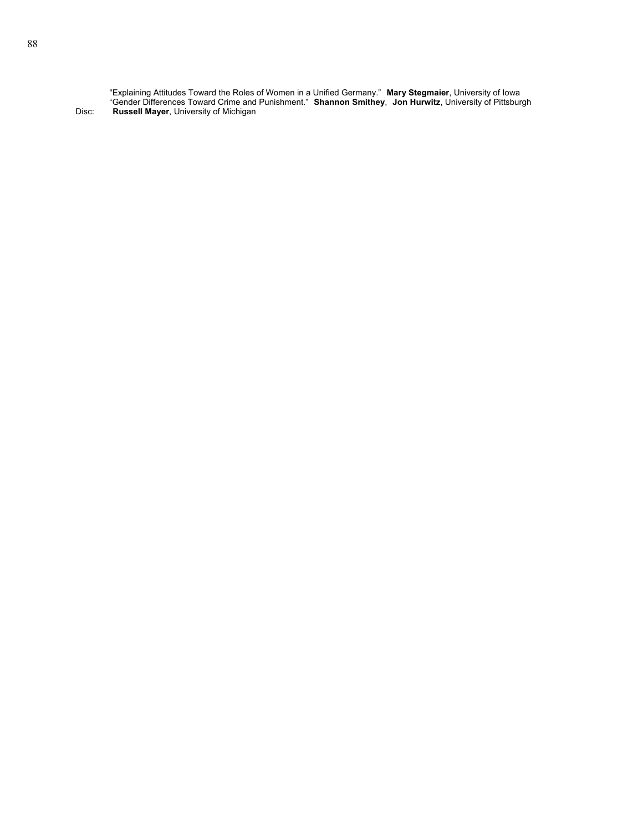"Explaining Attitudes Toward the Roles of Women in a Unified Germany." **Mary Stegmaier**, University of Iowa "Gender Differences Toward Crime and Punishment." **Shannon Smithey**, **Jon Hurwitz**, University of Pittsburgh Disc: **Russell Mayer**, University of Michigan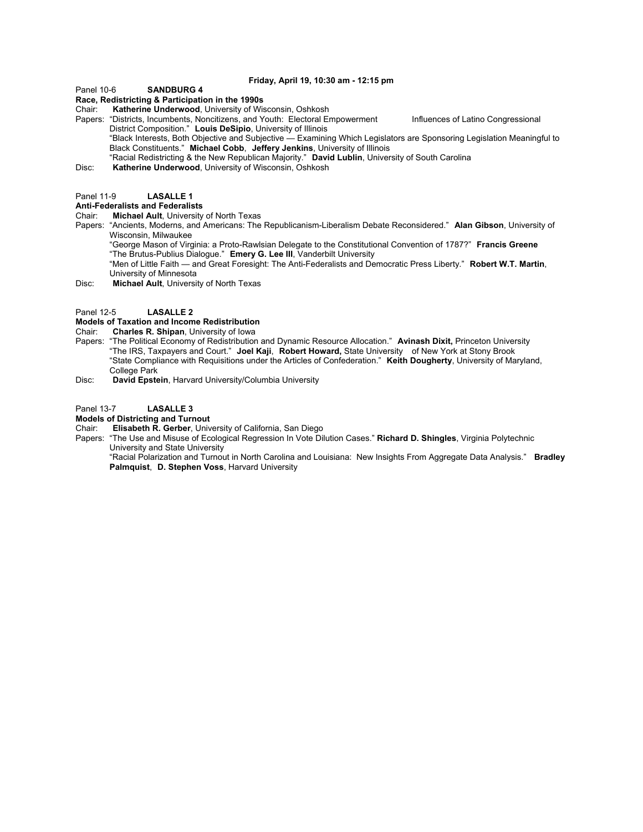#### **Friday, April 19, 10:30 am - 12:15 pm**

Panel 10-6 **SANDBURG 4** 

#### **Race, Redistricting & Participation in the 1990s**

Chair: **Katherine Underwood**, University of Wisconsin, Oshkosh

Papers: "Districts, Incumbents, Noncitizens, and Youth: Electoral Empowerment Influences of Latino Congressional District Composition." **Louis DeSipio**, University of Illinois "Black Interests, Both Objective and Subjective — Examining Which Legislators are Sponsoring Legislation Meaningful to

- Black Constituents." **Michael Cobb**, **Jeffery Jenkins**, University of Illinois "Racial Redistricting & the New Republican Majority." **David Lublin**, University of South Carolina
- Disc: **Katherine Underwood**, University of Wisconsin, Oshkosh

## Panel 11-9 **LASALLE 1**

### **Anti-Federalists and Federalists**

- Chair: **Michael Ault**, University of North Texas
- Papers: "Ancients, Moderns, and Americans: The Republicanism-Liberalism Debate Reconsidered." **Alan Gibson**, University of Wisconsin, Milwaukee

"George Mason of Virginia: a Proto-Rawlsian Delegate to the Constitutional Convention of 1787?" **Francis Greene** "The Brutus-Publius Dialogue." **Emery G. Lee III**, Vanderbilt University

"Men of Little Faith — and Great Foresight: The Anti-Federalists and Democratic Press Liberty." **Robert W.T. Martin**, University of Minnesota

Disc: **Michael Ault**, University of North Texas

Panel 12-5 **LASALLE 2**

#### **Models of Taxation and Income Redistribution**

Chair: **Charles R. Shipan**, University of Iowa

- Papers: "The Political Economy of Redistribution and Dynamic Resource Allocation." **Avinash Dixit,** Princeton University "The IRS, Taxpayers and Court." **Joel Kaji**, **Robert Howard,** State University of New York at Stony Brook "State Compliance with Requisitions under the Articles of Confederation." **Keith Dougherty**, University of Maryland, College Park
- Disc: **David Epstein**, Harvard University/Columbia University

Panel 13-7 **LASALLE 3**

# **Models of Districting and Turnout**

- **Elisabeth R. Gerber, University of California, San Diego**
- Papers: "The Use and Misuse of Ecological Regression In Vote Dilution Cases." **Richard D. Shingles**, Virginia Polytechnic University and State University

 "Racial Polarization and Turnout in North Carolina and Louisiana: New Insights From Aggregate Data Analysis." **Bradley Palmquist**, **D. Stephen Voss**, Harvard University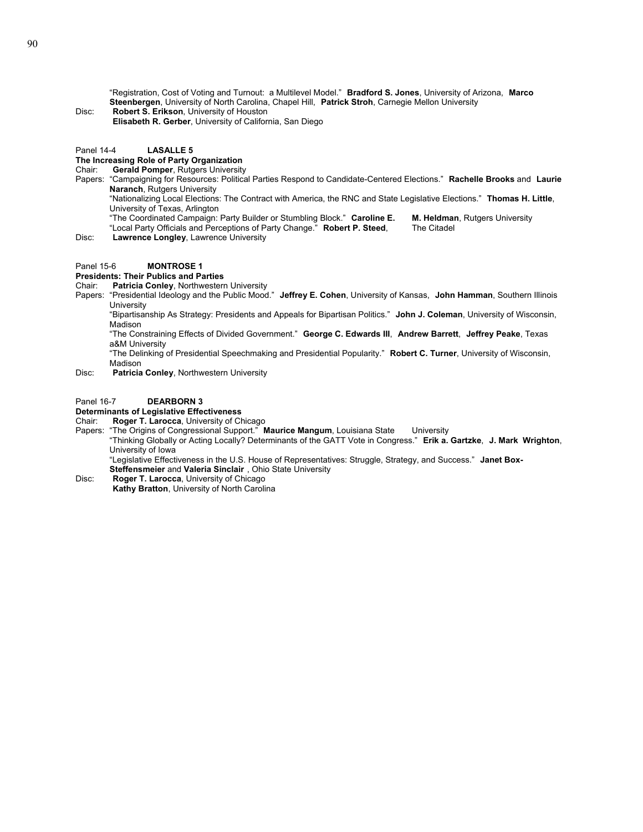"Registration, Cost of Voting and Turnout: a Multilevel Model." **Bradford S. Jones**, University of Arizona, **Marco Steenbergen**, University of North Carolina, Chapel Hill, **Patrick Stroh**, Carnegie Mellon University

Disc: **Robert S. Erikson**, University of Houston **Elisabeth R. Gerber**, University of California, San Diego

## Panel 14-4 **LASALLE 5**

**The Increasing Role of Party Organization Gerald Pomper, Rutgers University** 

- 
- Papers: "Campaigning for Resources: Political Parties Respond to Candidate-Centered Elections." **Rachelle Brooks** and **Laurie Naranch**, Rutgers University
	- "Nationalizing Local Elections: The Contract with America, the RNC and State Legislative Elections." **Thomas H. Little**, University of Texas, Arlington
	- "The Coordinated Campaign: Party Builder or Stumbling Block." **Caroline E. M. Heldman**, Rutgers University "Local Party Officials and Perceptions of Party Change." **Robert P. Steed**, The Citadel
		-

Disc: **Lawrence Longley**, Lawrence University

#### Panel 15-6 **MONTROSE 1**

### **Presidents: Their Publics and Parties**

#### Chair: **Patricia Conley**, Northwestern University

Papers: "Presidential Ideology and the Public Mood." **Jeffrey E. Cohen**, University of Kansas, **John Hamman**, Southern Illinois **University** 

"Bipartisanship As Strategy: Presidents and Appeals for Bipartisan Politics." **John J. Coleman**, University of Wisconsin, Madison

"The Constraining Effects of Divided Government." **George C. Edwards III**, **Andrew Barrett**, **Jeffrey Peake**, Texas a&M University

"The Delinking of Presidential Speechmaking and Presidential Popularity." **Robert C. Turner**, University of Wisconsin, Madison

Disc: **Patricia Conley**, Northwestern University

#### Panel 16-7 **DEARBORN 3**

#### **Determinants of Legislative Effectiveness**

- Chair: **Roger T. Larocca**, University of Chicago
- Papers: "The Origins of Congressional Support." **Maurice Mangum**, Louisiana State University

"Thinking Globally or Acting Locally? Determinants of the GATT Vote in Congress." **Erik a. Gartzke**, **J. Mark Wrighton**, University of Iowa

"Legislative Effectiveness in the U.S. House of Representatives: Struggle, Strategy, and Success." **Janet Box-**

- **Steffensmeier** and **Valeria Sinclair** , Ohio State University
- Disc: **Roger T. Larocca**, University of Chicago **Kathy Bratton**, University of North Carolina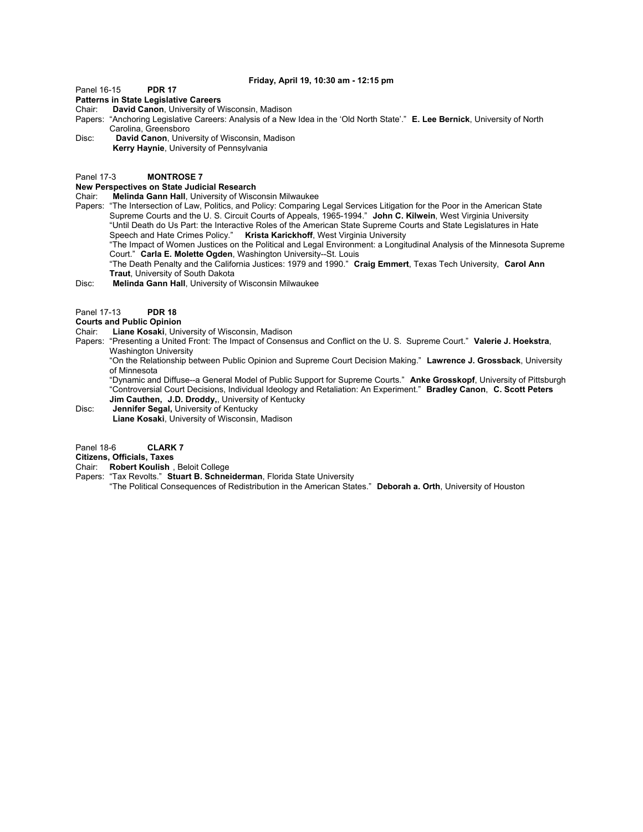### **Friday, April 19, 10:30 am - 12:15 pm**

## Panel 16-15 **PDR 17**

## **Patterns in State Legislative Careers**

- Chair: **David Canon**, University of Wisconsin, Madison
- Papers: "Anchoring Legislative Careers: Analysis of a New Idea in the 'Old North State'." **E. Lee Bernick**, University of North Carolina, Greensboro
- Disc: **David Canon**, University of Wisconsin, Madison **Kerry Haynie**, University of Pennsylvania

#### Panel 17-3 **MONTROSE 7**

#### **New Perspectives on State Judicial Research**

- Chair: **Melinda Gann Hall**, University of Wisconsin Milwaukee
- Papers: "The Intersection of Law, Politics, and Policy: Comparing Legal Services Litigation for the Poor in the American State Supreme Courts and the U. S. Circuit Courts of Appeals, 1965-1994." **John C. Kilwein**, West Virginia University "Until Death do Us Part: the Interactive Roles of the American State Supreme Courts and State Legislatures in Hate Speech and Hate Crimes Policy." **Krista Karickhoff**, West Virginia University

"The Impact of Women Justices on the Political and Legal Environment: a Longitudinal Analysis of the Minnesota Supreme Court." **Carla E. Molette Ogden**, Washington University--St. Louis

"The Death Penalty and the California Justices: 1979 and 1990." **Craig Emmert**, Texas Tech University, **Carol Ann Traut**, University of South Dakota

## Disc: **Melinda Gann Hall**, University of Wisconsin Milwaukee

Panel 17-13 **PDR 18**

#### **Courts and Public Opinion**

- Chair: **Liane Kosaki**, University of Wisconsin, Madison
- Papers: "Presenting a United Front: The Impact of Consensus and Conflict on the U. S. Supreme Court." **Valerie J. Hoekstra**, Washington University

"On the Relationship between Public Opinion and Supreme Court Decision Making." **Lawrence J. Grossback**, University of Minnesota

"Dynamic and Diffuse--a General Model of Public Support for Supreme Courts." **Anke Grosskopf**, University of Pittsburgh "Controversial Court Decisions, Individual Ideology and Retaliation: An Experiment." **Bradley Canon**, **C. Scott Peters Jim Cauthen, J.D. Droddy,**, University of Kentucky

Disc: **Jennifer Segal,** University of Kentucky **Liane Kosaki**, University of Wisconsin, Madison

## Panel 18-6 **CLARK 7**

## **Citizens, Officials, Taxes**

- Chair: **Robert Koulish** , Beloit College
- Papers: "Tax Revolts." **Stuart B. Schneiderman**, Florida State University "The Political Consequences of Redistribution in the American States." **Deborah a. Orth**, University of Houston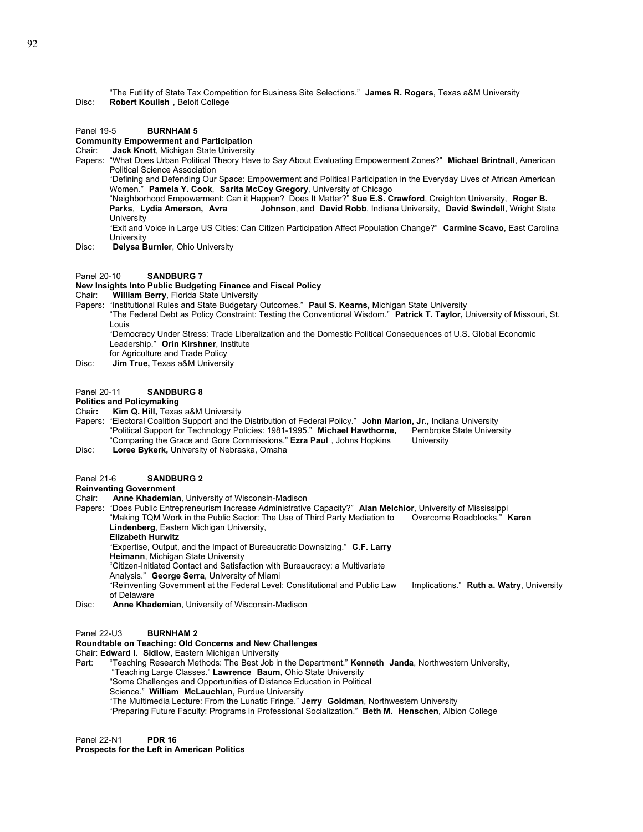"The Futility of State Tax Competition for Business Site Selections." **James R. Rogers**, Texas a&M University Disc: **Robert Koulish** , Beloit College

#### Panel 19-5 **BURNHAM 5**

## **Community Empowerment and Participation**

Chair: **Jack Knott**, Michigan State University

Papers: "What Does Urban Political Theory Have to Say About Evaluating Empowerment Zones?" **Michael Brintnall**, American Political Science Association

"Defining and Defending Our Space: Empowerment and Political Participation in the Everyday Lives of African American Women." **Pamela Y. Cook**, **Sarita McCoy Gregory**, University of Chicago

"Neighborhood Empowerment: Can it Happen? Does It Matter?" **Sue E.S. Crawford**, Creighton University, **Roger B. Parks**, **Lydia Amerson, Avra Johnson**, and **David Robb**, Indiana University, **David Swindell**, Wright State **University** 

"Exit and Voice in Large US Cities: Can Citizen Participation Affect Population Change?" **Carmine Scavo**, East Carolina **University** 

- Disc: **Delysa Burnier**, Ohio University
- Panel 20-10 **SANDBURG 7**

#### **New Insights Into Public Budgeting Finance and Fiscal Policy**

Chair: **William Berry**, Florida State University

- Papers**:** "Institutional Rules and State Budgetary Outcomes." **Paul S. Kearns,** Michigan State University
	- "The Federal Debt as Policy Constraint: Testing the Conventional Wisdom." **Patrick T. Taylor,** University of Missouri, St. Louis

"Democracy Under Stress: Trade Liberalization and the Domestic Political Consequences of U.S. Global Economic Leadership." **Orin Kirshner**, Institute

- for Agriculture and Trade Policy
- Disc: **Jim True,** Texas a&M University
- Panel 20-11 **SANDBURG 8**

#### **Politics and Policymaking**

Chair**: Kim Q. Hill,** Texas a&M University

Papers**:** "Electoral Coalition Support and the Distribution of Federal Policy." **John Marion, Jr.,** Indiana University "Political Support for Technology Policies: 1981-1995." Michael Hawthorne, "Comparing the Grace and Gore Commissions." **Ezra Paul** , Johns Hopkins University Disc: **Loree Bykerk,** University of Nebraska, Omaha

#### Panel 21-6 **SANDBURG 2**

#### **Reinventing Government**

Chair: **Anne Khademian**, University of Wisconsin-Madison

Papers: "Does Public Entrepreneurism Increase Administrative Capacity?" **Alan Melchior**, University of Mississippi "Making TQM Work in the Public Sector: The Use of Third Party Mediation to Overcome Roadblocks." **Karen Lindenberg**, Eastern Michigan University,

**Elizabeth Hurwitz**

"Expertise, Output, and the Impact of Bureaucratic Downsizing." **C.F. Larry** 

**Heimann**, Michigan State University

"Citizen-Initiated Contact and Satisfaction with Bureaucracy: a Multivariate

Analysis." **George Serra**, University of Miami

"Reinventing Government at the Federal Level: Constitutional and Public Law Implications." **Ruth a. Watry**, University of Delaware

Disc: **Anne Khademian**, University of Wisconsin-Madison

#### Panel 22-U3 **BURNHAM 2**

#### **Roundtable on Teaching: Old Concerns and New Challenges**

Chair: **Edward I. Sidlow,** Eastern Michigan University

- Part: "Teaching Research Methods: The Best Job in the Department." **Kenneth Janda**, Northwestern University,
	- "Teaching Large Classes." **Lawrence Baum**, Ohio State University
	- "Some Challenges and Opportunities of Distance Education in Political
	- Science." **William McLauchlan**, Purdue University
	- "The Multimedia Lecture: From the Lunatic Fringe." **Jerry Goldman**, Northwestern University

"Preparing Future Faculty: Programs in Professional Socialization." **Beth M. Henschen**, Albion College

Panel 22-N1 **PDR 16**

#### **Prospects for the Left in American Politics**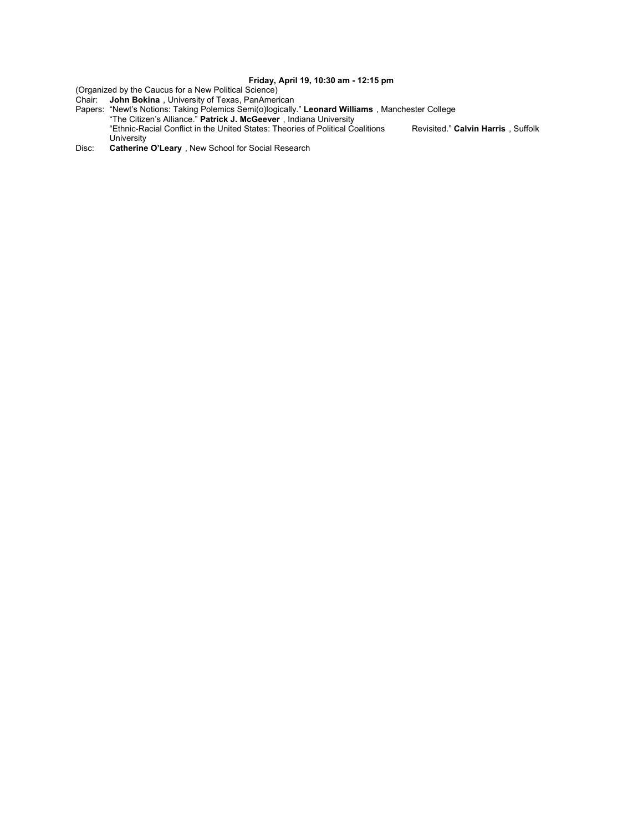## **Friday, April 19, 10:30 am - 12:15 pm**

(Organized by the Caucus for a New Political Science)

Chair: **John Bokina** , University of Texas, PanAmerican

Papers: "Newt's Notions: Taking Polemics Semi(o)logically." **Leonard Williams** , Manchester College

 "The Citizen's Alliance." **Patrick J. McGeever** , Indiana University "Ethnic-Racial Conflict in the United States: Theories of Political Coalitions Revisited." **Calvin Harris** , Suffolk

University Disc: **Catherine O'Leary** , New School for Social Research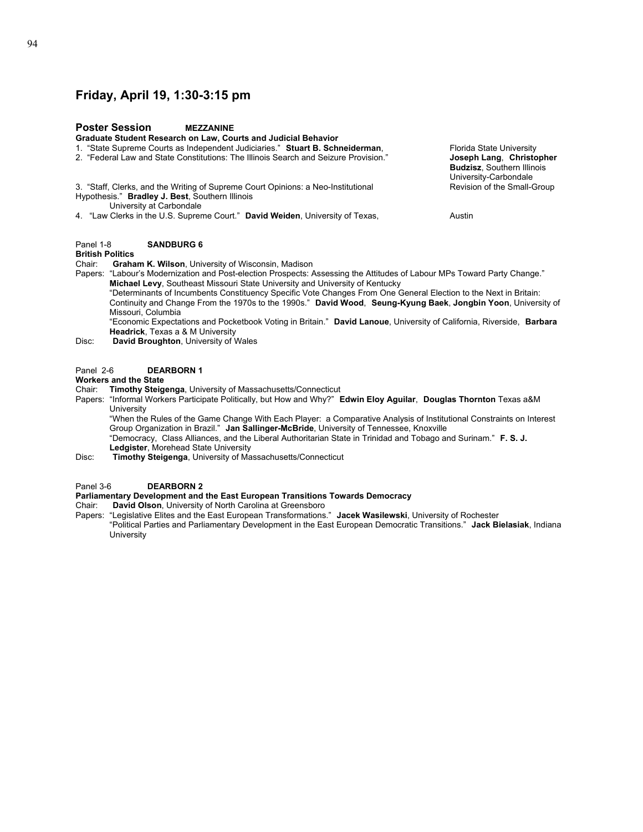## **Friday, April 19, 1:30-3:15 pm**

## **Poster Session MEZZANINE Graduate Student Research on Law, Courts and Judicial Behavior** 1. "State Supreme Courts as Independent Judiciaries." Stuart B. Schneiderman, Florida State University 2. "Federal Law and State Constitutions: The Illinois Search and Seizure Provision." **Joseph Lang**, **Christopher**  3. "Staff, Clerks, and the Writing of Supreme Court Opinions: a Neo-Institutional Hypothesis." **Bradley J. Best**, Southern Illinois University at Carbondale 4. "Law Clerks in the U.S. Supreme Court." **David Weiden**, University of Texas, Austin Panel 1-8 **SANDBURG 6 British Politics** Chair: **Graham K. Wilson**, University of Wisconsin, Madison Papers: "Labour's Modernization and Post-election Prospects: Assessing the Attitudes of Labour MPs Toward Party Change." **Michael Levy**, Southeast Missouri State University and University of Kentucky

"Determinants of Incumbents Constituency Specific Vote Changes From One General Election to the Next in Britain: Continuity and Change From the 1970s to the 1990s." **David Wood**, **Seung-Kyung Baek**, **Jongbin Yoon**, University of Missouri, Columbia

"Economic Expectations and Pocketbook Voting in Britain." **David Lanoue**, University of California, Riverside, **Barbara Headrick**, Texas a & M University

Disc: **David Broughton**, University of Wales

### Panel 2-6 **DEARBORN 1**

## **Workers and the State**

- Chair: **Timothy Steigenga**, University of Massachusetts/Connecticut
- Papers: "Informal Workers Participate Politically, but How and Why?" **Edwin Eloy Aguilar**, **Douglas Thornton** Texas a&M **University**

"When the Rules of the Game Change With Each Player: a Comparative Analysis of Institutional Constraints on Interest Group Organization in Brazil." **Jan Sallinger-McBride**, University of Tennessee, Knoxville

"Democracy, Class Alliances, and the Liberal Authoritarian State in Trinidad and Tobago and Surinam." **F. S. J. Ledgister**, Morehead State University

Disc: **Timothy Steigenga**, University of Massachusetts/Connecticut

#### Panel 3-6 **DEARBORN 2**

## **Parliamentary Development and the East European Transitions Towards Democracy**

Chair: **David Olson**, University of North Carolina at Greensboro

Papers: "Legislative Elites and the East European Transformations." **Jacek Wasilewski**, University of Rochester "Political Parties and Parliamentary Development in the East European Democratic Transitions." **Jack Bielasiak**, Indiana **University** 

**Budzisz**, Southern Illinois University-Carbondale<br>Revision of the Small-Group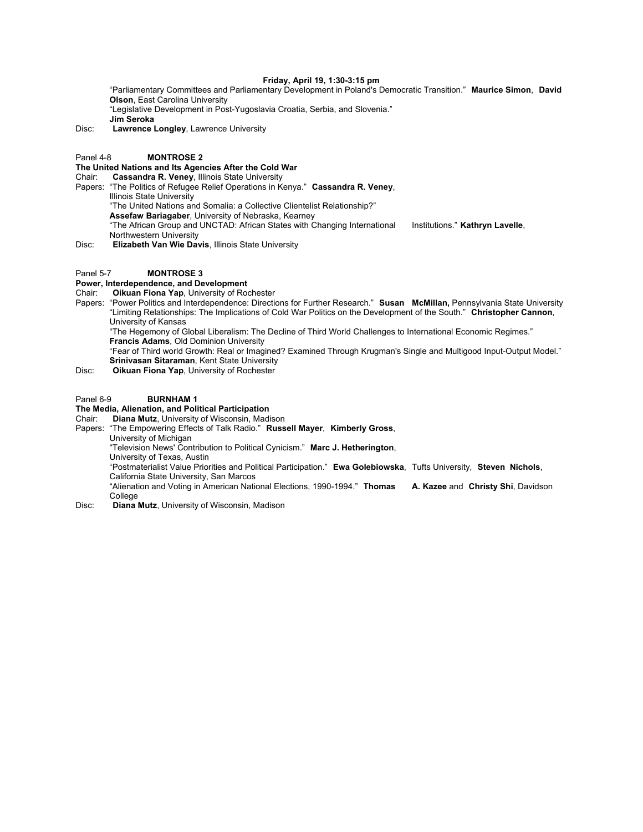#### **Friday, April 19, 1:30-3:15 pm**

"Parliamentary Committees and Parliamentary Development in Poland's Democratic Transition." **Maurice Simon**, **David Olson**, East Carolina University "Legislative Development in Post-Yugoslavia Croatia, Serbia, and Slovenia." **Jim Seroka**

Disc: **Lawrence Longley**, Lawrence University

Panel 4-8 **MONTROSE 2**

## **The United Nations and Its Agencies After the Cold War**

Chair: **Cassandra R. Veney**, Illinois State University

- Papers: "The Politics of Refugee Relief Operations in Kenya." **Cassandra R. Veney**, Illinois State University "The United Nations and Somalia: a Collective Clientelist Relationship?"
	- **Assefaw Bariagaber**, University of Nebraska, Kearney

"The African Group and UNCTAD: African States with Changing International Institutions." **Kathryn Lavelle**, Northwestern University

Disc: **Elizabeth Van Wie Davis**, Illinois State University

#### Panel 5-7 **MONTROSE 3**

## **Power, Interdependence, and Development**

- Chair: **Oikuan Fiona Yap**, University of Rochester
- Papers: "Power Politics and Interdependence: Directions for Further Research." **Susan McMillan,** Pennsylvania State University "Limiting Relationships: The Implications of Cold War Politics on the Development of the South." **Christopher Cannon**, University of Kansas "The Hegemony of Global Liberalism: The Decline of Third World Challenges to International Economic Regimes."
	- **Francis Adams**, Old Dominion University

"Fear of Third world Growth: Real or Imagined? Examined Through Krugman's Single and Multigood Input-Output Model." **Srinivasan Sitaraman**, Kent State University

Disc: **Oikuan Fiona Yap**, University of Rochester

#### Panel 6-9 **BURNHAM 1**

## **The Media, Alienation, and Political Participation**

Chair: **Diana Mutz**, University of Wisconsin, Madison

- Papers: "The Empowering Effects of Talk Radio." **Russell Mayer**, **Kimberly Gross**, University of Michigan
	- "Television News' Contribution to Political Cynicism." **Marc J. Hetherington**, University of Texas, Austin
	- "Postmaterialist Value Priorities and Political Participation." **Ewa Golebiowska**, Tufts University, **Steven Nichols**,
	- California State University, San Marcos

"Alienation and Voting in American National Elections, 1990-1994." **Thomas A. Kazee** and **Christy Shi**, Davidson College

Disc: **Diana Mutz**, University of Wisconsin, Madison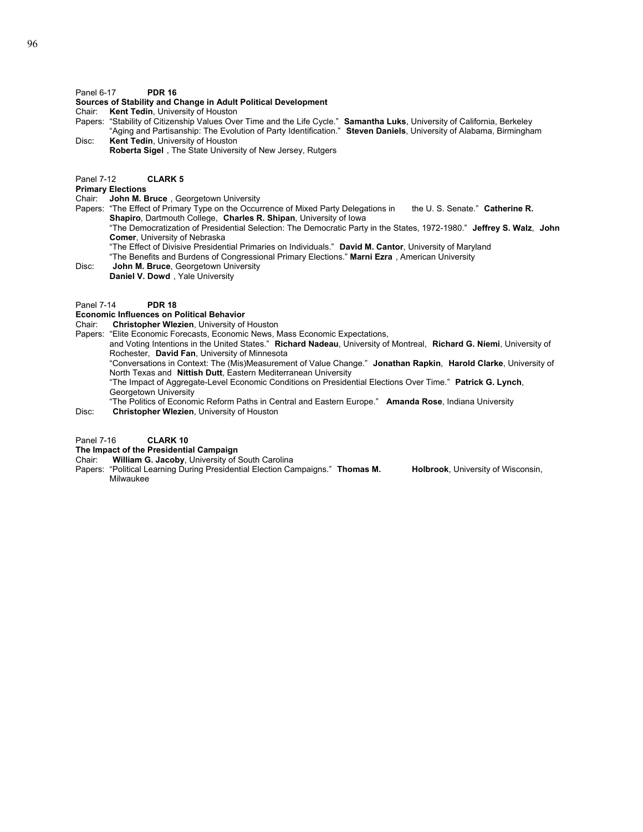### Panel 6-17 **PDR 16**

#### **Sources of Stability and Change in Adult Political Development**

- Chair: **Kent Tedin**, University of Houston
- Papers: "Stability of Citizenship Values Over Time and the Life Cycle." **Samantha Luks**, University of California, Berkeley "Aging and Partisanship: The Evolution of Party Identification." **Steven Daniels**, University of Alabama, Birmingham Disc: **Kent Tedin**, University of Houston
- **Roberta Sigel** , The State University of New Jersey, Rutgers
- Panel 7-12 **CLARK 5**

## **Primary Elections**

- Chair: **John M. Bruce** , Georgetown University
- Papers: "The Effect of Primary Type on the Occurrence of Mixed Party Delegations in the U. S. Senate." **Catherine R. Shapiro**, Dartmouth College, **Charles R. Shipan**, University of Iowa
	- "The Democratization of Presidential Selection: The Democratic Party in the States, 1972-1980." **Jeffrey S. Walz**, **John Comer**, University of Nebraska
	- "The Effect of Divisive Presidential Primaries on Individuals." **David M. Cantor**, University of Maryland
	- "The Benefits and Burdens of Congressional Primary Elections." **Marni Ezra** , American University
- Disc: **John M. Bruce**, Georgetown University
- **Daniel V. Dowd** , Yale University

### Panel 7-14 **PDR 18**

## **Economic Influences on Political Behavior**

- Chair: **Christopher Wlezien**, University of Houston
- Papers: "Elite Economic Forecasts, Economic News, Mass Economic Expectations,
	- and Voting Intentions in the United States." **Richard Nadeau**, University of Montreal, **Richard G. Niemi**, University of Rochester, **David Fan**, University of Minnesota
		- "Conversations in Context: The (Mis)Measurement of Value Change." **Jonathan Rapkin**, **Harold Clarke**, University of North Texas and **Nittish Dutt**, Eastern Mediterranean University
		- "The Impact of Aggregate-Level Economic Conditions on Presidential Elections Over Time." **Patrick G. Lynch**, Georgetown University
- "The Politics of Economic Reform Paths in Central and Eastern Europe." **Amanda Rose**, Indiana University Disc: **Christopher Wlezien**, University of Houston

## Panel 7-16 **CLARK 10**

## **The Impact of the Presidential Campaign**

- Chair: **William G. Jacoby**, University of South Carolina
- Papers: "Political Learning During Presidential Election Campaigns." **Thomas M. Holbrook**, University of Wisconsin, Milwaukee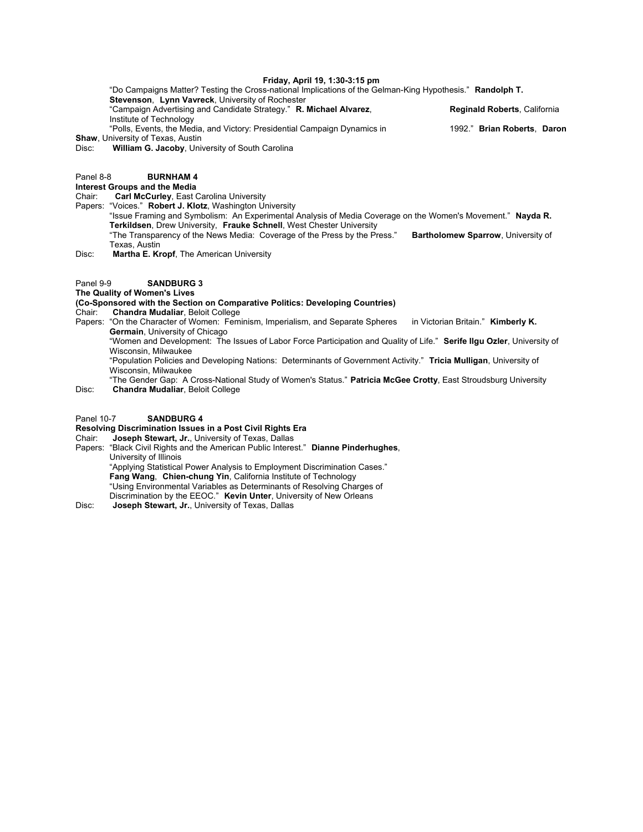### **Friday, April 19, 1:30-3:15 pm**

"Do Campaigns Matter? Testing the Cross-national Implications of the Gelman-King Hypothesis." **Randolph T.** 

**Stevenson**, **Lynn Vavreck**, University of Rochester "Campaign Advertising and Candidate Strategy." **R. Michael Alvarez**, **Reginald Roberts**, California Institute of Technology "Polls, Events, the Media, and Victory: Presidential Campaign Dynamics in 1992." **Brian Roberts**, **Daron** 

**Shaw**, University of Texas, Austin

#### Disc: **William G. Jacoby**, University of South Carolina

## Panel 8-8 **BURNHAM 4**

## **Interest Groups and the Media**

Chair: **Carl McCurley**, East Carolina University

Papers: "Voices." **Robert J. Klotz**, Washington University

"Issue Framing and Symbolism: An Experimental Analysis of Media Coverage on the Women's Movement." **Nayda R. Terkildsen**, Drew University, **Frauke Schnell**, West Chester University

"The Transparency of the News Media: Coverage of the Press by the Press." **Bartholomew Sparrow**, University of Texas, Austin

Disc: **Martha E. Kropf**, The American University

## Panel 9-9 **SANDBURG 3**

## **The Quality of Women's Lives**

**(Co-Sponsored with the Section on Comparative Politics: Developing Countries)** 

- Chair: **Chandra Mudaliar**, Beloit College
- Papers: "On the Character of Women: Feminism, Imperialism, and Separate Spheres in Victorian Britain." **Kimberly K. Germain**, University of Chicago

"Women and Development: The Issues of Labor Force Participation and Quality of Life." **Serife Ilgu Ozler**, University of Wisconsin, Milwaukee

"Population Policies and Developing Nations: Determinants of Government Activity." **Tricia Mulligan**, University of Wisconsin, Milwaukee

"The Gender Gap: A Cross-National Study of Women's Status." **Patricia McGee Crotty**, East Stroudsburg University Disc: **Chandra Mudaliar**, Beloit College

#### Panel 10-7 **SANDBURG 4**

## **Resolving Discrimination Issues in a Post Civil Rights Era**

Chair: **Joseph Stewart, Jr.**, University of Texas, Dallas

Papers: "Black Civil Rights and the American Public Interest." **Dianne Pinderhughes**, University of Illinois "Applying Statistical Power Analysis to Employment Discrimination Cases." **Fang Wang**, **Chien-chung Yin**, California Institute of Technology "Using Environmental Variables as Determinants of Resolving Charges of Discrimination by the EEOC." **Kevin Unter**, University of New Orleans Disc: **Joseph Stewart, Jr.**, University of Texas, Dallas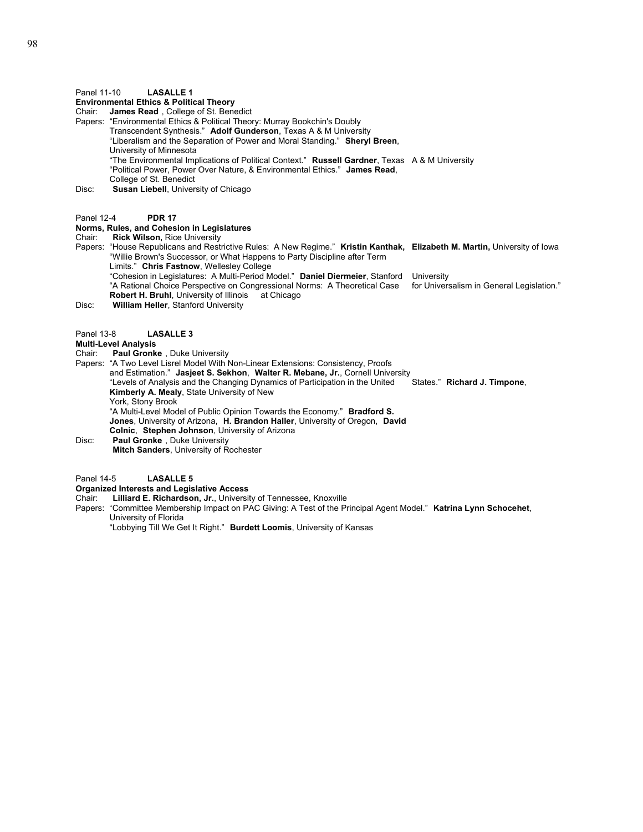**Environmental Ethics & Political Theory**

Chair: **James Read** , College of St. Benedict

- Papers: "Environmental Ethics & Political Theory: Murray Bookchin's Doubly
	- Transcendent Synthesis." **Adolf Gunderson**, Texas A & M University
		- "Liberalism and the Separation of Power and Moral Standing." **Sheryl Breen**,
		- University of Minnesota
		- "The Environmental Implications of Political Context." **Russell Gardner**, Texas A & M University
		- "Political Power, Power Over Nature, & Environmental Ethics." **James Read**,
		- College of St. Benedict
- Disc: **Susan Liebell**, University of Chicago
- Panel 12-4 **PDR 17**

#### **Norms, Rules, and Cohesion in Legislatures**

- Chair: **Rick Wilson,** Rice University
- Papers: "House Republicans and Restrictive Rules: A New Regime." **Kristin Kanthak, Elizabeth M. Martin,** University of Iowa "Willie Brown's Successor, or What Happens to Party Discipline after Term
	- Limits." **Chris Fastnow**, Wellesley College
		- "Cohesion in Legislatures: A Multi-Period Model." **Daniel Diermeier**, Stanford University
		- "A Rational Choice Perspective on Congressional Norms: A Theoretical Case for Universalism in General Legislation."
	- **Robert H. Bruhl**, University of Illinois at Chicago
- Disc: **William Heller**, Stanford University

#### Panel 13-8 **LASALLE 3**

- **Multi-Level Analysis**
- Paul Gronke, Duke University
- Papers: "A Two Level Lisrel Model With Non-Linear Extensions: Consistency, Proofs and Estimation." **Jasjeet S. Sekhon**, **Walter R. Mebane, Jr.**, Cornell University "Levels of Analysis and the Changing Dynamics of Participation in the United States." **Richard J. Timpone**, **Kimberly A. Mealy**, State University of New York, Stony Brook "A Multi-Level Model of Public Opinion Towards the Economy." **Bradford S.** 
	- **Jones**, University of Arizona, **H. Brandon Haller**, University of Oregon, **David Colnic**, **Stephen Johnson**, University of Arizona
- Disc: **Paul Gronke** , Duke University
- **Mitch Sanders**, University of Rochester
- Panel 14-5 **LASALLE 5**

#### **Organized Interests and Legislative Access**

- Chair: **Lilliard E. Richardson, Jr.**, University of Tennessee, Knoxville
- Papers: "Committee Membership Impact on PAC Giving: A Test of the Principal Agent Model." **Katrina Lynn Schocehet**, University of Florida
	- "Lobbying Till We Get It Right." **Burdett Loomis**, University of Kansas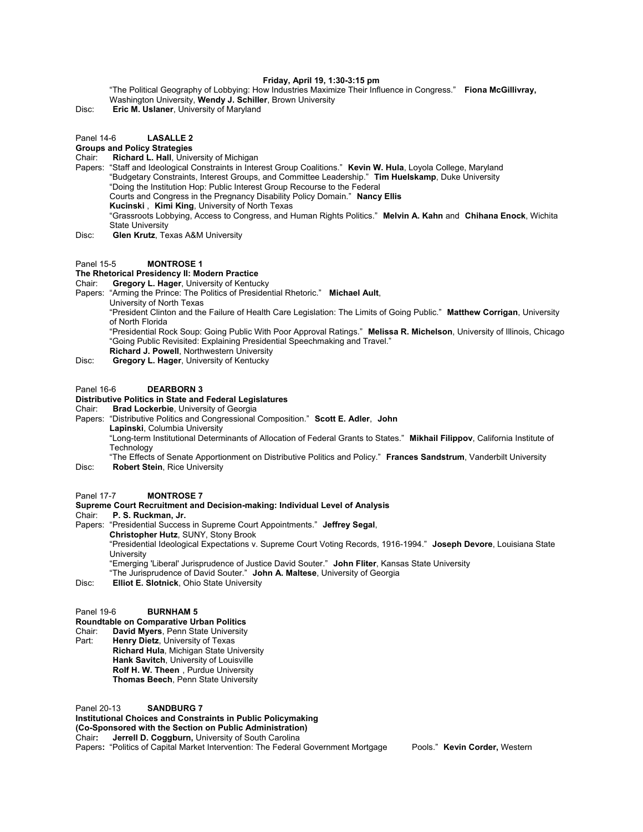### **Friday, April 19, 1:30-3:15 pm**

"The Political Geography of Lobbying: How Industries Maximize Their Influence in Congress." **Fiona McGillivray,** Washington University, **Wendy J. Schiller**, Brown University

Disc: **Eric M. Uslaner**, University of Maryland

Panel 14-6 **LASALLE 2**

## **Groups and Policy Strategies**

Chair: **Richard L. Hall**, University of Michigan

Papers: "Staff and Ideological Constraints in Interest Group Coalitions." **Kevin W. Hula**, Loyola College, Maryland "Budgetary Constraints, Interest Groups, and Committee Leadership." **Tim Huelskamp**, Duke University "Doing the Institution Hop: Public Interest Group Recourse to the Federal Courts and Congress in the Pregnancy Disability Policy Domain." **Nancy Ellis Kucinski** , **Kimi King**, University of North Texas "Grassroots Lobbying, Access to Congress, and Human Rights Politics." **Melvin A. Kahn** and **Chihana Enock**, Wichita State University Disc: **Glen Krutz**, Texas A&M University

#### Panel 15-5 **MONTROSE 1**

# **The Rhetorical Presidency II: Modern Practice**<br>Chair: **Gregory L. Hager** University of Kentuc

- **Gregory L. Hager, University of Kentucky**
- Papers: "Arming the Prince: The Politics of Presidential Rhetoric." **Michael Ault**,
	- University of North Texas "President Clinton and the Failure of Health Care Legislation: The Limits of Going Public." **Matthew Corrigan**, University
		- of North Florida
		- "Presidential Rock Soup: Going Public With Poor Approval Ratings." **Melissa R. Michelson**, University of Illinois, Chicago "Going Public Revisited: Explaining Presidential Speechmaking and Travel."
- **Richard J. Powell**, Northwestern University Disc: **Gregory L. Hager**, University of Kentucky

#### Panel 16-6 **DEARBORN 3**

## **Distributive Politics in State and Federal Legislatures**

Chair: **Brad Lockerbie**, University of Georgia

Papers: "Distributive Politics and Congressional Composition." **Scott E. Adler**, **John Lapinski**, Columbia University

> "Long-term Institutional Determinants of Allocation of Federal Grants to States." **Mikhail Filippov**, California Institute of **Technology**

"The Effects of Senate Apportionment on Distributive Politics and Policy." **Frances Sandstrum**, Vanderbilt University Disc: **Robert Stein**, Rice University

#### Panel 17-7 **MONTROSE 7**

## **Supreme Court Recruitment and Decision-making: Individual Level of Analysis**

Chair: **P. S. Ruckman, Jr.**

Papers: "Presidential Success in Supreme Court Appointments." **Jeffrey Segal**, **Christopher Hutz**, SUNY, Stony Brook "Presidential Ideological Expectations v. Supreme Court Voting Records, 1916-1994." **Joseph Devore**, Louisiana State **University** "Emerging 'Liberal' Jurisprudence of Justice David Souter." **John Fliter**, Kansas State University

"The Jurisprudence of David Souter." **John A. Maltese**, University of Georgia

**Elliot E. Slotnick, Ohio State University** 

### Panel 19-6 **BURNHAM 5**

- **Roundtable on Comparative Urban Politics**
- Chair: **David Myers**, Penn State University
- Part: **Henry Dietz**, University of Texas **Richard Hula**, Michigan State University **Hank Savitch**, University of Louisville **Rolf H. W. Theen** , Purdue University **Thomas Beech**, Penn State University

Panel 20-13 **SANDBURG 7 Institutional Choices and Constraints in Public Policymaking (Co-Sponsored with the Section on Public Administration)**  Chair**: Jerrell D. Coggburn,** University of South Carolina Papers**:** "Politics of Capital Market Intervention: The Federal Government Mortgage Pools." **Kevin Corder,** Western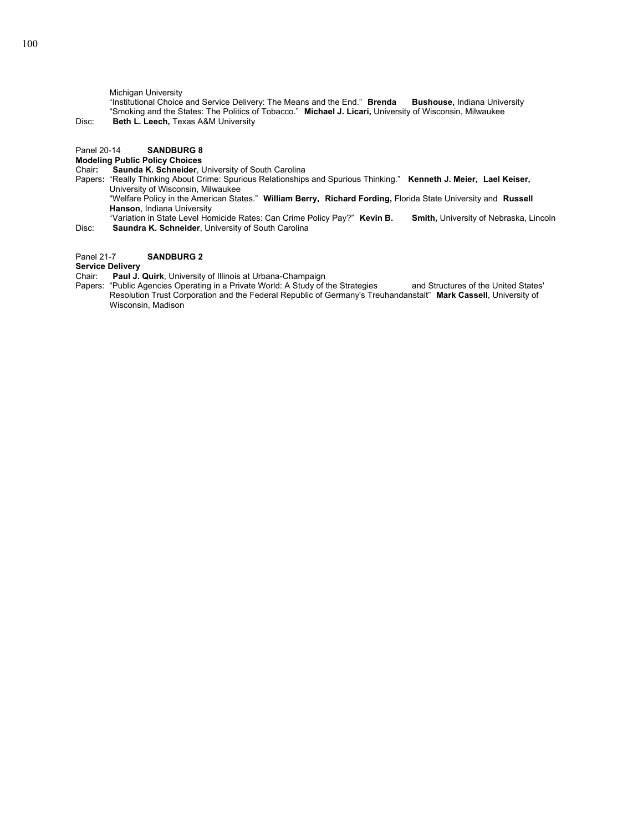Michigan University

"Institutional Choice and Service Delivery: The Means and the End." **Brenda Bushouse,** Indiana University "Smoking and the States: The Politics of Tobacco." **Michael J. Licari,** University of Wisconsin, Milwaukee Disc: **Beth L. Leech,** Texas A&M University

## Panel 20-14 **SANDBURG 8**

# **Modeling Public Policy Choices**

**Saunda K. Schneider, University of South Carolina** 

- Papers**:** "Really Thinking About Crime: Spurious Relationships and Spurious Thinking." **Kenneth J. Meier, Lael Keiser,**  University of Wisconsin, Milwaukee
	- "Welfare Policy in the American States." **William Berry, Richard Fording,** Florida State University and **Russell Hanson**, Indiana University

"Variation in State Level Homicide Rates: Can Crime Policy Pay?" **Kevin B. Smith,** University of Nebraska, Lincoln Disc: **Saundra K. Schneider**, University of South Carolina

## Panel 21-7 **SANDBURG 2**

## **Service Delivery**

Chair: **Paul J. Quirk**, University of Illinois at Urbana-Champaign

Papers: "Public Agencies Operating in a Private World: A Study of the Strategies and Structures of the United States' Resolution Trust Corporation and the Federal Republic of Germany's Treuhandanstalt" **Mark Cassell**, University of Wisconsin, Madison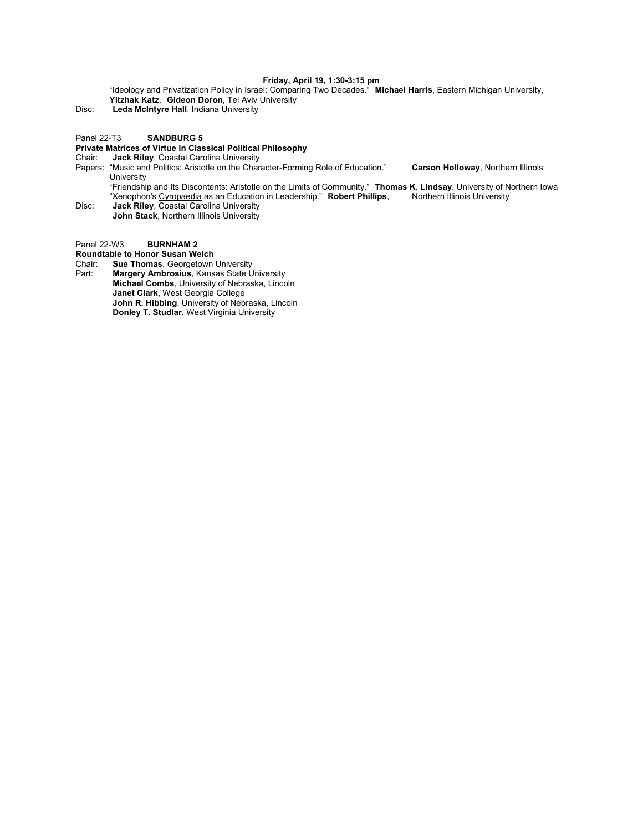#### **Friday, April 19, 1:30-3:15 pm**

"Ideology and Privatization Policy in Israel: Comparing Two Decades." **Michael Harris**, Eastern Michigan University, **Yitzhak Katz**, **Gideon Doron**, Tel Aviv University

Disc: **Leda McIntyre Hall**, Indiana University

#### Panel 22-T3 **SANDBURG 5**

#### **Private Matrices of Virtue in Classical Political Philosophy**

Chair: **Jack Riley**, Coastal Carolina University

Papers: "Music and Politics: Aristotle on the Character-Forming Role of Education." **Carson Holloway**, Northern Illinois University

"Friendship and Its Discontents: Aristotle on the Limits of Community." **Thomas K. Lindsay**, University of Northern Iowa "Xenophon's Cyropaedia as an Education in Leadership." **Robert Phillips**, Northern Illinois University

Disc: **Jack Riley**, Coastal Carolina University **John Stack**, Northern Illinois University

Panel 22-W3 **BURNHAM 2**

**Roundtable to Honor Susan Welch**

Chair: **Sue Thomas**, Georgetown University

Part: **Margery Ambrosius**, Kansas State University **Michael Combs**, University of Nebraska, Lincoln **Janet Clark**, West Georgia College **John R. Hibbing**, University of Nebraska, Lincoln **Donley T. Studlar**, West Virginia University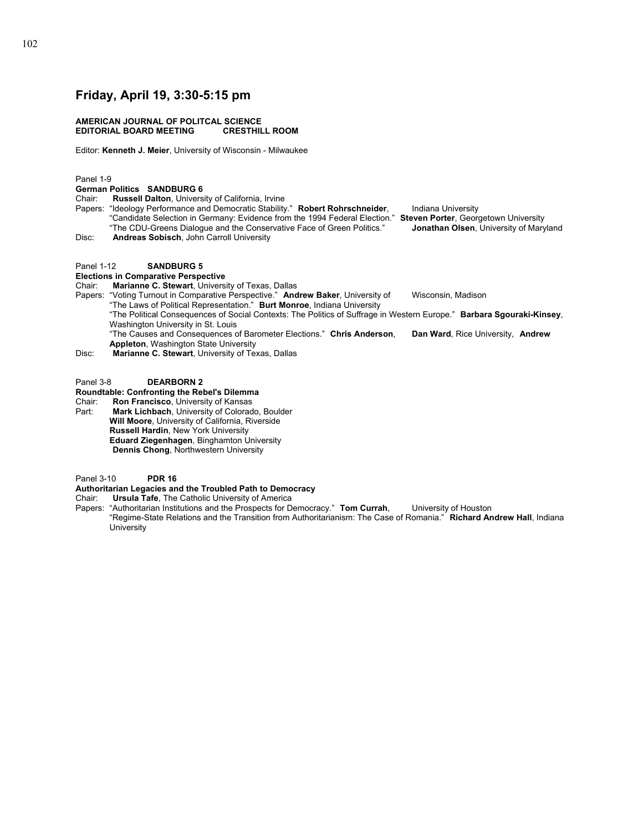## **Friday, April 19, 3:30-5:15 pm**

#### **AMERICAN JOURNAL OF POLITCAL SCIENCE EDITORIAL BOARD MEETING**

Editor: **Kenneth J. Meier**, University of Wisconsin - Milwaukee

#### Panel 1-9

**German Politics SANDBURG 6** 

- Chair: **Russell Dalton**, University of California, Irvine
- Papers: "Ideology Performance and Democratic Stability." **Robert Rohrschneider**, lndiana University "Candidate Selection in Germany: Evidence from the 1994 Federal Election." **Steven Porter**, Georgetown University "The CDU-Greens Dialogue and the Conservative Face of Green Politics." **Jonathan Olsen**, University of Maryland
- Disc: **Andreas Sobisch**, John Carroll University

#### Panel 1-12 **SANDBURG 5**

## **Elections in Comparative Perspective**

Chair: **Marianne C. Stewart**, University of Texas, Dallas

Papers: "Voting Turnout in Comparative Perspective." Andrew Baker, University of Wisconsin, Madison "The Laws of Political Representation." **Burt Monroe**, Indiana University

"The Political Consequences of Social Contexts: The Politics of Suffrage in Western Europe." **Barbara Sgouraki-Kinsey**, Washington University in St. Louis

"The Causes and Consequences of Barometer Elections." **Chris Anderson**, **Dan Ward**, Rice University, **Andrew Appleton**, Washington State University

Disc: **Marianne C. Stewart**, University of Texas, Dallas

Panel 3-8 **DEARBORN 2**

**Roundtable: Confronting the Rebel's Dilemma** 

Chair: **Ron Francisco**, University of Kansas<br>Part: **Mark Lichbach**, University of Colorad Mark Lichbach, University of Colorado, Boulder  **Will Moore**, University of California, Riverside  **Russell Hardin**, New York University  **Eduard Ziegenhagen**, Binghamton University **Dennis Chong**, Northwestern University

Panel 3-10 **PDR 16**

## **Authoritarian Legacies and the Troubled Path to Democracy**

Chair: **Ursula Tafe**, The Catholic University of America

Papers: "Authoritarian Institutions and the Prospects for Democracy." **Tom Currah**, University of Houston "Regime-State Relations and the Transition from Authoritarianism: The Case of Romania." **Richard Andrew Hall**, Indiana **University** 

- 
- 
-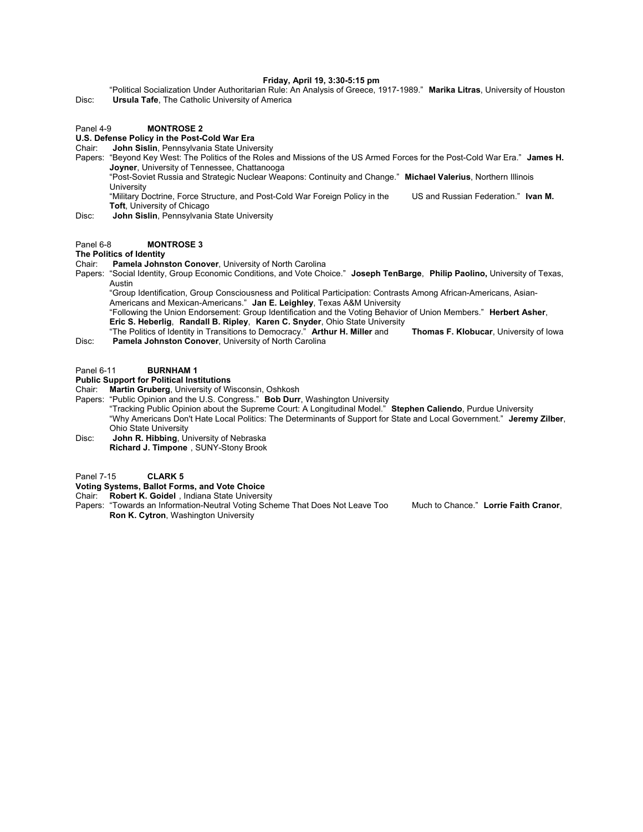#### **Friday, April 19, 3:30-5:15 pm**

"Political Socialization Under Authoritarian Rule: An Analysis of Greece, 1917-1989." **Marika Litras**, University of Houston Disc: **Ursula Tafe**, The Catholic University of America

#### Panel 4-9 **MONTROSE 2**

### **U.S. Defense Policy in the Post-Cold War Era**

Chair: **John Sislin**, Pennsylvania State University

Papers: "Beyond Key West: The Politics of the Roles and Missions of the US Armed Forces for the Post-Cold War Era." **James H. Joyner**, University of Tennessee, Chattanooga

"Post-Soviet Russia and Strategic Nuclear Weapons: Continuity and Change." **Michael Valerius**, Northern Illinois **University** 

"Military Doctrine, Force Structure, and Post-Cold War Foreign Policy in the US and Russian Federation." **Ivan M. Toft**, University of Chicago

Disc: **John Sislin**, Pennsylvania State University

#### Panel 6-8 **MONTROSE 3**

#### **The Politics of Identity**

Chair: **Pamela Johnston Conover**, University of North Carolina

Papers: "Social Identity, Group Economic Conditions, and Vote Choice." **Joseph TenBarge**, **Philip Paolino,** University of Texas, Austin

"Group Identification, Group Consciousness and Political Participation: Contrasts Among African-Americans, Asian-Americans and Mexican-Americans." **Jan E. Leighley**, Texas A&M University

"Following the Union Endorsement: Group Identification and the Voting Behavior of Union Members." **Herbert Asher**, **Eric S. Heberlig**, **Randall B. Ripley**, **Karen C. Snyder**, Ohio State University

"The Politics of Identity in Transitions to Democracy." **Arthur H. Miller** and **Thomas F. Klobucar**, University of Iowa Disc: **Pamela Johnston Conover**, University of North Carolina

#### Panel 6-11 **BURNHAM 1**

#### **Public Support for Political Institutions**

Chair: **Martin Gruberg**, University of Wisconsin, Oshkosh

Papers: "Public Opinion and the U.S. Congress." **Bob Durr**, Washington University

"Tracking Public Opinion about the Supreme Court: A Longitudinal Model." **Stephen Caliendo**, Purdue University "Why Americans Don't Hate Local Politics: The Determinants of Support for State and Local Government." **Jeremy Zilber**, Ohio State University

Disc: **John R. Hibbing**, University of Nebraska **Richard J. Timpone** , SUNY-Stony Brook

Panel 7-15 **CLARK 5**

**Voting Systems, Ballot Forms, and Vote Choice** 

Chair: **Robert K. Goidel** , Indiana State University

Papers: "Towards an Information-Neutral Voting Scheme That Does Not Leave Too Much to Chance." **Lorrie Faith Cranor**, **Ron K. Cytron**, Washington University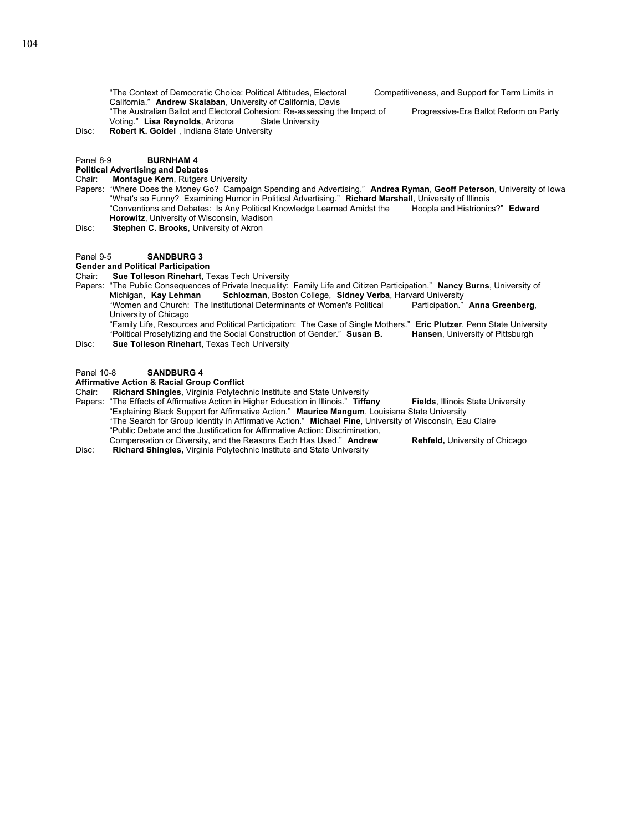"The Context of Democratic Choice: Political Attitudes, Electoral Competitiveness, and Support for Term Limits in California." **Andrew Skalaban**, University of California, Davis

"The Australian Ballot and Electoral Cohesion: Re-assessing the Impact of Progressive-Era Ballot Reform on Party Voting." Lisa Reynolds, Arizona State University

Disc: **Robert K. Goidel** , Indiana State University

## Panel 8-9 **BURNHAM 4**

#### **Political Advertising and Debates**

Chair: **Montague Kern**, Rutgers University

- Papers: "Where Does the Money Go? Campaign Spending and Advertising." **Andrea Ryman**, **Geoff Peterson**, University of Iowa "What's so Funny? Examining Humor in Political Advertising." **Richard Marshall**, University of Illinois "Conventions and Debates: Is Any Political Knowledge Learned Amidst the **Horowitz**, University of Wisconsin, Madison
- Disc: **Stephen C. Brooks**, University of Akron

#### Panel 9-5 **SANDBURG 3**

## **Gender and Political Participation**

Chair: **Sue Tolleson Rinehart**, Texas Tech University

- Papers: "The Public Consequences of Private Inequality: Family Life and Citizen Participation." **Nancy Burns**, University of Michigan, **Kay Lehman Schlozman**, Boston College, **Sidney Verba**, Harvard University
	- "Women and Church: The Institutional Determinants of Women's Political Participation." **Anna Greenberg**, University of Chicago

"Family Life, Resources and Political Participation: The Case of Single Mothers." **Eric Plutzer**, Penn State University "Political Proselytizing and the Social Construction of Gender." **Susan B. Hansen**, University of Pittsburgh Disc: **Sue Tolleson Rinehart**, Texas Tech University

#### Panel 10-8 **SANDBURG 4**

# **Affirmative Action & Racial Group Conflict**

**Richard Shingles**, Virginia Polytechnic Institute and State University

Papers: "The Effects of Affirmative Action in Higher Education in Illinois." **Tiffany Fields**, Illinois State University "Explaining Black Support for Affirmative Action." **Maurice Mangum**, Louisiana State University "The Search for Group Identity in Affirmative Action." **Michael Fine**, University of Wisconsin, Eau Claire "Public Debate and the Justification for Affirmative Action: Discrimination,

Compensation or Diversity, and the Reasons Each Has Used." **Andrew Rehfeld,** University of Chicago Disc: **Richard Shingles,** Virginia Polytechnic Institute and State University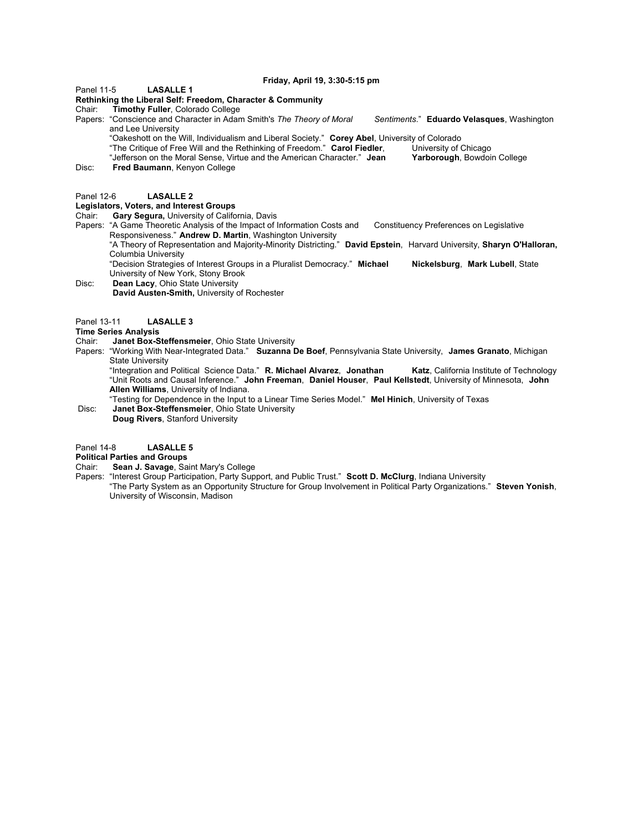**Friday, April 19, 3:30-5:15 pm**

Panel 11-5 **LASALLE 1**

**Rethinking the Liberal Self: Freedom, Character & Community**

Chair: **Timothy Fuller**, Colorado College

Papers: "Conscience and Character in Adam Smith's *The Theory of Moral Sentiments*." **Eduardo Velasques**, Washington and Lee University

"Oakeshott on the Will, Individualism and Liberal Society." **Corey Abel**, University of Colorado

"The Critique of Free Will and the Rethinking of Freedom." **Carol Fiedler**, University of Chicago

"Jefferson on the Moral Sense, Virtue and the American Character." **Jean Yarborough**, Bowdoin College

Disc: **Fred Baumann**, Kenyon College

#### Panel 12-6 **LASALLE 2**

## **Legislators, Voters, and Interest Groups**

- Chair: **Gary Segura,** University of California, Davis
- Papers: "A Game Theoretic Analysis of the Impact of Information Costs and Constituency Preferences on Legislative Responsiveness." **Andrew D. Martin**, Washington University

"A Theory of Representation and Majority-Minority Districting." **David Epstein**, Harvard University, **Sharyn O'Halloran,** Columbia University

"Decision Strategies of Interest Groups in a Pluralist Democracy." **Michael Nickelsburg**, **Mark Lubell**, State University of New York, Stony Brook

Disc: **Dean Lacy**, Ohio State University **David Austen-Smith,** University of Rochester

Panel 13-11 **LASALLE 3**

#### **Time Series Analysis**

Chair: **Janet Box-Steffensmeier**, Ohio State University

Papers: "Working With Near-Integrated Data." **Suzanna De Boef**, Pennsylvania State University, **James Granato**, Michigan State University

 "Integration and Political Science Data." **R. Michael Alvarez**, **Jonathan Katz**, California Institute of Technology "Unit Roots and Causal Inference." **John Freeman**, **Daniel Houser**, **Paul Kellstedt**, University of Minnesota, **John Allen Williams**, University of Indiana.

 "Testing for Dependence in the Input to a Linear Time Series Model." **Mel Hinich**, University of Texas Janet Box-Steffensmeier, Ohio State University **Doug Rivers**, Stanford University

## Panel 14-8 **LASALLE 5**

### **Political Parties and Groups**

Chair: **Sean J. Savage**, Saint Mary's College

Papers: "Interest Group Participation, Party Support, and Public Trust." **Scott D. McClurg**, Indiana University "The Party System as an Opportunity Structure for Group Involvement in Political Party Organizations." **Steven Yonish**, University of Wisconsin, Madison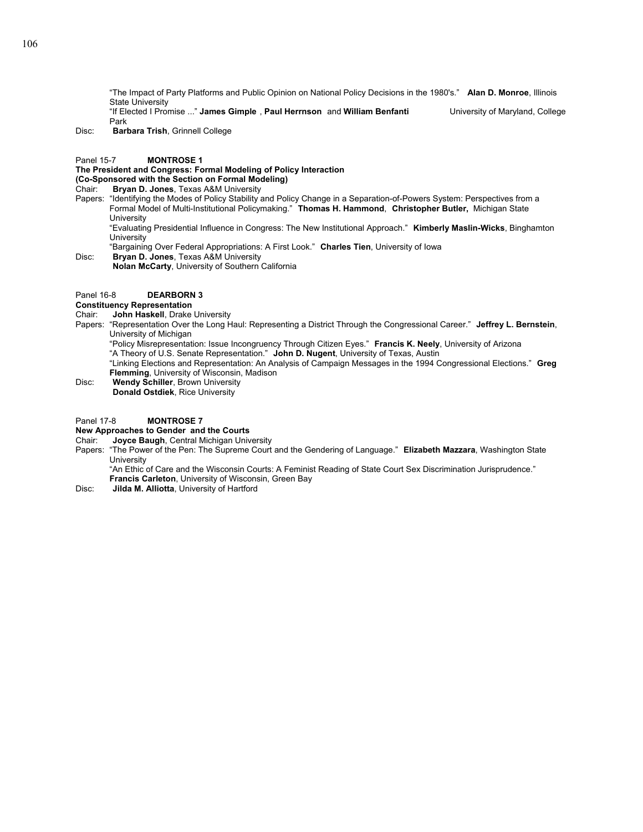"The Impact of Party Platforms and Public Opinion on National Policy Decisions in the 1980's." **Alan D. Monroe**, Illinois State University

"If Elected I Promise ..." **James Gimple** , **Paul Herrnson** and **William Benfanti** University of Maryland, College Park

Disc: **Barbara Trish**, Grinnell College

#### Panel 15-7 **MONTROSE 1**

## **The President and Congress: Formal Modeling of Policy Interaction**

**(Co-Sponsored with the Section on Formal Modeling)** 

Chair: **Bryan D. Jones**, Texas A&M University

Papers: "Identifying the Modes of Policy Stability and Policy Change in a Separation-of-Powers System: Perspectives from a Formal Model of Multi-Institutional Policymaking." **Thomas H. Hammond**, **Christopher Butler,** Michigan State **University** 

"Evaluating Presidential Influence in Congress: The New Institutional Approach." **Kimberly Maslin-Wicks**, Binghamton **University** 

"Bargaining Over Federal Appropriations: A First Look." **Charles Tien**, University of Iowa

Disc: **Bryan D. Jones**, Texas A&M University **Nolan McCarty**, University of Southern California

## Panel 16-8 **DEARBORN 3**

#### **Constituency Representation**

- Chair: **John Haskell**, Drake University
- Papers: "Representation Over the Long Haul: Representing a District Through the Congressional Career." **Jeffrey L. Bernstein**, University of Michigan
	- "Policy Misrepresentation: Issue Incongruency Through Citizen Eyes." **Francis K. Neely**, University of Arizona

"A Theory of U.S. Senate Representation." **John D. Nugent**, University of Texas, Austin

"Linking Elections and Representation: An Analysis of Campaign Messages in the 1994 Congressional Elections." **Greg Flemming**, University of Wisconsin, Madison

Disc: **Wendy Schiller**, Brown University **Donald Ostdiek**, Rice University

## Panel 17-8 **MONTROSE 7**

## **New Approaches to Gender and the Courts**

- Chair: **Joyce Baugh**, Central Michigan University
- "The Power of the Pen: The Supreme Court and the Gendering of Language." **Elizabeth Mazzara**, Washington State **University**

"An Ethic of Care and the Wisconsin Courts: A Feminist Reading of State Court Sex Discrimination Jurisprudence." **Francis Carleton**, University of Wisconsin, Green Bay

Disc: **Jilda M. Alliotta**, University of Hartford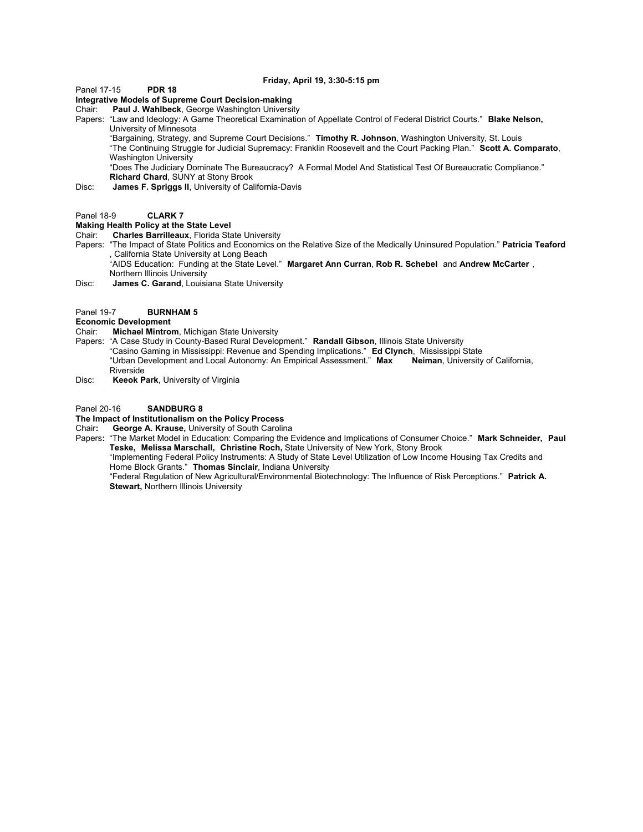**Friday, April 19, 3:30-5:15 pm**

Panel 17-15 **PDR 18**

**Integrative Models of Supreme Court Decision-making** 

Chair: **Paul J. Wahlbeck**, George Washington University

Papers: "Law and Ideology: A Game Theoretical Examination of Appellate Control of Federal District Courts." **Blake Nelson,** University of Minnesota

"Bargaining, Strategy, and Supreme Court Decisions." **Timothy R. Johnson**, Washington University, St. Louis

"The Continuing Struggle for Judicial Supremacy: Franklin Roosevelt and the Court Packing Plan." **Scott A. Comparato**, Washington University

"Does The Judiciary Dominate The Bureaucracy? A Formal Model And Statistical Test Of Bureaucratic Compliance." **Richard Chard**, SUNY at Stony Brook

Disc: **James F. Spriggs II**, University of California-Davis

#### Panel 18-9 **CLARK 7**

## **Making Health Policy at the State Level**

Chair: **Charles Barrilleaux**, Florida State University

Papers: "The Impact of State Politics and Economics on the Relative Size of the Medically Uninsured Population." **Patricia Teaford** , California State University at Long Beach

"AIDS Education: Funding at the State Level." **Margaret Ann Curran**, **Rob R. Schebel** and **Andrew McCarter** , Northern Illinois University

Disc: **James C. Garand**, Louisiana State University

## Panel 19-7 **BURNHAM 5**

**Economic Development**

Chair: **Michael Mintrom**, Michigan State University

- Papers: "A Case Study in County-Based Rural Development." **Randall Gibson**, Illinois State University "Casino Gaming in Mississippi: Revenue and Spending Implications." **Ed Clynch**, Mississippi State "Urban Development and Local Autonomy: An Empirical Assessment." **Max Neiman**, University of California, Riverside
- Disc: **Keeok Park**, University of Virginia

#### Panel 20-16 **SANDBURG 8**

# **The Impact of Institutionalism on the Policy Process**

George A. Krause, University of South Carolina

Papers**:** "The Market Model in Education: Comparing the Evidence and Implications of Consumer Choice." **Mark Schneider, Paul Teske, Melissa Marschall, Christine Roch,** State University of New York, Stony Brook

"Implementing Federal Policy Instruments: A Study of State Level Utilization of Low Income Housing Tax Credits and Home Block Grants." **Thomas Sinclair**, Indiana University

"Federal Regulation of New Agricultural/Environmental Biotechnology: The Influence of Risk Perceptions." **Patrick A. Stewart,** Northern Illinois University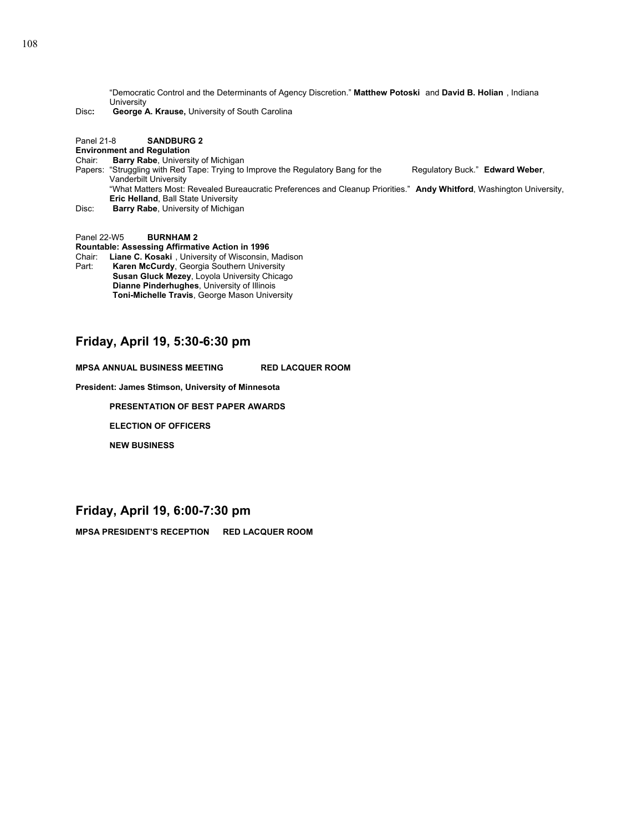"Democratic Control and the Determinants of Agency Discretion." **Matthew Potoski** and **David B. Holian** , Indiana University

Disc**: George A. Krause,** University of South Carolina

## Panel 21-8 **SANDBURG 2**

#### **Environment and Regulation**

#### Chair: **Barry Rabe**, University of Michigan

- Papers: "Struggling with Red Tape: Trying to Improve the Regulatory Bang for the Regulatory Buck." Edward Weber, Vanderbilt University "What Matters Most: Revealed Bureaucratic Preferences and Cleanup Priorities." **Andy Whitford**, Washington University, **Eric Helland**, Ball State University
- Disc: **Barry Rabe**, University of Michigan

Panel 22-W5 **BURNHAM 2**

**Rountable: Assessing Affirmative Action in 1996**

Chair: **Liane C. Kosaki** , University of Wisconsin, Madison Part: **Karen McCurdy**, Georgia Southern University **Susan Gluck Mezey**, Loyola University Chicago **Dianne Pinderhughes**, University of Illinois **Toni-Michelle Travis**, George Mason University

## **Friday, April 19, 5:30-6:30 pm**

**MPSA ANNUAL BUSINESS MEETING RED LACQUER ROOM**

**President: James Stimson, University of Minnesota**

**PRESENTATION OF BEST PAPER AWARDS** 

 **ELECTION OF OFFICERS** 

 **NEW BUSINESS** 

## **Friday, April 19, 6:00-7:30 pm**

**MPSA PRESIDENT'S RECEPTION RED LACQUER ROOM**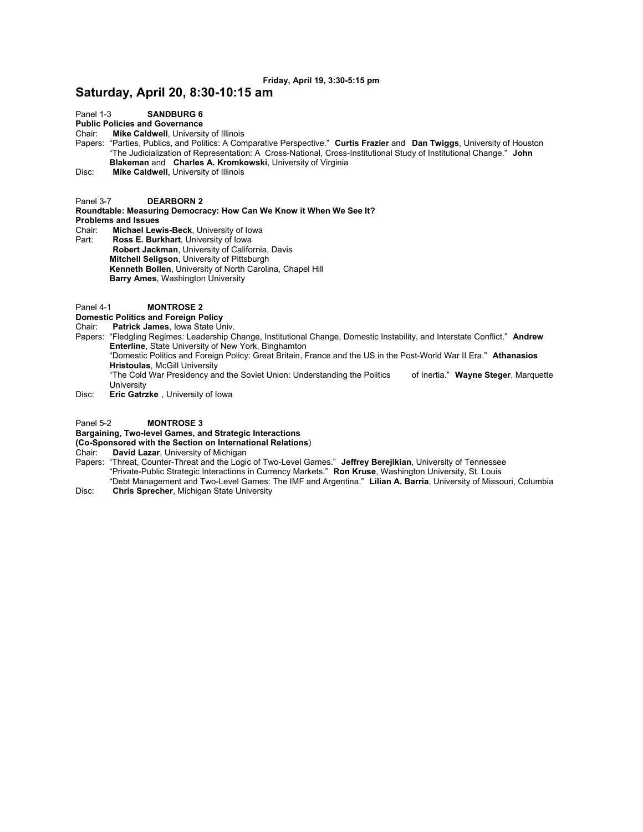## **Friday, April 19, 3:30-5:15 pm**

## **Saturday, April 20, 8:30-10:15 am**

Panel 1-3 **SANDBURG 6**

**Public Policies and Governance**<br>Chair: **Mike Caldwell**, Universit

**Mike Caldwell**, University of Illinois

Papers: "Parties, Publics, and Politics: A Comparative Perspective." **Curtis Frazier** and **Dan Twiggs**, University of Houston "The Judicialization of Representation: A Cross-National, Cross-Institutional Study of Institutional Change." **John Blakeman** and **Charles A. Kromkowski**, University of Virginia

Disc: **Mike Caldwell**, University of Illinois

Panel 3-7 **DEARBORN 2**

**Roundtable: Measuring Democracy: How Can We Know it When We See It? Problems and Issues** 

Chair: **Michael Lewis-Beck**, University of Iowa

- Ross E. Burkhart, University of Iowa **Robert Jackman**, University of California, Davis  **Mitchell Seligson**, University of Pittsburgh  **Kenneth Bollen**, University of North Carolina, Chapel Hill  **Barry Ames**, Washington University
- Panel 4-1 **MONTROSE 2**

## **Domestic Politics and Foreign Policy**

- Chair: **Patrick James**, Iowa State Univ.
- Papers: "Fledgling Regimes: Leadership Change, Institutional Change, Domestic Instability, and Interstate Conflict." **Andrew Enterline**, State University of New York, Binghamton "Domestic Politics and Foreign Policy: Great Britain, France and the US in the Post-World War II Era." **Athanasios Hristoulas**, McGill University "The Cold War Presidency and the Soviet Union: Understanding the Politics of Inertia." **Wayne Steger**, Marquette **University**
- Disc: **Eric Gatrzke** , University of Iowa

#### Panel 5-2 **MONTROSE 3**

#### **Bargaining, Two-level Games, and Strategic Interactions**

**(Co-Sponsored with the Section on International Relations**)

Chair: **David Lazar**, University of Michigan

Papers: "Threat, Counter-Threat and the Logic of Two-Level Games." **Jeffrey Berejikian**, University of Tennessee "Private-Public Strategic Interactions in Currency Markets." **Ron Kruse**, Washington University, St. Louis "Debt Management and Two-Level Games: The IMF and Argentina." **Lilian A. Barria**, University of Missouri, Columbia

Disc: **Chris Sprecher**, Michigan State University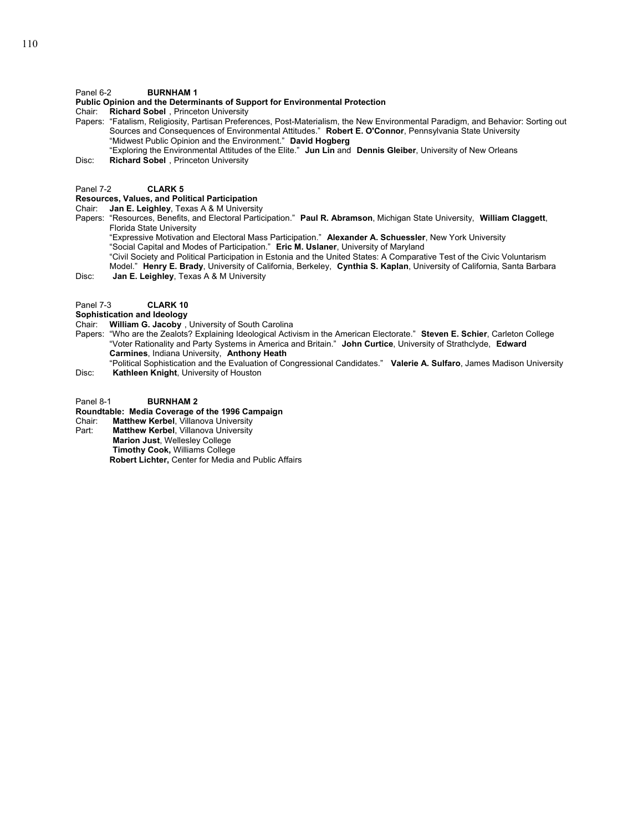## Panel 6-2 **BURNHAM 1**

## **Public Opinion and the Determinants of Support for Environmental Protection**

Chair: **Richard Sobel** , Princeton University

- Papers: "Fatalism, Religiosity, Partisan Preferences, Post-Materialism, the New Environmental Paradigm, and Behavior: Sorting out Sources and Consequences of Environmental Attitudes." **Robert E. O'Connor**, Pennsylvania State University "Midwest Public Opinion and the Environment." **David Hogberg**
- "Exploring the Environmental Attitudes of the Elite." **Jun Lin** and **Dennis Gleiber**, University of New Orleans Disc: **Richard Sobel** , Princeton University

Panel 7-2 **CLARK 5**

## **Resources, Values, and Political Participation**

Chair: **Jan E. Leighley**, Texas A & M University

Papers: "Resources, Benefits, and Electoral Participation." **Paul R. Abramson**, Michigan State University, **William Claggett**, Florida State University

"Expressive Motivation and Electoral Mass Participation." **Alexander A. Schuessler**, New York University "Social Capital and Modes of Participation." **Eric M. Uslaner**, University of Maryland

"Civil Society and Political Participation in Estonia and the United States: A Comparative Test of the Civic Voluntarism Model." **Henry E. Brady**, University of California, Berkeley, **Cynthia S. Kaplan**, University of California, Santa Barbara Disc: **Jan E. Leighley**, Texas A & M University

## Panel 7-3 **CLARK 10**

## **Sophistication and Ideology**

- Chair: **William G. Jacoby** , University of South Carolina
- Papers: "Who are the Zealots? Explaining Ideological Activism in the American Electorate." **Steven E. Schier**, Carleton College "Voter Rationality and Party Systems in America and Britain." **John Curtice**, University of Strathclyde, **Edward Carmines**, Indiana University, **Anthony Heath**
- "Political Sophistication and the Evaluation of Congressional Candidates." **Valerie A. Sulfaro**, James Madison University Disc: **Kathleen Knight**, University of Houston

## Panel 8-1 **BURNHAM 2**

## **Roundtable: Media Coverage of the 1996 Campaign**

Chair: **Matthew Kerbel**, Villanova University

**Matthew Kerbel**, Villanova University

**Marion Just**, Wellesley College **Timothy Cook,** Williams College

**Robert Lichter,** Center for Media and Public Affairs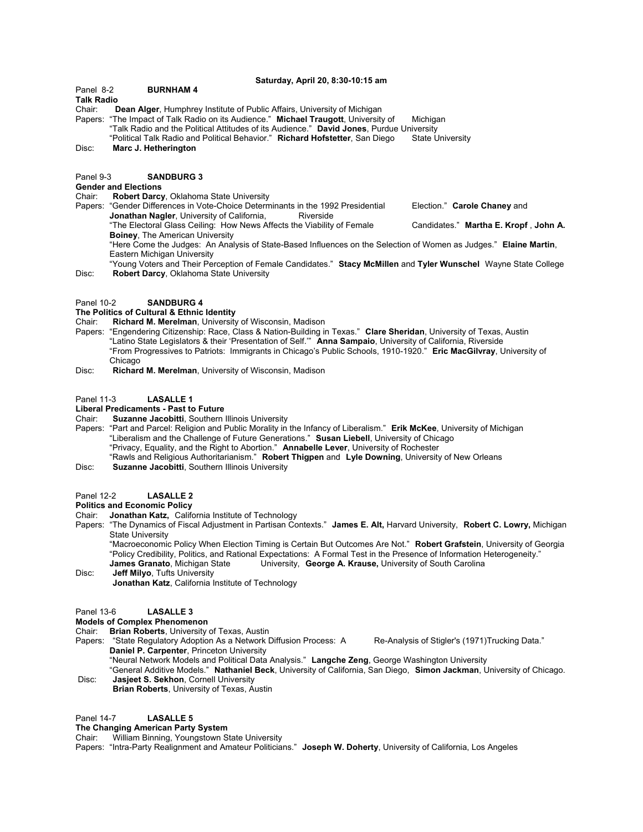#### **Saturday, April 20, 8:30-10:15 am**

Panel 8-2 **BURNHAM 4**

#### **Talk Radio**

Chair: **Dean Alger**, Humphrey Institute of Public Affairs, University of Michigan

Papers: "The Impact of Talk Radio on its Audience." **Michael Traugott**, University of Michigan "Talk Radio and the Political Attitudes of its Audience." **David Jones**, Purdue University "Political Talk Radio and Political Behavior." Richard Hofstetter, San Diego

Disc: **Marc J. Hetherington**

#### Panel 9-3 **SANDBURG 3**

#### **Gender and Elections**

- Chair: **Robert Darcy**, Oklahoma State University
- Papers: "Gender Differences in Vote-Choice Determinants in the 1992 Presidential Election." **Carole Chaney** and **Jonathan Nagler, University of California, School Riverside** "The Electoral Glass Ceiling: How News Affects the Viability of Female Candidates." **Martha E. Kropf** , **John A. Boiney**, The American University "Here Come the Judges: An Analysis of State-Based Influences on the Selection of Women as Judges." **Elaine Martin**,
	- Eastern Michigan University
- "Young Voters and Their Perception of Female Candidates." **Stacy McMillen** and **Tyler Wunschel** Wayne State College Disc: **Robert Darcy**, Oklahoma State University

#### Panel 10-2 **SANDBURG 4**

# **The Politics of Cultural & Ethnic Identity**<br>Chair: **Richard M. Merelman**, University

- **Richard M. Merelman, University of Wisconsin, Madison**
- Papers: "Engendering Citizenship: Race, Class & Nation-Building in Texas." **Clare Sheridan**, University of Texas, Austin "Latino State Legislators & their 'Presentation of Self.'" **Anna Sampaio**, University of California, Riverside "From Progressives to Patriots: Immigrants in Chicago's Public Schools, 1910-1920." **Eric MacGilvray**, University of Chicago
- Disc: **Richard M. Merelman**, University of Wisconsin, Madison

#### Panel 11-3 **LASALLE 1**

## **Liberal Predicaments - Past to Future**

- Chair: **Suzanne Jacobitti**, Southern Illinois University
- Papers: "Part and Parcel: Religion and Public Morality in the Infancy of Liberalism." **Erik McKee**, University of Michigan "Liberalism and the Challenge of Future Generations." **Susan Liebell**, University of Chicago "Privacy, Equality, and the Right to Abortion." **Annabelle Lever**, University of Rochester "Rawls and Religious Authoritarianism." **Robert Thigpen** and **Lyle Downing**, University of New Orleans
- Disc: **Suzanne Jacobitti**, Southern Illinois University

## Panel 12-2 **LASALLE 2**

## **Politics and Economic Policy**

Chair: **Jonathan Katz,** California Institute of Technology

Papers: "The Dynamics of Fiscal Adjustment in Partisan Contexts." **James E. Alt,** Harvard University, **Robert C. Lowry,** Michigan State University

"Macroeconomic Policy When Election Timing is Certain But Outcomes Are Not." **Robert Grafstein**, University of Georgia "Policy Credibility, Politics, and Rational Expectations: A Formal Test in the Presence of Information Heterogeneity." **James Granato**, Michigan State University, **George A. Krause,** University of South Carolina

Disc: **Jeff Milyo**, Tufts University **Jonathan Katz**, California Institute of Technology

## Panel 13-6 **LASALLE 3**

#### **Models of Complex Phenomenon**

- Chair: **Brian Roberts**, University of Texas, Austin
- Papers: "State Regulatory Adoption As a Network Diffusion Process: A Re-Analysis of Stigler's (1971)Trucking Data." **Daniel P. Carpenter**, Princeton University
- "Neural Network Models and Political Data Analysis." **Langche Zeng**, George Washington University "General Additive Models." **Nathaniel Beck**, University of California, San Diego, **Simon Jackman**, University of Chicago. Disc: **Jasjeet S. Sekhon**, Cornell University
- **Brian Roberts**, University of Texas, Austin

### Panel 14-7 **LASALLE 5**

## **The Changing American Party System**

Chair: William Binning, Youngstown State University

Papers: "Intra-Party Realignment and Amateur Politicians." **Joseph W. Doherty**, University of California, Los Angeles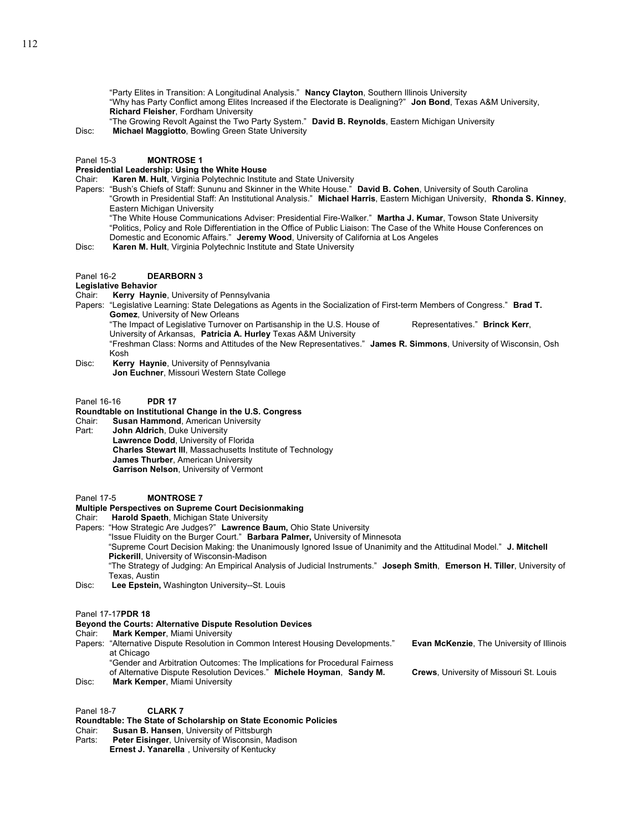"Party Elites in Transition: A Longitudinal Analysis." **Nancy Clayton**, Southern Illinois University "Why has Party Conflict among Elites Increased if the Electorate is Dealigning?" **Jon Bond**, Texas A&M University, **Richard Fleisher**, Fordham University

"The Growing Revolt Against the Two Party System." **David B. Reynolds**, Eastern Michigan University

Disc: **Michael Maggiotto**, Bowling Green State University

#### Panel 15-3 **MONTROSE 1**

### **Presidential Leadership: Using the White House**

Chair: **Karen M. Hult**, Virginia Polytechnic Institute and State University

- Papers: "Bush's Chiefs of Staff: Sununu and Skinner in the White House." **David B. Cohen**, University of South Carolina "Growth in Presidential Staff: An Institutional Analysis." **Michael Harris**, Eastern Michigan University, **Rhonda S. Kinney**, Eastern Michigan University "The White House Communications Adviser: Presidential Fire-Walker." **Martha J. Kumar**, Towson State University
	- "Politics, Policy and Role Differentiation in the Office of Public Liaison: The Case of the White House Conferences on Domestic and Economic Affairs." **Jeremy Wood**, University of California at Los Angeles

Disc: **Karen M. Hult**, Virginia Polytechnic Institute and State University

## Panel 16-2 **DEARBORN 3**

**Legislative Behavior** Kerry Haynie, University of Pennsylvania

Papers: "Legislative Learning: State Delegations as Agents in the Socialization of First-term Members of Congress." **Brad T. Gomez**, University of New Orleans

"The Impact of Legislative Turnover on Partisanship in the U.S. House of Representatives." **Brinck Kerr**, University of Arkansas, **Patricia A. Hurley** Texas A&M University

- "Freshman Class: Norms and Attitudes of the New Representatives." **James R. Simmons**, University of Wisconsin, Osh Kosh
- Disc: **Kerry Haynie**, University of Pennsylvania **Jon Euchner**, Missouri Western State College
- Panel 16-16 **PDR 17**

## **Roundtable on Institutional Change in the U.S. Congress**

- Chair: **Susan Hammond**, American University
- **John Aldrich**, Duke University

**Lawrence Dodd**, University of Florida **Charles Stewart III**, Massachusetts Institute of Technology **James Thurber**, American University **Garrison Nelson**, University of Vermont

## Panel 17-5 **MONTROSE 7**

## **Multiple Perspectives on Supreme Court Decisionmaking**

- Chair: **Harold Spaeth**, Michigan State University
- Papers: "How Strategic Are Judges?" **Lawrence Baum,** Ohio State University

"Issue Fluidity on the Burger Court." **Barbara Palmer,** University of Minnesota

"Supreme Court Decision Making: the Unanimously Ignored Issue of Unanimity and the Attitudinal Model." **J. Mitchell Pickerill**, University of Wisconsin-Madison

"The Strategy of Judging: An Empirical Analysis of Judicial Instruments." **Joseph Smith**, **Emerson H. Tiller**, University of Texas, Austin

Disc: **Lee Epstein,** Washington University--St. Louis

Panel 17-17**PDR 18** 

## **Beyond the Courts: Alternative Dispute Resolution Devices**

#### Chair: **Mark Kemper**, Miami University

- Papers: "Alternative Dispute Resolution in Common Interest Housing Developments." **Evan McKenzie**, The University of Illinois at Chicago
	- "Gender and Arbitration Outcomes: The Implications for Procedural Fairness
	- of Alternative Dispute Resolution Devices." **Michele Hoyman**, **Sandy M. Crews**, University of Missouri St. Louis
- Disc: **Mark Kemper**, Miami University

Panel 18-7 **CLARK 7**

**Roundtable: The State of Scholarship on State Economic Policies**

- Chair: **Susan B. Hansen**, University of Pittsburgh
- Parts: **Peter Eisinger**, University of Wisconsin, Madison **Ernest J. Yanarella** , University of Kentucky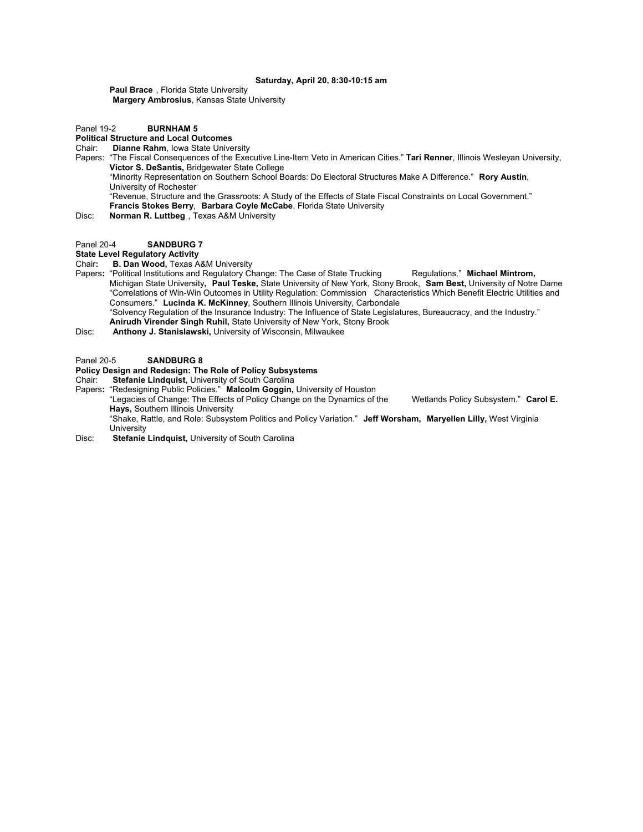#### **Saturday, April 20, 8:30-10:15 am**

**Paul Brace** , Florida State University **Margery Ambrosius**, Kansas State University

## Panel 19-2 **BURNHAM 5**

## **Political Structure and Local Outcomes**

- Chair: **Dianne Rahm**, Iowa State University
- Papers: "The Fiscal Consequences of the Executive Line-Item Veto in American Cities." **Tari Renner**, Illinois Wesleyan University, **Victor S. DeSantis,** Bridgewater State College

"Minority Representation on Southern School Boards: Do Electoral Structures Make A Difference." **Rory Austin**, University of Rochester

"Revenue, Structure and the Grassroots: A Study of the Effects of State Fiscal Constraints on Local Government." **Francis Stokes Berry**, **Barbara Coyle McCabe**, Florida State University

Disc: **Norman R. Luttbeg** , Texas A&M University

## Panel 20-4 **SANDBURG 7**

## **State Level Regulatory Activity**

Chair**: B. Dan Wood,** Texas A&M University

Papers: "Political Institutions and Regulatory Change: The Case of State Trucking Regulations." **Michael Mintrom,** Michigan State University**, Paul Teske,** State University of New York, Stony Brook, **Sam Best,** University of Notre Dame "Correlations of Win-Win Outcomes in Utility Regulation: Commission Characteristics Which Benefit Electric Utilities and Consumers." **Lucinda K. McKinney**, Southern Illinois University, Carbondale "Solvency Regulation of the Insurance Industry: The Influence of State Legislatures, Bureaucracy, and the Industry." **Anirudh Virender Singh Ruhil,** State University of New York, Stony Brook

Disc: **Anthony J. Stanislawski,** University of Wisconsin, Milwaukee

## Panel 20-5 **SANDBURG 8**

## **Policy Design and Redesign: The Role of Policy Subsystems**

Chair: **Stefanie Lindquist,** University of South Carolina

Papers**:** "Redesigning Public Policies." **Malcolm Goggin,** University of Houston "Legacies of Change: The Effects of Policy Change on the Dynamics of the Wetlands Policy Subsystem." **Carol E. Hays,** Southern Illinois University "Shake, Rattle, and Role: Subsystem Politics and Policy Variation." **Jeff Worsham, Maryellen Lilly,** West Virginia University

Disc: **Stefanie Lindquist,** University of South Carolina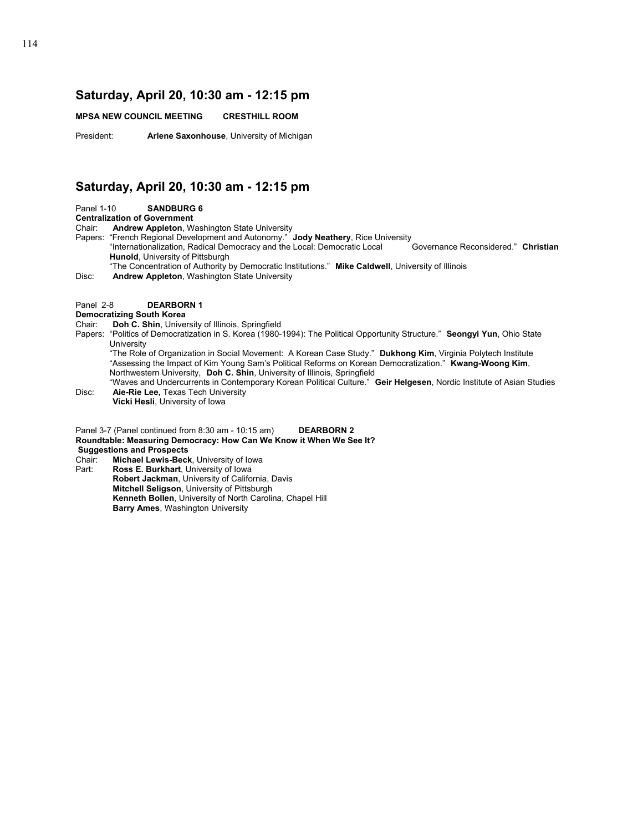## **Saturday, April 20, 10:30 am - 12:15 pm**

**MPSA NEW COUNCIL MEETING CRESTHILL ROOM**

President: **Arlene Saxonhouse**, University of Michigan

## **Saturday, April 20, 10:30 am - 12:15 pm**

Panel 1-10 **SANDBURG 6** 

**Centralization of Government** 

Chair: **Andrew Appleton**, Washington State University

Papers: "French Regional Development and Autonomy." **Jody Neathery**, Rice University<br>"Internationalization, Radical Democracy and the Local: Democratic Local Governance Reconsidered." Christian "Internationalization, Radical Democracy and the Local: Democratic Local **Hunold**, University of Pittsburgh

"The Concentration of Authority by Democratic Institutions." **Mike Caldwell**, University of Illinois

Disc: **Andrew Appleton**, Washington State University

## Panel 2-8 **DEARBORN 1**

## **Democratizing South Korea**

Chair: **Doh C. Shin**, University of Illinois, Springfield

Papers: "Politics of Democratization in S. Korea (1980-1994): The Political Opportunity Structure." **Seongyi Yun**, Ohio State **University** 

"The Role of Organization in Social Movement: A Korean Case Study." **Dukhong Kim**, Virginia Polytech Institute "Assessing the Impact of Kim Young Sam's Political Reforms on Korean Democratization." **Kwang-Woong Kim**, Northwestern University, **Doh C. Shin**, University of Illinois, Springfield

"Waves and Undercurrents in Contemporary Korean Political Culture." **Geir Helgesen**, Nordic Institute of Asian Studies Disc: **Aie-Rie Lee,** Texas Tech University

**Vicki Hesli**, University of Iowa

Panel 3-7 (Panel continued from 8:30 am - 10:15 am) **DEARBORN 2 Roundtable: Measuring Democracy: How Can We Know it When We See It? Suggestions and Prospects** 

Chair: **Michael Lewis-Beck**, University of Iowa

Ross E. Burkhart, University of Iowa **Robert Jackman**, University of California, Davis **Mitchell Seligson**, University of Pittsburgh **Kenneth Bollen**, University of North Carolina, Chapel Hill **Barry Ames**, Washington University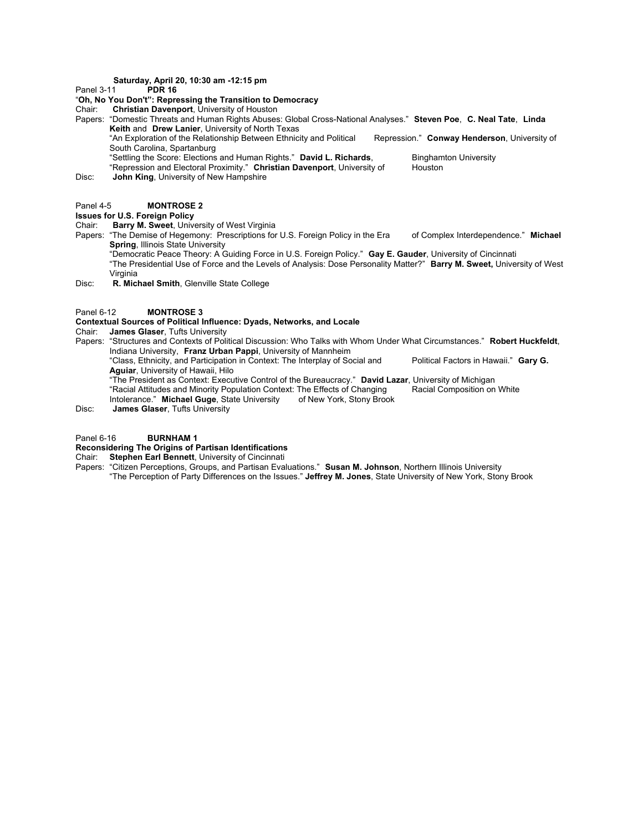# **Saturday, April 20, 10:30 am -12:15 pm**

**Panel 3-11** 

## "**Oh, No You Don't": Repressing the Transition to Democracy**

Chair: **Christian Davenport**, University of Houston

Papers: "Domestic Threats and Human Rights Abuses: Global Cross-National Analyses." **Steven Poe**, **C. Neal Tate**, **Linda Keith** and **Drew Lanier**, University of North Texas "An Exploration of the Relationship Between Ethnicity and Political Repression." **Conway Henderson**, University of South Carolina, Spartanburg "Settling the Score: Elections and Human Rights." **David L. Richards**, Binghamton University<br>"Repression and Electoral Proximity." Christian Davenport. University of Houston "Repression and Electoral Proximity." Christian Davenport, University of

Disc: **John King**, University of New Hampshire

## Panel 4-5 **MONTROSE 2**

#### **Issues for U.S. Foreign Policy**

Chair: **Barry M. Sweet**, University of West Virginia

Papers: "The Demise of Hegemony: Prescriptions for U.S. Foreign Policy in the Era of Complex Interdependence." **Michael Spring**, Illinois State University

"Democratic Peace Theory: A Guiding Force in U.S. Foreign Policy." **Gay E. Gauder**, University of Cincinnati "The Presidential Use of Force and the Levels of Analysis: Dose Personality Matter?" **Barry M. Sweet,** University of West Virginia

Disc: **R. Michael Smith**, Glenville State College

#### Panel 6-12 **MONTROSE 3**

#### **Contextual Sources of Political Influence: Dyads, Networks, and Locale**

Chair: **James Glaser**, Tufts University

Papers: "Structures and Contexts of Political Discussion: Who Talks with Whom Under What Circumstances." **Robert Huckfeldt**, Indiana University, **Franz Urban Pappi**, University of Mannheim

"Class, Ethnicity, and Participation in Context: The Interplay of Social and Political Factors in Hawaii." Gary G. **Aguiar**, University of Hawaii, Hilo

"The President as Context: Executive Control of the Bureaucracy." **David Lazar**, University of Michigan "Racial Attitudes and Minority Population Context: The Effects of Changing<br>Intolerance." Michael Guge, State University of New York, Stony Brook

Intolerance." Michael Guge, State University

Disc: **James Glaser**, Tufts University

#### Panel 6-16 **BURNHAM 1**

## **Reconsidering The Origins of Partisan Identifications**

Chair: **Stephen Earl Bennett**, University of Cincinnati

Papers: "Citizen Perceptions, Groups, and Partisan Evaluations." **Susan M. Johnson**, Northern Illinois University "The Perception of Party Differences on the Issues." **Jeffrey M. Jones**, State University of New York, Stony Brook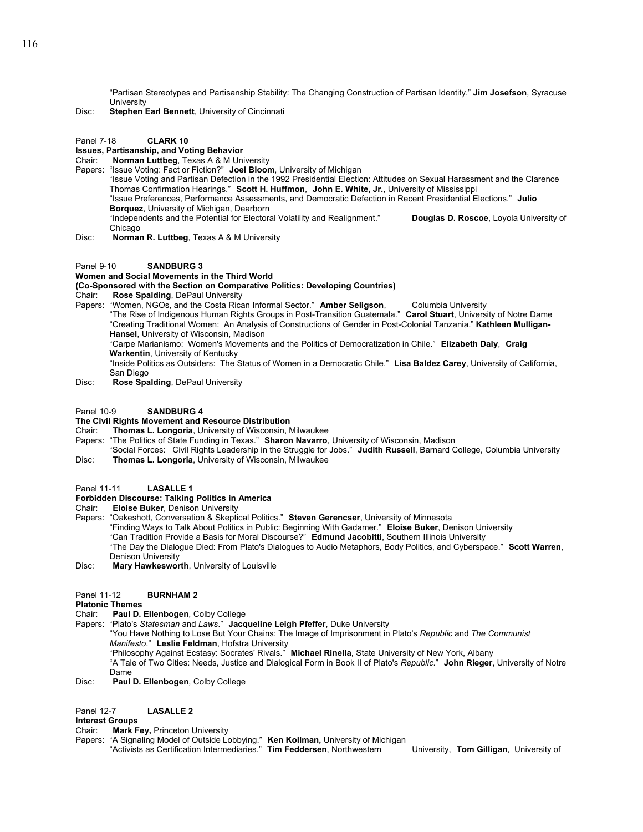"Partisan Stereotypes and Partisanship Stability: The Changing Construction of Partisan Identity." **Jim Josefson**, Syracuse **University** 

Disc: **Stephen Earl Bennett**, University of Cincinnati

#### Panel 7-18 **CLARK 10**

## **Issues, Partisanship, and Voting Behavior**

- Chair: **Norman Luttbeg**, Texas A & M University
- Papers: "Issue Voting: Fact or Fiction?" **Joel Bloom**, University of Michigan

"Issue Voting and Partisan Defection in the 1992 Presidential Election: Attitudes on Sexual Harassment and the Clarence Thomas Confirmation Hearings." **Scott H. Huffmon**, **John E. White, Jr.**, University of Mississippi "Issue Preferences, Performance Assessments, and Democratic Defection in Recent Presidential Elections." **Julio Borquez**, University of Michigan, Dearborn "Independents and the Potential for Electoral Volatility and Realignment." **Douglas D. Roscoe**, Loyola University of Chicago

Disc: **Norman R. Luttbeg**, Texas A & M University

#### Panel 9-10 **SANDBURG 3**

#### **Women and Social Movements in the Third World**

#### **(Co-Sponsored with the Section on Comparative Politics: Developing Countries)**

Chair: **Rose Spalding**, DePaul University

Papers: "Women, NGOs, and the Costa Rican Informal Sector." **Amber Seligson**, Columbia University

"The Rise of Indigenous Human Rights Groups in Post-Transition Guatemala." **Carol Stuart**, University of Notre Dame "Creating Traditional Women: An Analysis of Constructions of Gender in Post-Colonial Tanzania." **Kathleen Mulligan-Hansel**, University of Wisconsin, Madison

"Carpe Marianismo: Women's Movements and the Politics of Democratization in Chile." **Elizabeth Daly**, **Craig Warkentin**, University of Kentucky

"Inside Politics as Outsiders: The Status of Women in a Democratic Chile." **Lisa Baldez Carey**, University of California, San Diego

Disc: **Rose Spalding**, DePaul University

## Panel 10-9 **SANDBURG 4**

## **The Civil Rights Movement and Resource Distribution**

Chair: **Thomas L. Longoria**, University of Wisconsin, Milwaukee

- Papers: "The Politics of State Funding in Texas." **Sharon Navarro**, University of Wisconsin, Madison
- "Social Forces: Civil Rights Leadership in the Struggle for Jobs." **Judith Russell**, Barnard College, Columbia University Disc: **Thomas L. Longoria**, University of Wisconsin, Milwaukee
- Panel 11-11 **LASALLE 1**

## **Forbidden Discourse: Talking Politics in America**

Chair: **Eloise Buker**, Denison University

Papers: "Oakeshott, Conversation & Skeptical Politics." **Steven Gerencser**, University of Minnesota "Finding Ways to Talk About Politics in Public: Beginning With Gadamer." **Eloise Buker**, Denison University "Can Tradition Provide a Basis for Moral Discourse?" **Edmund Jacobitti**, Southern Illinois University "The Day the Dialogue Died: From Plato's Dialogues to Audio Metaphors, Body Politics, and Cyberspace." **Scott Warren**, Denison University Disc: **Mary Hawkesworth**, University of Louisville

## Panel 11-12 **BURNHAM 2**

**Platonic Themes**

- Chair: **Paul D. Ellenbogen**, Colby College
- Papers: "Plato's *Statesman* and *Laws*." **Jacqueline Leigh Pfeffer**, Duke University

"You Have Nothing to Lose But Your Chains: The Image of Imprisonment in Plato's *Republic* and *The Communist Manifesto*." **Leslie Feldman**, Hofstra University

"Philosophy Against Ecstasy: Socrates' Rivals." **Michael Rinella**, State University of New York, Albany

"A Tale of Two Cities: Needs, Justice and Dialogical Form in Book II of Plato's *Republic*." **John Rieger**, University of Notre Dame

Disc: **Paul D. Ellenbogen**, Colby College

## Panel 12-7 **LASALLE 2**

**Interest Groups** 

- Chair: **Mark Fey,** Princeton University
- Papers: "A Signaling Model of Outside Lobbying." **Ken Kollman,** University of Michigan
	- "Activists as Certification Intermediaries." **Tim Feddersen**, Northwestern University, **Tom Gilligan**, University of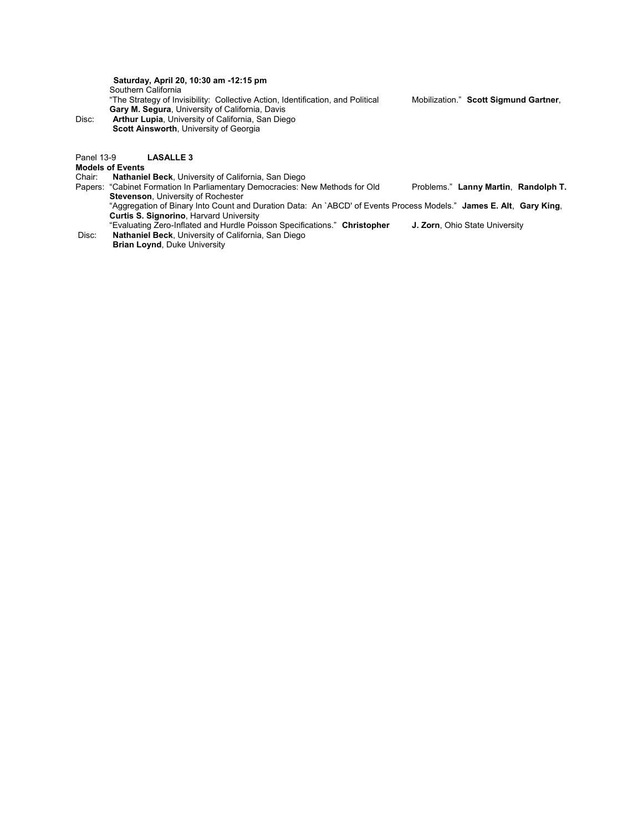**Saturday, April 20, 10:30 am -12:15 pm** Southern California "The Strategy of Invisibility: Collective Action, Identification, and Political Mobilization." **Scott Sigmund Gartner**, **Gary M. Segura**, University of California, Davis Disc: **Arthur Lupia**, University of California, San Diego **Scott Ainsworth**, University of Georgia

## Panel 13-9 **LASALLE 3**

**Models of Events**

**Nathaniel Beck**, University of California, San Diego

Papers: "Cabinet Formation In Parliamentary Democracies: New Methods for Old Problems." **Lanny Martin**, **Randolph T. Stevenson**, University of Rochester "Aggregation of Binary Into Count and Duration Data: An `ABCD' of Events Process Models." **James E. Alt**, **Gary King**,

**Curtis S. Signorino**, Harvard University

"Evaluating Zero-Inflated and Hurdle Poisson Specifications." **Christopher J. Zorn**, Ohio State University Disc: **Nathaniel Beck**, University of California, San Diego **Brian Loynd**, Duke University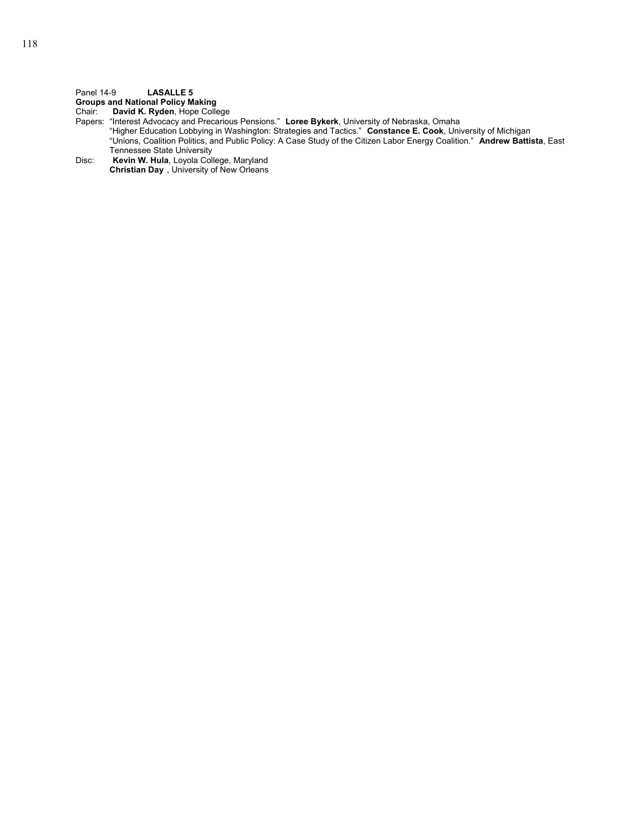## Panel 14-9 **LASALLE 5**

**Groups and National Policy Making**

Chair: **David K. Ryden**, Hope College

Papers: "Interest Advocacy and Precarious Pensions." **Loree Bykerk**, University of Nebraska, Omaha

"Higher Education Lobbying in Washington: Strategies and Tactics." **Constance E. Cook**, University of Michigan "Unions, Coalition Politics, and Public Policy: A Case Study of the Citizen Labor Energy Coalition." **Andrew Battista**, East Tennessee State University

Disc: **Kevin W. Hula**, Loyola College, Maryland **Christian Day** , University of New Orleans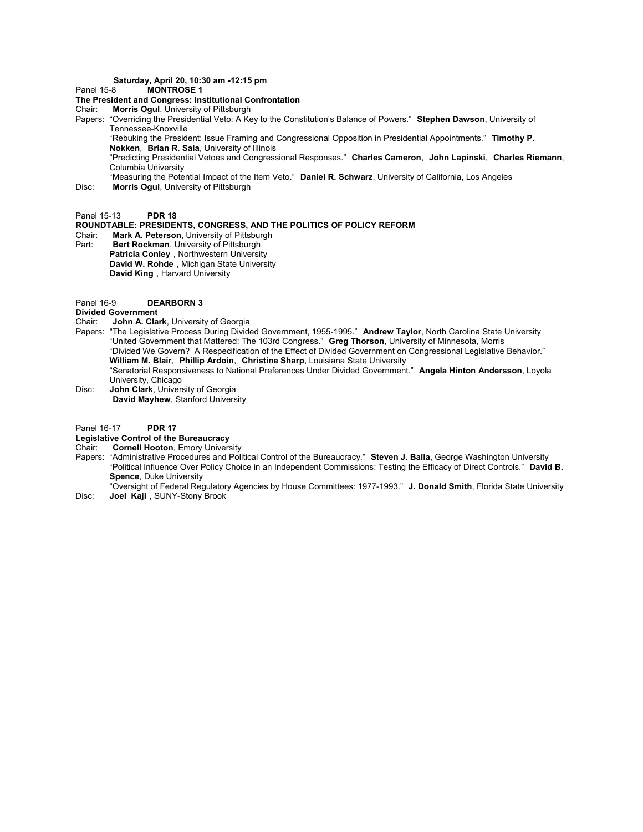## **Saturday, April 20, 10:30 am -12:15 pm**

#### Panel 15-8 **MONTROSE 1**

#### **The President and Congress: Institutional Confrontation**

Chair: **Morris Ogul**, University of Pittsburgh

Papers: "Overriding the Presidential Veto: A Key to the Constitution's Balance of Powers." **Stephen Dawson**, University of Tennessee-Knoxville

"Rebuking the President: Issue Framing and Congressional Opposition in Presidential Appointments." **Timothy P. Nokken**, **Brian R. Sala**, University of Illinois

"Predicting Presidential Vetoes and Congressional Responses." **Charles Cameron**, **John Lapinski**, **Charles Riemann**, Columbia University

"Measuring the Potential Impact of the Item Veto." **Daniel R. Schwarz**, University of California, Los Angeles Disc: **Morris Ogul**, University of Pittsburgh

Panel 15-13 **PDR 18** 

## **ROUNDTABLE: PRESIDENTS, CONGRESS, AND THE POLITICS OF POLICY REFORM**

Chair: **Mark A. Peterson**, University of Pittsburgh **Bert Rockman, University of Pittsburgh Patricia Conley** , Northwestern University **David W. Rohde** , Michigan State University

**David King** , Harvard University

Panel 16-9 **DEARBORN 3**

# **Divided Government**<br>Chair **John A Cla**

- John A. Clark, University of Georgia
- Papers: "The Legislative Process During Divided Government, 1955-1995." **Andrew Taylor**, North Carolina State University "United Government that Mattered: The 103rd Congress." **Greg Thorson**, University of Minnesota, Morris "Divided We Govern? A Respecification of the Effect of Divided Government on Congressional Legislative Behavior." **William M. Blair**, **Phillip Ardoin**, **Christine Sharp**, Louisiana State University "Senatorial Responsiveness to National Preferences Under Divided Government." **Angela Hinton Andersson**, Loyola
- University, Chicago
- Disc: **John Clark**, University of Georgia **David Mayhew**, Stanford University

## Panel 16-17 **PDR 17**

## **Legislative Control of the Bureaucracy**

Chair: **Cornell Hooton**, Emory University

- Papers: "Administrative Procedures and Political Control of the Bureaucracy." **Steven J. Balla**, George Washington University "Political Influence Over Policy Choice in an Independent Commissions: Testing the Efficacy of Direct Controls." **David B. Spence**, Duke University
- "Oversight of Federal Regulatory Agencies by House Committees: 1977-1993." **J. Donald Smith**, Florida State University Disc: **Joel Kaji** , SUNY-Stony Brook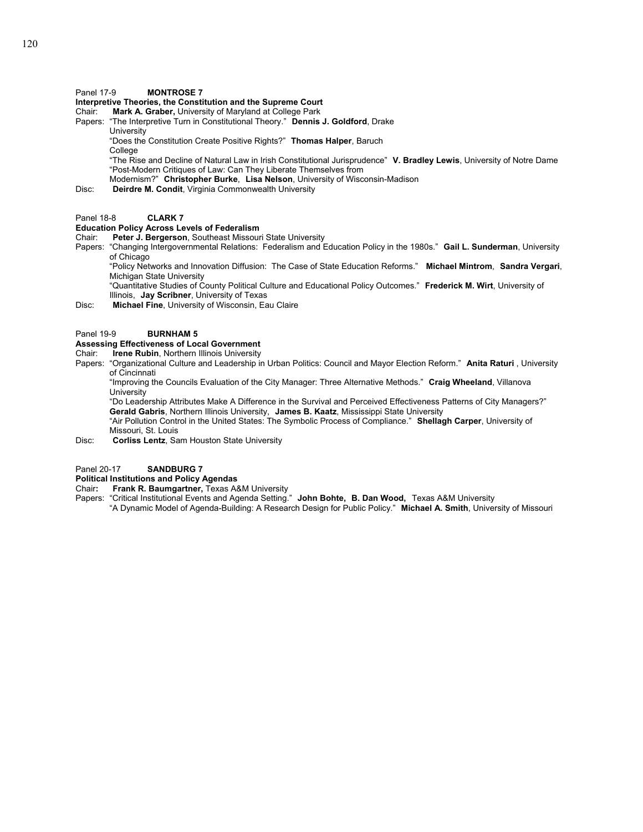## Panel 17-9 **MONTROSE 7**

## **Interpretive Theories, the Constitution and the Supreme Court**

Chair: **Mark A. Graber,** University of Maryland at College Park

Papers: "The Interpretive Turn in Constitutional Theory." **Dennis J. Goldford**, Drake **University** 

 "Does the Constitution Create Positive Rights?" **Thomas Halper**, Baruch **College** 

"The Rise and Decline of Natural Law in Irish Constitutional Jurisprudence" **V. Bradley Lewis**, University of Notre Dame "Post-Modern Critiques of Law: Can They Liberate Themselves from

Modernism?" **Christopher Burke**, **Lisa Nelson**, University of Wisconsin-Madison

Disc: **Deirdre M. Condit**, Virginia Commonwealth University

## Panel 18-8 **CLARK 7**

## **Education Policy Across Levels of Federalism**

Chair: **Peter J. Bergerson**, Southeast Missouri State University

Papers: "Changing Intergovernmental Relations: Federalism and Education Policy in the 1980s." **Gail L. Sunderman**, University of Chicago

"Policy Networks and Innovation Diffusion: The Case of State Education Reforms." **Michael Mintrom**, **Sandra Vergari**, Michigan State University

"Quantitative Studies of County Political Culture and Educational Policy Outcomes." **Frederick M. Wirt**, University of Illinois, **Jay Scribner**, University of Texas

Disc: **Michael Fine**, University of Wisconsin, Eau Claire

## Panel 19-9 **BURNHAM 5**

## **Assessing Effectiveness of Local Government**

Chair: **Irene Rubin**, Northern Illinois University

Papers: "Organizational Culture and Leadership in Urban Politics: Council and Mayor Election Reform." **Anita Raturi** , University of Cincinnati

"Improving the Councils Evaluation of the City Manager: Three Alternative Methods." **Craig Wheeland**, Villanova University

"Do Leadership Attributes Make A Difference in the Survival and Perceived Effectiveness Patterns of City Managers?" **Gerald Gabris**, Northern Illinois University, **James B. Kaatz**, Mississippi State University "Air Pollution Control in the United States: The Symbolic Process of Compliance." **Shellagh Carper**, University of Missouri, St. Louis

Disc: **Corliss Lentz**, Sam Houston State University

#### Panel 20-17 **SANDBURG 7**

## **Political Institutions and Policy Agendas**

- Chair**: Frank R. Baumgartner,** Texas A&M University
- Papers: "Critical Institutional Events and Agenda Setting." **John Bohte, B. Dan Wood,** Texas A&M University "A Dynamic Model of Agenda-Building: A Research Design for Public Policy." **Michael A. Smith**, University of Missouri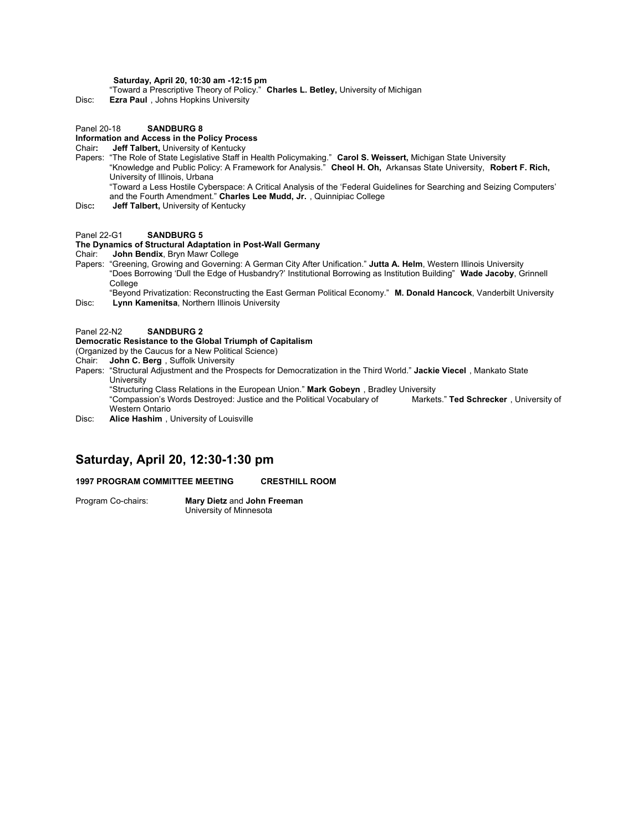## **Saturday, April 20, 10:30 am -12:15 pm**

"Toward a Prescriptive Theory of Policy." **Charles L. Betley,** University of Michigan

Disc: **Ezra Paul** , Johns Hopkins University

#### Panel 20-18 **SANDBURG 8**

## **Information and Access in the Policy Process**

## Chair**: Jeff Talbert,** University of Kentucky

Papers: "The Role of State Legislative Staff in Health Policymaking." **Carol S. Weissert,** Michigan State University "Knowledge and Public Policy: A Framework for Analysis." **Cheol H. Oh,** Arkansas State University, **Robert F. Rich,**

University of Illinois, Urbana

"Toward a Less Hostile Cyberspace: A Critical Analysis of the 'Federal Guidelines for Searching and Seizing Computers' and the Fourth Amendment." **Charles Lee Mudd, Jr.** , Quinnipiac College

Disc**: Jeff Talbert,** University of Kentucky

#### Panel 22-G1 **SANDBURG 5**

### **The Dynamics of Structural Adaptation in Post-Wall Germany**

Chair: **John Bendix**, Bryn Mawr College

Papers: "Greening, Growing and Governing: A German City After Unification." **Jutta A. Helm**, Western Illinois University "Does Borrowing 'Dull the Edge of Husbandry?' Institutional Borrowing as Institution Building" **Wade Jacoby**, Grinnell College

"Beyond Privatization: Reconstructing the East German Political Economy." **M. Donald Hancock**, Vanderbilt University Disc: **Lynn Kamenitsa**, Northern Illinois University

## Panel 22-N2 **SANDBURG 2**

## **Democratic Resistance to the Global Triumph of Capitalism**

(Organized by the Caucus for a New Political Science)

- Chair: **John C. Berg** , Suffolk University
- Papers: "Structural Adjustment and the Prospects for Democratization in the Third World." **Jackie Viecel** , Mankato State University

"Structuring Class Relations in the European Union." **Mark Gobeyn** , Bradley University "Compassion's Words Destroyed: Justice and the Political Vocabulary of Western Ontario

Disc: **Alice Hashim** , University of Louisville

## **Saturday, April 20, 12:30-1:30 pm**

#### **1997 PROGRAM COMMITTEE MEETING CRESTHILL ROOM**

Program Co-chairs: **Mary Dietz** and **John Freeman** University of Minnesota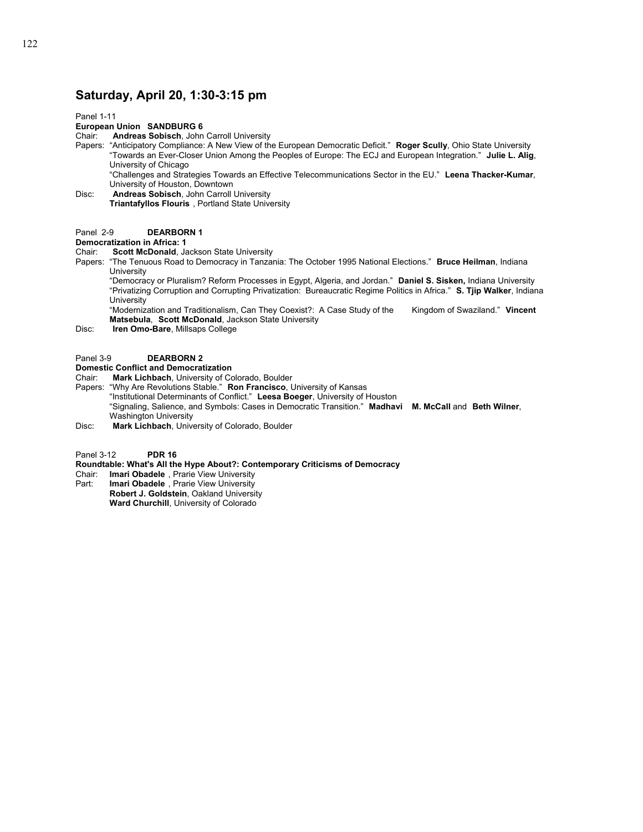## **Saturday, April 20, 1:30-3:15 pm**

Panel 1-11

## **European Union SANDBURG 6**

Chair: **Andreas Sobisch**, John Carroll University

Papers: "Anticipatory Compliance: A New View of the European Democratic Deficit." **Roger Scully**, Ohio State University "Towards an Ever-Closer Union Among the Peoples of Europe: The ECJ and European Integration." **Julie L. Alig**, University of Chicago

"Challenges and Strategies Towards an Effective Telecommunications Sector in the EU." **Leena Thacker-Kumar**, University of Houston, Downtown

Disc: **Andreas Sobisch**, John Carroll University **Triantafyllos Flouris** , Portland State University

## Panel 2-9 **DEARBORN 1**

## **Democratization in Africa: 1**

Chair: **Scott McDonald**, Jackson State University

Papers: "The Tenuous Road to Democracy in Tanzania: The October 1995 National Elections." **Bruce Heilman**, Indiana **University** 

"Democracy or Pluralism? Reform Processes in Egypt, Algeria, and Jordan." **Daniel S. Sisken,** Indiana University "Privatizing Corruption and Corrupting Privatization: Bureaucratic Regime Politics in Africa." **S. Tjip Walker**, Indiana University

"Modernization and Traditionalism, Can They Coexist?: A Case Study of the Kingdom of Swaziland." **Vincent Matsebula**, **Scott McDonald**, Jackson State University

Disc: **Iren Omo-Bare**, Millsaps College

#### Panel 3-9 **DEARBORN 2**

#### **Domestic Conflict and Democratization**

Chair: **Mark Lichbach**, University of Colorado, Boulder

Papers: "Why Are Revolutions Stable." **Ron Francisco**, University of Kansas

"Institutional Determinants of Conflict." **Leesa Boeger**, University of Houston

"Signaling, Salience, and Symbols: Cases in Democratic Transition." **Madhavi M. McCall** and **Beth Wilner**,

Washington University

Disc: **Mark Lichbach**, University of Colorado, Boulder

Panel 3-12 **PDR 16**

## **Roundtable: What's All the Hype About?: Contemporary Criticisms of Democracy**

- Chair: **Imari Obadele** , Prarie View University
- Part: **Imari Obadele** , Prarie View University  **Robert J. Goldstein**, Oakland University  **Ward Churchill**, University of Colorado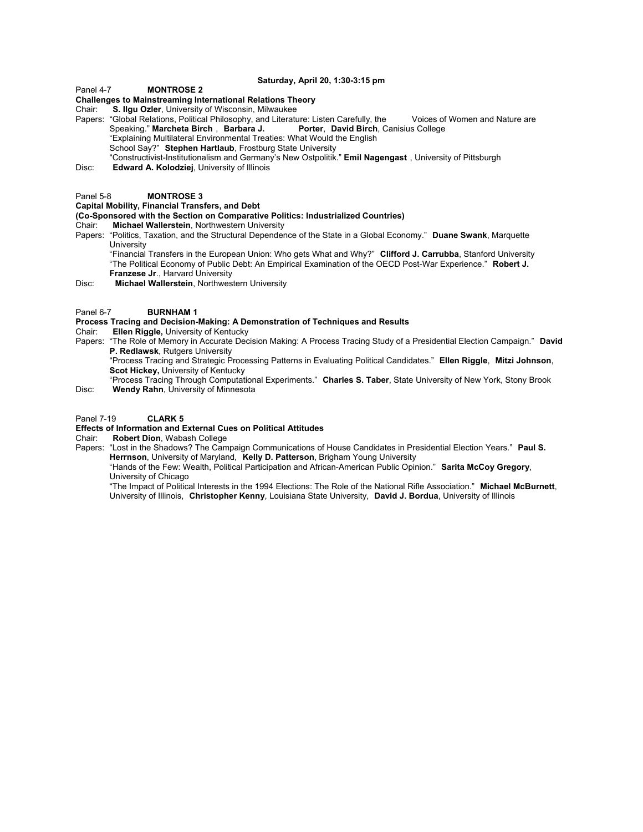#### **Saturday, April 20, 1:30-3:15 pm**

#### Panel 4-7 **MONTROSE 2**

## **Challenges to Mainstreaming International Relations Theory**

Chair: **S. Ilgu Ozler**, University of Wisconsin, Milwaukee

Papers: "Global Relations, Political Philosophy, and Literature: Listen Carefully, the Voices of Women and Nature are Speaking." Marcheta Birch, Barbara J. Porter, David Birch, Canisius College Speaking." Marcheta Birch, Barbara J. "Explaining Multilateral Environmental Treaties: What Would the English

School Say?" **Stephen Hartlaub**, Frostburg State University

- "Constructivist-Institutionalism and Germany's New Ostpolitik." **Emil Nagengast** , University of Pittsburgh
- Disc: **Edward A. Kolodziej**, University of Illinois

#### Panel 5-8 **MONTROSE 3**

## **Capital Mobility, Financial Transfers, and Debt**

#### **(Co-Sponsored with the Section on Comparative Politics: Industrialized Countries)**

Chair: **Michael Wallerstein**, Northwestern University

Papers: "Politics, Taxation, and the Structural Dependence of the State in a Global Economy." **Duane Swank**, Marquette University

"Financial Transfers in the European Union: Who gets What and Why?" **Clifford J. Carrubba**, Stanford University "The Political Economy of Public Debt: An Empirical Examination of the OECD Post-War Experience." **Robert J. Franzese Jr**., Harvard University

Disc: **Michael Wallerstein**, Northwestern University

#### Panel 6-7 **BURNHAM 1**

## **Process Tracing and Decision-Making: A Demonstration of Techniques and Results**

- Chair: **Ellen Riggle,** University of Kentucky
- Papers: "The Role of Memory in Accurate Decision Making: A Process Tracing Study of a Presidential Election Campaign." **David P. Redlawsk**, Rutgers University
	- "Process Tracing and Strategic Processing Patterns in Evaluating Political Candidates." **Ellen Riggle**, **Mitzi Johnson**, **Scot Hickey,** University of Kentucky
- "Process Tracing Through Computational Experiments." **Charles S. Taber**, State University of New York, Stony Brook Disc: **Wendy Rahn**, University of Minnesota

#### Panel 7-19 **CLARK 5**

## **Effects of Information and External Cues on Political Attitudes**

Chair: **Robert Dion**, Wabash College

Papers: "Lost in the Shadows? The Campaign Communications of House Candidates in Presidential Election Years." Paul S. **Herrnson**, University of Maryland, **Kelly D. Patterson**, Brigham Young University

"Hands of the Few: Wealth, Political Participation and African-American Public Opinion." **Sarita McCoy Gregory**, University of Chicago

"The Impact of Political Interests in the 1994 Elections: The Role of the National Rifle Association." **Michael McBurnett**, University of Illinois, **Christopher Kenny**, Louisiana State University, **David J. Bordua**, University of Illinois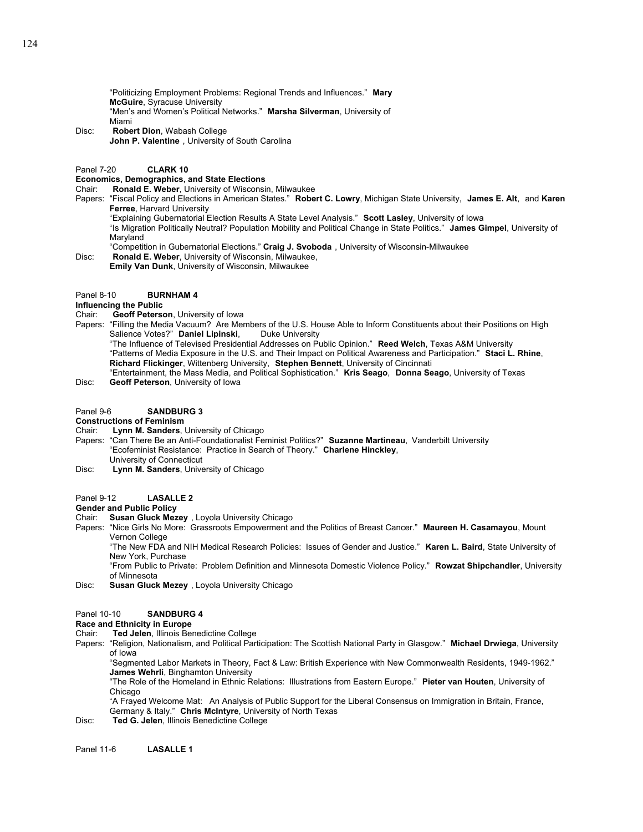"Politicizing Employment Problems: Regional Trends and Influences." **Mary McGuire**, Syracuse University "Men's and Women's Political Networks." **Marsha Silverman**, University of Miami

Disc: **Robert Dion**, Wabash College **John P. Valentine** , University of South Carolina

Panel 7-20 **CLARK 10**

#### **Economics, Demographics, and State Elections**

Chair: **Ronald E. Weber**, University of Wisconsin, Milwaukee

- Papers: "Fiscal Policy and Elections in American States." **Robert C. Lowry**, Michigan State University, **James E. Alt**, and **Karen Ferree**, Harvard University
	- "Explaining Gubernatorial Election Results A State Level Analysis." **Scott Lasley**, University of Iowa

"Is Migration Politically Neutral? Population Mobility and Political Change in State Politics." **James Gimpel**, University of Maryland

- "Competition in Gubernatorial Elections." **Craig J. Svoboda** , University of Wisconsin-Milwaukee
- Disc: **Ronald E. Weber**, University of Wisconsin, Milwaukee,  **Emily Van Dunk**, University of Wisconsin, Milwaukee

#### Panel 8-10 **BURNHAM 4**

#### **Influencing the Public**

- Chair: **Geoff Peterson**, University of Iowa
- Papers: "Filling the Media Vacuum? Are Members of the U.S. House Able to Inform Constituents about their Positions on High Salience Votes?" Daniel Lipinski, Duke University

"The Influence of Televised Presidential Addresses on Public Opinion." **Reed Welch**, Texas A&M University "Patterns of Media Exposure in the U.S. and Their Impact on Political Awareness and Participation." **Staci L. Rhine**, **Richard Flickinger**, Wittenberg University, **Stephen Bennett**, University of Cincinnati "Entertainment, the Mass Media, and Political Sophistication." **Kris Seago**, **Donna Seago**, University of Texas

Disc: **Geoff Peterson**, University of Iowa

## Panel 9-6 **SANDBURG 3**

## **Constructions of Feminism**

- Chair: **Lynn M. Sanders**, University of Chicago
- Papers: "Can There Be an Anti-Foundationalist Feminist Politics?" **Suzanne Martineau**, Vanderbilt University "Ecofeminist Resistance: Practice in Search of Theory." **Charlene Hinckley**, University of Connecticut
- Disc: **Lynn M. Sanders**, University of Chicago

## Panel 9-12 **LASALLE 2**

## **Gender and Public Policy**

- Chair: **Susan Gluck Mezey** , Loyola University Chicago
- Papers: "Nice Girls No More: Grassroots Empowerment and the Politics of Breast Cancer." **Maureen H. Casamayou**, Mount Vernon College

"The New FDA and NIH Medical Research Policies: Issues of Gender and Justice." **Karen L. Baird**, State University of New York, Purchase

"From Public to Private: Problem Definition and Minnesota Domestic Violence Policy." **Rowzat Shipchandler**, University of Minnesota

Disc: **Susan Gluck Mezey** , Loyola University Chicago

#### Panel 10-10 **SANDBURG 4**

## **Race and Ethnicity in Europe**

- Chair: **Ted Jelen**, Illinois Benedictine College
- Papers: "Religion, Nationalism, and Political Participation: The Scottish National Party in Glasgow." **Michael Drwiega**, University of Iowa

"Segmented Labor Markets in Theory, Fact & Law: British Experience with New Commonwealth Residents, 1949-1962." **James Wehrli**, Binghamton University

"The Role of the Homeland in Ethnic Relations: Illustrations from Eastern Europe." **Pieter van Houten**, University of Chicago

"A Frayed Welcome Mat: An Analysis of Public Support for the Liberal Consensus on Immigration in Britain, France, Germany & Italy." **Chris McIntyre**, University of North Texas

Disc: **Ted G. Jelen**, Illinois Benedictine College

Panel 11-6 **LASALLE 1**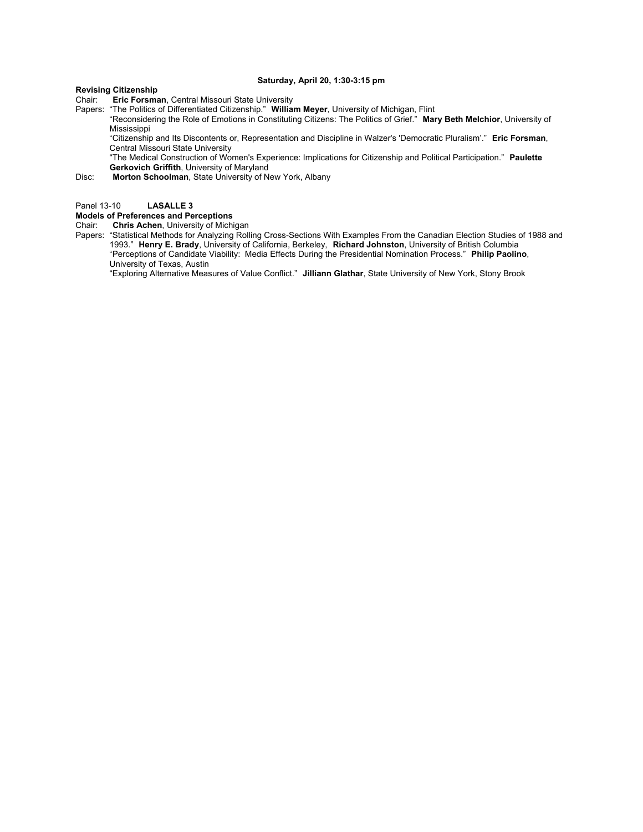## **Saturday, April 20, 1:30-3:15 pm**

**Revising Citizenship**

**Eric Forsman, Central Missouri State University** 

Papers: "The Politics of Differentiated Citizenship." **William Meyer**, University of Michigan, Flint

"Reconsidering the Role of Emotions in Constituting Citizens: The Politics of Grief." **Mary Beth Melchior**, University of Mississippi

"Citizenship and Its Discontents or, Representation and Discipline in Walzer's 'Democratic Pluralism'." **Eric Forsman**, Central Missouri State University

"The Medical Construction of Women's Experience: Implications for Citizenship and Political Participation." **Paulette Gerkovich Griffith**, University of Maryland

Disc: **Morton Schoolman**, State University of New York, Albany

Panel 13-10 **LASALLE 3**

## **Models of Preferences and Perceptions**

Chair: **Chris Achen**, University of Michigan

Papers: "Statistical Methods for Analyzing Rolling Cross-Sections With Examples From the Canadian Election Studies of 1988 and 1993." **Henry E. Brady**, University of California, Berkeley, **Richard Johnston**, University of British Columbia "Perceptions of Candidate Viability: Media Effects During the Presidential Nomination Process." **Philip Paolino**, University of Texas, Austin

"Exploring Alternative Measures of Value Conflict." **Jilliann Glathar**, State University of New York, Stony Brook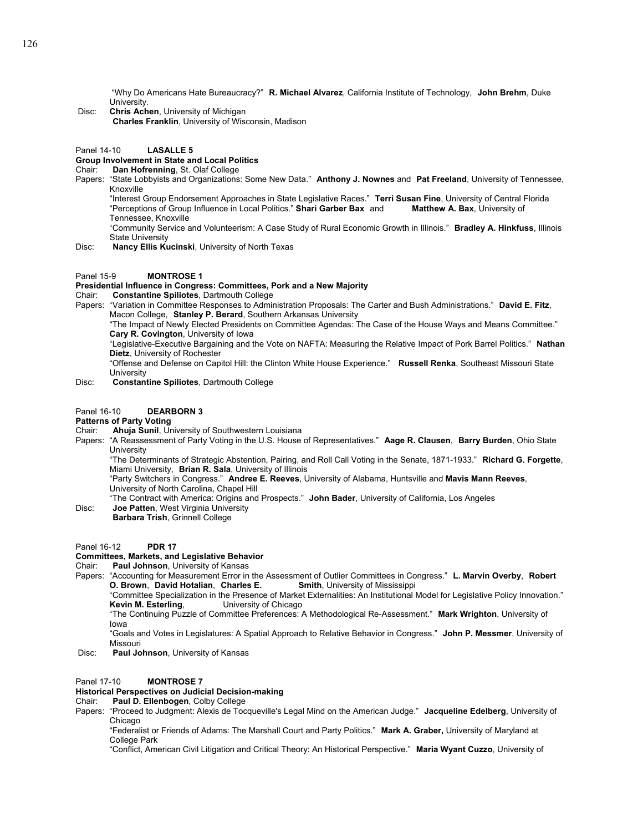"Why Do Americans Hate Bureaucracy?" **R. Michael Alvarez**, California Institute of Technology, **John Brehm**, Duke University.

 Disc: **Chris Achen**, University of Michigan **Charles Franklin**, University of Wisconsin, Madison

## Panel 14-10 **LASALLE 5**

# **Group Involvement in State and Local Politics**

- Dan Hofrenning, St. Olaf College
- Papers: "State Lobbyists and Organizations: Some New Data." **Anthony J. Nownes** and **Pat Freeland**, University of Tennessee, Knoxville
	- "Interest Group Endorsement Approaches in State Legislative Races." **Terri Susan Fine**, University of Central Florida "Perceptions of Group Influence in Local Politics." **Shari Garber Bax** and Tennessee, Knoxville

"Community Service and Volunteerism: A Case Study of Rural Economic Growth in Illinois." **Bradley A. Hinkfuss**, Illinois State University

Disc: **Nancy Ellis Kucinski**, University of North Texas

## Panel 15-9 **MONTROSE 1**

#### **Presidential Influence in Congress: Committees, Pork and a New Majority**

Chair: **Constantine Spiliotes**, Dartmouth College

Papers: "Variation in Committee Responses to Administration Proposals: The Carter and Bush Administrations." **David E. Fitz**, Macon College, **Stanley P. Berard**, Southern Arkansas University

"The Impact of Newly Elected Presidents on Committee Agendas: The Case of the House Ways and Means Committee." **Cary R. Covington**, University of Iowa

"Legislative-Executive Bargaining and the Vote on NAFTA: Measuring the Relative Impact of Pork Barrel Politics." **Nathan Dietz**, University of Rochester

"Offense and Defense on Capitol Hill: the Clinton White House Experience." **Russell Renka**, Southeast Missouri State **University** 

Disc: **Constantine Spiliotes**, Dartmouth College

## Panel 16-10 **DEARBORN 3**

## **Patterns of Party Voting**

- Chair: **Ahuja Sunil**, University of Southwestern Louisiana
- Papers: "A Reassessment of Party Voting in the U.S. House of Representatives." **Aage R. Clausen**, **Barry Burden**, Ohio State **University**

"The Determinants of Strategic Abstention, Pairing, and Roll Call Voting in the Senate, 1871-1933." **Richard G. Forgette**, Miami University, **Brian R. Sala**, University of Illinois

"Party Switchers in Congress." **Andree E. Reeves**, University of Alabama, Huntsville and **Mavis Mann Reeves**, University of North Carolina, Chapel Hill

- "The Contract with America: Origins and Prospects." **John Bader**, University of California, Los Angeles
- Disc: **Joe Patten**, West Virginia University **Barbara Trish**, Grinnell College

Panel 16-12 **PDR 17**

## **Committees, Markets, and Legislative Behavior**

## Chair: **Paul Johnson**, University of Kansas

Papers: "Accounting for Measurement Error in the Assessment of Outlier Committees in Congress." **L. Marvin Overby**, **Robert O. Brown**, **David Hotalian**, **Charles E. Smith**, University of Mississippi

"Committee Specialization in the Presence of Market Externalities: An Institutional Model for Legislative Policy Innovation." **Kevin M. Esterling, Example 3 University of Chicago** 

"The Continuing Puzzle of Committee Preferences: A Methodological Re-Assessment." **Mark Wrighton**, University of Iowa

"Goals and Votes in Legislatures: A Spatial Approach to Relative Behavior in Congress." **John P. Messmer**, University of Missouri

Disc: **Paul Johnson**, University of Kansas

#### Panel 17-10 **MONTROSE 7**

## **Historical Perspectives on Judicial Decision-making**

## Chair: **Paul D. Ellenbogen**, Colby College

Papers: "Proceed to Judgment: Alexis de Tocqueville's Legal Mind on the American Judge." **Jacqueline Edelberg**, University of Chicago

"Federalist or Friends of Adams: The Marshall Court and Party Politics." **Mark A. Graber,** University of Maryland at College Park

"Conflict, American Civil Litigation and Critical Theory: An Historical Perspective." **Maria Wyant Cuzzo**, University of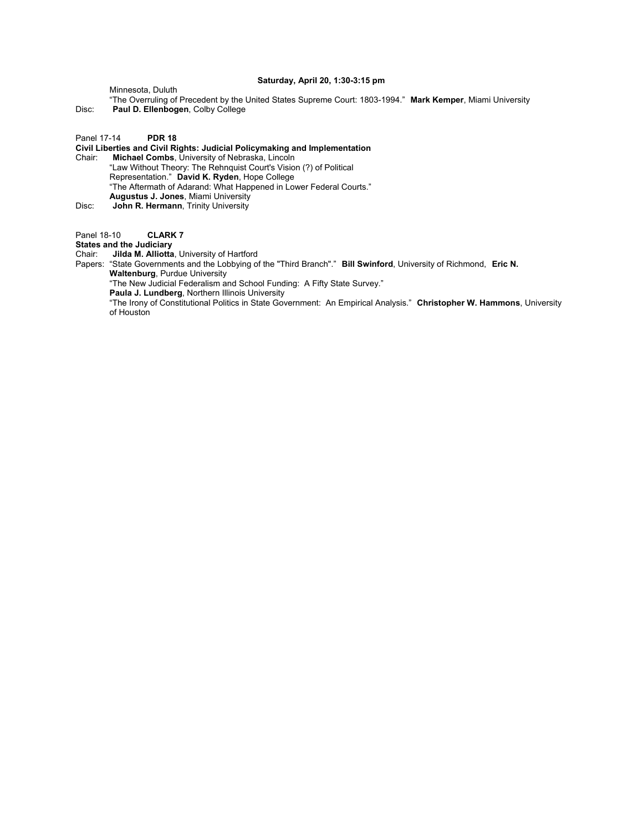## **Saturday, April 20, 1:30-3:15 pm**

Minnesota, Duluth

- "The Overruling of Precedent by the United States Supreme Court: 1803-1994." **Mark Kemper**, Miami University Disc: **Paul D. Ellenbogen**, Colby College
- 

Panel 17-14 **PDR 18**

**Civil Liberties and Civil Rights: Judicial Policymaking and Implementation**

Chair: **Michael Combs**, University of Nebraska, Lincoln "Law Without Theory: The Rehnquist Court's Vision (?) of Political Representation." **David K. Ryden**, Hope College "The Aftermath of Adarand: What Happened in Lower Federal Courts." **Augustus J. Jones**, Miami University

Disc: **John R. Hermann**, Trinity University

Panel 18-10 **CLARK 7** 

**States and the Judiciary**

Chair: **Jilda M. Alliotta**, University of Hartford

Papers: "State Governments and the Lobbying of the "Third Branch"." **Bill Swinford**, University of Richmond, **Eric N. Waltenburg**, Purdue University

"The New Judicial Federalism and School Funding: A Fifty State Survey."

**Paula J. Lundberg**, Northern Illinois University

"The Irony of Constitutional Politics in State Government: An Empirical Analysis." **Christopher W. Hammons**, University of Houston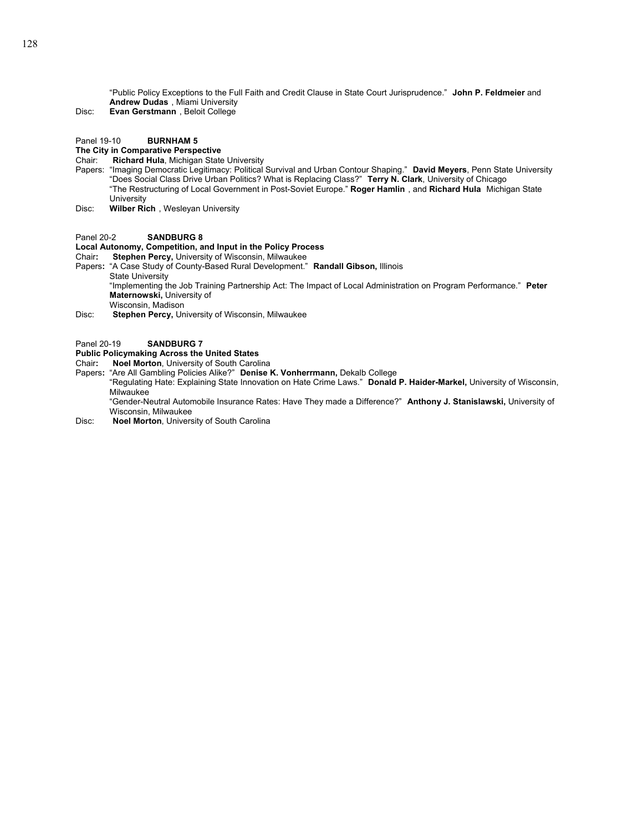"Public Policy Exceptions to the Full Faith and Credit Clause in State Court Jurisprudence." **John P. Feldmeier** and **Andrew Dudas** , Miami University

Disc: **Evan Gerstmann** , Beloit College

## Panel 19-10 **BURNHAM 5**

## **The City in Comparative Perspective**

## Chair: **Richard Hula**, Michigan State University

- Papers: "Imaging Democratic Legitimacy: Political Survival and Urban Contour Shaping." **David Meyers**, Penn State University "Does Social Class Drive Urban Politics? What is Replacing Class?" **Terry N. Clark**, University of Chicago "The Restructuring of Local Government in Post-Soviet Europe." **Roger Hamlin** , and **Richard Hula** Michigan State **University**
- Disc: **Wilber Rich** , Wesleyan University

## Panel 20-2 **SANDBURG 8**

## **Local Autonomy, Competition, and Input in the Policy Process**

- Chair**: Stephen Percy,** University of Wisconsin, Milwaukee
- Papers**:** "A Case Study of County-Based Rural Development." **Randall Gibson,** Illinois State University "Implementing the Job Training Partnership Act: The Impact of Local Administration on Program Performance." **Peter Maternowski,** University of Wisconsin, Madison
- Disc: **Stephen Percy,** University of Wisconsin, Milwaukee

#### Panel 20-19 **SANDBURG 7**

## **Public Policymaking Across the United States**

- Chair**: Noel Morton**, University of South Carolina
- Papers**:** "Are All Gambling Policies Alike?" **Denise K. Vonherrmann,** Dekalb College
	- "Regulating Hate: Explaining State Innovation on Hate Crime Laws." **Donald P. Haider-Markel,** University of Wisconsin, Milwaukee

"Gender-Neutral Automobile Insurance Rates: Have They made a Difference?" **Anthony J. Stanislawski,** University of Wisconsin, Milwaukee

Disc: **Noel Morton**, University of South Carolina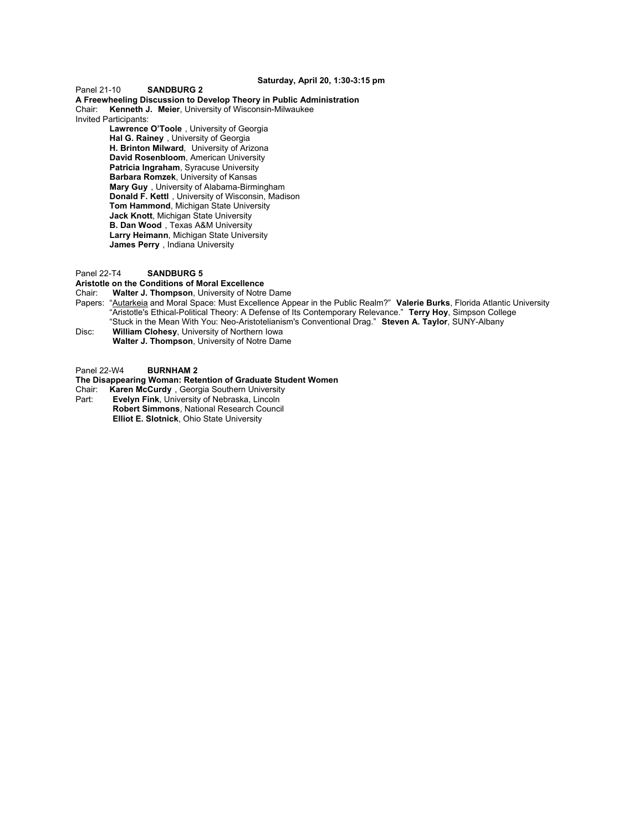## **Saturday, April 20, 1:30-3:15 pm**

Panel 21-10 **SANDBURG 2**

**A Freewheeling Discussion to Develop Theory in Public Administration** Chair: **Kenneth J. Meier**, University of Wisconsin-Milwaukee Invited Participants:

 **Lawrence O'Toole** , University of Georgia **Hal G. Rainey** , University of Georgia **H. Brinton Milward**, University of Arizona **David Rosenbloom**, American University **Patricia Ingraham**, Syracuse University **Barbara Romzek**, University of Kansas **Mary Guy** , University of Alabama-Birmingham **Donald F. Kettl** , University of Wisconsin, Madison **Tom Hammond**, Michigan State University **Jack Knott**, Michigan State University **B. Dan Wood** , Texas A&M University **Larry Heimann**, Michigan State University **James Perry** , Indiana University

## Panel 22-T4 **SANDBURG 5**

**Aristotle on the Conditions of Moral Excellence**

Chair: **Walter J. Thompson**, University of Notre Dame

- Papers: "Autarkeia and Moral Space: Must Excellence Appear in the Public Realm?" **Valerie Burks**, Florida Atlantic University "Aristotle's Ethical-Political Theory: A Defense of Its Contemporary Relevance." **Terry Hoy**, Simpson College "Stuck in the Mean With You: Neo-Aristotelianism's Conventional Drag." **Steven A. Taylor**, SUNY-Albany Disc: **William Clohesy**, University of Northern Iowa
- **Walter J. Thompson**, University of Notre Dame

Panel 22-W4 **BURNHAM 2**

#### **The Disappearing Woman: Retention of Graduate Student Women**

Chair: **Karen McCurdy** , Georgia Southern University **Evelyn Fink, University of Nebraska, Lincoln** 

**Robert Simmons**, National Research Council **Elliot E. Slotnick**, Ohio State University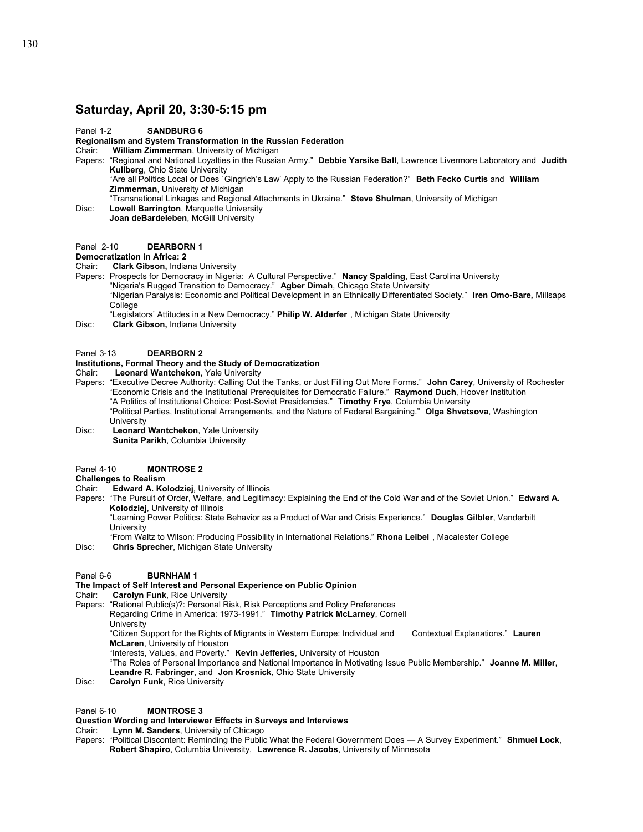## **Saturday, April 20, 3:30-5:15 pm**

## Panel 1-2 **SANDBURG 6**

# **Regionalism and System Transformation in the Russian Federation**

**William Zimmerman, University of Michigan** 

Papers: "Regional and National Loyalties in the Russian Army." **Debbie Yarsike Ball**, Lawrence Livermore Laboratory and **Judith Kullberg**, Ohio State University

"Are all Politics Local or Does `Gingrich's Law' Apply to the Russian Federation?" **Beth Fecko Curtis** and **William Zimmerman**, University of Michigan

"Transnational Linkages and Regional Attachments in Ukraine." **Steve Shulman**, University of Michigan

Disc: **Lowell Barrington**, Marquette University  **Joan deBardeleben**, McGill University

## Panel 2-10 **DEARBORN 1**

#### **Democratization in Africa: 2**

Chair: **Clark Gibson,** Indiana University

Papers: Prospects for Democracy in Nigeria: A Cultural Perspective." **Nancy Spalding**, East Carolina University

"Nigeria's Rugged Transition to Democracy." **Agber Dimah**, Chicago State University

"Nigerian Paralysis: Economic and Political Development in an Ethnically Differentiated Society." **Iren Omo-Bare,** Millsaps **College** 

"Legislators' Attitudes in a New Democracy." **Philip W. Alderfer** , Michigan State University

Disc: **Clark Gibson,** Indiana University

## Panel 3-13 **DEARBORN 2**

## **Institutions, Formal Theory and the Study of Democratization**

Chair: **Leonard Wantchekon**, Yale University

Papers: "Executive Decree Authority: Calling Out the Tanks, or Just Filling Out More Forms." **John Carey**, University of Rochester "Economic Crisis and the Institutional Prerequisites for Democratic Failure." **Raymond Duch**, Hoover Institution "A Politics of Institutional Choice: Post-Soviet Presidencies." **Timothy Frye**, Columbia University "Political Parties, Institutional Arrangements, and the Nature of Federal Bargaining." **Olga Shvetsova**, Washington **University** Disc: **Leonard Wantchekon**, Yale University **Sunita Parikh**, Columbia University

#### Panel 4-10 **MONTROSE 2**

## **Challenges to Realism**

- Chair: **Edward A. Kolodziej**, University of Illinois
- Papers: "The Pursuit of Order, Welfare, and Legitimacy: Explaining the End of the Cold War and of the Soviet Union." **Edward A. Kolodziej**, University of Illinois

"Learning Power Politics: State Behavior as a Product of War and Crisis Experience." **Douglas Gilbler**, Vanderbilt **University** 

- "From Waltz to Wilson: Producing Possibility in International Relations." **Rhona Leibel** , Macalester College
- Disc: **Chris Sprecher**, Michigan State University

## Panel 6-6 **BURNHAM 1**

#### **The Impact of Self Interest and Personal Experience on Public Opinion**

- Chair: **Carolyn Funk**, Rice University
- Papers: "Rational Public(s)?: Personal Risk, Risk Perceptions and Policy Preferences
	- Regarding Crime in America: 1973-1991." **Timothy Patrick McLarney**, Cornell
		- **University**
		- "Citizen Support for the Rights of Migrants in Western Europe: Individual and Contextual Explanations." **Lauren McLaren**, University of Houston
		- "Interests, Values, and Poverty." **Kevin Jefferies**, University of Houston

"The Roles of Personal Importance and National Importance in Motivating Issue Public Membership." **Joanne M. Miller**, **Leandre R. Fabringer**, and **Jon Krosnick**, Ohio State University

Disc: **Carolyn Funk**, Rice University

## Panel 6-10 **MONTROSE 3**

## **Question Wording and Interviewer Effects in Surveys and Interviews**

Chair: **Lynn M. Sanders**, University of Chicago

Papers: "Political Discontent: Reminding the Public What the Federal Government Does — A Survey Experiment." **Shmuel Lock**, **Robert Shapiro**, Columbia University, **Lawrence R. Jacobs**, University of Minnesota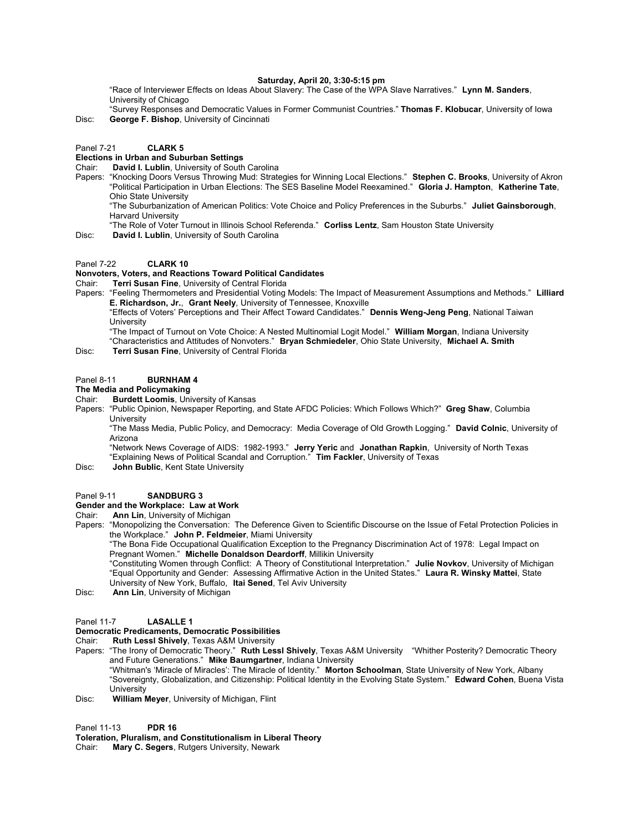## **Saturday, April 20, 3:30-5:15 pm**

"Race of Interviewer Effects on Ideas About Slavery: The Case of the WPA Slave Narratives." **Lynn M. Sanders**, University of Chicago

"Survey Responses and Democratic Values in Former Communist Countries." **Thomas F. Klobucar**, University of Iowa Disc: **George F. Bishop**, University of Cincinnati

#### Panel 7-21 **CLARK 5**

# **Elections in Urban and Suburban Settings**

David I. Lublin, University of South Carolina

Papers: "Knocking Doors Versus Throwing Mud: Strategies for Winning Local Elections." **Stephen C. Brooks**, University of Akron "Political Participation in Urban Elections: The SES Baseline Model Reexamined." **Gloria J. Hampton**, **Katherine Tate**, Ohio State University

"The Suburbanization of American Politics: Vote Choice and Policy Preferences in the Suburbs." **Juliet Gainsborough**, Harvard University

- "The Role of Voter Turnout in Illinois School Referenda." **Corliss Lentz**, Sam Houston State University
- Disc: **David I. Lublin**, University of South Carolina

#### Panel 7-22 **CLARK 10**

# **Nonvoters, Voters, and Reactions Toward Political Candidates**

**Terri Susan Fine, University of Central Florida** 

Papers: "Feeling Thermometers and Presidential Voting Models: The Impact of Measurement Assumptions and Methods." **Lilliard E. Richardson, Jr.**, **Grant Neely**, University of Tennessee, Knoxville

"Effects of Voters' Perceptions and Their Affect Toward Candidates." **Dennis Weng-Jeng Peng**, National Taiwan **University** 

"The Impact of Turnout on Vote Choice: A Nested Multinomial Logit Model." **William Morgan**, Indiana University "Characteristics and Attitudes of Nonvoters." **Bryan Schmiedeler**, Ohio State University, **Michael A. Smith**

Disc: **Terri Susan Fine**, University of Central Florida

## Panel 8-11 **BURNHAM 4**

#### **The Media and Policymaking**

Chair: **Burdett Loomis**, University of Kansas

Papers: "Public Opinion, Newspaper Reporting, and State AFDC Policies: Which Follows Which?" **Greg Shaw**, Columbia **University** 

"The Mass Media, Public Policy, and Democracy: Media Coverage of Old Growth Logging." **David Colnic**, University of Arizona

"Network News Coverage of AIDS: 1982-1993." **Jerry Yeric** and **Jonathan Rapkin**, University of North Texas "Explaining News of Political Scandal and Corruption." **Tim Fackler**, University of Texas

Disc: **John Bublic**, Kent State University

#### Panel 9-11 **SANDBURG 3**

#### **Gender and the Workplace: Law at Work**

Chair: **Ann Lin**, University of Michigan

Papers: "Monopolizing the Conversation: The Deference Given to Scientific Discourse on the Issue of Fetal Protection Policies in the Workplace." **John P. Feldmeier**, Miami University

"The Bona Fide Occupational Qualification Exception to the Pregnancy Discrimination Act of 1978: Legal Impact on Pregnant Women." **Michelle Donaldson Deardorff**, Millikin University

"Constituting Women through Conflict: A Theory of Constitutional Interpretation." **Julie Novkov**, University of Michigan "Equal Opportunity and Gender: Assessing Affirmative Action in the United States." **Laura R. Winsky Mattei**, State University of New York, Buffalo, **Itai Sened**, Tel Aviv University

Disc: **Ann Lin**, University of Michigan

#### Panel 11-7 **LASALLE 1**

## **Democratic Predicaments, Democratic Possibilities**

Chair: **Ruth Lessl Shively**, Texas A&M University

- Papers: "The Irony of Democratic Theory." **Ruth Lessl Shively**, Texas A&M University "Whither Posterity? Democratic Theory and Future Generations." **Mike Baumgartner**, Indiana University "Whitman's 'Miracle of Miracles': The Miracle of Identity." **Morton Schoolman**, State University of New York, Albany "Sovereignty, Globalization, and Citizenship: Political Identity in the Evolving State System." **Edward Cohen**, Buena Vista **University**
- Disc: **William Meyer**, University of Michigan, Flint

Panel 11-13 **PDR 16**

**Toleration, Pluralism, and Constitutionalism in Liberal Theory**

Chair: **Mary C. Segers**, Rutgers University, Newark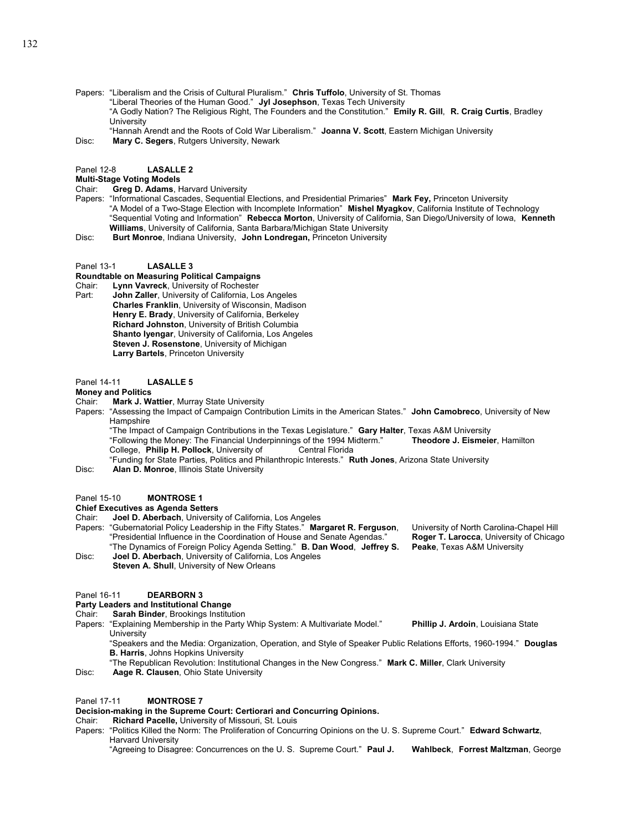Papers: "Liberalism and the Crisis of Cultural Pluralism." **Chris Tuffolo**, University of St. Thomas

"Liberal Theories of the Human Good." **Jyl Josephson**, Texas Tech University

"A Godly Nation? The Religious Right, The Founders and the Constitution." **Emily R. Gill**, **R. Craig Curtis**, Bradley **University** 

- "Hannah Arendt and the Roots of Cold War Liberalism." **Joanna V. Scott**, Eastern Michigan University
- Disc: **Mary C. Segers**, Rutgers University, Newark

#### Panel 12-8 **LASALLE 2**

## **Multi-Stage Voting Models**

Chair: **Greg D. Adams**, Harvard University

- Papers: "Informational Cascades, Sequential Elections, and Presidential Primaries" **Mark Fey,** Princeton University "A Model of a Two-Stage Election with Incomplete Information" **Mishel Myagkov**, California Institute of Technology "Sequential Voting and Information" **Rebecca Morton**, University of California, San Diego/University of Iowa, **Kenneth Williams**, University of California, Santa Barbara/Michigan State University
- Disc: **Burt Monroe**, Indiana University, **John Londregan,** Princeton University

#### Panel 13-1 **LASALLE 3**

**Roundtable on Measuring Political Campaigns**

Chair: **Lynn Vavreck**, University of Rochester

Part: **John Zaller**, University of California, Los Angeles **Charles Franklin**, University of Wisconsin, Madison **Henry E. Brady**, University of California, Berkeley **Richard Johnston**, University of British Columbia **Shanto Iyengar**, University of California, Los Angeles **Steven J. Rosenstone**, University of Michigan **Larry Bartels**, Princeton University

#### Panel 14-11 **LASALLE 5**

**Money and Politics** 

Chair: **Mark J. Wattier**, Murray State University

Papers: "Assessing the Impact of Campaign Contribution Limits in the American States." **John Camobreco**, University of New **Hampshire** 

"The Impact of Campaign Contributions in the Texas Legislature." **Gary Halter**, Texas A&M University "Following the Money: The Financial Underpinnings of the 1994 Midterm." **Theodore J. Eismeier**, Hamilton College, Philip H. Pollock, University of

"Funding for State Parties, Politics and Philanthropic Interests." **Ruth Jones**, Arizona State University

Disc: **Alan D. Monroe**, Illinois State University

#### Panel 15-10 **MONTROSE 1**

#### **Chief Executives as Agenda Setters**

Chair: **Joel D. Aberbach**, University of California, Los Angeles

- Papers: "Gubernatorial Policy Leadership in the Fifty States." **Margaret R. Ferguson**, University of North Carolina-Chapel Hill "Presidential Influence in the Coordination of House and Senate Agendas." **Roger T. Larocca**, University of Chicago "The Dynamics of Foreign Policy Agenda Setting." **B. Dan Wood**, **Jeffrey S. Peake**, Texas A&M University
- Disc: **Joel D. Aberbach**, University of California, Los Angeles **Steven A. Shull**, University of New Orleans

#### Panel 16-11 **DEARBORN 3**

**Party Leaders and Institutional Change**

Chair: **Sarah Binder**, Brookings Institution

- Papers: "Explaining Membership in the Party Whip System: A Multivariate Model." **Phillip J. Ardoin**, Louisiana State **University** 
	- "Speakers and the Media: Organization, Operation, and Style of Speaker Public Relations Efforts, 1960-1994." **Douglas B. Harris**, Johns Hopkins University
	- "The Republican Revolution: Institutional Changes in the New Congress." **Mark C. Miller**, Clark University
- Disc: **Aage R. Clausen**, Ohio State University

#### Panel 17-11 **MONTROSE 7**

**Decision-making in the Supreme Court: Certiorari and Concurring Opinions.** 

Chair: **Richard Pacelle,** University of Missouri, St. Louis

Papers: "Politics Killed the Norm: The Proliferation of Concurring Opinions on the U. S. Supreme Court." **Edward Schwartz**, Harvard University

"Agreeing to Disagree: Concurrences on the U. S. Supreme Court." **Paul J. Wahlbeck**, **Forrest Maltzman**, George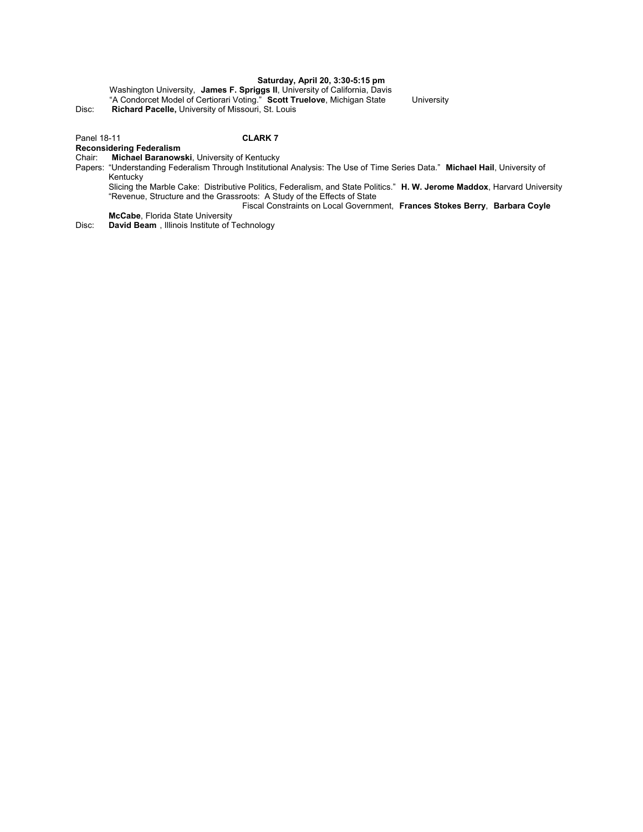## **Saturday, April 20, 3:30-5:15 pm**

Washington University, **James F. Spriggs II**, University of California, Davis "A Condorcet Model of Certiorari Voting." **Scott Truelove**, Michigan State University Disc: **Richard Pacelle,** University of Missouri, St. Louis

## Panel 18-11 **CLARK 7**

## **Reconsidering Federalism**

#### Chair: **Michael Baranowski**, University of Kentucky

Papers: "Understanding Federalism Through Institutional Analysis: The Use of Time Series Data." **Michael Hail**, University of Kentucky

Slicing the Marble Cake: Distributive Politics, Federalism, and State Politics." **H. W. Jerome Maddox**, Harvard University "Revenue, Structure and the Grassroots: A Study of the Effects of State

Fiscal Constraints on Local Government, **Frances Stokes Berry**, **Barbara Coyle** 

**McCabe**, Florida State University

Disc: **David Beam** , Illinois Institute of Technology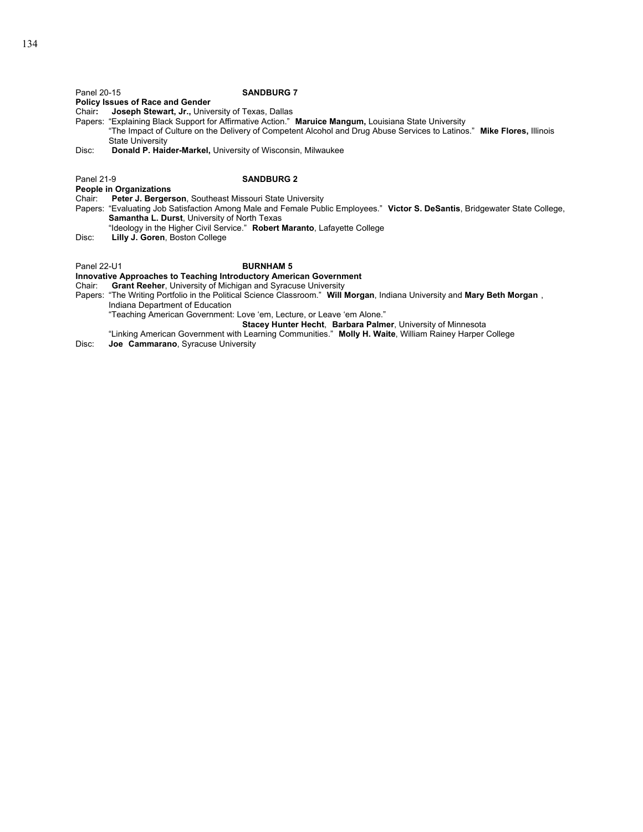**Policy Issues of Race and Gender** 

Chair**: Joseph Stewart, Jr.,** University of Texas, Dallas

Papers: "Explaining Black Support for Affirmative Action." **Maruice Mangum,** Louisiana State University "The Impact of Culture on the Delivery of Competent Alcohol and Drug Abuse Services to Latinos." **Mike Flores,** Illinois State University

Disc: **Donald P. Haider-Markel,** University of Wisconsin, Milwaukee

### Panel 21-9 **SANDBURG 2**

**People in Organizations**

- Chair: **Peter J. Bergerson**, Southeast Missouri State University
- Papers: "Evaluating Job Satisfaction Among Male and Female Public Employees." **Victor S. DeSantis**, Bridgewater State College, **Samantha L. Durst**, University of North Texas
- "Ideology in the Higher Civil Service." **Robert Maranto**, Lafayette College
- Lilly J. Goren, Boston College

Panel 22-U1 **BURNHAM 5** 

**Innovative Approaches to Teaching Introductory American Government Chair: Grant Reeher.** University of Michigan and Syracuse University

**Grant Reeher, University of Michigan and Syracuse University** 

Papers: "The Writing Portfolio in the Political Science Classroom." **Will Morgan**, Indiana University and **Mary Beth Morgan** , Indiana Department of Education

"Teaching American Government: Love 'em, Lecture, or Leave 'em Alone."

 **Stacey Hunter Hecht**, **Barbara Palmer**, University of Minnesota

"Linking American Government with Learning Communities." **Molly H. Waite**, William Rainey Harper College Disc: **Joe Cammarano**, Syracuse University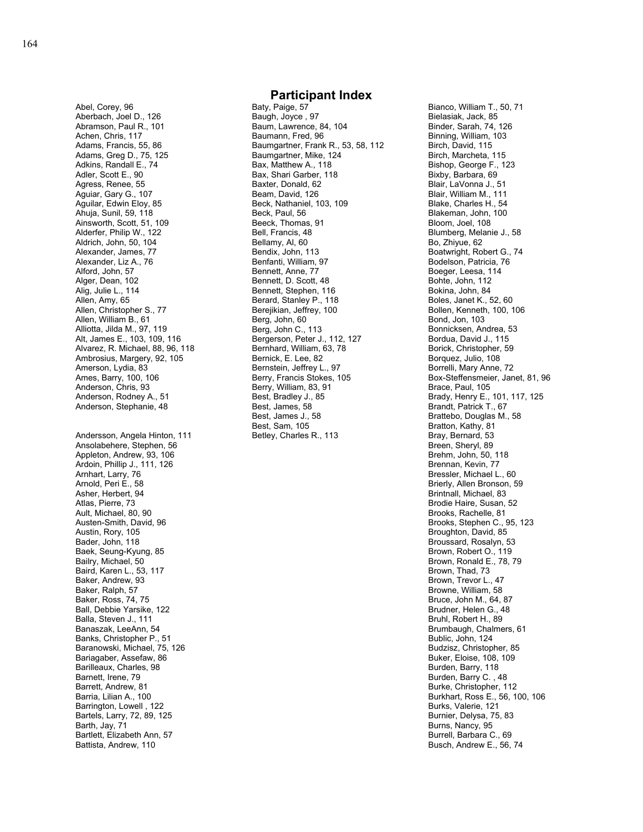Abel, Corey, 96 Aberbach, Joel D., 126 Abramson, Paul R., 101 Achen, Chris, 117 Adams, Francis, 55, 86 Adams, Greg D., 75, 125 Adkins, Randall E., 74 Adler, Scott E., 90 Agress, Renee, 55 Aguiar, Gary G., 107 Aguilar, Edwin Eloy, 85 Ahuja, Sunil, 59, 118 Ainsworth, Scott, 51, 109 Alderfer, Philip W., 122 Aldrich, John, 50, 104 Alexander, James, 77 Alexander, Liz A., 76 Alford, John, 57 Alger, Dean, 102 Alig, Julie L., 114 Allen, Amy, 65 Allen, Christopher S., 77 Allen, William B., 61 Alliotta, Jilda M., 97, 119 Alt, James E., 103, 109, 116 Alvarez, R. Michael, 88, 96, 118 Ambrosius, Margery, 92, 105 Amerson, Lydia, 83 Ames, Barry, 100, 106 Anderson, Chris, 93 Anderson, Rodney A., 51 Anderson, Stephanie, 48 Andersson, Angela Hinton, 111 Ansolabehere, Stephen, 56 Appleton, Andrew, 93, 106 Ardoin, Phillip J., 111, 126 Arnhart, Larry, 76 Arnold, Peri E., 58 Asher, Herbert, 94 Atlas, Pierre, 73 Ault, Michael, 80, 90 Austen-Smith, David, 96 Austin, Rory, 105 Bader, John, 118 Baek, Seung-Kyung, 85 Bailry, Michael, 50 Baird, Karen L., 53, 117 Baker, Andrew, 93 Baker, Ralph, 57 Baker, Ross, 74, 75 Ball, Debbie Yarsike, 122 Balla, Steven J., 111 Banaszak, LeeAnn, 54 Banks, Christopher P., 51 Baranowski, Michael, 75, 126 Bariagaber, Assefaw, 86 Barilleaux, Charles, 98 Barnett, Irene, 79 Barrett, Andrew, 81 Barria, Lilian A., 100 Barrington, Lowell , 122 Bartels, Larry, 72, 89, 125 Barth, Jay, 71

Bartlett, Elizabeth Ann, 57 Battista, Andrew, 110

## **Participant Index**

Baty, Paige, 57 Baugh, Joyce , 97 Baum, Lawrence, 84, 104 Baumann, Fred, 96 Baumgartner, Frank R., 53, 58, 112 Baumgartner, Mike, 124 Bax, Matthew A., 118 Bax, Shari Garber, 118 Baxter, Donald, 62 Beam, David, 126 Beck, Nathaniel, 103, 109 Beck, Paul, 56 Beeck, Thomas, 91 Bell, Francis, 48 Bellamy, Al, 60 Bendix, John, 113 Benfanti, William, 97 Bennett, Anne, 77 Bennett, D. Scott, 48 Bennett, Stephen, 116 Berard, Stanley P., 118 Berejikian, Jeffrey, 100 Berg, John, 60 Berg, John C., 113 Bergerson, Peter J., 112, 127 Bernhard, William, 63, 78 Bernick, E. Lee, 82 Bernstein, Jeffrey L., 97 Berry, Francis Stokes, 105 Berry, William, 83, 91 Best, Bradley J., 85 Best, James, 58 Best, James J., 58 Best, Sam, 105 Betley, Charles R., 113

Bianco, William T., 50, 71 Bielasiak, Jack, 85 Binder, Sarah, 74, 126 Binning, William, 103 Birch, David, 115 Birch, Marcheta, 115 Bishop, George F., 123 Bixby, Barbara, 69 Blair, LaVonna J., 51 Blair, William M., 111 Blake, Charles H., 54 Blakeman, John, 100 Bloom, Joel, 108 Blumberg, Melanie J., 58 Bo, Zhiyue, 62 Boatwright, Robert G., 74 Bodelson, Patricia, 76 Boeger, Leesa, 114 Bohte, John, 112 Bokina, John, 84 Boles, Janet K., 52, 60 Bollen, Kenneth, 100, 106 Bond, Jon, 103 Bonnicksen, Andrea, 53 Bordua, David J., 115 Borick, Christopher, 59 Borquez, Julio, 108 Borrelli, Mary Anne, 72 Box-Steffensmeier, Janet, 81, 96 Brace, Paul, 105 Brady, Henry E., 101, 117, 125 Brandt, Patrick T., 67 Brattebo, Douglas M., 58 Bratton, Kathy, 81 Bray, Bernard, 53 Breen, Sheryl, 89 Brehm, John, 50, 118 Brennan, Kevin, 77 Bressler, Michael L., 60 Brierly, Allen Bronson, 59 Brintnall, Michael, 83 Brodie Haire, Susan, 52 Brooks, Rachelle, 81 Brooks, Stephen C., 95, 123 Broughton, David, 85 Broussard, Rosalyn, 53 Brown, Robert O., 119 Brown, Ronald E., 78, 79 Brown, Thad, 73 Brown, Trevor L., 47 Browne, William, 58 Bruce, John M., 64, 87 Brudner, Helen G., 48 Bruhl, Robert H., 89 Brumbaugh, Chalmers, 61 Bublic, John, 124 Budzisz, Christopher, 85 Buker, Eloise, 108, 109 Burden, Barry, 118 Burden, Barry C. , 48 Burke, Christopher, 112 Burkhart, Ross E., 56, 100, 106 Burks, Valerie, 121 Burnier, Delysa, 75, 83 Burns, Nancy, 95 Burrell, Barbara C., 69 Busch, Andrew E., 56, 74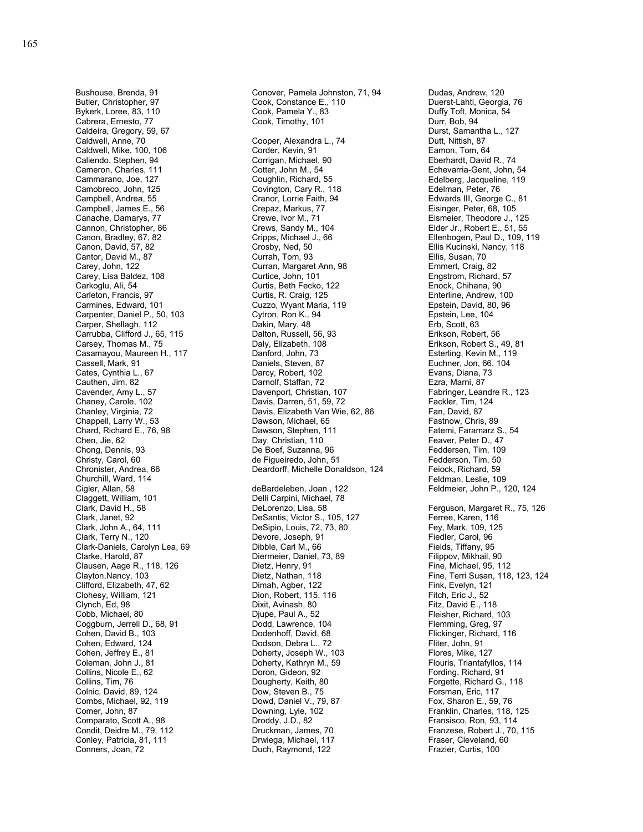Bushouse, Brenda, 91 Butler, Christopher, 97 Bykerk, Loree, 83, 110 Cabrera, Ernesto, 77 Caldeira, Gregory, 59, 67 Caldwell, Anne, 70 Caldwell, Mike, 100, 106 Caliendo, Stephen, 94 Cameron, Charles, 111 Cammarano, Joe, 127 Camobreco, John, 125 Campbell, Andrea, 55 Campbell, James E., 56 Canache, Damarys, 77 Cannon, Christopher, 86 Canon, Bradley, 67, 82 Canon, David, 57, 82 Cantor, David M., 87 Carey, John, 122 Carey, Lisa Baldez, 108 Carkoglu, Ali, 54 Carleton, Francis, 97 Carmines, Edward, 101 Carpenter, Daniel P., 50, 103 Carper, Shellagh, 112 Carrubba, Clifford J., 65, 115 Carsey, Thomas M., 75 Casamayou, Maureen H., 117 Cassell, Mark, 91 Cates, Cynthia L., 67 Cauthen, Jim, 82 Cavender, Amy L., 57 Chaney, Carole, 102 Chanley, Virginia, 72 Chappell, Larry W., 53 Chard, Richard E., 76, 98 Chen, Jie, 62 Chong, Dennis, 93 Christy, Carol, 60 Chronister, Andrea, 66 Churchill, Ward, 114 Cigler, Allan, 58 Claggett, William, 101 Clark, David H., 58 Clark, Janet, 92 Clark, John A., 64, 111 Clark, Terry N., 120 Clark-Daniels, Carolyn Lea, 69 Clarke, Harold, 87 Clausen, Aage R., 118, 126 Clayton,Nancy, 103 Clifford, Elizabeth, 47, 62 Clohesy, William, 121 Clynch, Ed, 98 Cobb, Michael, 80 Coggburn, Jerrell D., 68, 91 Cohen, David B., 103 Cohen, Edward, 124 Cohen, Jeffrey E., 81 Coleman, John J., 81 Collins, Nicole E., 62 Collins, Tim, 76 Colnic, David, 89, 124 Combs, Michael, 92, 119 Comer, John, 87 Comparato, Scott A., 98 Condit, Deidre M., 79, 112 Conley, Patricia, 81, 111 Conners, Joan, 72

Conover, Pamela Johnston, 71, 94 Cook, Constance E., 110 Cook, Pamela Y., 83 Cook, Timothy, 101 Cooper, Alexandra L., 74 Corder, Kevin, 91 Corrigan, Michael, 90 Cotter, John M., 54 Coughlin, Richard, 55 Covington, Cary R., 118 Cranor, Lorrie Faith, 94 Crepaz, Markus, 77 Crewe, Ivor M., 71 Crews, Sandy M., 104 Cripps, Michael J., 66 Crosby, Ned, 50 Currah, Tom, 93 Curran, Margaret Ann, 98 Curtice, John, 101 Curtis, Beth Fecko, 122 Curtis, R. Craig, 125 Cuzzo, Wyant Maria, 119 Cytron, Ron K., 94 Dakin, Mary, 48 Dalton, Russell, 56, 93 Daly, Elizabeth, 108 Danford, John, 73 Daniels, Steven, 87 Darcy, Robert, 102 Darnolf, Staffan, 72 Davenport, Christian, 107 Davis, Darren, 51, 59, 72 Davis, Elizabeth Van Wie, 62, 86 Dawson, Michael, 65 Dawson, Stephen, 111 Day, Christian, 110 De Boef, Suzanna, 96 de Figueiredo, John, 51 Deardorff, Michelle Donaldson, 124 deBardeleben, Joan , 122 Delli Carpini, Michael, 78 DeLorenzo, Lisa, 58 DeSantis, Victor S., 105, 127 DeSipio, Louis, 72, 73, 80 Devore, Joseph, 91 Dibble, Carl M., 66 Diermeier, Daniel, 73, 89 Dietz, Henry, 91 Dietz, Nathan, 118 Dimah, Agber, 122 Dion, Robert, 115, 116 Dixit, Avinash, 80 Djupe, Paul A., 52 Dodd, Lawrence, 104 Dodenhoff, David, 68 Dodson, Debra L., 72 Doherty, Joseph W., 103 Doherty, Kathryn M., 59 Doron, Gideon, 92 Dougherty, Keith, 80 Dow, Steven B., 75 Dowd, Daniel V., 79, 87 Downing, Lyle, 102 Droddy, J.D., 82 Druckman, James, 70 Drwiega, Michael, 117 Duch, Raymond, 122

Dudas, Andrew, 120 Duerst-Lahti, Georgia, 76 Duffy Toft, Monica, 54 Durr, Bob, 94 Durst, Samantha L., 127 Dutt, Nittish, 87 Eamon, Tom, 64 Eberhardt, David R., 74 Echevarria-Gent, John, 54 Edelberg, Jacqueline, 119 Edelman, Peter, 76 Edwards III, George C., 81 Eisinger, Peter, 68, 105 Eismeier, Theodore J., 125 Elder Jr., Robert E., 51, 55 Ellenbogen, Paul D., 109, 119 Ellis Kucinski, Nancy, 118 Ellis, Susan, 70 Emmert, Craig, 82 Engstrom, Richard, 57 Enock, Chihana, 90 Enterline, Andrew, 100 Epstein, David, 80, 96 Epstein, Lee, 104 Erb, Scott, 63 Erikson, Robert, 56 Erikson, Robert S., 49, 81 Esterling, Kevin M., 119 Euchner, Jon, 66, 104 Evans, Diana, 73 Ezra, Marni, 87 Fabringer, Leandre R., 123 Fackler, Tim, 124 Fan, David, 87 Fastnow, Chris, 89 Fatemi, Faramarz S., 54 Feaver, Peter D., 47 Feddersen, Tim, 109 Fedderson, Tim, 50 Feiock, Richard, 59 Feldman, Leslie, 109 Feldmeier, John P., 120, 124 Ferguson, Margaret R., 75, 126 Ferree, Karen, 116 Fey, Mark, 109, 125 Fiedler, Carol, 96 Fields, Tiffany, 95 Filippov, Mikhail, 90 Fine, Michael, 95, 112 Fine, Terri Susan, 118, 123, 124 Fink, Evelyn, 121 Fitch, Eric J., 52 Fitz, David E., 118 Fleisher, Richard, 103 Flemming, Greg, 97 Flickinger, Richard, 116 Fliter, John, 91 Flores, Mike, 127 Flouris, Triantafyllos, 114 Fording, Richard, 91 Forgette, Richard G., 118 Forsman, Eric, 117 Fox, Sharon E., 59, 76 Franklin, Charles, 118, 125 Fransisco, Ron, 93, 114 Franzese, Robert J., 70, 115 Fraser, Cleveland, 60 Frazier, Curtis, 100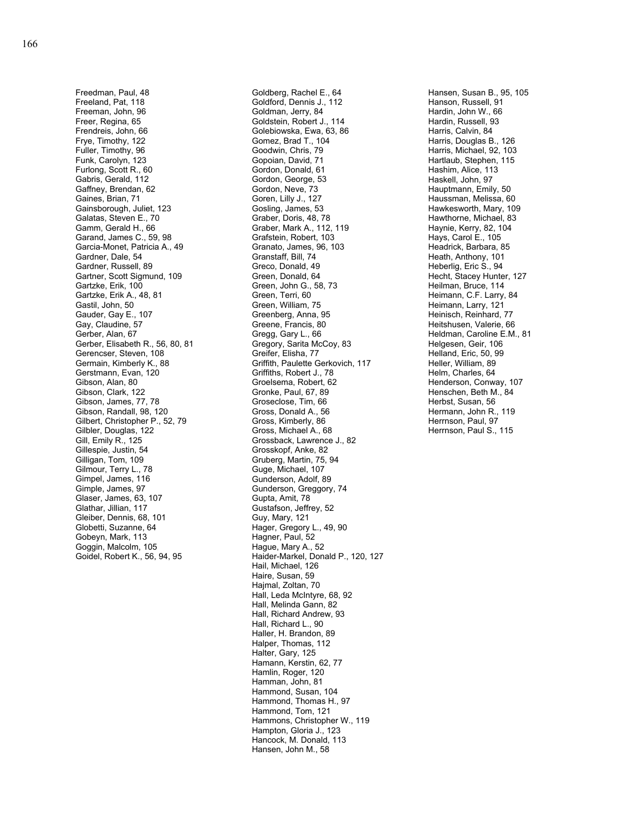Freedman, Paul, 48 Freeland, Pat, 118 Freeman, John, 96 Freer, Regina, 65 Frendreis, John, 66 Frye, Timothy, 122 Fuller, Timothy, 96 Funk, Carolyn, 123 Furlong, Scott R., 60 Gabris, Gerald, 112 Gaffney, Brendan, 62 Gaines, Brian, 71 Gainsborough, Juliet, 123 Galatas, Steven E., 70 Gamm, Gerald H., 66 Garand, James C., 59, 98 Garcia-Monet, Patricia A., 49 Gardner, Dale, 54 Gardner, Russell, 89 Gartner, Scott Sigmund, 109 Gartzke, Erik, 100 Gartzke, Erik A., 48, 81 Gastil, John, 50 Gauder, Gay E., 107 Gay, Claudine, 57 Gerber, Alan, 67 Gerber, Elisabeth R., 56, 80, 81 Gerencser, Steven, 108 Germain, Kimberly K., 88 Gerstmann, Evan, 120 Gibson, Alan, 80 Gibson, Clark, 122 Gibson, James, 77, 78 Gibson, Randall, 98, 120 Gilbert, Christopher P., 52, 79 Gilbler, Douglas, 122 Gill, Emily R., 125 Gillespie, Justin, 54 Gilligan, Tom, 109 Gilmour, Terry L., 78 Gimpel, James, 116 Gimple, James, 97 Glaser, James, 63, 107 Glathar, Jillian, 117 Gleiber, Dennis, 68, 101 Globetti, Suzanne, 64 Gobeyn, Mark, 113 Goggin, Malcolm, 105 Goidel, Robert K., 56, 94, 95

Goldberg, Rachel E., 64 Goldford, Dennis J., 112 Goldman, Jerry, 84 Goldstein, Robert J., 114 Golebiowska, Ewa, 63, 86 Gomez, Brad T., 104 Goodwin, Chris, 79 Gopoian, David, 71 Gordon, Donald, 61 Gordon, George, 53 Gordon, Neve, 73 Goren, Lilly J., 127 Gosling, James, 53 Graber, Doris, 48, 78 Graber, Mark A., 112, 119 Grafstein, Robert, 103 Granato, James, 96, 103 Granstaff, Bill, 74 Greco, Donald, 49 Green, Donald, 64 Green, John G., 58, 73 Green, Terri, 60 Green, William, 75 Greenberg, Anna, 95 Greene, Francis, 80 Gregg, Gary L., 66 Gregory, Sarita McCoy, 83 Greifer, Elisha, 77 Griffith, Paulette Gerkovich, 117 Griffiths, Robert J., 78 Groelsema, Robert, 62 Gronke, Paul, 67, 89 Groseclose, Tim, 66 Gross, Donald A., 56 Gross, Kimberly, 86 Gross, Michael A., 68 Grossback, Lawrence J., 82 Grosskopf, Anke, 82 Gruberg, Martin, 75, 94 Guge, Michael, 107 Gunderson, Adolf, 89 Gunderson, Greggory, 74 Gupta, Amit, 78 Gustafson, Jeffrey, 52 Guy, Mary, 121 Hager, Gregory L., 49, 90 Hagner, Paul, 52 Hague, Mary A., 52 Haider-Markel, Donald P., 120, 127 Hail, Michael, 126 Haire, Susan, 59 Hajmal, Zoltan, 70 Hall, Leda McIntyre, 68, 92 Hall, Melinda Gann, 82 Hall, Richard Andrew, 93 Hall, Richard L., 90 Haller, H. Brandon, 89 Halper, Thomas, 112 Halter, Gary, 125 Hamann, Kerstin, 62, 77 Hamlin, Roger, 120 Hamman, John, 81 Hammond, Susan, 104 Hammond, Thomas H., 97 Hammond, Tom, 121 Hammons, Christopher W., 119 Hampton, Gloria J., 123 Hancock, M. Donald, 113 Hansen, John M., 58

Hansen, Susan B., 95, 105 Hanson, Russell, 91 Hardin, John W., 66 Hardin, Russell, 93 Harris, Calvin, 84 Harris, Douglas B., 126 Harris, Michael, 92, 103 Hartlaub, Stephen, 115 Hashim, Alice, 113 Haskell, John, 97 Hauptmann, Emily, 50 Haussman, Melissa, 60 Hawkesworth, Mary, 109 Hawthorne, Michael, 83 Haynie, Kerry, 82, 104 Hays, Carol E., 105 Headrick, Barbara, 85 Heath, Anthony, 101 Heberlig, Eric S., 94 Hecht, Stacey Hunter, 127 Heilman, Bruce, 114 Heimann, C.F. Larry, 84 Heimann, Larry, 121 Heinisch, Reinhard, 77 Heitshusen, Valerie, 66 Heldman, Caroline E.M., 81 Helgesen, Geir, 106 Helland, Eric, 50, 99 Heller, William, 89 Helm, Charles, 64 Henderson, Conway, 107 Henschen, Beth M., 84 Herbst, Susan, 56 Hermann, John R., 119 Herrnson, Paul, 97 Herrnson, Paul S., 115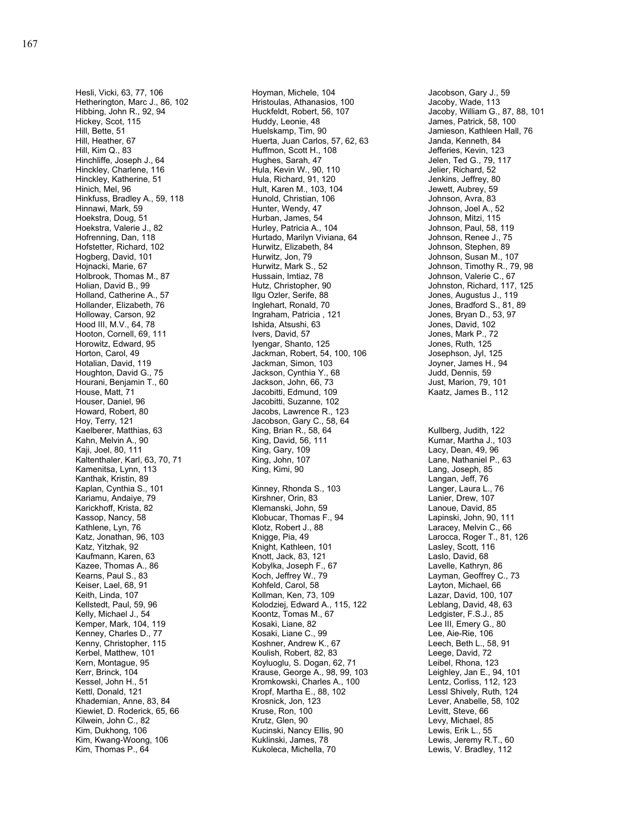Hesli, Vicki, 63, 77, 106 Hetherington, Marc J., 86, 102 Hibbing, John R., 92, 94 Hickey, Scot, 115 Hill, Bette, 51 Hill, Heather, 67 Hill, Kim Q., 83 Hinchliffe, Joseph J., 64 Hinckley, Charlene, 116 Hinckley, Katherine, 51 Hinich, Mel, 96 Hinkfuss, Bradley A., 59, 118 Hinnawi, Mark, 59 Hoekstra, Doug, 51 Hoekstra, Valerie J., 82 Hofrenning, Dan, 118 Hofstetter, Richard, 102 Hogberg, David, 101 Hojnacki, Marie, 67 Holbrook, Thomas M., 87 Holian, David B., 99 Holland, Catherine A., 57 Hollander, Elizabeth, 76 Holloway, Carson, 92 Hood III, M.V., 64, 78 Hooton, Cornell, 69, 111 Horowitz, Edward, 95 Horton, Carol, 49 Hotalian, David, 119 Houghton, David G., 75 Hourani, Benjamin T., 60 House, Matt, 71 Houser, Daniel, 96 Howard, Robert, 80 Hoy, Terry, 121 Kaelberer, Matthias, 63 Kahn, Melvin A., 90 Kaji, Joel, 80, 111 Kaltenthaler, Karl, 63, 70, 71 Kamenitsa, Lynn, 113 Kanthak, Kristin, 89 Kaplan, Cynthia S., 101 Kariamu, Andaiye, 79 Karickhoff, Krista, 82 Kassop, Nancy, 58 Kathlene, Lyn, 76 Katz, Jonathan, 96, 103 Katz, Yitzhak, 92 Kaufmann, Karen, 63 Kazee, Thomas A., 86 Kearns, Paul S., 83 Keiser, Lael, 68, 91 Keith, Linda, 107 Kellstedt, Paul, 59, 96 Kelly, Michael J., 54 Kemper, Mark, 104, 119 Kenney, Charles D., 77 Kenny, Christopher, 115 Kerbel, Matthew, 101 Kern, Montague, 95 Kerr, Brinck, 104 Kessel, John H., 51 Kettl, Donald, 121 Khademian, Anne, 83, 84 Kiewiet, D. Roderick, 65, 66 Kilwein, John C., 82 Kim, Dukhong, 106 Kim, Kwang-Woong, 106 Kim, Thomas P., 64

Hoyman, Michele, 104 Hristoulas, Athanasios, 100 Huckfeldt, Robert, 56, 107 Huddy, Leonie, 48 Huelskamp, Tim, 90 Huerta, Juan Carlos, 57, 62, 63 Huffmon, Scott H., 108 Hughes, Sarah, 47 Hula, Kevin W., 90, 110 Hula, Richard, 91, 120 Hult, Karen M., 103, 104 Hunold, Christian, 106 Hunter, Wendy, 47 Hurban, James, 54 Hurley, Patricia A., 104 Hurtado, Marilyn Viviana, 64 Hurwitz, Elizabeth, 84 Hurwitz, Jon, 79 Hurwitz, Mark S., 52 Hussain, Imtiaz, 78 Hutz, Christopher, 90 Ilgu Ozler, Serife, 88 Inglehart, Ronald, 70 Ingraham, Patricia , 121 Ishida, Atsushi, 63 Ivers, David, 57 Iyengar, Shanto, 125 Jackman, Robert, 54, 100, 106 Jackman, Simon, 103 Jackson, Cynthia Y., 68 Jackson, John, 66, 73 Jacobitti, Edmund, 109 Jacobitti, Suzanne, 102 Jacobs, Lawrence R., 123 Jacobson, Gary C., 58, 64 King, Brian R., 58, 64 King, David, 56, 111 King, Gary, 109 King, John, 107 King, Kimi, 90 Kinney, Rhonda S., 103 Kirshner, Orin, 83 Klemanski, John, 59 Klobucar, Thomas F., 94 Klotz, Robert J., 88 Knigge, Pia, 49 Knight, Kathleen, 101 Knott, Jack, 83, 121 Kobylka, Joseph F., 67 Koch, Jeffrey W., 79 Kohfeld, Carol, 58 Kollman, Ken, 73, 109 Kolodziej, Edward A., 115, 122 Koontz, Tomas M., 67 Kosaki, Liane, 82 Kosaki, Liane C., 99 Koshner, Andrew K., 67 Koulish, Robert, 82, 83 Koyluoglu, S. Dogan, 62, 71 Krause, George A., 98, 99, 103 Kromkowski, Charles A., 100 Kropf, Martha E., 88, 102 Krosnick, Jon, 123 Kruse, Ron, 100 Krutz, Glen, 90 Kucinski, Nancy Ellis, 90 Kuklinski, James, 78 Kukoleca, Michella, 70

Jacobson, Gary J., 59 Jacoby, Wade, 113 Jacoby, William G., 87, 88, 101 James, Patrick, 58, 100 Jamieson, Kathleen Hall, 76 Janda, Kenneth, 84 Jefferies, Kevin, 123 Jelen, Ted G., 79, 117 Jelier, Richard, 52 Jenkins, Jeffrey, 80 Jewett, Aubrey, 59 Johnson, Avra, 83 Johnson, Joel A., 52 Johnson, Mitzi, 115 Johnson, Paul, 58, 119 Johnson, Renee J., 75 Johnson, Stephen, 89 Johnson, Susan M., 107 Johnson, Timothy R., 79, 98 Johnson, Valerie C., 67 Johnston, Richard, 117, 125 Jones, Augustus J., 119 Jones, Bradford S., 81, 89 Jones, Bryan D., 53, 97 Jones, David, 102 Jones, Mark P., 72 Jones, Ruth, 125 Josephson, Jyl, 125 Joyner, James H., 94 Judd, Dennis, 59 Just, Marion, 79, 101 Kaatz, James B., 112 Kullberg, Judith, 122 Kumar, Martha J., 103 Lacy, Dean, 49, 96 Lane, Nathaniel P., 63 Lang, Joseph, 85 Langan, Jeff, 76 Langer, Laura L., 76 Lanier, Drew, 107 Lanoue, David, 85 Lapinski, John, 90, 111 Laracey, Melvin C., 66 Larocca, Roger T., 81, 126 Lasley, Scott, 116 Laslo, David, 68 Lavelle, Kathryn, 86 Layman, Geoffrey C., 73 Layton, Michael, 66 Lazar, David, 100, 107 Leblang, David, 48, 63 Ledgister, F.S.J., 85 Lee III, Emery G., 80 Lee, Aie-Rie, 106 Leech, Beth L., 58, 91 Leege, David, 72 Leibel, Rhona, 123 Leighley, Jan E., 94, 101 Lentz, Corliss, 112, 123 Lessl Shively, Ruth, 124 Lever, Anabelle, 58, 102 Levitt, Steve, 66 Levy, Michael, 85 Lewis, Erik L., 55 Lewis, Jeremy R.T., 60 Lewis, V. Bradley, 112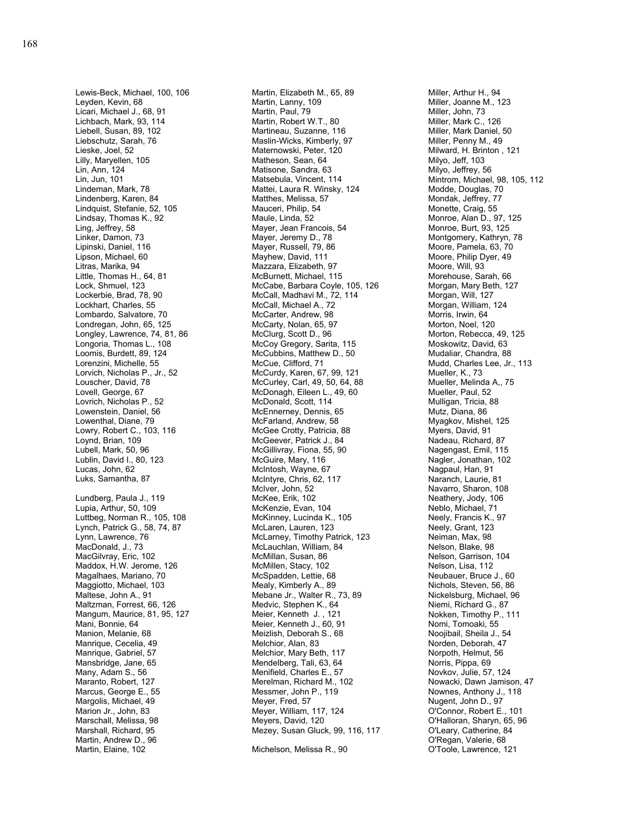Lewis-Beck, Michael, 100, 106 Leyden, Kevin, 68 Licari, Michael J., 68, 91 Lichbach, Mark, 93, 114 Liebell, Susan, 89, 102 Liebschutz, Sarah, 76 Lieske, Joel, 52 Lilly, Maryellen, 105 Lin, Ann, 124 Lin, Jun, 101 Lindeman, Mark, 78 Lindenberg, Karen, 84 Lindquist, Stefanie, 52, 105 Lindsay, Thomas K., 92 Ling, Jeffrey, 58 Linker, Damon, 73 Lipinski, Daniel, 116 Lipson, Michael, 60 Litras, Marika, 94 Little, Thomas H., 64, 81 Lock, Shmuel, 123 Lockerbie, Brad, 78, 90 Lockhart, Charles, 55 Lombardo, Salvatore, 70 Londregan, John, 65, 125 Longley, Lawrence, 74, 81, 86 Longoria, Thomas L., 108 Loomis, Burdett, 89, 124 Lorenzini, Michelle, 55 Lorvich, Nicholas P., Jr., 52 Louscher, David, 78 Lovell, George, 67 Lovrich, Nicholas P., 52 Lowenstein, Daniel, 56 Lowenthal, Diane, 79 Lowry, Robert C., 103, 116 Loynd, Brian, 109 Lubell, Mark, 50, 96 Lublin, David I., 80, 123 Lucas, John, 62 Luks, Samantha, 87 Lundberg, Paula J., 119 Lupia, Arthur, 50, 109 Luttbeg, Norman R., 105, 108 Lynch, Patrick G., 58, 74, 87 Lynn, Lawrence, 76 MacDonald, J., 73 MacGilvray, Eric, 102 Maddox, H.W. Jerome, 126 Magalhaes, Mariano, 70 Maggiotto, Michael, 103 Maltese, John A., 91 Maltzman, Forrest, 66, 126 Mangum, Maurice, 81, 95, 127 Mani, Bonnie, 64 Manion, Melanie, 68 Manrique, Cecelia, 49 Manrique, Gabriel, 57 Mansbridge, Jane, 65 Many, Adam S., 56 Maranto, Robert, 127 Marcus, George E., 55 Margolis, Michael, 49 Marion Jr., John, 83 Marschall, Melissa, 98 Marshall, Richard, 95 Martin, Andrew D., 96 Martin, Elaine, 102

Martin, Elizabeth M., 65, 89 Martin, Lanny, 109 Martin, Paul, 79 Martin, Robert W.T., 80 Martineau, Suzanne, 116 Maslin-Wicks, Kimberly, 97 Maternowski, Peter, 120 Matheson, Sean, 64 Matisone, Sandra, 63 Matsebula, Vincent, 114 Mattei, Laura R. Winsky, 124 Matthes, Melissa, 57 Mauceri, Philip, 54 Maule, Linda, 52 Mayer, Jean Francois, 54 Mayer, Jeremy D., 78 Mayer, Russell, 79, 86 Mayhew, David, 111 Mazzara, Elizabeth, 97 McBurnett, Michael, 115 McCabe, Barbara Coyle, 105, 126 McCall, Madhavi M., 72, 114 McCall, Michael A., 72 McCarter, Andrew, 98 McCarty, Nolan, 65, 97 McClurg, Scott D., 96 McCoy Gregory, Sarita, 115 McCubbins, Matthew D., 50 McCue, Clifford, 71 McCurdy, Karen, 67, 99, 121 McCurley, Carl, 49, 50, 64, 88 McDonagh, Eileen L., 49, 60 McDonald, Scott, 114 McEnnerney, Dennis, 65 McFarland, Andrew, 58 McGee Crotty, Patricia, 88 McGeever, Patrick J., 84 McGillivray, Fiona, 55, 90 McGuire, Mary, 116 McIntosh, Wayne, 67 McIntyre, Chris, 62, 117 McIver, John, 52 McKee, Erik, 102 McKenzie, Evan, 104 McKinney, Lucinda K., 105 McLaren, Lauren, 123 McLarney, Timothy Patrick, 123 McLauchlan, William, 84 McMillan, Susan, 86 McMillen, Stacy, 102 McSpadden, Lettie, 68 Mealy, Kimberly A., 89 Mebane Jr., Walter R., 73, 89 Medvic, Stephen K., 64 Meier, Kenneth J. , 121 Meier, Kenneth J., 60, 91 Meizlish, Deborah S., 68 Melchior, Alan, 83 Melchior, Mary Beth, 117 Mendelberg, Tali, 63, 64 Menifield, Charles E., 57 Merelman, Richard M., 102 Messmer, John P., 119 Meyer, Fred, 57 Meyer, William, 117, 124 Meyers, David, 120 Mezey, Susan Gluck, 99, 116, 117

Michelson, Melissa R., 90

Miller, Arthur H., 94 Miller, Joanne M., 123 Miller, John, 73 Miller, Mark C., 126 Miller, Mark Daniel, 50 Miller, Penny M., 49 Milward, H. Brinton , 121 Milyo, Jeff, 103 Milyo, Jeffrey, 56 Mintrom, Michael, 98, 105, 112 Modde, Douglas, 70 Mondak, Jeffrey, 77 Monette, Craig, 55 Monroe, Alan D., 97, 125 Monroe, Burt, 93, 125 Montgomery, Kathryn, 78 Moore, Pamela, 63, 70 Moore, Philip Dyer, 49 Moore, Will, 93 Morehouse, Sarah, 66 Morgan, Mary Beth, 127 Morgan, Will, 127 Morgan, William, 124 Morris, Irwin, 64 Morton, Noel, 120 Morton, Rebecca, 49, 125 Moskowitz, David, 63 Mudaliar, Chandra, 88 Mudd, Charles Lee, Jr., 113 Mueller, K., 73 Mueller, Melinda A,, 75 Mueller, Paul, 52 Mulligan, Tricia, 88 Mutz, Diana, 86 Myagkov, Mishel, 125 Myers, David, 91 Nadeau, Richard, 87 Nagengast, Emil, 115 Nagler, Jonathan, 102 Nagpaul, Han, 91 Naranch, Laurie, 81 Navarro, Sharon, 108 Neathery, Jody, 106 Neblo, Michael, 71 Neely, Francis K., 97 Neely, Grant, 123 Neiman, Max, 98 Nelson, Blake, 98 Nelson, Garrison, 104 Nelson, Lisa, 112 Neubauer, Bruce J., 60 Nichols, Steven, 56, 86 Nickelsburg, Michael, 96 Niemi, Richard G., 87 Nokken, Timothy P., 111 Nomi, Tomoaki, 55 Noojibail, Sheila J., 54 Norden, Deborah, 47 Norpoth, Helmut, 56 Norris, Pippa, 69 Novkov, Julie, 57, 124 Nowacki, Dawn Jamison, 47 Nownes, Anthony J., 118 Nugent, John D., 97 O'Connor, Robert E., 101 O'Halloran, Sharyn, 65, 96 O'Leary, Catherine, 84 O'Regan, Valerie, 68 O'Toole, Lawrence, 121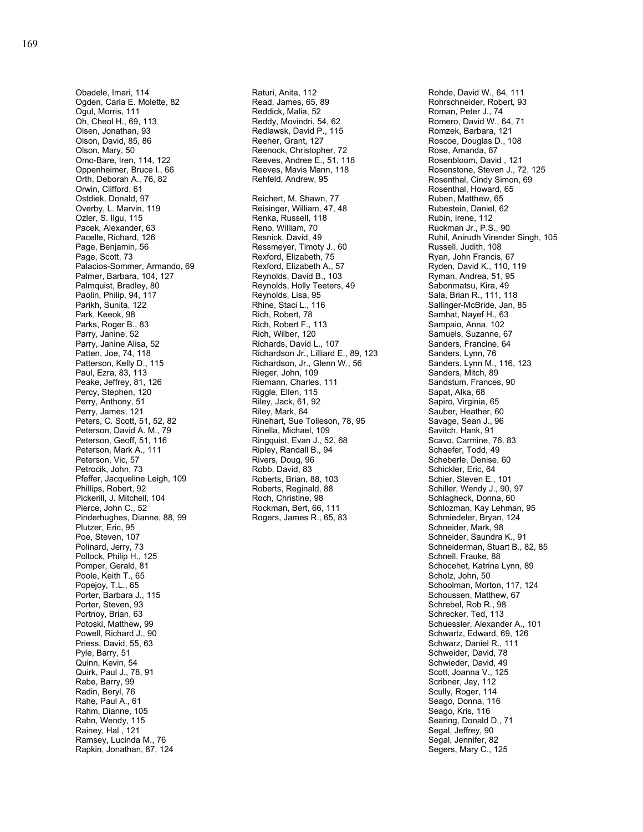Obadele, Imari, 114 Ogden, Carla E. Molette, 82 Ogul, Morris, 111 Oh, Cheol H., 69, 113 Olsen, Jonathan, 93 Olson, David, 85, 86 Olson, Mary, 50 Omo-Bare, Iren, 114, 122 Oppenheimer, Bruce I., 66 Orth, Deborah A., 76, 82 Orwin, Clifford, 61 Ostdiek, Donald, 97 Overby, L. Marvin, 119 Ozler, S. Ilgu, 115 Pacek, Alexander, 63 Pacelle, Richard, 126 Page, Benjamin, 56 Page, Scott, 73 Palacios-Sommer, Armando, 69 Palmer, Barbara, 104, 127 Palmquist, Bradley, 80 Paolin, Philip, 94, 117 Parikh, Sunita, 122 Park, Keeok, 98 Parks, Roger B., 83 Parry, Janine, 52 Parry, Janine Alisa, 52 Patten, Joe, 74, 118 Patterson, Kelly D., 115 Paul, Ezra, 83, 113 Peake, Jeffrey, 81, 126 Percy, Stephen, 120 Perry, Anthony, 51 Perry, James, 121 Peters, C. Scott, 51, 52, 82 Peterson, David A. M., 79 Peterson, Geoff, 51, 116 Peterson, Mark A., 111 Peterson, Vic, 57 Petrocik, John, 73 Pfeffer, Jacqueline Leigh, 109 Phillips, Robert, 92 Pickerill, J. Mitchell, 104 Pierce, John C., 52 Pinderhughes, Dianne, 88, 99 Plutzer, Eric, 95 Poe, Steven, 107 Polinard, Jerry, 73 Pollock, Philip H., 125 Pomper, Gerald, 81 Poole, Keith T., 65 Popejoy, T.L., 65 Porter, Barbara J., 115 Porter, Steven, 93 Portnoy, Brian, 63 Potoski, Matthew, 99 Powell, Richard J., 90 Priess, David, 55, 63 Pyle, Barry, 51 Quinn, Kevin, 54 Quirk, Paul J., 78, 91 Rabe, Barry, 99 Radin, Beryl, 76 Rahe, Paul A., 61 Rahm, Dianne, 105 Rahn, Wendy, 115 Rainey, Hal , 121 Ramsey, Lucinda M., 76 Rapkin, Jonathan, 87, 124

Raturi, Anita, 112 Read, James, 65, 89 Reddick, Malia, 52 Reddy, Movindri, 54, 62 Redlawsk, David P., 115 Reeher, Grant, 127 Reenock, Christopher, 72 Reeves, Andree E., 51, 118 Reeves, Mavis Mann, 118 Rehfeld, Andrew, 95 Reichert, M. Shawn, 77 Reisinger, William, 47, 48 Renka, Russell, 118 Reno, William, 70 Resnick, David, 49 Ressmeyer, Timoty J., 60 Rexford, Elizabeth, 75 Rexford, Elizabeth A., 57 Reynolds, David B., 103 Reynolds, Holly Teeters, 49 Reynolds, Lisa, 95 Rhine, Staci L., 116 Rich, Robert, 78 Rich, Robert F., 113 Rich, Wilber, 120 Richards, David L., 107 Richardson Jr., Lilliard E., 89, 123 Richardson, Jr., Glenn W., 56 Rieger, John, 109 Riemann, Charles, 111 Riggle, Ellen, 115 Riley, Jack, 61, 92 Riley, Mark, 64 Rinehart, Sue Tolleson, 78, 95 Rinella, Michael, 109 Ringquist, Evan J., 52, 68 Ripley, Randall B., 94 Rivers, Doug, 96 Robb, David, 83 Roberts, Brian, 88, 103 Roberts, Reginald, 88 Roch, Christine, 98 Rockman, Bert, 66, 111 Rogers, James R., 65, 83

Rohde, David W., 64, 111 Rohrschneider, Robert, 93 Roman, Peter J., 74 Romero, David W., 64, 71 Romzek, Barbara, 121 Roscoe, Douglas D., 108 Rose, Amanda, 87 Rosenbloom, David , 121 Rosenstone, Steven J., 72, 125 Rosenthal, Cindy Simon, 69 Rosenthal, Howard, 65 Ruben, Matthew, 65 Rubestein, Daniel, 62 Rubin, Irene, 112 Ruckman Jr., P.S., 90 Ruhil, Anirudh Virender Singh, 105 Russell, Judith, 108 Ryan, John Francis, 67 Ryden, David K., 110, 119 Ryman, Andrea, 51, 95 Sabonmatsu, Kira, 49 Sala, Brian R., 111, 118 Sallinger-McBride, Jan, 85 Samhat, Nayef H., 63 Sampaio, Anna, 102 Samuels, Suzanne, 67 Sanders, Francine, 64 Sanders, Lynn, 76 Sanders, Lynn M., 116, 123 Sanders, Mitch, 89 Sandstum, Frances, 90 Sapat, Alka, 68 Sapiro, Virginia, 65 Sauber, Heather, 60 Savage, Sean J., 96 Savitch, Hank, 91 Scavo, Carmine, 76, 83 Schaefer, Todd, 49 Scheberle, Denise, 60 Schickler, Eric, 64 Schier, Steven E., 101 Schiller, Wendy J., 90, 97 Schlagheck, Donna, 60 Schlozman, Kay Lehman, 95 Schmiedeler, Bryan, 124 Schneider, Mark, 98 Schneider, Saundra K., 91 Schneiderman, Stuart B., 82, 85 Schnell, Frauke, 88 Schocehet, Katrina Lynn, 89 Scholz, John, 50 Schoolman, Morton, 117, 124 Schoussen, Matthew, 67 Schrebel, Rob R., 98 Schrecker, Ted, 113 Schuessler, Alexander A., 101 Schwartz, Edward, 69, 126 Schwarz, Daniel R., 111 Schweider, David, 78 Schwieder, David, 49 Scott, Joanna V., 125 Scribner, Jay, 112 Scully, Roger, 114 Seago, Donna, 116 Seago, Kris, 116 Searing, Donald D., 71 Segal, Jeffrey, 90 Segal, Jennifer, 82 Segers, Mary C., 125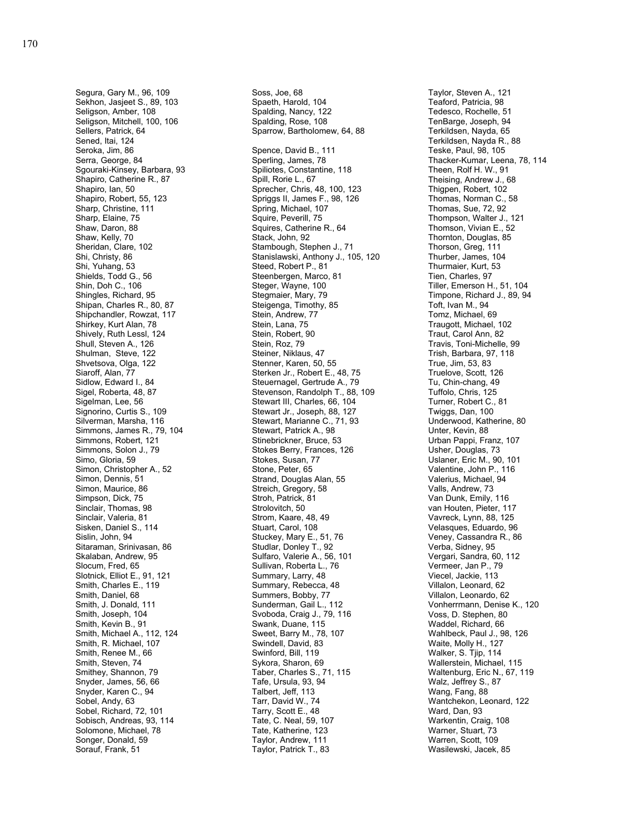Segura, Gary M., 96, 109 Sekhon, Jasjeet S., 89, 103 Seligson, Amber, 108 Seligson, Mitchell, 100, 106 Sellers, Patrick, 64 Sened, Itai, 124 Seroka, Jim, 86 Serra, George, 84 Sgouraki-Kinsey, Barbara, 93 Shapiro, Catherine R., 87 Shapiro, Ian, 50 Shapiro, Robert, 55, 123 Sharp, Christine, 111 Sharp, Elaine, 75 Shaw, Daron, 88 Shaw, Kelly, 70 Sheridan, Clare, 102 Shi, Christy, 86 Shi, Yuhang, 53 Shields, Todd G., 56 Shin, Doh C., 106 Shingles, Richard, 95 Shipan, Charles R., 80, 87 Shipchandler, Rowzat, 117 Shirkey, Kurt Alan, 78 Shively, Ruth Lessl, 124 Shull, Steven A., 126 Shulman, Steve, 122 Shvetsova, Olga, 122 Siaroff, Alan, 77 Sidlow, Edward I., 84 Sigel, Roberta, 48, 87 Sigelman, Lee, 56 Signorino, Curtis S., 109 Silverman, Marsha, 116 Simmons, James R., 79, 104 Simmons, Robert, 121 Simmons, Solon J., 79 Simo, Gloria, 59 Simon, Christopher A., 52 Simon, Dennis, 51 Simon, Maurice, 86 Simpson, Dick, 75 Sinclair, Thomas, 98 Sinclair, Valeria, 81 Sisken, Daniel S., 114 Sislin, John, 94 Sitaraman, Srinivasan, 86 Skalaban, Andrew, 95 Slocum, Fred, 65 Slotnick, Elliot E., 91, 121 Smith, Charles E., 119 Smith, Daniel, 68 Smith, J. Donald, 111 Smith, Joseph, 104 Smith, Kevin B., 91 Smith, Michael A., 112, 124 Smith, R. Michael, 107 Smith, Renee M., 66 Smith, Steven, 74 Smithey, Shannon, 79 Snyder, James, 56, 66 Snyder, Karen C., 94 Sobel, Andy, 63 Sobel, Richard, 72, 101 Sobisch, Andreas, 93, 114 Solomone, Michael, 78 Songer, Donald, 59 Sorauf, Frank, 51

Soss, Joe, 68 Spaeth, Harold, 104 Spalding, Nancy, 122 Spalding, Rose, 108 Sparrow, Bartholomew, 64, 88 Spence, David B., 111 Sperling, James, 78 Spiliotes, Constantine, 118 Spill, Rorie L., 67 Sprecher, Chris, 48, 100, 123 Spriggs II, James F., 98, 126 Spring, Michael, 107 Squire, Peverill, 75 Squires, Catherine R., 64 Stack, John, 92 Stambough, Stephen J., 71 Stanislawski, Anthony J., 105, 120 Steed, Robert P., 81 Steenbergen, Marco, 81 Steger, Wayne, 100 Stegmaier, Mary, 79 Steigenga, Timothy, 85 Stein, Andrew, 77 Stein, Lana, 75 Stein, Robert, 90 Stein, Roz, 79 Steiner, Niklaus, 47 Stenner, Karen, 50, 55 Sterken Jr., Robert E., 48, 75 Steuernagel, Gertrude A., 79 Stevenson, Randolph T., 88, 109 Stewart III, Charles, 66, 104 Stewart Jr., Joseph, 88, 127 Stewart, Marianne C., 71, 93 Stewart, Patrick A., 98 Stinebrickner, Bruce, 53 Stokes Berry, Frances, 126 Stokes, Susan, 77 Stone, Peter, 65 Strand, Douglas Alan, 55 Streich, Gregory, 58 Stroh, Patrick, 81 Strolovitch, 50 Strom, Kaare, 48, 49 Stuart, Carol, 108 Stuckey, Mary E., 51, 76 Studlar, Donley T., 92 Sulfaro, Valerie A., 56, 101 Sullivan, Roberta L., 76 Summary, Larry, 48 Summary, Rebecca, 48 Summers, Bobby, 77 Sunderman, Gail L., 112 Svoboda, Craig J., 79, 116 Swank, Duane, 115 Sweet, Barry M., 78, 107 Swindell, David, 83 Swinford, Bill, 119 Sykora, Sharon, 69 Taber, Charles S., 71, 115 Tafe, Ursula, 93, 94 Talbert, Jeff, 113 Tarr, David W., 74 Tarry, Scott E., 48 Tate, C. Neal, 59, 107 Tate, Katherine, 123 Taylor, Andrew, 111 Taylor, Patrick T., 83

Taylor, Steven A., 121 Teaford, Patricia, 98 Tedesco, Rochelle, 51 TenBarge, Joseph, 94 Terkildsen, Nayda, 65 Terkildsen, Nayda R., 88 Teske, Paul, 98, 105 Thacker-Kumar, Leena, 78, 114 Theen, Rolf H. W., 91 Theising, Andrew J., 68 Thigpen, Robert, 102 Thomas, Norman C., 58 Thomas, Sue, 72, 92 Thompson, Walter J., 121 Thomson, Vivian E., 52 Thornton, Douglas, 85 Thorson, Greg, 111 Thurber, James, 104 Thurmaier, Kurt, 53 Tien, Charles, 97 Tiller, Emerson H., 51, 104 Timpone, Richard J., 89, 94 Toft, Ivan M., 94 Tomz, Michael, 69 Traugott, Michael, 102 Traut, Carol Ann, 82 Travis, Toni-Michelle, 99 Trish, Barbara, 97, 118 True, Jim, 53, 83 Truelove, Scott, 126 Tu, Chin-chang, 49 Tuffolo, Chris, 125 Turner, Robert C., 81 Twiggs, Dan, 100 Underwood, Katherine, 80 Unter, Kevin, 88 Urban Pappi, Franz, 107 Usher, Douglas, 73 Uslaner, Eric M., 90, 101 Valentine, John P., 116 Valerius, Michael, 94 Valls, Andrew, 73 Van Dunk, Emily, 116 van Houten, Pieter, 117 Vavreck, Lynn, 88, 125 Velasques, Eduardo, 96 Veney, Cassandra R., 86 Verba, Sidney, 95 Vergari, Sandra, 60, 112 Vermeer, Jan P., 79 Viecel, Jackie, 113 Villalon, Leonard, 62 Villalon, Leonardo, 62 Vonherrmann, Denise K., 120 Voss, D. Stephen, 80 Waddel, Richard, 66 Wahlbeck, Paul J., 98, 126 Waite, Molly H., 127 Walker, S. Tjip, 114 Wallerstein, Michael, 115 Waltenburg, Eric N., 67, 119 Walz, Jeffrey S., 87 Wang, Fang, 88 Wantchekon, Leonard, 122 Ward, Dan, 93 Warkentin, Craig, 108 Warner, Stuart, 73 Warren, Scott, 109 Wasilewski, Jacek, 85